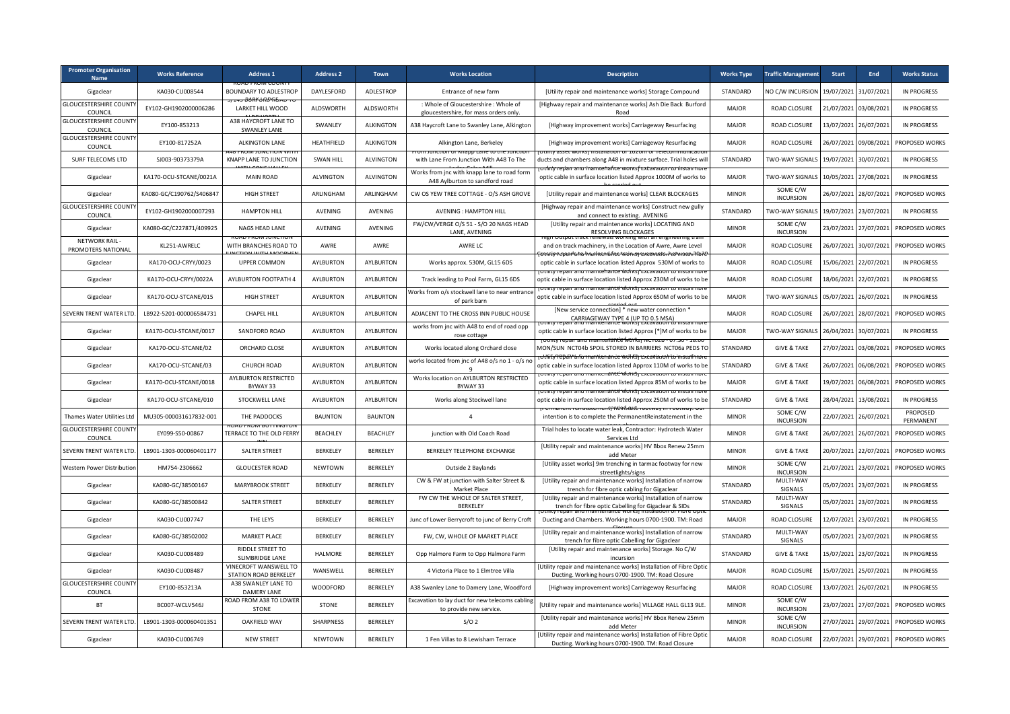| <b>Promoter Organisation</b><br><b>Name</b> | <b>Works Reference</b>   | <b>Address 1</b>                                      | <b>Address 2</b> | <b>Town</b>      | <b>Works Location</b>                                                           | <b>Description</b>                                                                                                                                                 | <b>Works Type</b> | <b>Traffic Management</b>    | Start      | End                   | <b>Works Status</b>   |
|---------------------------------------------|--------------------------|-------------------------------------------------------|------------------|------------------|---------------------------------------------------------------------------------|--------------------------------------------------------------------------------------------------------------------------------------------------------------------|-------------------|------------------------------|------------|-----------------------|-----------------------|
| Gigaclear                                   | KA030-CU008544           | <b>BOUNDARY TO ADLESTROP</b>                          | DAYLESFORD       | ADLESTROP        | Entrance of new farm                                                            | [Utility repair and maintenance works] Storage Compound                                                                                                            | STANDARD          | NO C/W INCURSION             | 19/07/2021 | 31/07/2021            | <b>IN PROGRESS</b>    |
| <b>GLOUCESTERSHIRE COUNT</b><br>COUNCIL     | EY102-GH1902000006286    | LARKET HILL WOOD                                      | ALDSWORTH        | ALDSWORTH        | : Whole of Gloucestershire : Whole of<br>gloucestershire, for mass orders only. | [Highway repair and maintenance works] Ash Die Back Burford<br>Road                                                                                                | <b>MAJOR</b>      | ROAD CLOSURE                 | 21/07/2021 | 03/08/2021            | <b>IN PROGRESS</b>    |
| <b>GLOUCESTERSHIRE COUNT</b><br>COUNCIL     | EY100-853213             | A38 HAYCROFT LANE TO<br><b>SWANLEY LANE</b>           | SWANLEY          | <b>ALKINGTON</b> | A38 Haycroft Lane to Swanley Lane, Alkington                                    | [Highway improvement works] Carriageway Resurfacing                                                                                                                | <b>MAJOR</b>      | ROAD CLOSURE                 | 13/07/2021 | 26/07/2021            | <b>IN PROGRESS</b>    |
| <b>GLOUCESTERSHIRE COUNTY</b><br>COUNCIL    | EY100-817252A            | ALKINGTON LANE                                        | HEATHFIELD       | <b>ALKINGTON</b> | Alkington Lane, Berkeley                                                        | [Highway improvement works] Carriageway Resurfacing                                                                                                                | <b>MAJOR</b>      | ROAD CLOSURE                 | 26/07/2021 | 09/08/2021            | PROPOSED WORKS        |
| SURF TELECOMS LTD                           | SJ003-90373379A          | <b>KNAPP LANE TO JUNCTION</b>                         | <b>SWAN HILL</b> | <b>ALVINGTON</b> | with Lane From Junction With A48 To The                                         | ducts and chambers along A48 in mixture surface. Trial holes will<br>ntenańce worksfextavi                                                                         | STANDARD          | <b>TWO-WAY SIGNALS</b>       | 19/07/2021 | 30/07/2021            | <b>IN PROGRESS</b>    |
| Gigaclear                                   | KA170-OCU-STCANE/0021A   | <b>MAIN ROAD</b>                                      | <b>ALVINGTON</b> | <b>ALVINGTON</b> | Works from jnc with knapp lane to road form<br>A48 Aylburton to sandford road   | <del>, diftv revan anu mai</del><br>optic cable in surface location listed Approx 1000M of works to                                                                | <b>MAJOR</b>      | TWO-WAY SIGNAL               | 10/05/2021 | 27/08/2021            | <b>IN PROGRESS</b>    |
| Gigaclear                                   | KA080-GC/C190762/S406847 | <b>HIGH STREET</b>                                    | ARLINGHAM        | ARLINGHAM        | CW OS YEW TREE COTTAGE - O/S ASH GROVE                                          | [Utility repair and maintenance works] CLEAR BLOCKAGES                                                                                                             | <b>MINOR</b>      | SOME C/W<br><b>INCURSION</b> | 26/07/2021 | 28/07/2021            | PROPOSED WORKS        |
| <b>GLOUCESTERSHIRE COUNT</b><br>COUNCIL     | EY102-GH1902000007293    | <b>HAMPTON HILL</b>                                   | AVENING          | AVENING          | AVENING : HAMPTON HILL                                                          | [Highway repair and maintenance works] Construct new gully<br>and connect to existing. AVENING                                                                     | STANDARD          | TWO-WAY SIGNALS              | 19/07/2021 | 23/07/2021            | <b>IN PROGRESS</b>    |
| Gigaclear                                   | KA080-GC/C227871/409925  | <b>NAGS HEAD LANE</b>                                 | AVENING          | AVENING          | FW/CW/VERGE O/S 51 - S/O 20 NAGS HEAD<br>LANE, AVENING                          | [Utility repair and maintenance works] LOCATING AND<br><b>RESOLVING BLOCKAGES</b>                                                                                  | <b>MINOR</b>      | SOME C/W<br><b>INCURSION</b> | 23/07/2021 | 27/07/2021            | PROPOSED WORKS        |
| NETWORK RAIL-<br><b>PROMOTERS NATIONAL</b>  | KL251-AWRELC             | WITH BRANCHES ROAD TO                                 | AWRE             | AWRE             | AWRE LC                                                                         | and on track machinery, in the Location of Awre, Awre Level                                                                                                        | <b>MAJOR</b>      | ROAD CLOSURE                 | 26/07/2021 | 30/07/2021            | PROPOSED WORKS        |
| Gigaclear                                   | KA170-OCU-CRYY/0023      | <b>UPPER COMMON</b>                                   | AYLBURTON        | AYLBURTON        | Works approx. 530M, GL15 6DS                                                    | optic cable in surface location listed Approx 530M of works to                                                                                                     | <b>MAJOR</b>      | <b>ROAD CLOSURE</b>          | 15/06/2021 | 22/07/2021            | <b>IN PROGRESS</b>    |
| Gigaclear                                   | KA170-OCU-CRYY/0022A     | AYLBURTON FOOTPATH 4                                  | AYLBURTON        | AYLBURTON        | Track leading to Pool Farm, GL15 6DS                                            | optic cable in surface location listed Approx 230M of works to be                                                                                                  | <b>MAJOR</b>      | ROAD CLOSURE                 | 18/06/2021 | 22/07/2021            | <b>IN PROGRESS</b>    |
| Gigaclear                                   | KA170-OCU-STCANE/015     | <b>HIGH STREET</b>                                    | AYLBURTON        | AYLBURTON        | Norks from o/s stockwell lane to near entrance<br>of park barn                  | optic cable in surface location listed Approx 650M of works to be                                                                                                  | <b>MAJOR</b>      | TWO-WAY SIGNALS              |            | 05/07/2021 26/07/2021 | <b>IN PROGRESS</b>    |
| SEVERN TRENT WATER LTD                      | LB922-5201-000006584731  | <b>CHAPEL HILL</b>                                    | <b>AYLBURTON</b> | AYLBURTON        | ADJACENT TO THE CROSS INN PUBLIC HOUSE                                          | [New service connection] * new water connection '<br>CARRIAGEWAY TYPE 4 (UP TO 0.5 MSA)                                                                            | <b>MAJOR</b>      | ROAD CLOSURE                 | 26/07/2021 | 28/07/2021            | PROPOSED WORKS        |
| Gigaclear                                   | KA170-OCU-STCANE/0017    | SANDFORD ROAD                                         | <b>AYLBURTON</b> | AYLBURTON        | works from jnc with A48 to end of road opp<br>rose cottage                      | optic cable in surface location listed Approx [*]M of works to be<br>mnentant:e*wtrrk                                                                              | <b>MAJOR</b>      | TWO-WAY SIGNALS              | 26/04/2021 | 30/07/2021            | <b>IN PROGRESS</b>    |
| Gigaclear                                   | KA170-OCU-STCANE/02      | ORCHARD CLOSE                                         | AYLBURTON        | AYLBURTON        | Works located along Orchard close                                               | MON/SUN NCT04b SPOIL STORED IN BARRIERS NCT06a PEDS TO                                                                                                             | STANDARD          | <b>GIVE &amp; TAKE</b>       | 27/07/2021 | 03/08/2021            | PROPOSED WORKS        |
| Gigaclear                                   | KA170-OCU-STCANE/03      | CHURCH ROAD                                           | AYLBURTON        | AYLBURTON        | works located from jnc of A48 o/s no 1 - o/s no                                 | dfifv?ebail*arformantienance woll fshrexca<br>optic cable in surface location listed Approx 110M of works to be<br>ity repair and maintenance worksi excavation to | STANDARD          | <b>GIVE &amp; TAKE</b>       | 26/07/2021 | 06/08/2021            | PROPOSED WORKS        |
| Gigaclear                                   | KA170-OCU-STCANE/0018    | AYLBURTON RESTRICTED<br>BYWAY 33                      | <b>AYLBURTON</b> | AYLBURTON        | Works location on AYLBURTON RESTRICTED<br>BYWAY 33                              | optic cable in surface location listed Approx 85M of works to be                                                                                                   | <b>MAJOR</b>      | <b>GIVE &amp; TAKE</b>       | 19/07/2021 | 06/08/2021            | PROPOSED WORKS        |
| Gigaclear                                   | KA170-OCU-STCANE/010     | STOCKWELL LANE                                        | AYLBURTON        | AYLBURTON        | Works along Stockwell lane                                                      | optic cable in surface location listed Approx 250M of works to be<br>ermanent reinstatement keinstate tootway in coorway. O                                        | STANDARD          | <b>GIVE &amp; TAKE</b>       | 28/04/2021 | 13/08/2021            | <b>IN PROGRESS</b>    |
| Thames Water Utilities Ltd                  | MU305-000031617832-001   | THE PADDOCKS                                          | <b>BAUNTON</b>   | <b>BAUNTON</b>   | $\overline{4}$                                                                  | intention is to complete the PermanentReinstatement in the                                                                                                         | <b>MINOR</b>      | SOME C/W<br><b>INCURSION</b> | 22/07/2021 | 26/07/2021            | PROPOSED<br>PERMANENT |
| <b>GLOUCESTERSHIRE COUNT</b><br>COUNCIL     | EY099-S50-00867          | TERRACE TO THE OLD FERRY                              | <b>BEACHLEY</b>  | <b>BEACHLEY</b>  | junction with Old Coach Road                                                    | Trial holes to locate water leak, Contractor: Hydrotech Water<br>Services Ltd                                                                                      | <b>MINOR</b>      | <b>GIVE &amp; TAKE</b>       | 26/07/2021 | 26/07/2021            | PROPOSED WORKS        |
| SEVERN TRENT WATER LTD                      | LB901-1303-000060401177  | <b>SALTER STREET</b>                                  | BERKELEY         | BERKELEY         | BERKELEY TELEPHONE EXCHANGE                                                     | [Utility repair and maintenance works] HV Bbox Renew 25mm<br>add Meter                                                                                             | <b>MINOR</b>      | <b>GIVE &amp; TAKE</b>       | 20/07/2021 | 22/07/2021            | PROPOSED WORKS        |
| Western Power Distribution                  | HM754-2306662            | <b>GLOUCESTER ROAD</b>                                | <b>NEWTOWN</b>   | BERKELEY         | Outside 2 Baylands                                                              | [Utility asset works] 9m trenching in tarmac footway for new<br>streetlights/signs                                                                                 | <b>MINOR</b>      | SOME C/W<br><b>INCURSION</b> | 21/07/2021 | 23/07/2021            | PROPOSED WORKS        |
| Gigaclear                                   | KA080-GC/38500167        | MARYBROOK STREET                                      | BERKELEY         | BERKELEY         | CW & FW at junction with Salter Street &<br>Market Place                        | [Utility repair and maintenance works] Installation of narrow<br>trench for fibre optic cabling for Gigaclear                                                      | STANDARD          | MULTI-WAY<br>SIGNALS         | 05/07/2021 | 23/07/2021            | <b>IN PROGRESS</b>    |
| Gigaclear                                   | KA080-GC/38500842        | SALTER STREET                                         | <b>BERKELEY</b>  | BERKELEY         | FW CW THE WHOLE OF SALTER STREET,<br>BERKELEY                                   | [Utility repair and maintenance works] Installation of narrow<br>trench for fibre optic Cabelling for Gigaclear & SIDs                                             | STANDARD          | MULTI-WAY<br>SIGNALS         | 05/07/2021 | 23/07/2021            | <b>IN PROGRESS</b>    |
| Gigaclear                                   | KA030-CU007747           | THE LEYS                                              | BERKELEY         | <b>BERKELEY</b>  | Junc of Lower Berrycroft to junc of Berry Croft                                 | Ducting and Chambers. Working hours 0700-1900. TM: Road                                                                                                            | <b>MAJOR</b>      | ROAD CLOSURE                 | 12/07/2021 | 23/07/2021            | <b>IN PROGRESS</b>    |
| Gigaclear                                   | KA080-GC/38502002        | <b>MARKET PLACE</b>                                   | <b>BERKELEY</b>  | BERKELEY         | FW, CW, WHOLE OF MARKET PLACE                                                   | [Utility repair and maintenance works] Installation of narrow<br>trench for fibre optic Cabelling for Gigaclear                                                    | STANDARD          | MULTI-WAY<br>SIGNALS         | 05/07/2021 | 23/07/2021            | <b>IN PROGRESS</b>    |
| Gigaclear                                   | KA030-CU008489           | RIDDLE STREET TO<br>SLIMBRIDGE LANE                   | HALMORE          | BERKELEY         | Opp Halmore Farm to Opp Halmore Farm                                            | [Utility repair and maintenance works] Storage. No C/W<br>incursion                                                                                                | STANDARD          | <b>GIVE &amp; TAKE</b>       | 15/07/2021 | 23/07/2021            | <b>IN PROGRESS</b>    |
| Gigaclear                                   | KA030-CU008487           | VINECROFT WANSWELL TO<br><b>STATION ROAD BERKELEY</b> | WANSWELL         | BERKELEY         | 4 Victoria Place to 1 Elmtree Villa                                             | [Utility repair and maintenance works] Installation of Fibre Optic<br>Ducting. Working hours 0700-1900. TM: Road Closure                                           | <b>MAJOR</b>      | ROAD CLOSURE                 | 15/07/2021 | 25/07/2021            | <b>IN PROGRESS</b>    |
| <b>GLOUCESTERSHIRE COUNTY</b><br>COUNCIL    | EY100-853213A            | A38 SWANLEY LANE TO<br><b>DAMERY LANE</b>             | WOODFORD         | BERKELEY         | A38 Swanley Lane to Damery Lane, Woodford                                       | [Highway improvement works] Carriageway Resurfacing                                                                                                                | <b>MAJOR</b>      | ROAD CLOSURE                 | 13/07/2021 | 26/07/2021            | <b>IN PROGRESS</b>    |
| BT                                          | BC007-WCLV546J           | ROAD FROM A38 TO LOWER<br>STONE                       | STONE            | BERKELEY         | Excavation to lay duct for new telecoms cabling<br>to provide new service.      | [Utility repair and maintenance works] VILLAGE HALL GL13 9LE.                                                                                                      | <b>MINOR</b>      | SOME C/W<br><b>INCURSION</b> | 23/07/2021 | 27/07/2021            | PROPOSED WORKS        |
| SEVERN TRENT WATER LTD                      | LB901-1303-000060401351  | <b>OAKFIELD WAY</b>                                   | SHARPNESS        | BERKELEY         | S/O2                                                                            | [Utility repair and maintenance works] HV Bbox Renew 25mm<br>add Meter                                                                                             | <b>MINOR</b>      | SOME C/W<br><b>INCURSION</b> | 27/07/2021 | 29/07/2021            | PROPOSED WORKS        |
| Gigaclear                                   | KA030-CU006749           | <b>NEW STREET</b>                                     | <b>NEWTOWN</b>   | <b>BERKELEY</b>  | 1 Fen Villas to 8 Lewisham Terrace                                              | [Utility repair and maintenance works] Installation of Fibre Optic<br>Ducting. Working hours 0700-1900. TM: Road Closure                                           | <b>MAJOR</b>      | ROAD CLOSURE                 | 22/07/2021 | 29/07/2021            | PROPOSED WORKS        |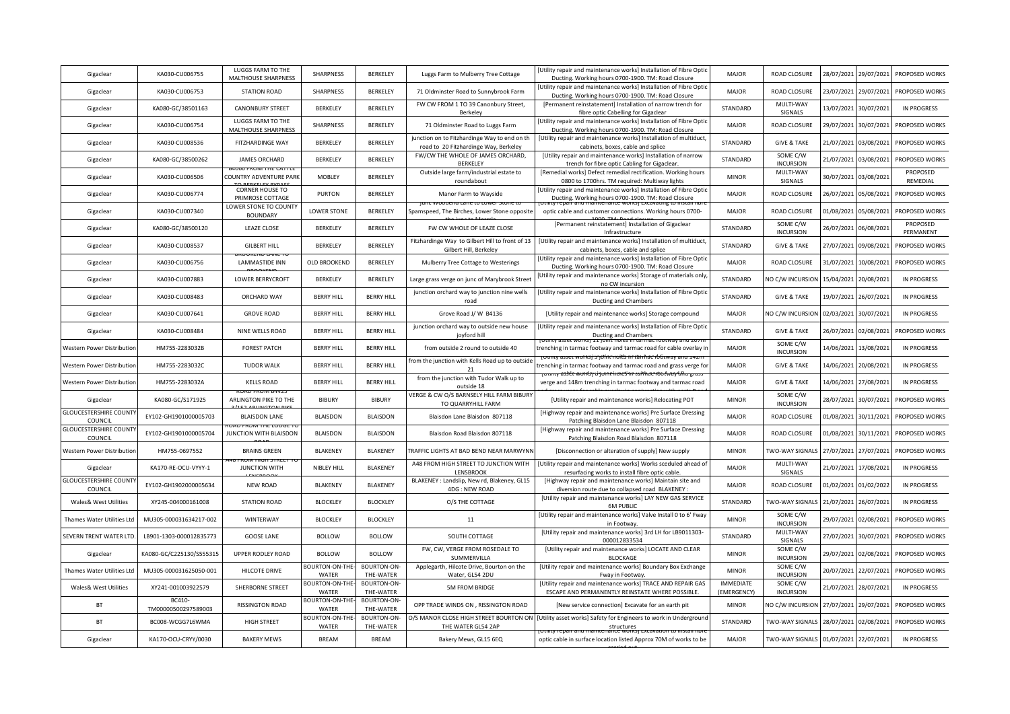| Gigaclear                               | KA030-CU006755                | LUGGS FARM TO THE<br>MALTHOUSE SHARPNESS   | SHARPNESS                      | BERKELEY                        | Luggs Farm to Mulberry Tree Cottage                                                   | [Utility repair and maintenance works] Installation of Fibre Optic<br>Ducting. Working hours 0700-1900. TM: Road Closure              | <b>MAJOR</b>                    | <b>ROAD CLOSURE</b>          | 28/07/2021 | 29/07/2021 | PROPOSED WORKS        |
|-----------------------------------------|-------------------------------|--------------------------------------------|--------------------------------|---------------------------------|---------------------------------------------------------------------------------------|---------------------------------------------------------------------------------------------------------------------------------------|---------------------------------|------------------------------|------------|------------|-----------------------|
| Gigaclear                               | KA030-CU006753                | <b>STATION ROAD</b>                        | SHARPNESS                      | BERKELEY                        | 71 Oldminster Road to Sunnybrook Farm                                                 | Utility repair and maintenance works] Installation of Fibre Optic<br>Ducting. Working hours 0700-1900. TM: Road Closure               | <b>MAJOR</b>                    | <b>ROAD CLOSURE</b>          | 23/07/2021 | 29/07/2021 | PROPOSED WORKS        |
| Gigaclear                               | KA080-GC/38501163             | <b>CANONBURY STREET</b>                    | BERKELEY                       | BERKELEY                        | FW CW FROM 1 TO 39 Canonbury Street,<br>Berkeley                                      | [Permanent reinstatement] Installation of narrow trench for<br>fibre optic Cabelling for Gigaclear                                    | STANDARD                        | MULTI-WAY<br>SIGNALS         | 13/07/2021 | 30/07/2021 | <b>IN PROGRESS</b>    |
| Gigaclear                               | KA030-CU006754                | LUGGS FARM TO THE<br>MALTHOUSE SHARPNESS   | SHARPNESS                      | BERKELEY                        | 71 Oldminster Road to Luggs Farm                                                      | Utility repair and maintenance works] Installation of Fibre Optio<br>Ducting. Working hours 0700-1900. TM: Road Closure               | <b>MAJOR</b>                    | ROAD CLOSURE                 | 29/07/2021 | 30/07/2021 | PROPOSED WORKS        |
| Gigaclear                               | KA030-CU008536                | FITZHARDINGE WAY                           | BERKELEY                       | BERKELEY                        | junction on to Fitzhardinge Way to end on th<br>road to 20 Fitzhardinge Way, Berkeley | [Utility repair and maintenance works] Installation of multiduct<br>cabinets, boxes, cable and splice                                 | STANDARD                        | <b>GIVE &amp; TAKE</b>       | 21/07/2021 | 03/08/2021 | PROPOSED WORKS        |
| Gigaclear                               | KA080-GC/38500262             | <b>JAMES ORCHARD</b>                       | <b>BERKELEY</b>                | BERKELEY                        | FW/CW THE WHOLE OF JAMES ORCHARD,<br>BERKELEY                                         | [Utility repair and maintenance works] Installation of narrow<br>trench for fibre optic Cabling for Gigaclear                         | STANDARD                        | SOME C/W<br><b>INCURSION</b> | 21/07/2021 | 03/08/2021 | PROPOSED WORKS        |
| Gigaclear                               | KA030-CU006506                | COUNTRY ADVENTURE PARK                     | <b>MOBLEY</b>                  | BERKELEY                        | Outside large farm/industrial estate to<br>roundabout                                 | [Remedial works] Defect remedial rectification. Working hours<br>0800 to 1700hrs. TM required: Multiway lights                        | <b>MINOR</b>                    | MULTI-WAY<br>SIGNALS         | 30/07/2021 | 03/08/2021 | PROPOSED<br>REMEDIAL  |
| Gigaclear                               | KA030-CU006774                | <b>CORNER HOUSE TO</b><br>PRIMROSE COTTAGE | <b>PURTON</b>                  | BERKELEY                        | Manor Farm to Wayside                                                                 | [Utility repair and maintenance works] Installation of Fibre Optic<br>Ducting. Working hours 0700-1900. TM: Road Closure              | <b>MAJOR</b>                    | <b>ROAD CLOSURE</b>          | 26/07/2021 | 05/08/2021 | PROPOSED WORKS        |
| Gigaclear                               | KA030-CU007340                | LOWER STONE TO COUNTY<br><b>BOUNDARY</b>   | <b>LOWER STONE</b>             | BERKELEY                        | unc woodend cane to cower :<br>Spamspeed, The Birches, Lower Stone opposite           | optic cable and customer connections. Working hours 0700-                                                                             | <b>MAJOR</b>                    | <b>ROAD CLOSURE</b>          | 01/08/2021 | 05/08/2021 | PROPOSED WORKS        |
| Gigaclear                               | KA080-GC/38500120             | <b>LEAZE CLOSE</b>                         | <b>BERKELEY</b>                | BERKELEY                        | FW CW WHOLE OF LEAZE CLOSE                                                            | [Permanent reinstatement] Installation of Gigaclear<br>Infrastructure                                                                 | STANDARD                        | SOME C/W<br><b>INCURSION</b> | 26/07/2021 | 06/08/2021 | PROPOSED<br>PERMANENT |
| Gigaclear                               | KA030-CU008537                | <b>GILBERT HILL</b>                        | <b>BERKELEY</b>                | BERKELEY                        | Fitzhardinge Way to Gilbert Hill to front of 13<br>Gilbert Hill, Berkeley             | [Utility repair and maintenance works] Installation of multiduct<br>cabinets, boxes, cable and splice                                 | STANDARD                        | <b>GIVE &amp; TAKE</b>       | 27/07/2021 | 09/08/2021 | PROPOSED WORKS        |
| Gigaclear                               | KA030-CU006756                | LAMMASTIDE INN                             | OLD BROOKEND                   | BERKELEY                        | Mulberry Tree Cottage to Westerings                                                   | Utility repair and maintenance works] Installation of Fibre Optic<br>Ducting. Working hours 0700-1900. TM: Road Closure               | <b>MAJOR</b>                    | <b>ROAD CLOSURE</b>          | 31/07/2021 | 10/08/2021 | PROPOSED WORKS        |
| Gigaclear                               | KA030-CU007883                | <b>LOWER BERRYCROFT</b>                    | <b>BERKELEY</b>                | BERKELEY                        | Large grass verge on junc of Marybrook Street                                         | Utility repair and maintenance works] Storage of materials only<br>no CW incursion                                                    | STANDARD                        | NO C/W INCURSION             | 15/04/2021 | 20/08/2021 | <b>IN PROGRESS</b>    |
| Gigaclear                               | KA030-CU008483                | ORCHARD WAY                                | <b>BERRY HILL</b>              | <b>BERRY HILL</b>               | junction orchard way to junction nine wells<br>road                                   | [Utility repair and maintenance works] Installation of Fibre Optic<br>Ducting and Chambers                                            | STANDARD                        | <b>GIVE &amp; TAKE</b>       | 19/07/2021 | 26/07/2021 | <b>IN PROGRESS</b>    |
| Gigaclear                               | KA030-CU007641                | <b>GROVE ROAD</b>                          | <b>BERRY HILL</b>              | <b>BERRY HILL</b>               | Grove Road J/ W B4136                                                                 | [Utility repair and maintenance works] Storage compound                                                                               | <b>MAJOR</b>                    | NO C/W INCURSION             | 02/03/2021 | 30/07/2021 | <b>IN PROGRESS</b>    |
| Gigaclear                               | KA030-CU008484                | NINE WELLS ROAD                            | <b>BERRY HILL</b>              | <b>BERRY HILL</b>               | junction orchard way to outside new house<br>joyford hill                             | [Utility repair and maintenance works] Installation of Fibre Optic<br><b>Ducting and Chambers</b>                                     | STANDARD                        | <b>GIVE &amp; TAKE</b>       | 26/07/2021 | 02/08/2021 | PROPOSED WORKS        |
| Western Power Distributior              | HM755-2283032B                | <b>FOREST PATCH</b>                        | <b>BERRY HILL</b>              | <b>BERRY HILL</b>               | from outside 2 round to outside 40                                                    | renching in tarmac footway and tarmac road for cable overlay i:                                                                       | <b>MAJOR</b>                    | SOME C/W<br><b>INCURSION</b> | 4/06/2021  | 13/08/2021 | <b>IN PROGRESS</b>    |
| Western Power Distributior              | HM755-2283032C                | <b>TUDOR WALK</b>                          | <b>BERRY HILL</b>              | <b>BERRY HILL</b>               | from the junction with Kells Road up to outside<br>21                                 | trenching in tarmac footway and tarmac road and grass verge for<br>totility asset works) o joint holes in taithat rootway after grass | <b>MAJOR</b>                    | <b>GIVE &amp; TAKE</b>       | 14/06/2021 | 20/08/2021 | <b>IN PROGRESS</b>    |
| Western Power Distribution              | HM755-2283032A                | <b>KELLS ROAD</b>                          | <b>BERRY HILL</b>              | <b>BERRY HILL</b>               | from the junction with Tudor Walk up to<br>outside 18                                 | verge and 148m trenching in tarmac footway and tarmac road                                                                            | <b>MAJOR</b>                    | <b>GIVE &amp; TAKE</b>       | 14/06/2021 | 27/08/2021 | <b>IN PROGRESS</b>    |
| Gigaclear                               | KA080-GC/S171925              | ARLINGTON PIKE TO THE                      | <b>BIBURY</b>                  | <b>BIBURY</b>                   | VERGE & CW O/S BARNSELY HILL FARM BIBURY<br>TO QUARRYHILL FARM                        | [Utility repair and maintenance works] Relocating POT                                                                                 | <b>MINOR</b>                    | SOME C/W<br><b>INCURSION</b> | 28/07/2021 | 30/07/2021 | PROPOSED WORKS        |
| <b>GLOUCESTERSHIRE COUNT</b><br>COUNCIL | EY102-GH1901000005703         | <b>BLAISDON LANE</b>                       | <b>BLAISDON</b>                | <b>BLAISDON</b>                 | Blaisdon Lane Blaisdon 807118                                                         | [Highway repair and maintenance works] Pre Surface Dressing<br>Patching Blaisdon Lane Blaisdon 807118                                 | <b>MAJOR</b>                    | ROAD CLOSURE                 | 01/08/2021 | 30/11/2021 | PROPOSED WORKS        |
| <b>GLOUCESTERSHIRE COUNT</b><br>COUNCIL | EY102-GH1901000005704         | JUNCTION WITH BLAISDON                     | <b>BLAISDON</b>                | <b>BLAISDON</b>                 | Blaisdon Road Blaisdon 807118                                                         | [Highway repair and maintenance works] Pre Surface Dressing<br>Patching Blaisdon Road Blaisdon 807118                                 | <b>MAJOR</b>                    | ROAD CLOSURE                 | 01/08/2021 | 30/11/2021 | PROPOSED WORKS        |
| Western Power Distributior              | HM755-0697552                 | <b>BRAINS GREEN</b>                        | <b>BLAKENEY</b>                | <b>BLAKENEY</b>                 | TRAFFIC LIGHTS AT BAD BEND NEAR MARWYNN                                               | [Disconnection or alteration of supply] New supply                                                                                    | <b>MINOR</b>                    | TWO-WAY SIGNALS              | 27/07/2021 | 27/07/2021 | PROPOSED WORKS        |
| Gigaclear                               | KA170-RE-OCU-VYYY-1           | JUNCTION WITH                              | NIBLEY HILL                    | <b>BLAKENEY</b>                 | A48 FROM HIGH STREET TO JUNCTION WITH<br>LENSBROOK                                    | [Utility repair and maintenance works] Works sceduled ahead of<br>resurfacing works to install fibre optic cable.                     | <b>MAJOR</b>                    | MULTI-WAY<br>SIGNALS         | 21/07/2021 | 17/08/2021 | <b>IN PROGRESS</b>    |
| <b>GLOUCESTERSHIRE COUNT</b><br>COUNCIL | EY102-GH1902000005634         | NEW ROAD                                   | <b>BLAKENEY</b>                | <b>BLAKENEY</b>                 | BLAKENEY : Landslip, New rd, Blakeney, GL15<br>4DG: NEW ROAD                          | [Highway repair and maintenance works] Maintain site and<br>diversion route due to collapsed road BLAKENEY :                          | <b>MAJOR</b>                    | <b>ROAD CLOSURE</b>          | 01/02/2021 | 01/02/2022 | <b>IN PROGRESS</b>    |
| Wales& West Utilities                   | XY245-004000161008            | <b>STATION ROAD</b>                        | <b>BLOCKLEY</b>                | <b>BLOCKLEY</b>                 | O/S THE COTTAGE                                                                       | [Utility repair and maintenance works] LAY NEW GAS SERVICE<br>6M PUBLIC                                                               | STANDARD                        | TWO-WAY SIGNALS              | 21/07/2021 | 26/07/2021 | <b>IN PROGRESS</b>    |
| Thames Water Utilities Ltd              | MU305-000031634217-002        | WINTERWAY                                  | <b>BLOCKLEY</b>                | <b>BLOCKLEY</b>                 | 11                                                                                    | [Utility repair and maintenance works] Valve Install 0 to 6' Fway<br>in Footway                                                       | <b>MINOR</b>                    | SOME C/W<br><b>INCURSION</b> | 29/07/2021 | 02/08/2021 | PROPOSED WORKS        |
| SEVERN TRENT WATER LTD                  | LB901-1303-000012835773       | <b>GOOSE LANE</b>                          | <b>BOLLOW</b>                  | <b>BOLLOW</b>                   | SOUTH COTTAGE                                                                         | [Utility repair and maintenance works] 3rd LH for LB9011303-<br>000012833534                                                          | STANDARD                        | MULTI-WAY<br>SIGNALS         | 27/07/2021 | 30/07/2021 | PROPOSED WORKS        |
| Gigaclear                               | KA080-GC/C225130/S555315      | UPPER RODLEY ROAD                          | <b>BOLLOW</b>                  | <b>BOLLOW</b>                   | FW, CW, VERGE FROM ROSEDALE TO<br>SUMMERVILLA                                         | [Utility repair and maintenance works] LOCATE AND CLEAR<br><b>BLOCKAGE</b>                                                            | <b>MINOR</b>                    | SOME C/W<br><b>INCURSION</b> | 29/07/2021 | 02/08/2021 | PROPOSED WORKS        |
| Thames Water Utilities Ltd              | MU305-000031625050-001        | HILCOTE DRIVE                              | BOURTON-ON-THE-<br>WATER       | BOURTON-ON-<br>THE-WATER        | Applegarth, Hilcote Drive, Bourton on the<br>Water, GL54 2DU                          | [Utility repair and maintenance works] Boundary Box Exchange<br>Fway in Footway.                                                      | <b>MINOR</b>                    | SOME C/W<br><b>INCURSION</b> | 20/07/2021 | 22/07/2021 | PROPOSED WORKS        |
| Wales& West Utilities                   | XY241-001003922579            | SHERBORNE STREET                           | <b>BOURTON-ON-THE</b><br>WATER | <b>BOURTON-ON-</b><br>THE-WATER | <b>5M FROM BRIDGE</b>                                                                 | [Utility repair and maintenance works] TRACE AND REPAIR GAS<br>ESCAPE AND PERMANENTLY REINSTATE WHERE POSSIBLE.                       | <b>IMMEDIATE</b><br>(EMERGENCY) | SOME C/W<br><b>INCURSION</b> | 21/07/2021 | 28/07/2021 | <b>IN PROGRESS</b>    |
| <b>BT</b>                               | BC410-<br>TM00000500297589003 | RISSINGTON ROAD                            | BOURTON-ON-THE-<br>WATER       | BOURTON-ON-<br>THE-WATER        | OPP TRADE WINDS ON , RISSINGTON ROAD                                                  | [New service connection] Excavate for an earth pit                                                                                    | <b>MINOR</b>                    | NO C/W INCURSION             | 27/07/2021 | 29/07/2021 | PROPOSED WORKS        |
| <b>BT</b>                               | BC008-WCGG7L6WMA              | HIGH STREET                                | BOURTON-ON-THE<br>WATER        | <b>BOURTON-ON-</b><br>THE-WATER | O/S MANOR CLOSE HIGH STREET BOURTON ON<br>THE WATER GL54 2AP                          | [Utility asset works] Safety for Engineers to work in Underground<br>structures                                                       | STANDARD                        | TWO-WAY SIGNALS              | 28/07/2021 | 02/08/2021 | PROPOSED WORKS        |
| Gigaclear                               | KA170-OCU-CRYY/0030           | <b>BAKERY MEWS</b>                         | <b>BREAM</b>                   | <b>BREAM</b>                    | Bakery Mews, GL15 6EQ                                                                 | optic cable in surface location listed Approx 70M of works to be                                                                      | <b>MAJOR</b>                    | TWO-WAY SIGNALS              | 01/07/2021 | 22/07/2021 | <b>IN PROGRESS</b>    |
|                                         |                               |                                            |                                |                                 |                                                                                       |                                                                                                                                       |                                 |                              |            |            |                       |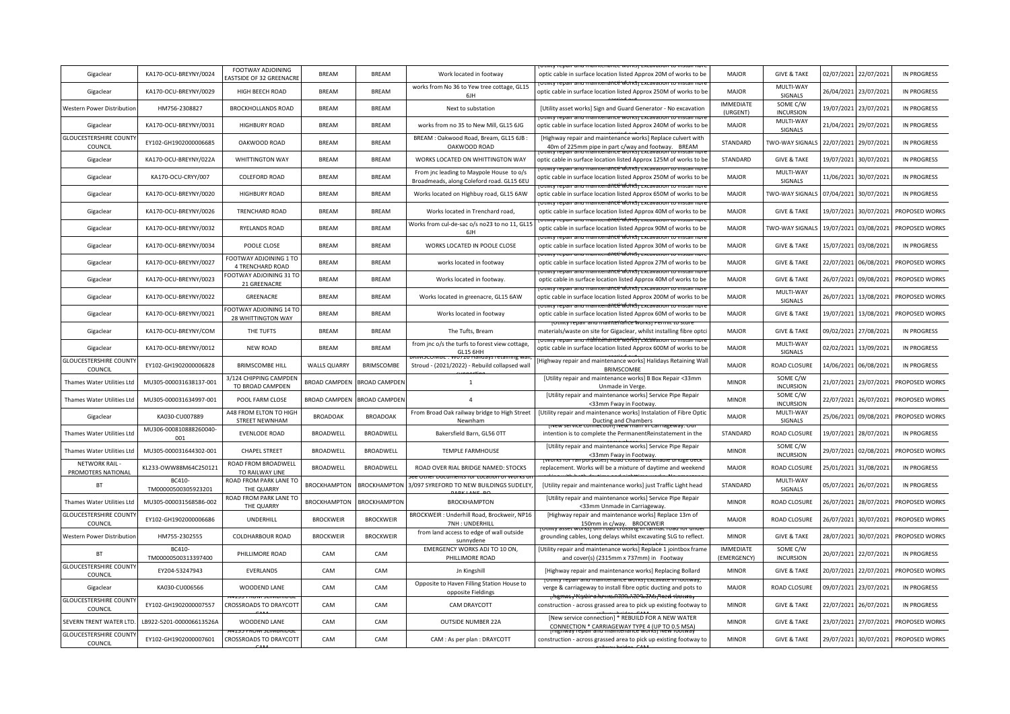| Gigaclear                                | KA170-OCU-BREYNY/0024         | FOOTWAY ADJOINING<br>ASTSIDE OF 32 GREENACRE | <b>BREAM</b>         | <b>BREAM</b>                | Work located in footway                                                               | optic cable in surface location listed Approx 20M of works to be                                                                     | MAJOR                           | <b>GIVE &amp; TAKE</b>       | 02/07/2021 | 22/07/2021 | <b>IN PROGRESS</b> |
|------------------------------------------|-------------------------------|----------------------------------------------|----------------------|-----------------------------|---------------------------------------------------------------------------------------|--------------------------------------------------------------------------------------------------------------------------------------|---------------------------------|------------------------------|------------|------------|--------------------|
| Gigaclear                                | KA170-OCU-BREYNY/0029         | HIGH BEECH ROAD                              | <b>BRFAM</b>         | <b>BRFAM</b>                | works from No 36 to Yew tree cottage, GL15<br>6JH                                     | nce worksrexc<br>optic cable in surface location listed Approx 250M of works to be                                                   | <b>MAJOR</b>                    | MULTI-WAY<br>SIGNALS         | 26/04/2021 | 23/07/2021 | <b>IN PROGRESS</b> |
| Western Power Distributior               | HM756-2308827                 | <b>BROCKHOLLANDS ROAD</b>                    | <b>BREAM</b>         | RRFAM                       | Next to substation                                                                    | [Utility asset works] Sign and Guard Generator - No excavation                                                                       | <b>IMMEDIATE</b><br>(URGENT)    | SOME C/W<br><b>INCURSION</b> | 19/07/2021 | 23/07/2021 | <b>IN PROGRESS</b> |
| Gigaclear                                | KA170-OCU-BREYNY/0031         | <b>HIGHBURY ROAD</b>                         | <b>BREAM</b>         | <b>BREAM</b>                | works from no 35 to New Mill, GL15 6JG                                                | optic cable in surface location listed Approx 240M of works to be                                                                    | <b>MAJOR</b>                    | MULTI-WAY<br>SIGNALS         | 21/04/2021 | 29/07/2021 | <b>IN PROGRESS</b> |
| <b>GLOUCESTERSHIRE COUNT</b><br>COUNCIL  | EY102-GH1902000006685         | OAKWOOD ROAD                                 | <b>BREAM</b>         | <b>BREAM</b>                | BREAM : Oakwood Road, Bream, GL15 6JB :<br>OAKWOOD ROAD                               | [Highway repair and maintenance works] Replace culvert with<br>40m of 225mm pipe in part c/way and footway. BREAM                    | STANDARD                        | <b>TWO-WAY SIGNALS</b>       | 22/07/2021 | 29/07/2021 | <b>IN PROGRESS</b> |
| Gigaclear                                | KA170-OCU-BREYNY/022A         | WHITTINGTON WAY                              | <b>BREAM</b>         | <b>BREAM</b>                | WORKS LOCATED ON WHITTINGTON WAY                                                      | optic cable in surface location listed Approx 125M of works to be<br>ruiitv repair anu maintenancë Worksi excavation tu              | STANDARD                        | <b>GIVE &amp; TAKE</b>       | 19/07/2021 | 30/07/2021 | <b>IN PROGRESS</b> |
| Gigaclear                                | KA170-OCU-CRYY/007            | <b>COLEFORD ROAD</b>                         | <b>BREAM</b>         | <b>BREAM</b>                | From jnc leading to Maypole House to o/s<br>Broadmeads, along Coleford road. GL15 6EU | optic cable in surface location listed Approx 250M of works to be<br>nty repair and maintenance worksj excavation to instal          | <b>MAJOR</b>                    | MULTI-WAY<br>SIGNALS         | 11/06/2021 | 30/07/2021 | <b>IN PROGRESS</b> |
| Gigaclear                                | KA170-OCU-BREYNY/0020         | <b>HIGHBURY ROAD</b>                         | <b>BREAM</b>         | <b>BREAM</b>                | Works located on Highbuy road, GL15 6AW                                               | optic cable in surface location listed Approx 650M of works to be                                                                    | <b>MAJOR</b>                    | TWO-WAY SIGNALS              | 07/04/2021 | 30/07/2021 | <b>IN PROGRESS</b> |
| Gigaclear                                | KA170-OCU-BREYNY/0026         | TRENCHARD ROAD                               | <b>BREAM</b>         | <b>BREAM</b>                | Works located in Trenchard road,                                                      | optic cable in surface location listed Approx 40M of works to be<br><u>anno repair ano maimenance works cxcavanon io</u>             | <b>MAJOR</b>                    | <b>GIVE &amp; TAKE</b>       | 19/07/2021 | 30/07/2021 | PROPOSED WORKS     |
| Gigaclear                                | KA170-OCU-BREYNY/0032         | RYELANDS ROAD                                | <b>BREAM</b>         | <b>BREAM</b>                | Works from cul-de-sac o/s no23 to no 11, GL15<br>6JH                                  | optic cable in surface location listed Approx 90M of works to be                                                                     | <b>MAJOR</b>                    | TWO-WAY SIGNALS              | 19/07/2021 | 03/08/2021 | PROPOSED WORKS     |
| Gigaclear                                | KA170-OCU-BREYNY/0034         | POOLE CLOSE                                  | <b>BREAM</b>         | <b>BREAM</b>                | WORKS LOCATED IN POOLE CLOSE                                                          | optic cable in surface location listed Approx 30M of works to be                                                                     | MAJOR                           | <b>GIVE &amp; TAKE</b>       | 15/07/2021 | 03/08/2021 | <b>IN PROGRESS</b> |
| Gigaclear                                | KA170-OCU-BREYNY/0027         | FOOTWAY ADJOINING 1 TO<br>4 TRENCHARD ROAD   | <b>BREAM</b>         | <b>BREAM</b>                | works located in footway                                                              | optic cable in surface location listed Approx 27M of works to be                                                                     | <b>MAJOR</b>                    | <b>GIVE &amp; TAKE</b>       | 22/07/2021 | 06/08/2021 | PROPOSED WORKS     |
| Gigaclear                                | KA170-OCU-BREYNY/0023         | OOTWAY ADJOINING 31 TO<br>21 GREENACRE       | <b>BREAM</b>         | <b>BREAM</b>                | Works located in footway.                                                             | optic cable in surface location listed Approx 40M of works to be                                                                     | <b>MAJOR</b>                    | <b>GIVE &amp; TAKE</b>       | 26/07/2021 | 09/08/2021 | PROPOSED WORKS     |
| Gigaclear                                | KA170-OCU-BREYNY/0022         | GREENACRE                                    | <b>BREAM</b>         | <b>BREAM</b>                | Works located in greenacre, GL15 6AW                                                  | optic cable in surface location listed Approx 200M of works to be                                                                    | <b>MAJOR</b>                    | MULTI-WAY<br>SIGNALS         | 26/07/2021 | 13/08/2021 | PROPOSED WORKS     |
| Gigaclear                                | KA170-OCU-BREYNY/0021         | OOTWAY ADJOINING 14 TO<br>28 WHITTINGTON WAY | <b>BREAM</b>         | <b>BREAM</b>                | Works located in footway                                                              | optic cable in surface location listed Approx 60M of works to be<br>Totility repair and mail terrarice works                         | <b>MAJOR</b>                    | <b>GIVE &amp; TAKE</b>       | 19/07/2021 | 13/08/2021 | PROPOSED WORKS     |
| Gigaclear                                | KA170-OCU-BREYNY/COM          | THE TUFTS                                    | <b>BREAM</b>         | <b>BREAM</b>                | The Tufts, Bream                                                                      | materials/waste on site for Gigaclear, whilst installing fibre optci                                                                 | <b>MAJOR</b>                    | <b>GIVE &amp; TAKE</b>       | 09/02/2021 | 27/08/2021 | <b>IN PROGRESS</b> |
| Gigaclear                                | KA170-OCU-BREYNY/0012         | <b>NEW ROAD</b>                              | <b>BREAM</b>         | <b>BREAM</b>                | from jnc o/s the turfs to forest view cottage,<br><b>GL15 6HH</b>                     | optic cable in surface location listed Approx 600M of works to be                                                                    | <b>MAJOR</b>                    | MULTI-WAY<br>SIGNALS         | 02/02/2021 | 13/09/2021 | <b>IN PROGRESS</b> |
| <b>GLOUCESTERSHIRE COUNT</b><br>COUNCIL  | EY102-GH1902000006828         | <b>BRIMSCOMBE HILL</b>                       | <b>WALLS QUARRY</b>  | BRIMSCOMBE                  | Stroud - (2021/2022) - Rebuild collapsed wall                                         | Highway repair and maintenance works] Halidays Retaining Wall<br><b>BRIMSCOMBE</b>                                                   | <b>MAJOR</b>                    | ROAD CLOSURE                 | 14/06/2021 | 06/08/2021 | <b>IN PROGRESS</b> |
| Thames Water Utilities Ltc               | MU305-000031638137-001        | 3/124 CHIPPING CAMPDEN<br>TO BROAD CAMPDEN   |                      | BROAD CAMPDEN BROAD CAMPDEN | $\overline{1}$                                                                        | [Utility repair and maintenance works] B Box Repair <33mm<br>Unmade in Verge                                                         | <b>MINOR</b>                    | SOME C/W<br><b>INCURSION</b> | 21/07/2021 | 23/07/2021 | PROPOSED WORKS     |
| Thames Water Utilities Ltc               | MU305-000031634997-001        | POOL FARM CLOSE                              | <b>BROAD CAMPDEN</b> | <b>BROAD CAMPDEN</b>        | $\overline{4}$                                                                        | [Utility repair and maintenance works] Service Pipe Repair<br><33mm Fway in Footway                                                  | <b>MINOR</b>                    | SOME C/W<br><b>INCURSION</b> | 22/07/2021 | 26/07/2021 | PROPOSED WORKS     |
| Gigaclear                                | KA030-CU007889                | A48 FROM ELTON TO HIGH<br>STREET NEWNHAM     | <b>BROADOAK</b>      | <b>BROADOAK</b>             | From Broad Oak railway bridge to High Street<br>Newnham                               | [Utility repair and maintenance works] Instalation of Fibre Optic<br>Ducting and Chambers                                            | <b>MAJOR</b>                    | MULTI-WAY<br>SIGNALS         | 25/06/2021 | 09/08/2021 | PROPOSED WORKS     |
| Thames Water Utilities Ltd               | MU306-000810888260040-<br>001 | <b>EVENLODE ROAD</b>                         | <b>BROADWELL</b>     | <b>BROADWELL</b>            | Bakersfield Barn, GL56 0TT                                                            | intention is to complete the PermanentReinstatement in the                                                                           | STANDARD                        | <b>ROAD CLOSURE</b>          | 19/07/2021 | 28/07/2021 | <b>IN PROGRESS</b> |
| Thames Water Utilities Lt                | MU305-000031644302-001        | <b>CHAPEL STREET</b>                         | BROADWELL            | BROADWELL                   | <b>TEMPLE FARMHOUSE</b>                                                               | [Utility repair and maintenance works] Service Pipe Repair<br><33mm Fway in Footway.                                                 | <b>MINOR</b>                    | SOME C/W<br><b>INCURSION</b> | 29/07/2021 | 02/08/2021 | PROPOSED WORKS     |
| NETWORK RAIL -<br>PROMOTERS NATIONAL     | KL233-OWW88M64C250121         | ROAD FROM BROADWELL<br>TO RAILWAY LINE       | BROADWELL            | <b>BROADWELL</b>            | ROAD OVER RIAL BRIDGE NAMED: STOCKS                                                   | replacement. Works will be a mixture of daytime and weekend                                                                          | <b>MAJOR</b>                    | ROAD CLOSURE                 | 25/01/2021 | 31/08/2021 | <b>IN PROGRESS</b> |
| <b>BT</b>                                | BC410-<br>TM00000500305923201 | ROAD FROM PARK LANE TO<br>THE QUARRY         | <b>BROCKHAMPTON</b>  |                             | BROCKHAMPTON 3/097 SYREFORD TO NEW BUILDINGS SUDELEY                                  | [Utility repair and maintenance works] just Traffic Light head                                                                       | STANDARD                        | MULTI-WAY<br>SIGNALS         | 05/07/2021 | 26/07/2021 | <b>IN PROGRESS</b> |
| Thames Water Utilities Ltr               | MU305-000031568586-002        | ROAD FROM PARK LANE TO<br>THE QUARRY         | <b>BROCKHAMPTON</b>  | <b>BROCKHAMPTON</b>         | <b>BROCKHAMPTON</b>                                                                   | [Utility repair and maintenance works] Service Pipe Repair<br><33mm Unmade in Carriageway.                                           | <b>MINOR</b>                    | <b>ROAD CLOSURE</b>          | 26/07/2021 | 28/07/2021 | PROPOSED WORKS     |
| <b>GLOUCESTERSHIRE COUNT</b><br>COUNCIL  | EY102-GH1902000006686         | UNDERHILL                                    | <b>BROCKWEIR</b>     | <b>BROCKWEIR</b>            | BROCKWEIR: Underhill Road, Brockweir, NP16<br>7NH: UNDERHILL                          | [Highway repair and maintenance works] Replace 13m of<br>150mm in c/way. BROCKWEIR                                                   | MAJOR                           | <b>ROAD CLOSURE</b>          | 26/07/2021 | 30/07/2021 | PROPOSED WORKS     |
| Western Power Distributio                | HM755-2302555                 | <b>COLDHARBOUR ROAD</b>                      | <b>BROCKWEIR</b>     | <b>BROCKWEIR</b>            | from land access to edge of wall outside<br>sunnydene                                 | grounding cables, Long delays whilst excavating SLG to reflect                                                                       | <b>MINOR</b>                    | <b>GIVE &amp; TAKE</b>       | 28/07/2021 | 30/07/2021 | PROPOSED WORKS     |
| <b>BT</b>                                | BC410-<br>TM00000500313397400 | PHILLIMORE ROAD                              | CAM                  | CAM                         | EMERGENCY WORKS ADJ TO 10 ON,<br>PHILLIMORE ROAD                                      | [Utility repair and maintenance works] Replace 1 jointbox frame<br>and cover(s) (2315mm x 737mm) in Footway                          | <b>IMMEDIATE</b><br>(EMERGENCY) | SOME C/W<br><b>INCURSION</b> | 20/07/2021 | 22/07/2021 | <b>IN PROGRESS</b> |
| <b>GLOUCESTERSHIRE COUNTY</b><br>COUNCIL | EY204-53247943                | EVERLANDS                                    | CAM                  | CAM                         | Jn Kingshill                                                                          | [Highway repair and maintenance works] Replacing Bollard                                                                             | <b>MINOR</b>                    | <b>GIVE &amp; TAKE</b>       | 20/07/2021 | 22/07/2021 | PROPOSED WORKS     |
| Gigaclear                                | KA030-CU006566                | WOODEND LANE                                 | CAM                  | CAM                         | Opposite to Haven Filling Station House to<br>opposite Fieldings                      | verge & carriageway to install fibre optic ducting and pots to                                                                       | <b>MAJOR</b>                    | <b>ROAD CLOSURE</b>          | 09/07/2021 | 23/07/2021 | <b>IN PROGRESS</b> |
| <b>GLOUCESTERSHIRE COUNT</b><br>COUNCIL  | EY102-GH1902000007557         | CROSSROADS TO DRAYCOTT                       | CAM                  | CAM                         | CAM DRAYCOTT                                                                          | <del>rhignway't épáir arlu mainténante Works Avew rbotway</del><br>construction - across grassed area to pick up existing footway to | <b>MINOR</b>                    | <b>GIVE &amp; TAKE</b>       | 22/07/2021 | 26/07/2021 | <b>IN PROGRESS</b> |
| SEVERN TRENT WATER LTD                   | LB922-5201-000006613526A      | WOODEND LANE                                 | CAM                  | CAM                         | <b>OUTSIDE NUMBER 22A</b>                                                             | [New service connection] * REBUILD FOR A NEW WATER<br>CONNECTION * CARRIAGEWAY TYPE 4 (UP TO 0.5 MSA)                                | <b>MINOR</b>                    | <b>GIVE &amp; TAKE</b>       | 23/07/2021 | 27/07/2021 | PROPOSED WORKS     |
| <b>GLOUCESTERSHIRE COUNT</b><br>COUNCIL  | EY102-GH1902000007601         | ROSSROADS TO DRAYCOTT                        | CAM                  | CAM                         | CAM : As per plan : DRAYCOTT                                                          | construction - across grassed area to pick up existing footway to                                                                    | <b>MINOR</b>                    | <b>GIVE &amp; TAKE</b>       | 29/07/2021 | 30/07/2021 | PROPOSED WORKS     |
|                                          |                               |                                              |                      |                             |                                                                                       |                                                                                                                                      |                                 |                              |            |            |                    |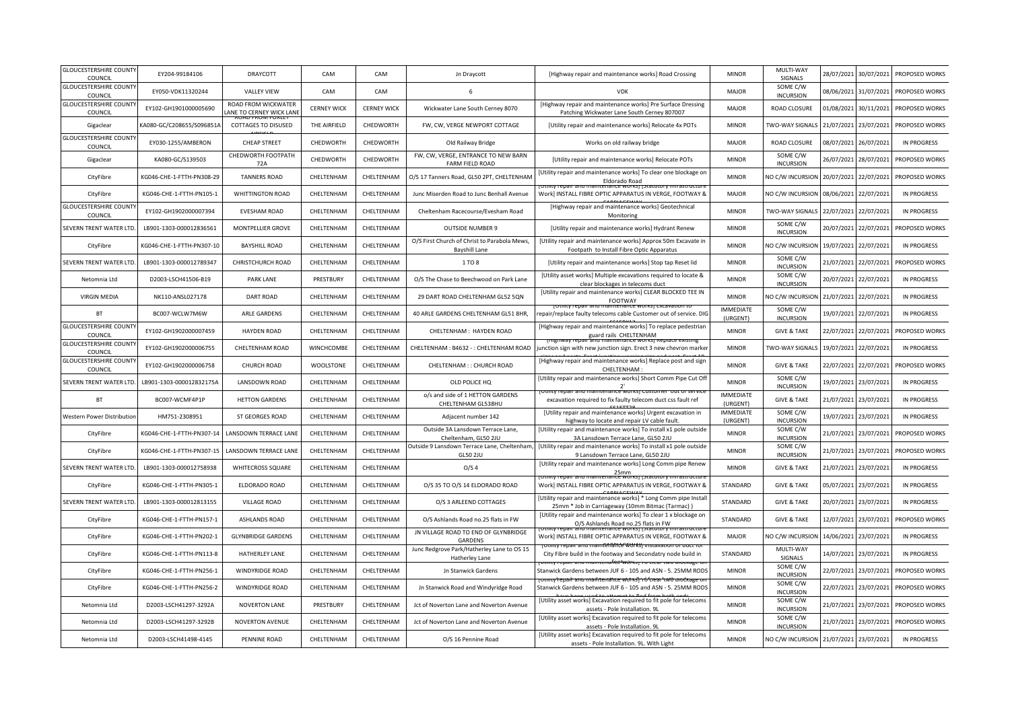| <b>GLOUCESTERSHIRE COUNTY</b><br>COUNCIL | EY204-99184106            | DRAYCOTT                                       | CAM                | CAM                | Jn Draycott                                                          | [Highway repair and maintenance works] Road Crossing                                                                           | <b>MINOR</b>                 | MULTI-WAY<br>SIGNALS         | 28/07/2021 | 30/07/2021            | PROPOSED WORKS     |
|------------------------------------------|---------------------------|------------------------------------------------|--------------------|--------------------|----------------------------------------------------------------------|--------------------------------------------------------------------------------------------------------------------------------|------------------------------|------------------------------|------------|-----------------------|--------------------|
| <b>GLOUCESTERSHIRE COUNTY</b><br>COUNCIL | EY050-VDK11320244         | <b>VALLEY VIEW</b>                             | CAM                | CAM                | 6                                                                    | <b>VDK</b>                                                                                                                     | <b>MAJOR</b>                 | SOME C/W<br><b>INCURSION</b> | 08/06/2021 | 31/07/2021            | PROPOSED WORKS     |
| <b>GLOUCESTERSHIRE COUNT</b><br>COUNCIL  | EY102-GH1901000005690     | ROAD FROM WICKWATER<br>ANE TO CERNEY WICK LANE | <b>CERNEY WICK</b> | <b>CERNEY WICK</b> | Wickwater Lane South Cerney 8070                                     | [Highway repair and maintenance works] Pre Surface Dressing<br>Patching Wickwater Lane South Cerney 807007                     | <b>MAJOR</b>                 | ROAD CLOSURE                 | 01/08/2021 | 30/11/2021            | PROPOSED WORKS     |
| Gigaclear                                | KA080-GC/C208655/S096851  | COTTAGES TO DISUSED                            | THE AIRFIELD       | CHEDWORTH          | FW, CW, VERGE NEWPORT COTTAGE                                        | [Utility repair and maintenance works] Relocate 4x POTs                                                                        | <b>MINOR</b>                 | TWO-WAY SIGNALS              | 21/07/2021 | 23/07/2021            | PROPOSED WORKS     |
| <b>GLOUCESTERSHIRE COUNT</b><br>COUNCIL  | EY030-1255/AMBERON        | CHEAP STREET                                   | CHEDWORTH          | CHEDWORTH          | Old Railway Bridge                                                   | Works on old railway bridge                                                                                                    | <b>MAJOR</b>                 | ROAD CLOSURE                 | 08/07/2021 | 26/07/2021            | <b>IN PROGRESS</b> |
| Gigaclear                                | KA080-GC/S139503          | CHEDWORTH FOOTPATH<br>72A                      | CHEDWORTH          | CHEDWORTH          | FW, CW, VERGE, ENTRANCE TO NEW BARN<br>FARM FIELD ROAD               | [Utility repair and maintenance works] Relocate POTs                                                                           | <b>MINOR</b>                 | SOME C/W<br><b>INCURSION</b> | 26/07/2021 | 28/07/2021            | PROPOSED WORKS     |
| CityFibre                                | KG046-CHE-1-FTTH-PN308-29 | <b>TANNERS ROAD</b>                            | CHELTENHAM         | CHELTENHAM         | O/S 17 Tanners Road, GL50 2PT, CHELTENHAM                            | [Utility repair and maintenance works] To clear one blockage on<br>Eldorado Road                                               | <b>MINOR</b>                 | NO C/W INCURSION             | 20/07/2021 | 22/07/2021            | PROPOSED WORKS     |
| CityFibre                                | KG046-CHE-1-FTTH-PN105-1  | <b>WHITTINGTON ROAD</b>                        | CHELTENHAM         | CHELTENHAM         | Junc Miserden Road to Junc Benhall Avenue                            | Work] INSTALL FIBRE OPTIC APPARATUS IN VERGE, FOOTWAY &                                                                        | <b>MAJOR</b>                 | NO C/W INCURSION             | 08/06/2021 | 22/07/2021            | <b>IN PROGRESS</b> |
| <b>GLOUCESTERSHIRE COUNT</b><br>COUNCIL  | EY102-GH1902000007394     | <b>EVESHAM ROAD</b>                            | CHELTENHAM         | CHELTENHAM         | Cheltenham Racecourse/Evesham Road                                   | [Highway repair and maintenance works] Geotechnical<br>Monitoring                                                              | <b>MINOR</b>                 | TWO-WAY SIGNALS              | 22/07/2021 | 22/07/2021            | <b>IN PROGRESS</b> |
| SEVERN TRENT WATER LTD                   | LB901-1303-000012836561   | MONTPELLIER GROVE                              | CHELTENHAM         | CHELTENHAM         | <b>OUTSIDE NUMBER 9</b>                                              | [Utility repair and maintenance works] Hydrant Renew                                                                           | <b>MINOR</b>                 | SOME C/W<br><b>INCURSION</b> | 20/07/2021 | 22/07/2021            | PROPOSED WORKS     |
| CityFibre                                | KG046-CHE-1-FTTH-PN307-10 | <b>BAYSHILL ROAD</b>                           | CHELTENHAM         | CHELTENHAM         | O/S First Church of Christ to Parabola Mews,<br><b>Bayshill Lane</b> | [Utility repair and maintenance works] Approx 50m Excavate in<br>Footpath to Install Fibre Optic Apparatus                     | <b>MINOR</b>                 | NO C/W INCURSION             | 19/07/2021 | 22/07/2021            | <b>IN PROGRESS</b> |
| SEVERN TRENT WATER LTD                   | LB901-1303-000012789347   | CHRISTCHURCH ROAD                              | CHELTENHAM         | CHELTENHAM         | 1 TO 8                                                               | [Utility repair and maintenance works] Stop tap Reset lid                                                                      | <b>MINOR</b>                 | SOME C/W<br><b>INCURSION</b> | 21/07/2021 | 22/07/2021            | PROPOSED WORKS     |
| Netomnia Ltd                             | D2003-LSCH41506-B19       | <b>PARK LANE</b>                               | PRESTBURY          | CHELTENHAM         | O/S The Chase to Beechwood on Park Lane                              | [Utility asset works] Multiple excavations required to locate &<br>clear blockages in telecoms duct                            | <b>MINOR</b>                 | SOME C/W<br><b>INCURSION</b> | 20/07/2021 | 22/07/2021            | <b>IN PROGRESS</b> |
| <b>VIRGIN MEDIA</b>                      | NK110-ANSL027178          | DART ROAD                                      | CHELTENHAM         | CHELTENHAM         | 29 DART ROAD CHELTENHAM GL52 5QN                                     | [Utility repair and maintenance works] CLEAR BLOCKED TEE IN<br>FOOTWAY                                                         | <b>MINOR</b>                 | NO C/W INCURSION             | 21/07/2021 | 22/07/2021            | <b>IN PROGRESS</b> |
| <b>BT</b>                                | BC007-WCLW7M6W            | ARLE GARDENS                                   | CHELTENHAM         | CHELTENHAM         | 40 ARLE GARDENS CHELTENHAM GL51 8HR,                                 | repair/replace faulty telecoms cable Customer out of service. DIG                                                              | <b>IMMEDIATE</b><br>(URGENT) | SOME C/W<br><b>INCURSION</b> | 19/07/2021 | 22/07/2021            | <b>IN PROGRESS</b> |
| <b>GLOUCESTERSHIRE COUNT</b><br>COUNCIL  | EY102-GH1902000007459     | <b>HAYDEN ROAD</b>                             | CHELTENHAM         | CHELTENHAM         | CHELTENHAM: HAYDEN ROAD                                              | [Highway repair and maintenance works] To replace pedestrian<br>guard rails CHELTENHAM                                         | <b>MINOR</b>                 | <b>GIVE &amp; TAKE</b>       | 22/07/2021 | 22/07/2021            | PROPOSED WORKS     |
| <b>GLOUCESTERSHIRE COUNT</b><br>COUNCIL  | EY102-GH1902000006755     | CHELTENHAM ROAD                                | WINCHCOMBE         | CHELTENHAM         | CHELTENHAM: B4632 -: CHELTENHAM ROAD                                 | junction sign with new junction sign. Erect 3 new chevron marke                                                                | <b>MINOR</b>                 | TWO-WAY SIGNAL               | 19/07/2021 | 22/07/2021            | <b>IN PROGRESS</b> |
| <b>GLOUCESTERSHIRE COUNT</b><br>COUNCIL  | EY102-GH1902000006758     | <b>CHURCH ROAD</b>                             | <b>WOOLSTONE</b>   | CHELTENHAM         | CHELTENHAM : : CHURCH ROAD                                           | [Highway repair and maintenance works] Replace post and sign<br>CHELTENHAM:                                                    | <b>MINOR</b>                 | <b>GIVE &amp; TAKE</b>       | 22/07/2021 | 22/07/2021            | PROPOSED WORKS     |
| SEVERN TRENT WATER LTD                   | LB901-1303-000012832175A  | LANSDOWN ROAD                                  | CHELTENHAM         | CHELTENHAM         | OLD POLICE HQ                                                        | [Utility repair and maintenance works] Short Comm Pipe Cut Off<br>2'                                                           | <b>MINOR</b>                 | SOME C/W<br><b>INCURSION</b> | 19/07/2021 | 23/07/2021            | <b>IN PROGRESS</b> |
| <b>BT</b>                                | BC007-WCMF4P1P            | <b>HETTON GARDENS</b>                          | CHELTENHAM         | CHELTENHAM         | o/s and side of 1 HETTON GARDENS<br>CHELTENHAM GL538HU               | excavation required to fix faulty telecom duct css fault ref                                                                   | <b>IMMEDIATE</b><br>(URGENT) | <b>GIVE &amp; TAKE</b>       | 21/07/2021 | 23/07/2021            | <b>IN PROGRESS</b> |
| Western Power Distribution               | HM751-2308951             | ST GEORGES ROAD                                | CHELTENHAM         | CHELTENHAM         | Adjacent number 142                                                  | [Utility repair and maintenance works] Urgent excavation in<br>highway to locate and repair LV cable fault                     | <b>IMMEDIATE</b><br>(URGENT) | SOME C/W<br><b>INCURSION</b> | 19/07/2021 | 23/07/2021            | <b>IN PROGRESS</b> |
| CityFibre                                | KG046-CHE-1-FTTH-PN307-14 | LANSDOWN TERRACE LANE                          | CHELTENHAM         | CHELTENHAM         | Outside 3A Lansdown Terrace Lane,<br>Cheltenham, GL50 2JU            | [Utility repair and maintenance works] To install x1 pole outside<br>3A Lansdown Terrace Lane, GL50 2JU                        | <b>MINOR</b>                 | SOME C/W<br><b>INCURSION</b> | 21/07/2021 | 23/07/2021            | PROPOSED WORKS     |
| CityFibre                                | KG046-CHE-1-FTTH-PN307-15 | LANSDOWN TERRACE LANE                          | CHELTENHAM         | CHELTENHAM         | Outside 9 Lansdown Terrace Lane, Cheltenham,<br>GL50 2JU             | [Utility repair and maintenance works] To install x1 pole outside<br>9 Lansdown Terrace Lane, GL50 2JU                         | <b>MINOR</b>                 | SOME C/W<br><b>INCURSION</b> | 21/07/2021 | 23/07/2021            | PROPOSED WORKS     |
| SEVERN TRENT WATER LTD                   | LB901-1303-000012758938   | WHITECROSS SQUARE                              | CHELTENHAM         | CHELTENHAM         | O/S <sub>4</sub>                                                     | [Utility repair and maintenance works] Long Comm pipe Renew<br>25mm                                                            | <b>MINOR</b>                 | <b>GIVE &amp; TAKE</b>       |            | 21/07/2021 23/07/2021 | <b>IN PROGRESS</b> |
| CityFibre                                | KG046-CHE-1-FTTH-PN305-1  | ELDORADO ROAD                                  | CHELTENHAM         | CHELTENHAM         | O/S 35 TO O/S 14 ELDORADO ROAD                                       | Work] INSTALL FIBRE OPTIC APPARATUS IN VERGE, FOOTWAY &                                                                        | STANDARD                     | <b>GIVE &amp; TAKE</b>       | 05/07/2021 | 23/07/2021            | <b>IN PROGRESS</b> |
| SEVERN TRENT WATER LTD                   | LB901-1303-000012813155   | <b>VILLAGE ROAD</b>                            | CHELTENHAM         | CHELTENHAM         | O/S 3 ARLEEND COTTAGES                                               | [Utility repair and maintenance works] * Long Comm pipe Install<br>25mm * Job in Carriageway (10mm Bitmac (Tarmac))            | STANDARD                     | <b>GIVE &amp; TAKE</b>       | 20/07/2021 | 23/07/2021            | <b>IN PROGRESS</b> |
| CityFibre                                | KG046-CHE-1-FTTH-PN157-1  | <b>ASHLANDS ROAD</b>                           | CHELTENHAM         | CHELTENHAM         | O/S Ashlands Road no.25 flats in FW                                  | [Utility repair and maintenance works] To clear 1 x blockage on<br>O/S Ashlands Road no.25 flats in FW                         | STANDARD                     | <b>GIVE &amp; TAKE</b>       | 12/07/2021 | 23/07/2021            | PROPOSED WORKS     |
| CityFibre                                | KG046-CHE-1-FTTH-PN202-1  | <b>GLYNBRIDGE GARDENS</b>                      | CHELTENHAM         | CHELTENHAM         | JN VILLAGE ROAD TO END OF GLYNBRIDGE<br>GARDENS                      | Work] INSTALL FIBRE OPTIC APPARATUS IN VERGE, FOOTWAY &                                                                        | MAJOR                        | NO C/W INCURSIOI             | 14/06/2021 | 23/07/2021            | <b>IN PROGRESS</b> |
| CityFibre                                | KG046-CHE-1-FTTH-PN113-8  | HATHERLEY LANE                                 | CHELTENHAM         | CHELTENHAM         | Junc Redgrove Park/Hatherley Lane to OS 15<br>Hatherley Lane         | otiitty repair and mamfehfance Works'i installation of duct it<br>City Fibre build in the footway and Secondatry node build in | STANDARD                     | MULTI-WAY<br>SIGNALS         |            | 14/07/2021 23/07/2021 | <b>IN PROGRESS</b> |
| CityFibre                                | KG046-CHE-1-FTTH-PN256-1  | WINDYRIDGE ROAD                                | CHELTENHAM         | CHELTENHAM         | Jn Stanwick Gardens                                                  | Stanwick Gardens between JUF 6 - 105 and ASN - 5. 25MM ROD!                                                                    | <b>MINOR</b>                 | SOME C/W<br><b>INCURSION</b> | 22/07/2021 | 23/07/2021            | PROPOSED WORKS     |
| CityFibre                                | KG046-CHE-1-FTTH-PN256-2  | <b>WINDYRIDGE ROAD</b>                         | CHELTENHAM         | CHELTENHAM         | Jn Stanwick Road and Windyridge Road                                 | otmtv'repail and mailitenaince לא ולוהות סלופים (לאומים של האלי<br>Stanwick Gardens between JUF 6 - 105 and ASN - 5. 25MM RODS | <b>MINOR</b>                 | SOME C/W<br><b>INCURSION</b> | 22/07/2021 | 23/07/2021            | PROPOSED WORKS     |
| Netomnia I td                            | D2003-LSCH41297-3292A     | <b>NOVERTON LANE</b>                           | PRESTBURY          | CHELTENHAM         | Jct of Noverton Lane and Noverton Avenue                             | [Utility asset works] Excavation required to fit pole for telecoms<br>assets - Pole Installation. 9L                           | <b>MINOR</b>                 | SOME C/W<br><b>INCURSION</b> | 21/07/2021 | 23/07/2021            | PROPOSED WORKS     |
| Netomnia Ltd                             | D2003-LSCH41297-3292B     | <b>NOVERTON AVENUE</b>                         | CHELTENHAM         | CHELTENHAM         | Jct of Noverton Lane and Noverton Avenue                             | [Utility asset works] Excavation required to fit pole for telecoms<br>assets - Pole Installation. 9L                           | <b>MINOR</b>                 | SOME C/W<br><b>INCURSION</b> | 21/07/2021 | 23/07/2021            | PROPOSED WORKS     |
| Netomnia Ltd                             | D2003-LSCH41498-4145      | PENNINE ROAD                                   | CHELTENHAM         | CHELTENHAM         | O/S 16 Pennine Road                                                  | [Utility asset works] Excavation required to fit pole for telecoms<br>assets - Pole Installation. 9L. With Light               | <b>MINOR</b>                 | NO C/W INCURSION             | 21/07/2021 | 23/07/2021            | <b>IN PROGRESS</b> |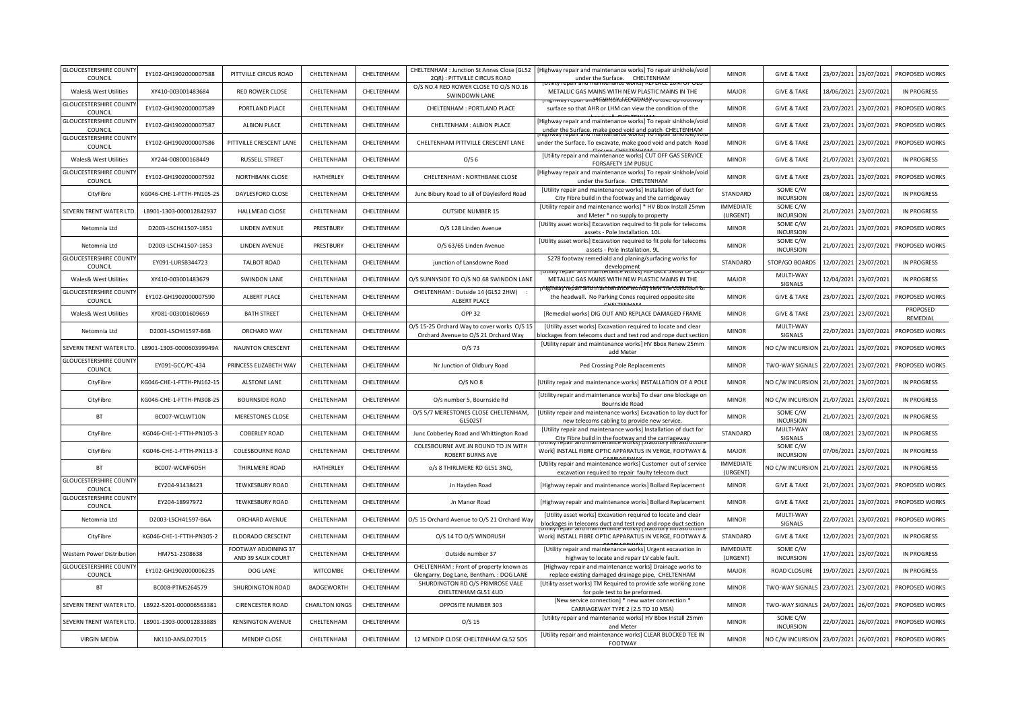| <b>GLOUCESTERSHIRE COUNT</b>             |                           |                                            |                       |            |                                                                                     |                                                                                                                                                |                              |                              |            |            |                      |
|------------------------------------------|---------------------------|--------------------------------------------|-----------------------|------------|-------------------------------------------------------------------------------------|------------------------------------------------------------------------------------------------------------------------------------------------|------------------------------|------------------------------|------------|------------|----------------------|
| COUNCIL                                  | EY102-GH1902000007588     | PITTVILLE CIRCUS ROAD                      | CHELTENHAM            | CHELTENHAM | CHELTENHAM : Junction St Annes Close (GL52<br>2QR) : PITTVILLE CIRCUS ROAD          | Highway repair and maintenance works] To repair sinkhole/void<br>under the Surface. CHELTENHAM                                                 | <b>MINOR</b>                 | <b>GIVE &amp; TAKE</b>       | 23/07/2021 | 23/07/2021 | PROPOSED WORKS       |
| Wales& West Utilities                    | XY410-003001483684        | <b>RED ROWER CLOSE</b>                     | CHELTENHAM            | CHELTENHAM | O/S NO.4 RED ROWER CLOSE TO O/S NO.16<br>SWINDOWN LANE                              | METALLIC GAS MAINS WITH NEW PLASTIC MAINS IN THE                                                                                               | <b>MAJOR</b>                 | <b>GIVE &amp; TAKE</b>       | 18/06/2021 | 23/07/2021 | <b>IN PROGRESS</b>   |
| <b>GLOUCESTERSHIRE COUNT</b><br>COUNCIL  | EY102-GH1902000007589     | PORTLAND PLACE                             | CHELTENHAM            | CHELTENHAM | CHELTENHAM : PORTLAND PLACE                                                         | геолжи<br>surface so that AHR or LHM can view the condition of the                                                                             | <b>MINOR</b>                 | <b>GIVE &amp; TAKE</b>       | 23/07/2021 | 23/07/2021 | PROPOSED WORKS       |
| <b>GLOUCESTERSHIRE COUNT</b><br>COUNCIL  | EY102-GH1902000007587     | <b>ALBION PLACE</b>                        | CHELTENHAM            | CHELTENHAM | CHELTENHAM : ALBION PLACE                                                           | Highway repair and maintenance works] To repair sinkhole/void<br>under the Surface. make good void and patch CHELTENHAM                        | <b>MINOR</b>                 | <b>GIVE &amp; TAKE</b>       | 23/07/2021 | 23/07/2021 | PROPOSED WORKS       |
| <b>GLOUCESTERSHIRE COUNT</b><br>COUNCIL  | EY102-GH1902000007586     | PITTVILLE CRESCENT LANE                    | CHELTENHAM            | CHELTENHAM | CHELTENHAM PITTVILLE CRESCENT LANE                                                  | under the Surface. To excavate, make good void and patch Road                                                                                  | <b>MINOR</b>                 | <b>GIVE &amp; TAKE</b>       | 23/07/2021 | 23/07/2021 | PROPOSED WORKS       |
| Wales& West Utilities                    | XY244-008000168449        | <b>RUSSELL STREET</b>                      | CHELTENHAM            | CHELTENHAM | O/S <sub>6</sub>                                                                    | [Utility repair and maintenance works] CUT OFF GAS SERVICE<br>FORSAFETY 1M PUBLIC                                                              | <b>MINOR</b>                 | <b>GIVE &amp; TAKE</b>       | 21/07/2021 | 23/07/2021 | <b>IN PROGRESS</b>   |
| <b>GLOUCESTERSHIRE COUNT</b><br>COUNCIL  | EY102-GH1902000007592     | NORTHBANK CLOSE                            | HATHERLEY             | CHELTENHAM | CHELTENHAM : NORTHBANK CLOSE                                                        | Highway repair and maintenance works] To repair sinkhole/void<br>under the Surface. CHELTENHAM                                                 | <b>MINOR</b>                 | <b>GIVE &amp; TAKE</b>       | 23/07/2021 | 23/07/2021 | PROPOSED WORKS       |
| CityFibre                                | KG046-CHE-1-FTTH-PN105-25 | DAYLESFORD CLOSE                           | CHELTENHAM            | CHELTENHAM | Junc Bibury Road to all of Daylesford Road                                          | [Utility repair and maintenance works] Installation of duct for<br>City Fibre build in the footway and the carridgeway                         | STANDARD                     | SOME C/W<br><b>INCURSION</b> | 08/07/2021 | 23/07/2021 | <b>IN PROGRESS</b>   |
| SEVERN TRENT WATER LTD                   | LB901-1303-000012842937   | HALLMEAD CLOSE                             | CHELTENHAM            | CHELTENHAM | <b>OUTSIDE NUMBER 15</b>                                                            | [Utility repair and maintenance works] * HV Bbox Install 25mm<br>and Meter * no supply to property                                             | <b>IMMEDIATE</b><br>(URGENT) | SOME C/W<br><b>INCURSION</b> | 21/07/2021 | 23/07/2021 | <b>IN PROGRESS</b>   |
| Netomnia Ltd                             | D2003-LSCH41507-1851      | LINDEN AVENUE                              | PRESTBURY             | CHELTENHAM | O/S 128 Linden Avenue                                                               | [Utility asset works] Excavation required to fit pole for telecoms<br>assets - Pole Installation. 10L                                          | <b>MINOR</b>                 | SOME C/W<br><b>INCURSION</b> | 21/07/2021 | 23/07/2021 | PROPOSED WORKS       |
| Netomnia Ltd                             | D2003-LSCH41507-1853      | LINDEN AVENUE                              | PRESTBURY             | CHELTENHAM | O/S 63/65 Linden Avenue                                                             | [Utility asset works] Excavation required to fit pole for telecoms<br>assets - Pole Installation. 9L                                           | <b>MINOR</b>                 | SOME C/W<br><b>INCURSION</b> | 21/07/2021 | 23/07/2021 | PROPOSED WORKS       |
| <b>GLOUCESTERSHIRE COUNT</b><br>COUNCIL  | EY091-LURSB344723         | <b>TALBOT ROAD</b>                         | CHELTENHAM            | CHELTENHAM | junction of Lansdowne Road                                                          | S278 footway remediald and planing/surfacing works for<br>development                                                                          | STANDARD                     | STOP/GO BOARDS               | 12/07/2021 | 23/07/2021 | <b>IN PROGRESS</b>   |
| Wales& West Utilities                    | XY410-003001483679        | <b>SWINDON LANE</b>                        | CHELTENHAM            | CHELTENHAM | O/S SUNNYSIDE TO O/S NO.68 SWINDON LANE                                             | METALLIC GAS MAINS WITH NEW PLASTIC MAINS IN THE                                                                                               | <b>MAJOR</b>                 | MULTI-WAY<br>SIGNALS         | 12/04/2021 | 23/07/2021 | <b>IN PROGRESS</b>   |
| <b>GLOUCESTERSHIRE COUNT</b><br>COUNCIL  | EY102-GH1902000007590     | ALBERT PLACE                               | CHELTENHAM            | CHELTENHAM | CHELTENHAM : Outside 14 (GL52 2HW)<br>ALBERT PLACE                                  | vakate 650 stati tahun beras dari 200 kesara tersebut. Pada 200 separa tahun 200 seja<br>the headwall. No Parking Cones required opposite site | <b>MINOR</b>                 | <b>GIVE &amp; TAKE</b>       | 23/07/2021 | 23/07/2021 | PROPOSED WORKS       |
| Wales& West Utilities                    | XY081-003001609659        | <b>BATH STREET</b>                         | CHELTENHAM            | CHELTENHAM | OPP 32                                                                              | [Remedial works] DIG OUT AND REPLACE DAMAGED FRAME                                                                                             | <b>MINOR</b>                 | <b>GIVE &amp; TAKE</b>       | 23/07/2021 | 23/07/2021 | PROPOSED<br>REMEDIAL |
| Netomnia Ltd                             | D2003-LSCH41597-B6B       | <b>ORCHARD WAY</b>                         | CHELTENHAM            | CHELTENHAM | O/S 15-25 Orchard Way to cover works O/S 15<br>Orchard Avenue to O/S 21 Orchard Way | [Utility asset works] Excavation required to locate and clear<br>olockages from telecoms duct and test rod and rope duct section               | <b>MINOR</b>                 | MULTI-WAY<br>SIGNALS         | 22/07/2021 | 23/07/2021 | PROPOSED WORKS       |
| SEVERN TRENT WATER LTD                   | LB901-1303-000060399949A  | <b>NAUNTON CRESCENT</b>                    | CHELTENHAM            | CHELTENHAM | $O/S$ 73                                                                            | [Utility repair and maintenance works] HV Bbox Renew 25mm<br>add Meter                                                                         | <b>MINOR</b>                 | NO C/W INCURSION             | 21/07/2021 | 23/07/2021 | PROPOSED WORKS       |
| <b>GLOUCESTERSHIRE COUNTY</b><br>COUNCIL | EY091-GCC/PC-434          | PRINCESS ELIZABETH WAY                     | CHELTENHAM            | CHELTENHAM | Nr Junction of Oldbury Road                                                         | Ped Crossing Pole Replacements                                                                                                                 | <b>MINOR</b>                 | TWO-WAY SIGNALS              | 22/07/2021 | 23/07/2021 | PROPOSED WORKS       |
| CityFibre                                | KG046-CHE-1-FTTH-PN162-15 | <b>ALSTONE LANE</b>                        | CHELTENHAM            | CHELTENHAM | 0/S NO 8                                                                            | [Utility repair and maintenance works] INSTALLATION OF A POLE                                                                                  | <b>MINOR</b>                 | NO C/W INCURSION             | 21/07/2021 | 23/07/2021 | <b>IN PROGRESS</b>   |
| CityFibre                                | KG046-CHE-1-FTTH-PN308-25 | <b>BOURNSIDE ROAD</b>                      | CHELTENHAM            | CHELTENHAM | O/s number 5, Bournside Rd                                                          | [Utility repair and maintenance works] To clear one blockage on<br>Bournside Road                                                              | <b>MINOR</b>                 | NO C/W INCURSION             | 21/07/2021 | 23/07/2021 | <b>IN PROGRESS</b>   |
|                                          |                           |                                            |                       |            |                                                                                     |                                                                                                                                                |                              |                              |            |            | <b>IN PROGRESS</b>   |
| <b>BT</b>                                | BC007-WCLWT10N            | <b>MERESTONES CLOSE</b>                    | CHELTENHAM            | CHELTENHAM | O/S 5/7 MERESTONES CLOSE CHELTENHAM,<br>GL502ST                                     | [Utility repair and maintenance works] Excavation to lay duct for<br>new telecoms cabling to provide new service.                              | <b>MINOR</b>                 | SOME C/W<br><b>INCURSION</b> | 21/07/2021 | 23/07/2021 |                      |
| CityFibre                                | KG046-CHE-1-FTTH-PN105-3  | <b>COBERLEY ROAD</b>                       | CHELTENHAM            | CHELTENHAM | Junc Cobberley Road and Whittington Road                                            | [Utility repair and maintenance works] Installation of duct for<br>City Fibre build in the footway and the carriageway                         | STANDARD                     | MULTI-WAY<br>SIGNALS         | 08/07/2021 | 23/07/2021 | <b>IN PROGRESS</b>   |
| CityFibre                                | KG046-CHE-1-FTTH-PN113-3  | COLESBOURNE ROAD                           | CHELTENHAM            | CHELTENHAM | COLESBOURNE AVE JN ROUND TO JN WITH<br><b>ROBERT BURNS AVE</b>                      | Work] INSTALL FIBRE OPTIC APPARATUS IN VERGE, FOOTWAY &                                                                                        | <b>MAJOR</b>                 | SOME C/W<br><b>INCURSION</b> | 07/06/2021 | 23/07/2021 | <b>IN PROGRESS</b>   |
| <b>BT</b>                                | BC007-WCMF6D5H            | THIRLMERE ROAD                             | HATHERLEY             | CHELTENHAM | o/s 8 THIRLMERE RD GL51 3NQ,                                                        | [Utility repair and maintenance works] Customer out of service<br>excavation required to repair faulty telecom duct                            | <b>IMMEDIATE</b><br>(URGENT) | NO C/W INCURSION             | 21/07/2021 | 23/07/2021 | <b>IN PROGRESS</b>   |
| <b>GLOUCESTERSHIRE COUNTY</b><br>COUNCIL | EY204-91438423            | <b>TEWKESBURY ROAD</b>                     | CHELTENHAM            | CHELTENHAM | Jn Hayden Road                                                                      | [Highway repair and maintenance works] Bollard Replacement                                                                                     | <b>MINOR</b>                 | <b>GIVE &amp; TAKE</b>       | 21/07/2021 | 23/07/2021 | PROPOSED WORKS       |
| <b>GLOUCESTERSHIRE COUNTY</b><br>COUNCIL | EY204-18997972            | <b>TEWKESBURY ROAD</b>                     | CHELTENHAM            | CHELTENHAM | Jn Manor Road                                                                       | [Highway repair and maintenance works] Bollard Replacement                                                                                     | <b>MINOR</b>                 | <b>GIVE &amp; TAKE</b>       | 21/07/2021 | 23/07/2021 | PROPOSED WORKS       |
| Netomnia Ltd                             | D2003-LSCH41597-B6A       | ORCHARD AVENUE                             | CHELTENHAM            | CHELTENHAM | O/S 15 Orchard Avenue to O/S 21 Orchard Way                                         | [Utility asset works] Excavation required to locate and clear<br>blockages in telecoms duct and test rod and rope duct section                 | <b>MINOR</b>                 | MULTI-WAY<br>SIGNALS         | 22/07/2021 | 23/07/2021 | PROPOSED WORKS       |
| CityFibre                                | KG046-CHE-1-FTTH-PN305-2  | ELDORADO CRESCENT                          | CHELTENHAM            | CHELTENHAM | O/S 14 TO O/S WINDRUSH                                                              | Work] INSTALL FIBRE OPTIC APPARATUS IN VERGE, FOOTWAY &                                                                                        | STANDARD                     | <b>GIVE &amp; TAKE</b>       | 12/07/2021 | 23/07/2021 | <b>IN PROGRESS</b>   |
| Western Power Distribution               | HM751-2308638             | FOOTWAY ADJOINING 37<br>AND 39 SALIX COURT | CHELTENHAM            | CHELTENHAM | Outside number 37                                                                   | [Utility repair and maintenance works] Urgent excavation in<br>highway to locate and repair LV cable fault.                                    | <b>IMMEDIATE</b><br>(URGENT) | SOME C/W<br><b>INCURSION</b> | 17/07/2021 | 23/07/2021 | <b>IN PROGRESS</b>   |
| <b>GLOUCESTERSHIRE COUNT</b><br>COUNCIL  | EY102-GH1902000006235     | DOG LANE                                   | <b>WITCOMBE</b>       | CHELTENHAM | CHELTENHAM : Front of property known as<br>Glengarry, Dog Lane, Bentham.: DOG LANE  | [Highway repair and maintenance works] Drainage works to<br>replace existing damaged drainage pipe, CHELTENHAM                                 | <b>MAJOR</b>                 | <b>ROAD CLOSURE</b>          | 19/07/2021 | 23/07/2021 | <b>IN PROGRESS</b>   |
| <b>BT</b>                                | BC008-PTMS264579          | SHURDINGTON ROAD                           | BADGEWORTH            | CHELTENHAM | SHURDINGTON RD O/S PRIMROSE VALE<br>CHELTENHAM GL51 4UD                             | [Utility asset works] TM Required to provide safe working zone<br>for pole test to be preformed.                                               | <b>MINOR</b>                 | TWO-WAY SIGNALS              | 23/07/2021 | 23/07/2021 | PROPOSED WORKS       |
| SEVERN TRENT WATER LTD                   | LB922-5201-000006563381   | <b>CIRENCESTER ROAD</b>                    | <b>CHARLTON KINGS</b> | CHELTENHAM | OPPOSITE NUMBER 303                                                                 | [New service connection] * new water connection *<br>CARRIAGEWAY TYPE 2 (2.5 TO 10 MSA)                                                        | <b>MINOR</b>                 | <b>TWO-WAY SIGNALS</b>       | 24/07/2021 | 26/07/2021 | PROPOSED WORKS       |
| SEVERN TRENT WATER LTD                   | LB901-1303-000012833885   | <b>KENSINGTON AVENUE</b>                   | CHELTENHAM            | CHELTENHAM | $O/S$ 15                                                                            | [Utility repair and maintenance works] HV Bbox Install 25mm<br>and Meter                                                                       | <b>MINOR</b>                 | SOME C/W<br><b>INCURSION</b> | 22/07/2021 | 26/07/2021 | PROPOSED WORKS       |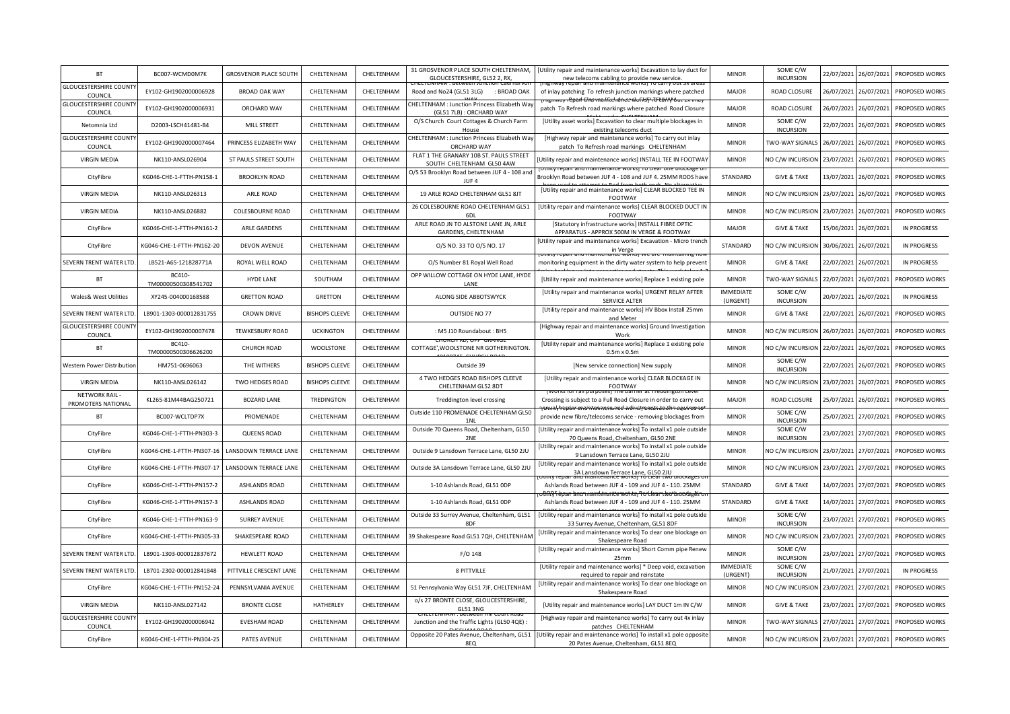| SOME C/W<br>31 GROSVENOR PLACE SOUTH CHELTENHAM,<br>[Utility repair and maintenance works] Excavation to lay duct for<br><b>BT</b><br><b>GROSVENOR PLACE SOUTH</b><br>CHELTENHAM<br><b>MINOR</b><br>22/07/2021<br>26/07/2021<br>BC007-WCMD0M7K<br>CHELTENHAM<br><b>INCURSION</b><br>GLOUCESTERSHIRE, GL52 2, RX,<br>new telecoms cabling to provide new service.<br><b>GLOUCESTERSHIRE COUNT</b><br>EY102-GH1902000006928<br>CHELTENHAM<br><b>BROAD OAK WAY</b><br>CHELTENHAM<br><b>ROAD CLOSURE</b><br>26/07/2021<br>26/07/2021<br>Road and No24 (GL51 3LG)<br>: BROAD OAK<br>of inlay patching To refresh junction markings where patched<br><b>MAJOR</b><br>COUNCIL<br><del>aifftehdnee Worksf ITU tärry out</del><br><b>GLOUCESTERSHIRE COUNT</b><br><b>CHELTENHAM : Junction Princess Elizabeth Way</b><br>EY102-GH1902000006931<br>ORCHARD WAY<br>CHELTENHAM<br>CHELTENHAM<br><b>MAJOR</b><br><b>ROAD CLOSURE</b><br>26/07/2021<br>26/07/2021<br>patch To Refresh road markings where patched Road Closure<br>(GL51 7LB): ORCHARD WAY<br>COUNCIL<br>O/S Church Court Cottages & Church Farm<br>SOME C/W<br>[Utility asset works] Excavation to clear multiple blockages in<br>D2003-LSCH41481-B4<br>MILL STREET<br>CHELTENHAM<br>CHELTENHAM<br><b>MINOR</b><br>22/07/2021<br>26/07/2021<br>Netomnia Ltd<br><b>INCURSION</b><br>existing telecoms duct<br>House<br><b>GLOUCESTERSHIRE COUNT</b><br><b>HELTENHAM : Junction Princess Elizabeth Way</b><br>[Highway repair and maintenance works] To carry out inlay<br>PRINCESS ELIZABETH WAY<br>CHELTENHAM<br>EY102-GH1902000007464<br>CHELTENHAM<br><b>MINOR</b><br>TWO-WAY SIGNALS<br>26/07/2021<br>26/07/2021<br>ORCHARD WAY<br>COUNCIL<br>patch To Refresh road markings CHELTENHAM<br>FLAT 1 THE GRANARY 10B ST. PAULS STREET<br>CHELTENHAM<br><b>VIRGIN MEDIA</b><br>NK110-ANSL026904<br>ST PAULS STREET SOUTH<br>CHELTENHAM<br><b>MINOR</b><br>NO C/W INCURSION<br>23/07/2021<br>26/07/2021<br>Utility repair and maintenance works] INSTALL TEE IN FOOTWAY<br>SOUTH CHELTENHAM GL50 4AW<br>O/S 53 Brooklyn Road between JUF 4 - 108 and<br>KG046-CHE-1-FTTH-PN158-1<br><b>BROOKLYN ROAD</b><br>CHELTENHAM<br>STANDARD<br>26/07/2021<br>CityFibre<br>CHELTENHAM<br><b>GIVE &amp; TAKE</b><br>13/07/2021<br>Brooklyn Road between JUF 4 - 108 and JUF 4. 25MM RODS have<br>JUF4<br>[Utility repair and maintenance works] CLEAR BLOCKED TEE IN<br>CHELTENHAM<br>19 ARLE ROAD CHELTENHAM GL51 8JT<br><b>VIRGIN MEDIA</b><br>NK110-ANSL026313<br>ARLE ROAD<br>CHELTENHAM<br><b>MINOR</b><br>NO C/W INCURSION<br>23/07/2021<br>26/07/2021<br><b>FOOTWAY</b><br>26 COLESBOURNE ROAD CHELTENHAM GL51<br>[Utility repair and maintenance works] CLEAR BLOCKED DUCT IN<br><b>VIRGIN MEDIA</b><br>NK110-ANSL026882<br>COLESBOURNE ROAD<br>CHELTENHAM<br>CHELTENHAM<br><b>MINOR</b><br>NO C/W INCURSION<br>23/07/2021<br>26/07/2021<br><b>FOOTWAY</b><br>6 <sub>D</sub><br>ARLE ROAD JN TO ALSTONE LANE JN, ARLE<br>[Statutory infrastructure works] INSTALL FIBRE OPTIC<br>CHELTENHAM<br>CityFibre<br>KG046-CHE-1-FTTH-PN161-2<br>ARLE GARDENS<br>CHELTENHAM<br>MAJOR<br><b>GIVE &amp; TAKE</b><br>15/06/2021<br>26/07/2021<br>GARDENS, CHELTENHAM<br>APPARATUS - APPROX 500M IN VERGE & FOOTWAY<br>[Utility repair and maintenance works] Excavation - Micro trench<br>CityFibre<br>KG046-CHE-1-FTTH-PN162-20<br><b>DEVON AVENUE</b><br>CHELTENHAM<br>CHELTENHAM<br>0/S NO. 33 TO 0/S NO. 17<br>STANDARD<br>NO C/W INCURSION<br>30/06/2021<br>26/07/2021<br>in Verge<br><del>ance work</del><br>SEVERN TRENT WATER LTD<br>LB521-A6S-121828771A<br>ROYAL WELL ROAD<br>CHELTENHAM<br>CHELTENHAM<br><b>MINOR</b><br><b>GIVE &amp; TAKE</b><br>22/07/2021<br>26/07/2021<br>O/S Number 81 Royal Well Road<br>monitoring equipment in the dirty water system to help prevent<br>BC410-<br>OPP WILLOW COTTAGE ON HYDE LANE, HYDE<br><b>BT</b><br>CHELTENHAM<br><b>MINOR</b><br>TWO-WAY SIGNALS<br><b>HYDE LANE</b><br>SOUTHAM<br>[Utility repair and maintenance works] Replace 1 existing pole<br>22/07/2021<br>26/07/2021<br>TM00000500308541702<br>LANE<br>[Utility repair and maintenance works] URGENT RELAY AFTER<br><b>IMMEDIATE</b><br>SOME C/W<br><b>Wales&amp; West Utilities</b><br>XY245-004000168588<br><b>GRETTON ROAD</b><br><b>GRETTON</b><br>CHELTENHAM<br>ALONG SIDE ABBOTSWYCK<br>20/07/2021<br>26/07/2021<br><b>SERVICE ALTER</b><br>(URGENT)<br><b>INCURSION</b><br>[Utility repair and maintenance works] HV Bbox Install 25mm<br>SEVERN TRENT WATER LTD<br>LB901-1303-000012831755<br><b>CROWN DRIVE</b><br><b>BISHOPS CLEEVE</b><br>CHELTENHAM<br>OUTSIDE NO 77<br><b>MINOR</b><br><b>GIVE &amp; TAKE</b><br>22/07/2021<br>26/07/2021<br>and Meter<br><b>GLOUCESTERSHIRE COUNT</b><br>[Highway repair and maintenance works] Ground Investigation<br>EY102-GH1902000007478<br><b>TEWKESBURY ROAD</b><br><b>UCKINGTON</b><br>CHELTENHAM<br><b>MINOR</b><br>NO C/W INCURSION<br>26/07/2021<br>: M5 J10 Roundabout : BH5<br>26/07/2021<br>COUNCIL<br>Work<br>BC410-<br>[Utility repair and maintenance works] Replace 1 existing pole<br>BT<br>CHURCH ROAD<br>WOOLSTONE<br>CHELTENHAM<br>COTTAGE', WOOLSTONE NR GOTHERINGTON.<br><b>MINOR</b><br>NO C/W INCURSION<br>22/07/2021<br>26/07/2021<br>TM00000500306626200<br>$0.5m \times 0.5m$<br>SOME C/W<br>THE WITHERS<br>Western Power Distribution<br>HM751-0696063<br><b>BISHOPS CLEEVE</b><br>CHELTENHAM<br>Outside 39<br><b>MINOR</b><br>22/07/2021<br>26/07/2021<br>[New service connection] New supply<br><b>INCURSION</b><br>4 TWO HEDGES ROAD BISHOPS CLEEVE<br>[Utility repair and maintenance works] CLEAR BLOCKAGE IN<br><b>VIRGIN MEDIA</b><br>NK110-ANSL026142<br>TWO HEDGES ROAD<br><b>BISHOPS CLEEVE</b><br>CHELTENHAM<br><b>MINOR</b><br>NO C/W INCURSION<br>23/07/2021<br>26/07/2021<br>CHELTENHAM GL52 8DT<br>FOOTWAY<br>NETWORK RAIL -<br>KL265-81M44BAG250721<br>CHELTENHAM<br>MAJOR<br>ROAD CLOSURE<br><b>BOZARD LANE</b><br>TREDINGTON<br>Treddington level crossing<br>Crossing is subject to a Full Road Closure in order to carry out<br>25/07/2021<br>26/07/2021<br>PROMOTERS NATIONAL<br>and mamenance works) excavation<br>Outside 110 PROMENADE CHELTENHAM GL50<br>SOME C/W<br>BT<br>BC007-WCLTDP7X<br>PROMENADE<br>CHELTENHAM<br>CHELTENHAM<br>provide new fibre/telecoms service - removing blockages from<br><b>MINOR</b><br>25/07/2021<br>27/07/2021<br><b>INCURSION</b><br>1N<br>Outside 70 Queens Road, Cheltenham, GL50<br>[Utility repair and maintenance works] To install x1 pole outside<br>SOME C/W<br>KG046-CHE-1-FTTH-PN303-3<br>CHELTENHAM<br>27/07/2021<br>CityFibre<br>QUEENS ROAD<br>CHELTENHAM<br><b>MINOR</b><br>23/07/2021<br><b>INCURSION</b><br>2NE<br>70 Queens Road, Cheltenham, GL50 2NE<br>[Utility repair and maintenance works] To install x1 pole outside<br>CityFibre<br>KG046-CHE-1-FTTH-PN307-16<br>LANSDOWN TERRACE LANE<br>CHELTENHAM<br>CHELTENHAM<br>Outside 9 Lansdown Terrace Lane, GL50 2JU<br><b>MINOR</b><br>NO C/W INCURSION<br>23/07/2021<br>27/07/2021<br>9 Lansdown Terrace Lane, GL50 2JU<br>Utility repair and maintenance works] To install x1 pole outside<br>LANSDOWN TERRACE LANE<br>CHELTENHAM<br>CHELTENHAM<br>Outside 3A Lansdown Terrace Lane, GL50 2JU<br><b>MINOR</b><br>23/07/2021<br>CityFibre<br>KG046-CHE-1-FTTH-PN307-17<br>NO C/W INCURSION<br>27/07/2021<br>3A Lansdown Terrace Lane, GL50 2JU<br>CityFibre<br>KG046-CHE-1-FTTH-PN157-2<br><b>ASHLANDS ROAD</b><br>CHELTENHAM<br>CHELTENHAM<br>1-10 Ashlands Road, GL51 ODP<br>Ashlands Road between JUF 4 - 109 and JUF 4 - 110. 25MM<br>STANDARD<br><b>GIVE &amp; TAKE</b><br>14/07/2021<br>27/07/2021<br>ነበርየና epan anonnamtenante works <sub>i</sub> ግo tfear two blockage<br>CHELTENHAM<br>STANDARD<br>27/07/2021<br>CityFibre<br>KG046-CHE-1-FTTH-PN157-3<br><b>ASHLANDS ROAD</b><br>CHELTENHAM<br>1-10 Ashlands Road, GL51 ODP<br>Ashlands Road between JUF 4 - 109 and JUF 4 - 110. 25MM<br><b>GIVE &amp; TAKE</b><br>14/07/2021<br>Outside 33 Surrey Avenue, Cheltenham, GL51<br>[Utility repair and maintenance works] To install x1 pole outside<br>SOME C/W<br>KG046-CHE-1-FTTH-PN163-9<br>CHELTENHAM<br>CityFibre<br><b>SURREY AVENUE</b><br>CHELTENHAM<br><b>MINOR</b><br>23/07/2021<br>27/07/2021<br><b>INCURSION</b><br>8DF<br>33 Surrey Avenue, Cheltenham, GL51 8DF<br>[Utility repair and maintenance works] To clear one blockage on<br>CityFibre<br>KG046-CHE-1-FTTH-PN305-33<br>SHAKESPEARE ROAD<br>CHELTENHAM<br>CHELTENHAM<br>39 Shakespeare Road GL51 7QH, CHELTENHAM<br><b>MINOR</b><br>NO C/W INCURSION<br>23/07/2021<br>27/07/2021<br>Shakespeare Road<br>SOME C/W<br>[Utility repair and maintenance works] Short Comm pipe Renew<br>SEVERN TRENT WATER LTD<br>LB901-1303-000012837672<br><b>HEWLETT ROAD</b><br>CHELTENHAM<br>CHELTENHAM<br>F/O 148<br><b>MINOR</b><br>23/07/2021<br>27/07/2021<br><b>INCURSION</b><br>25 <sub>mm</sub><br><b>IMMEDIATE</b><br>SOME C/W<br>[Utility repair and maintenance works] * Deep void, excavation<br>PITTVILLE CRESCENT LANE<br>SEVERN TRENT WATER LTD<br>LB701-2302-000012841848<br>CHELTENHAM<br>CHELTENHAM<br>8 PITTVILLE<br>21/07/2021<br>27/07/2021<br>(URGENT)<br><b>INCURSION</b><br>required to repair and reinstate<br>[Utility repair and maintenance works] To clear one blockage on<br>CHELTENHAM<br>51 Pennsylvania Way GL51 7JF, CHELTENHAM<br>NO C/W INCURSION<br>23/07/2021<br>27/07/2021<br>CityFibre<br>KG046-CHE-1-FTTH-PN152-24<br>PENNSYLVANIA AVENUE<br>CHELTENHAM<br><b>MINOR</b><br>Shakespeare Road<br>o/s 27 BRONTE CLOSE, GLOUCESTERSHIRE,<br>CHELTENHAM<br><b>VIRGIN MEDIA</b><br>NK110-ANSL027142<br><b>BRONTE CLOSE</b><br>HATHERLEY<br>[Utility repair and maintenance works] LAY DUCT 1m IN C/W<br><b>MINOR</b><br><b>GIVE &amp; TAKE</b><br>23/07/2021<br>27/07/2021<br>PROPOSED WORKS<br><b>GL51 3NG</b><br><b>GLOUCESTERSHIRE COUNT</b><br>[Highway repair and maintenance works] To carry out 4x inlay<br>EY102-GH1902000006942<br><b>EVESHAM ROAD</b><br>CHELTENHAM<br>CHELTENHAM<br>Junction and the Traffic Lights (GL50 4QE)<br><b>MINOR</b><br>TWO-WAY SIGNALS<br>27/07/2021<br>27/07/2021<br>COUNCIL<br>patches CHELTENHAM<br>[Utility repair and maintenance works] To install x1 pole opposite<br>Opposite 20 Pates Avenue, Cheltenham, GL51<br>CityFibre<br>KG046-CHE-1-FTTH-PN304-25<br>PATES AVENUE<br>CHELTENHAM<br>CHELTENHAM<br><b>MINOR</b><br>NO C/W INCURSION<br>23/07/2021<br>27/07/2021<br>PROPOSED WORKS<br>8EQ<br>20 Pates Avenue, Cheltenham, GL51 8EQ |  |  |  |  |  |  |                    |
|--------------------------------------------------------------------------------------------------------------------------------------------------------------------------------------------------------------------------------------------------------------------------------------------------------------------------------------------------------------------------------------------------------------------------------------------------------------------------------------------------------------------------------------------------------------------------------------------------------------------------------------------------------------------------------------------------------------------------------------------------------------------------------------------------------------------------------------------------------------------------------------------------------------------------------------------------------------------------------------------------------------------------------------------------------------------------------------------------------------------------------------------------------------------------------------------------------------------------------------------------------------------------------------------------------------------------------------------------------------------------------------------------------------------------------------------------------------------------------------------------------------------------------------------------------------------------------------------------------------------------------------------------------------------------------------------------------------------------------------------------------------------------------------------------------------------------------------------------------------------------------------------------------------------------------------------------------------------------------------------------------------------------------------------------------------------------------------------------------------------------------------------------------------------------------------------------------------------------------------------------------------------------------------------------------------------------------------------------------------------------------------------------------------------------------------------------------------------------------------------------------------------------------------------------------------------------------------------------------------------------------------------------------------------------------------------------------------------------------------------------------------------------------------------------------------------------------------------------------------------------------------------------------------------------------------------------------------------------------------------------------------------------------------------------------------------------------------------------------------------------------------------------------------------------------------------------------------------------------------------------------------------------------------------------------------------------------------------------------------------------------------------------------------------------------------------------------------------------------------------------------------------------------------------------------------------------------------------------------------------------------------------------------------------------------------------------------------------------------------------------------------------------------------------------------------------------------------------------------------------------------------------------------------------------------------------------------------------------------------------------------------------------------------------------------------------------------------------------------------------------------------------------------------------------------------------------------------------------------------------------------------------------------------------------------------------------------------------------------------------------------------------------------------------------------------------------------------------------------------------------------------------------------------------------------------------------------------------------------------------------------------------------------------------------------------------------------------------------------------------------------------------------------------------------------------------------------------------------------------------------------------------------------------------------------------------------------------------------------------------------------------------------------------------------------------------------------------------------------------------------------------------------------------------------------------------------------------------------------------------------------------------------------------------------------------------------------------------------------------------------------------------------------------------------------------------------------------------------------------------------------------------------------------------------------------------------------------------------------------------------------------------------------------------------------------------------------------------------------------------------------------------------------------------------------------------------------------------------------------------------------------------------------------------------------------------------------------------------------------------------------------------------------------------------------------------------------------------------------------------------------------------------------------------------------------------------------------------------------------------------------------------------------------------------------------------------------------------------------------------------------------------------------------------------------------------------------------------------------------------------------------------------------------------------------------------------------------------------------------------------------------------------------------------------------------------------------------------------------------------------------------------------------------------------------------------------------------------------------------------------------------------------------------------------------------------------------------------------------------------------------------------------------------------------------------------------------------------------------------------------------------------------------------------------------------------------------------------------------------------------------------------------------------------------------------------------------------------------------------------------------------------------------------------------------------------------------------------------------------------------------------------------------------------------------------------------------------------------------------------------------------------------------------------------------------------------------------------------------------------------------------------------------------------------------------------------------------------------------------------------------------------------------------------------------------------------------------------------------------------------------------------------------------------------------------------------------------------------------------------------------------------------------------------------------------------------------------------------------------------------------------------------------------------------------------------------------------------------------------------------------------------------------------------------------------------------------------------------------------------------------------------------------------------------------------------------------------------------------------------------------------------------------------------------------------------------------------------------------------------------------------------------------------------------------------------------------------------------------------------------------------------------------------------------------------------------------------------------------------------------------------------------------------------------------------------------------------------------------------------------------------------------------------------------------------------------------------------------------------------------------------------------------------------------------------------------------------------------------------------------------------------------------------------------------------------------------------------------------------------------------------------------------------------------------------------------------------------------------------------------------------------------------------------------------------------------------------------------------------------------------------------------------------------------------------------------------------------------------------------------------------------------------------------------------------------------------------------------------------------------------------------------------------------------------------------------------------------------------------------------------------------------------------------------------------------------------------------------------------------------------------------------------------------------------------------------------------------------------------------------------------------------------------------------------------------------------------------------------------------------------------------------------------------------------|--|--|--|--|--|--|--------------------|
|                                                                                                                                                                                                                                                                                                                                                                                                                                                                                                                                                                                                                                                                                                                                                                                                                                                                                                                                                                                                                                                                                                                                                                                                                                                                                                                                                                                                                                                                                                                                                                                                                                                                                                                                                                                                                                                                                                                                                                                                                                                                                                                                                                                                                                                                                                                                                                                                                                                                                                                                                                                                                                                                                                                                                                                                                                                                                                                                                                                                                                                                                                                                                                                                                                                                                                                                                                                                                                                                                                                                                                                                                                                                                                                                                                                                                                                                                                                                                                                                                                                                                                                                                                                                                                                                                                                                                                                                                                                                                                                                                                                                                                                                                                                                                                                                                                                                                                                                                                                                                                                                                                                                                                                                                                                                                                                                                                                                                                                                                                                                                                                                                                                                                                                                                                                                                                                                                                                                                                                                                                                                                                                                                                                                                                                                                                                                                                                                                                                                                                                                                                                                                                                                                                                                                                                                                                                                                                                                                                                                                                                                                                                                                                                                                                                                                                                                                                                                                                                                                                                                                                                                                                                                                                                                                                                                                                                                                                                                                                                                                                                                                                                                                                                                                                                                                                                                                                                                                                                                                                                                                                                                                                                                                                                                                                                                                                                                                                                                                                                                                                                                                                                                                                                                                                                                                                                                                                                                                                                                                                                                                                                                                                                                                                                                                                                                                                                                                                                                                                                                                                                                                                                                                                                                                                                                                                                                                                                                                                                                                                                                                        |  |  |  |  |  |  | PROPOSED WORKS     |
|                                                                                                                                                                                                                                                                                                                                                                                                                                                                                                                                                                                                                                                                                                                                                                                                                                                                                                                                                                                                                                                                                                                                                                                                                                                                                                                                                                                                                                                                                                                                                                                                                                                                                                                                                                                                                                                                                                                                                                                                                                                                                                                                                                                                                                                                                                                                                                                                                                                                                                                                                                                                                                                                                                                                                                                                                                                                                                                                                                                                                                                                                                                                                                                                                                                                                                                                                                                                                                                                                                                                                                                                                                                                                                                                                                                                                                                                                                                                                                                                                                                                                                                                                                                                                                                                                                                                                                                                                                                                                                                                                                                                                                                                                                                                                                                                                                                                                                                                                                                                                                                                                                                                                                                                                                                                                                                                                                                                                                                                                                                                                                                                                                                                                                                                                                                                                                                                                                                                                                                                                                                                                                                                                                                                                                                                                                                                                                                                                                                                                                                                                                                                                                                                                                                                                                                                                                                                                                                                                                                                                                                                                                                                                                                                                                                                                                                                                                                                                                                                                                                                                                                                                                                                                                                                                                                                                                                                                                                                                                                                                                                                                                                                                                                                                                                                                                                                                                                                                                                                                                                                                                                                                                                                                                                                                                                                                                                                                                                                                                                                                                                                                                                                                                                                                                                                                                                                                                                                                                                                                                                                                                                                                                                                                                                                                                                                                                                                                                                                                                                                                                                                                                                                                                                                                                                                                                                                                                                                                                                                                                                                                        |  |  |  |  |  |  | PROPOSED WORKS     |
|                                                                                                                                                                                                                                                                                                                                                                                                                                                                                                                                                                                                                                                                                                                                                                                                                                                                                                                                                                                                                                                                                                                                                                                                                                                                                                                                                                                                                                                                                                                                                                                                                                                                                                                                                                                                                                                                                                                                                                                                                                                                                                                                                                                                                                                                                                                                                                                                                                                                                                                                                                                                                                                                                                                                                                                                                                                                                                                                                                                                                                                                                                                                                                                                                                                                                                                                                                                                                                                                                                                                                                                                                                                                                                                                                                                                                                                                                                                                                                                                                                                                                                                                                                                                                                                                                                                                                                                                                                                                                                                                                                                                                                                                                                                                                                                                                                                                                                                                                                                                                                                                                                                                                                                                                                                                                                                                                                                                                                                                                                                                                                                                                                                                                                                                                                                                                                                                                                                                                                                                                                                                                                                                                                                                                                                                                                                                                                                                                                                                                                                                                                                                                                                                                                                                                                                                                                                                                                                                                                                                                                                                                                                                                                                                                                                                                                                                                                                                                                                                                                                                                                                                                                                                                                                                                                                                                                                                                                                                                                                                                                                                                                                                                                                                                                                                                                                                                                                                                                                                                                                                                                                                                                                                                                                                                                                                                                                                                                                                                                                                                                                                                                                                                                                                                                                                                                                                                                                                                                                                                                                                                                                                                                                                                                                                                                                                                                                                                                                                                                                                                                                                                                                                                                                                                                                                                                                                                                                                                                                                                                                                                        |  |  |  |  |  |  | PROPOSED WORKS     |
|                                                                                                                                                                                                                                                                                                                                                                                                                                                                                                                                                                                                                                                                                                                                                                                                                                                                                                                                                                                                                                                                                                                                                                                                                                                                                                                                                                                                                                                                                                                                                                                                                                                                                                                                                                                                                                                                                                                                                                                                                                                                                                                                                                                                                                                                                                                                                                                                                                                                                                                                                                                                                                                                                                                                                                                                                                                                                                                                                                                                                                                                                                                                                                                                                                                                                                                                                                                                                                                                                                                                                                                                                                                                                                                                                                                                                                                                                                                                                                                                                                                                                                                                                                                                                                                                                                                                                                                                                                                                                                                                                                                                                                                                                                                                                                                                                                                                                                                                                                                                                                                                                                                                                                                                                                                                                                                                                                                                                                                                                                                                                                                                                                                                                                                                                                                                                                                                                                                                                                                                                                                                                                                                                                                                                                                                                                                                                                                                                                                                                                                                                                                                                                                                                                                                                                                                                                                                                                                                                                                                                                                                                                                                                                                                                                                                                                                                                                                                                                                                                                                                                                                                                                                                                                                                                                                                                                                                                                                                                                                                                                                                                                                                                                                                                                                                                                                                                                                                                                                                                                                                                                                                                                                                                                                                                                                                                                                                                                                                                                                                                                                                                                                                                                                                                                                                                                                                                                                                                                                                                                                                                                                                                                                                                                                                                                                                                                                                                                                                                                                                                                                                                                                                                                                                                                                                                                                                                                                                                                                                                                                                                        |  |  |  |  |  |  | PROPOSED WORKS     |
|                                                                                                                                                                                                                                                                                                                                                                                                                                                                                                                                                                                                                                                                                                                                                                                                                                                                                                                                                                                                                                                                                                                                                                                                                                                                                                                                                                                                                                                                                                                                                                                                                                                                                                                                                                                                                                                                                                                                                                                                                                                                                                                                                                                                                                                                                                                                                                                                                                                                                                                                                                                                                                                                                                                                                                                                                                                                                                                                                                                                                                                                                                                                                                                                                                                                                                                                                                                                                                                                                                                                                                                                                                                                                                                                                                                                                                                                                                                                                                                                                                                                                                                                                                                                                                                                                                                                                                                                                                                                                                                                                                                                                                                                                                                                                                                                                                                                                                                                                                                                                                                                                                                                                                                                                                                                                                                                                                                                                                                                                                                                                                                                                                                                                                                                                                                                                                                                                                                                                                                                                                                                                                                                                                                                                                                                                                                                                                                                                                                                                                                                                                                                                                                                                                                                                                                                                                                                                                                                                                                                                                                                                                                                                                                                                                                                                                                                                                                                                                                                                                                                                                                                                                                                                                                                                                                                                                                                                                                                                                                                                                                                                                                                                                                                                                                                                                                                                                                                                                                                                                                                                                                                                                                                                                                                                                                                                                                                                                                                                                                                                                                                                                                                                                                                                                                                                                                                                                                                                                                                                                                                                                                                                                                                                                                                                                                                                                                                                                                                                                                                                                                                                                                                                                                                                                                                                                                                                                                                                                                                                                                                                        |  |  |  |  |  |  | PROPOSED WORKS     |
|                                                                                                                                                                                                                                                                                                                                                                                                                                                                                                                                                                                                                                                                                                                                                                                                                                                                                                                                                                                                                                                                                                                                                                                                                                                                                                                                                                                                                                                                                                                                                                                                                                                                                                                                                                                                                                                                                                                                                                                                                                                                                                                                                                                                                                                                                                                                                                                                                                                                                                                                                                                                                                                                                                                                                                                                                                                                                                                                                                                                                                                                                                                                                                                                                                                                                                                                                                                                                                                                                                                                                                                                                                                                                                                                                                                                                                                                                                                                                                                                                                                                                                                                                                                                                                                                                                                                                                                                                                                                                                                                                                                                                                                                                                                                                                                                                                                                                                                                                                                                                                                                                                                                                                                                                                                                                                                                                                                                                                                                                                                                                                                                                                                                                                                                                                                                                                                                                                                                                                                                                                                                                                                                                                                                                                                                                                                                                                                                                                                                                                                                                                                                                                                                                                                                                                                                                                                                                                                                                                                                                                                                                                                                                                                                                                                                                                                                                                                                                                                                                                                                                                                                                                                                                                                                                                                                                                                                                                                                                                                                                                                                                                                                                                                                                                                                                                                                                                                                                                                                                                                                                                                                                                                                                                                                                                                                                                                                                                                                                                                                                                                                                                                                                                                                                                                                                                                                                                                                                                                                                                                                                                                                                                                                                                                                                                                                                                                                                                                                                                                                                                                                                                                                                                                                                                                                                                                                                                                                                                                                                                                                                        |  |  |  |  |  |  | PROPOSED WORKS     |
|                                                                                                                                                                                                                                                                                                                                                                                                                                                                                                                                                                                                                                                                                                                                                                                                                                                                                                                                                                                                                                                                                                                                                                                                                                                                                                                                                                                                                                                                                                                                                                                                                                                                                                                                                                                                                                                                                                                                                                                                                                                                                                                                                                                                                                                                                                                                                                                                                                                                                                                                                                                                                                                                                                                                                                                                                                                                                                                                                                                                                                                                                                                                                                                                                                                                                                                                                                                                                                                                                                                                                                                                                                                                                                                                                                                                                                                                                                                                                                                                                                                                                                                                                                                                                                                                                                                                                                                                                                                                                                                                                                                                                                                                                                                                                                                                                                                                                                                                                                                                                                                                                                                                                                                                                                                                                                                                                                                                                                                                                                                                                                                                                                                                                                                                                                                                                                                                                                                                                                                                                                                                                                                                                                                                                                                                                                                                                                                                                                                                                                                                                                                                                                                                                                                                                                                                                                                                                                                                                                                                                                                                                                                                                                                                                                                                                                                                                                                                                                                                                                                                                                                                                                                                                                                                                                                                                                                                                                                                                                                                                                                                                                                                                                                                                                                                                                                                                                                                                                                                                                                                                                                                                                                                                                                                                                                                                                                                                                                                                                                                                                                                                                                                                                                                                                                                                                                                                                                                                                                                                                                                                                                                                                                                                                                                                                                                                                                                                                                                                                                                                                                                                                                                                                                                                                                                                                                                                                                                                                                                                                                                                        |  |  |  |  |  |  | PROPOSED WORKS     |
|                                                                                                                                                                                                                                                                                                                                                                                                                                                                                                                                                                                                                                                                                                                                                                                                                                                                                                                                                                                                                                                                                                                                                                                                                                                                                                                                                                                                                                                                                                                                                                                                                                                                                                                                                                                                                                                                                                                                                                                                                                                                                                                                                                                                                                                                                                                                                                                                                                                                                                                                                                                                                                                                                                                                                                                                                                                                                                                                                                                                                                                                                                                                                                                                                                                                                                                                                                                                                                                                                                                                                                                                                                                                                                                                                                                                                                                                                                                                                                                                                                                                                                                                                                                                                                                                                                                                                                                                                                                                                                                                                                                                                                                                                                                                                                                                                                                                                                                                                                                                                                                                                                                                                                                                                                                                                                                                                                                                                                                                                                                                                                                                                                                                                                                                                                                                                                                                                                                                                                                                                                                                                                                                                                                                                                                                                                                                                                                                                                                                                                                                                                                                                                                                                                                                                                                                                                                                                                                                                                                                                                                                                                                                                                                                                                                                                                                                                                                                                                                                                                                                                                                                                                                                                                                                                                                                                                                                                                                                                                                                                                                                                                                                                                                                                                                                                                                                                                                                                                                                                                                                                                                                                                                                                                                                                                                                                                                                                                                                                                                                                                                                                                                                                                                                                                                                                                                                                                                                                                                                                                                                                                                                                                                                                                                                                                                                                                                                                                                                                                                                                                                                                                                                                                                                                                                                                                                                                                                                                                                                                                                                                        |  |  |  |  |  |  | PROPOSED WORKS     |
|                                                                                                                                                                                                                                                                                                                                                                                                                                                                                                                                                                                                                                                                                                                                                                                                                                                                                                                                                                                                                                                                                                                                                                                                                                                                                                                                                                                                                                                                                                                                                                                                                                                                                                                                                                                                                                                                                                                                                                                                                                                                                                                                                                                                                                                                                                                                                                                                                                                                                                                                                                                                                                                                                                                                                                                                                                                                                                                                                                                                                                                                                                                                                                                                                                                                                                                                                                                                                                                                                                                                                                                                                                                                                                                                                                                                                                                                                                                                                                                                                                                                                                                                                                                                                                                                                                                                                                                                                                                                                                                                                                                                                                                                                                                                                                                                                                                                                                                                                                                                                                                                                                                                                                                                                                                                                                                                                                                                                                                                                                                                                                                                                                                                                                                                                                                                                                                                                                                                                                                                                                                                                                                                                                                                                                                                                                                                                                                                                                                                                                                                                                                                                                                                                                                                                                                                                                                                                                                                                                                                                                                                                                                                                                                                                                                                                                                                                                                                                                                                                                                                                                                                                                                                                                                                                                                                                                                                                                                                                                                                                                                                                                                                                                                                                                                                                                                                                                                                                                                                                                                                                                                                                                                                                                                                                                                                                                                                                                                                                                                                                                                                                                                                                                                                                                                                                                                                                                                                                                                                                                                                                                                                                                                                                                                                                                                                                                                                                                                                                                                                                                                                                                                                                                                                                                                                                                                                                                                                                                                                                                                                                        |  |  |  |  |  |  | PROPOSED WORKS     |
|                                                                                                                                                                                                                                                                                                                                                                                                                                                                                                                                                                                                                                                                                                                                                                                                                                                                                                                                                                                                                                                                                                                                                                                                                                                                                                                                                                                                                                                                                                                                                                                                                                                                                                                                                                                                                                                                                                                                                                                                                                                                                                                                                                                                                                                                                                                                                                                                                                                                                                                                                                                                                                                                                                                                                                                                                                                                                                                                                                                                                                                                                                                                                                                                                                                                                                                                                                                                                                                                                                                                                                                                                                                                                                                                                                                                                                                                                                                                                                                                                                                                                                                                                                                                                                                                                                                                                                                                                                                                                                                                                                                                                                                                                                                                                                                                                                                                                                                                                                                                                                                                                                                                                                                                                                                                                                                                                                                                                                                                                                                                                                                                                                                                                                                                                                                                                                                                                                                                                                                                                                                                                                                                                                                                                                                                                                                                                                                                                                                                                                                                                                                                                                                                                                                                                                                                                                                                                                                                                                                                                                                                                                                                                                                                                                                                                                                                                                                                                                                                                                                                                                                                                                                                                                                                                                                                                                                                                                                                                                                                                                                                                                                                                                                                                                                                                                                                                                                                                                                                                                                                                                                                                                                                                                                                                                                                                                                                                                                                                                                                                                                                                                                                                                                                                                                                                                                                                                                                                                                                                                                                                                                                                                                                                                                                                                                                                                                                                                                                                                                                                                                                                                                                                                                                                                                                                                                                                                                                                                                                                                                                                        |  |  |  |  |  |  | <b>IN PROGRESS</b> |
|                                                                                                                                                                                                                                                                                                                                                                                                                                                                                                                                                                                                                                                                                                                                                                                                                                                                                                                                                                                                                                                                                                                                                                                                                                                                                                                                                                                                                                                                                                                                                                                                                                                                                                                                                                                                                                                                                                                                                                                                                                                                                                                                                                                                                                                                                                                                                                                                                                                                                                                                                                                                                                                                                                                                                                                                                                                                                                                                                                                                                                                                                                                                                                                                                                                                                                                                                                                                                                                                                                                                                                                                                                                                                                                                                                                                                                                                                                                                                                                                                                                                                                                                                                                                                                                                                                                                                                                                                                                                                                                                                                                                                                                                                                                                                                                                                                                                                                                                                                                                                                                                                                                                                                                                                                                                                                                                                                                                                                                                                                                                                                                                                                                                                                                                                                                                                                                                                                                                                                                                                                                                                                                                                                                                                                                                                                                                                                                                                                                                                                                                                                                                                                                                                                                                                                                                                                                                                                                                                                                                                                                                                                                                                                                                                                                                                                                                                                                                                                                                                                                                                                                                                                                                                                                                                                                                                                                                                                                                                                                                                                                                                                                                                                                                                                                                                                                                                                                                                                                                                                                                                                                                                                                                                                                                                                                                                                                                                                                                                                                                                                                                                                                                                                                                                                                                                                                                                                                                                                                                                                                                                                                                                                                                                                                                                                                                                                                                                                                                                                                                                                                                                                                                                                                                                                                                                                                                                                                                                                                                                                                                                        |  |  |  |  |  |  | <b>IN PROGRESS</b> |
|                                                                                                                                                                                                                                                                                                                                                                                                                                                                                                                                                                                                                                                                                                                                                                                                                                                                                                                                                                                                                                                                                                                                                                                                                                                                                                                                                                                                                                                                                                                                                                                                                                                                                                                                                                                                                                                                                                                                                                                                                                                                                                                                                                                                                                                                                                                                                                                                                                                                                                                                                                                                                                                                                                                                                                                                                                                                                                                                                                                                                                                                                                                                                                                                                                                                                                                                                                                                                                                                                                                                                                                                                                                                                                                                                                                                                                                                                                                                                                                                                                                                                                                                                                                                                                                                                                                                                                                                                                                                                                                                                                                                                                                                                                                                                                                                                                                                                                                                                                                                                                                                                                                                                                                                                                                                                                                                                                                                                                                                                                                                                                                                                                                                                                                                                                                                                                                                                                                                                                                                                                                                                                                                                                                                                                                                                                                                                                                                                                                                                                                                                                                                                                                                                                                                                                                                                                                                                                                                                                                                                                                                                                                                                                                                                                                                                                                                                                                                                                                                                                                                                                                                                                                                                                                                                                                                                                                                                                                                                                                                                                                                                                                                                                                                                                                                                                                                                                                                                                                                                                                                                                                                                                                                                                                                                                                                                                                                                                                                                                                                                                                                                                                                                                                                                                                                                                                                                                                                                                                                                                                                                                                                                                                                                                                                                                                                                                                                                                                                                                                                                                                                                                                                                                                                                                                                                                                                                                                                                                                                                                                                                        |  |  |  |  |  |  | <b>IN PROGRESS</b> |
|                                                                                                                                                                                                                                                                                                                                                                                                                                                                                                                                                                                                                                                                                                                                                                                                                                                                                                                                                                                                                                                                                                                                                                                                                                                                                                                                                                                                                                                                                                                                                                                                                                                                                                                                                                                                                                                                                                                                                                                                                                                                                                                                                                                                                                                                                                                                                                                                                                                                                                                                                                                                                                                                                                                                                                                                                                                                                                                                                                                                                                                                                                                                                                                                                                                                                                                                                                                                                                                                                                                                                                                                                                                                                                                                                                                                                                                                                                                                                                                                                                                                                                                                                                                                                                                                                                                                                                                                                                                                                                                                                                                                                                                                                                                                                                                                                                                                                                                                                                                                                                                                                                                                                                                                                                                                                                                                                                                                                                                                                                                                                                                                                                                                                                                                                                                                                                                                                                                                                                                                                                                                                                                                                                                                                                                                                                                                                                                                                                                                                                                                                                                                                                                                                                                                                                                                                                                                                                                                                                                                                                                                                                                                                                                                                                                                                                                                                                                                                                                                                                                                                                                                                                                                                                                                                                                                                                                                                                                                                                                                                                                                                                                                                                                                                                                                                                                                                                                                                                                                                                                                                                                                                                                                                                                                                                                                                                                                                                                                                                                                                                                                                                                                                                                                                                                                                                                                                                                                                                                                                                                                                                                                                                                                                                                                                                                                                                                                                                                                                                                                                                                                                                                                                                                                                                                                                                                                                                                                                                                                                                                                                        |  |  |  |  |  |  | PROPOSED WORKS     |
|                                                                                                                                                                                                                                                                                                                                                                                                                                                                                                                                                                                                                                                                                                                                                                                                                                                                                                                                                                                                                                                                                                                                                                                                                                                                                                                                                                                                                                                                                                                                                                                                                                                                                                                                                                                                                                                                                                                                                                                                                                                                                                                                                                                                                                                                                                                                                                                                                                                                                                                                                                                                                                                                                                                                                                                                                                                                                                                                                                                                                                                                                                                                                                                                                                                                                                                                                                                                                                                                                                                                                                                                                                                                                                                                                                                                                                                                                                                                                                                                                                                                                                                                                                                                                                                                                                                                                                                                                                                                                                                                                                                                                                                                                                                                                                                                                                                                                                                                                                                                                                                                                                                                                                                                                                                                                                                                                                                                                                                                                                                                                                                                                                                                                                                                                                                                                                                                                                                                                                                                                                                                                                                                                                                                                                                                                                                                                                                                                                                                                                                                                                                                                                                                                                                                                                                                                                                                                                                                                                                                                                                                                                                                                                                                                                                                                                                                                                                                                                                                                                                                                                                                                                                                                                                                                                                                                                                                                                                                                                                                                                                                                                                                                                                                                                                                                                                                                                                                                                                                                                                                                                                                                                                                                                                                                                                                                                                                                                                                                                                                                                                                                                                                                                                                                                                                                                                                                                                                                                                                                                                                                                                                                                                                                                                                                                                                                                                                                                                                                                                                                                                                                                                                                                                                                                                                                                                                                                                                                                                                                                                                                        |  |  |  |  |  |  | <b>IN PROGRESS</b> |
|                                                                                                                                                                                                                                                                                                                                                                                                                                                                                                                                                                                                                                                                                                                                                                                                                                                                                                                                                                                                                                                                                                                                                                                                                                                                                                                                                                                                                                                                                                                                                                                                                                                                                                                                                                                                                                                                                                                                                                                                                                                                                                                                                                                                                                                                                                                                                                                                                                                                                                                                                                                                                                                                                                                                                                                                                                                                                                                                                                                                                                                                                                                                                                                                                                                                                                                                                                                                                                                                                                                                                                                                                                                                                                                                                                                                                                                                                                                                                                                                                                                                                                                                                                                                                                                                                                                                                                                                                                                                                                                                                                                                                                                                                                                                                                                                                                                                                                                                                                                                                                                                                                                                                                                                                                                                                                                                                                                                                                                                                                                                                                                                                                                                                                                                                                                                                                                                                                                                                                                                                                                                                                                                                                                                                                                                                                                                                                                                                                                                                                                                                                                                                                                                                                                                                                                                                                                                                                                                                                                                                                                                                                                                                                                                                                                                                                                                                                                                                                                                                                                                                                                                                                                                                                                                                                                                                                                                                                                                                                                                                                                                                                                                                                                                                                                                                                                                                                                                                                                                                                                                                                                                                                                                                                                                                                                                                                                                                                                                                                                                                                                                                                                                                                                                                                                                                                                                                                                                                                                                                                                                                                                                                                                                                                                                                                                                                                                                                                                                                                                                                                                                                                                                                                                                                                                                                                                                                                                                                                                                                                                                                        |  |  |  |  |  |  | PROPOSED WORKS     |
|                                                                                                                                                                                                                                                                                                                                                                                                                                                                                                                                                                                                                                                                                                                                                                                                                                                                                                                                                                                                                                                                                                                                                                                                                                                                                                                                                                                                                                                                                                                                                                                                                                                                                                                                                                                                                                                                                                                                                                                                                                                                                                                                                                                                                                                                                                                                                                                                                                                                                                                                                                                                                                                                                                                                                                                                                                                                                                                                                                                                                                                                                                                                                                                                                                                                                                                                                                                                                                                                                                                                                                                                                                                                                                                                                                                                                                                                                                                                                                                                                                                                                                                                                                                                                                                                                                                                                                                                                                                                                                                                                                                                                                                                                                                                                                                                                                                                                                                                                                                                                                                                                                                                                                                                                                                                                                                                                                                                                                                                                                                                                                                                                                                                                                                                                                                                                                                                                                                                                                                                                                                                                                                                                                                                                                                                                                                                                                                                                                                                                                                                                                                                                                                                                                                                                                                                                                                                                                                                                                                                                                                                                                                                                                                                                                                                                                                                                                                                                                                                                                                                                                                                                                                                                                                                                                                                                                                                                                                                                                                                                                                                                                                                                                                                                                                                                                                                                                                                                                                                                                                                                                                                                                                                                                                                                                                                                                                                                                                                                                                                                                                                                                                                                                                                                                                                                                                                                                                                                                                                                                                                                                                                                                                                                                                                                                                                                                                                                                                                                                                                                                                                                                                                                                                                                                                                                                                                                                                                                                                                                                                                                        |  |  |  |  |  |  | PROPOSED WORKS     |
|                                                                                                                                                                                                                                                                                                                                                                                                                                                                                                                                                                                                                                                                                                                                                                                                                                                                                                                                                                                                                                                                                                                                                                                                                                                                                                                                                                                                                                                                                                                                                                                                                                                                                                                                                                                                                                                                                                                                                                                                                                                                                                                                                                                                                                                                                                                                                                                                                                                                                                                                                                                                                                                                                                                                                                                                                                                                                                                                                                                                                                                                                                                                                                                                                                                                                                                                                                                                                                                                                                                                                                                                                                                                                                                                                                                                                                                                                                                                                                                                                                                                                                                                                                                                                                                                                                                                                                                                                                                                                                                                                                                                                                                                                                                                                                                                                                                                                                                                                                                                                                                                                                                                                                                                                                                                                                                                                                                                                                                                                                                                                                                                                                                                                                                                                                                                                                                                                                                                                                                                                                                                                                                                                                                                                                                                                                                                                                                                                                                                                                                                                                                                                                                                                                                                                                                                                                                                                                                                                                                                                                                                                                                                                                                                                                                                                                                                                                                                                                                                                                                                                                                                                                                                                                                                                                                                                                                                                                                                                                                                                                                                                                                                                                                                                                                                                                                                                                                                                                                                                                                                                                                                                                                                                                                                                                                                                                                                                                                                                                                                                                                                                                                                                                                                                                                                                                                                                                                                                                                                                                                                                                                                                                                                                                                                                                                                                                                                                                                                                                                                                                                                                                                                                                                                                                                                                                                                                                                                                                                                                                                                                        |  |  |  |  |  |  | PROPOSED WORKS     |
|                                                                                                                                                                                                                                                                                                                                                                                                                                                                                                                                                                                                                                                                                                                                                                                                                                                                                                                                                                                                                                                                                                                                                                                                                                                                                                                                                                                                                                                                                                                                                                                                                                                                                                                                                                                                                                                                                                                                                                                                                                                                                                                                                                                                                                                                                                                                                                                                                                                                                                                                                                                                                                                                                                                                                                                                                                                                                                                                                                                                                                                                                                                                                                                                                                                                                                                                                                                                                                                                                                                                                                                                                                                                                                                                                                                                                                                                                                                                                                                                                                                                                                                                                                                                                                                                                                                                                                                                                                                                                                                                                                                                                                                                                                                                                                                                                                                                                                                                                                                                                                                                                                                                                                                                                                                                                                                                                                                                                                                                                                                                                                                                                                                                                                                                                                                                                                                                                                                                                                                                                                                                                                                                                                                                                                                                                                                                                                                                                                                                                                                                                                                                                                                                                                                                                                                                                                                                                                                                                                                                                                                                                                                                                                                                                                                                                                                                                                                                                                                                                                                                                                                                                                                                                                                                                                                                                                                                                                                                                                                                                                                                                                                                                                                                                                                                                                                                                                                                                                                                                                                                                                                                                                                                                                                                                                                                                                                                                                                                                                                                                                                                                                                                                                                                                                                                                                                                                                                                                                                                                                                                                                                                                                                                                                                                                                                                                                                                                                                                                                                                                                                                                                                                                                                                                                                                                                                                                                                                                                                                                                                                                        |  |  |  |  |  |  | PROPOSED WORKS     |
|                                                                                                                                                                                                                                                                                                                                                                                                                                                                                                                                                                                                                                                                                                                                                                                                                                                                                                                                                                                                                                                                                                                                                                                                                                                                                                                                                                                                                                                                                                                                                                                                                                                                                                                                                                                                                                                                                                                                                                                                                                                                                                                                                                                                                                                                                                                                                                                                                                                                                                                                                                                                                                                                                                                                                                                                                                                                                                                                                                                                                                                                                                                                                                                                                                                                                                                                                                                                                                                                                                                                                                                                                                                                                                                                                                                                                                                                                                                                                                                                                                                                                                                                                                                                                                                                                                                                                                                                                                                                                                                                                                                                                                                                                                                                                                                                                                                                                                                                                                                                                                                                                                                                                                                                                                                                                                                                                                                                                                                                                                                                                                                                                                                                                                                                                                                                                                                                                                                                                                                                                                                                                                                                                                                                                                                                                                                                                                                                                                                                                                                                                                                                                                                                                                                                                                                                                                                                                                                                                                                                                                                                                                                                                                                                                                                                                                                                                                                                                                                                                                                                                                                                                                                                                                                                                                                                                                                                                                                                                                                                                                                                                                                                                                                                                                                                                                                                                                                                                                                                                                                                                                                                                                                                                                                                                                                                                                                                                                                                                                                                                                                                                                                                                                                                                                                                                                                                                                                                                                                                                                                                                                                                                                                                                                                                                                                                                                                                                                                                                                                                                                                                                                                                                                                                                                                                                                                                                                                                                                                                                                                                                        |  |  |  |  |  |  | PROPOSED WORKS     |
|                                                                                                                                                                                                                                                                                                                                                                                                                                                                                                                                                                                                                                                                                                                                                                                                                                                                                                                                                                                                                                                                                                                                                                                                                                                                                                                                                                                                                                                                                                                                                                                                                                                                                                                                                                                                                                                                                                                                                                                                                                                                                                                                                                                                                                                                                                                                                                                                                                                                                                                                                                                                                                                                                                                                                                                                                                                                                                                                                                                                                                                                                                                                                                                                                                                                                                                                                                                                                                                                                                                                                                                                                                                                                                                                                                                                                                                                                                                                                                                                                                                                                                                                                                                                                                                                                                                                                                                                                                                                                                                                                                                                                                                                                                                                                                                                                                                                                                                                                                                                                                                                                                                                                                                                                                                                                                                                                                                                                                                                                                                                                                                                                                                                                                                                                                                                                                                                                                                                                                                                                                                                                                                                                                                                                                                                                                                                                                                                                                                                                                                                                                                                                                                                                                                                                                                                                                                                                                                                                                                                                                                                                                                                                                                                                                                                                                                                                                                                                                                                                                                                                                                                                                                                                                                                                                                                                                                                                                                                                                                                                                                                                                                                                                                                                                                                                                                                                                                                                                                                                                                                                                                                                                                                                                                                                                                                                                                                                                                                                                                                                                                                                                                                                                                                                                                                                                                                                                                                                                                                                                                                                                                                                                                                                                                                                                                                                                                                                                                                                                                                                                                                                                                                                                                                                                                                                                                                                                                                                                                                                                                                                        |  |  |  |  |  |  | PROPOSED WORKS     |
|                                                                                                                                                                                                                                                                                                                                                                                                                                                                                                                                                                                                                                                                                                                                                                                                                                                                                                                                                                                                                                                                                                                                                                                                                                                                                                                                                                                                                                                                                                                                                                                                                                                                                                                                                                                                                                                                                                                                                                                                                                                                                                                                                                                                                                                                                                                                                                                                                                                                                                                                                                                                                                                                                                                                                                                                                                                                                                                                                                                                                                                                                                                                                                                                                                                                                                                                                                                                                                                                                                                                                                                                                                                                                                                                                                                                                                                                                                                                                                                                                                                                                                                                                                                                                                                                                                                                                                                                                                                                                                                                                                                                                                                                                                                                                                                                                                                                                                                                                                                                                                                                                                                                                                                                                                                                                                                                                                                                                                                                                                                                                                                                                                                                                                                                                                                                                                                                                                                                                                                                                                                                                                                                                                                                                                                                                                                                                                                                                                                                                                                                                                                                                                                                                                                                                                                                                                                                                                                                                                                                                                                                                                                                                                                                                                                                                                                                                                                                                                                                                                                                                                                                                                                                                                                                                                                                                                                                                                                                                                                                                                                                                                                                                                                                                                                                                                                                                                                                                                                                                                                                                                                                                                                                                                                                                                                                                                                                                                                                                                                                                                                                                                                                                                                                                                                                                                                                                                                                                                                                                                                                                                                                                                                                                                                                                                                                                                                                                                                                                                                                                                                                                                                                                                                                                                                                                                                                                                                                                                                                                                                                                        |  |  |  |  |  |  | PROPOSED WORKS     |
|                                                                                                                                                                                                                                                                                                                                                                                                                                                                                                                                                                                                                                                                                                                                                                                                                                                                                                                                                                                                                                                                                                                                                                                                                                                                                                                                                                                                                                                                                                                                                                                                                                                                                                                                                                                                                                                                                                                                                                                                                                                                                                                                                                                                                                                                                                                                                                                                                                                                                                                                                                                                                                                                                                                                                                                                                                                                                                                                                                                                                                                                                                                                                                                                                                                                                                                                                                                                                                                                                                                                                                                                                                                                                                                                                                                                                                                                                                                                                                                                                                                                                                                                                                                                                                                                                                                                                                                                                                                                                                                                                                                                                                                                                                                                                                                                                                                                                                                                                                                                                                                                                                                                                                                                                                                                                                                                                                                                                                                                                                                                                                                                                                                                                                                                                                                                                                                                                                                                                                                                                                                                                                                                                                                                                                                                                                                                                                                                                                                                                                                                                                                                                                                                                                                                                                                                                                                                                                                                                                                                                                                                                                                                                                                                                                                                                                                                                                                                                                                                                                                                                                                                                                                                                                                                                                                                                                                                                                                                                                                                                                                                                                                                                                                                                                                                                                                                                                                                                                                                                                                                                                                                                                                                                                                                                                                                                                                                                                                                                                                                                                                                                                                                                                                                                                                                                                                                                                                                                                                                                                                                                                                                                                                                                                                                                                                                                                                                                                                                                                                                                                                                                                                                                                                                                                                                                                                                                                                                                                                                                                                                                        |  |  |  |  |  |  | PROPOSED WORKS     |
|                                                                                                                                                                                                                                                                                                                                                                                                                                                                                                                                                                                                                                                                                                                                                                                                                                                                                                                                                                                                                                                                                                                                                                                                                                                                                                                                                                                                                                                                                                                                                                                                                                                                                                                                                                                                                                                                                                                                                                                                                                                                                                                                                                                                                                                                                                                                                                                                                                                                                                                                                                                                                                                                                                                                                                                                                                                                                                                                                                                                                                                                                                                                                                                                                                                                                                                                                                                                                                                                                                                                                                                                                                                                                                                                                                                                                                                                                                                                                                                                                                                                                                                                                                                                                                                                                                                                                                                                                                                                                                                                                                                                                                                                                                                                                                                                                                                                                                                                                                                                                                                                                                                                                                                                                                                                                                                                                                                                                                                                                                                                                                                                                                                                                                                                                                                                                                                                                                                                                                                                                                                                                                                                                                                                                                                                                                                                                                                                                                                                                                                                                                                                                                                                                                                                                                                                                                                                                                                                                                                                                                                                                                                                                                                                                                                                                                                                                                                                                                                                                                                                                                                                                                                                                                                                                                                                                                                                                                                                                                                                                                                                                                                                                                                                                                                                                                                                                                                                                                                                                                                                                                                                                                                                                                                                                                                                                                                                                                                                                                                                                                                                                                                                                                                                                                                                                                                                                                                                                                                                                                                                                                                                                                                                                                                                                                                                                                                                                                                                                                                                                                                                                                                                                                                                                                                                                                                                                                                                                                                                                                                                                        |  |  |  |  |  |  | PROPOSED WORKS     |
|                                                                                                                                                                                                                                                                                                                                                                                                                                                                                                                                                                                                                                                                                                                                                                                                                                                                                                                                                                                                                                                                                                                                                                                                                                                                                                                                                                                                                                                                                                                                                                                                                                                                                                                                                                                                                                                                                                                                                                                                                                                                                                                                                                                                                                                                                                                                                                                                                                                                                                                                                                                                                                                                                                                                                                                                                                                                                                                                                                                                                                                                                                                                                                                                                                                                                                                                                                                                                                                                                                                                                                                                                                                                                                                                                                                                                                                                                                                                                                                                                                                                                                                                                                                                                                                                                                                                                                                                                                                                                                                                                                                                                                                                                                                                                                                                                                                                                                                                                                                                                                                                                                                                                                                                                                                                                                                                                                                                                                                                                                                                                                                                                                                                                                                                                                                                                                                                                                                                                                                                                                                                                                                                                                                                                                                                                                                                                                                                                                                                                                                                                                                                                                                                                                                                                                                                                                                                                                                                                                                                                                                                                                                                                                                                                                                                                                                                                                                                                                                                                                                                                                                                                                                                                                                                                                                                                                                                                                                                                                                                                                                                                                                                                                                                                                                                                                                                                                                                                                                                                                                                                                                                                                                                                                                                                                                                                                                                                                                                                                                                                                                                                                                                                                                                                                                                                                                                                                                                                                                                                                                                                                                                                                                                                                                                                                                                                                                                                                                                                                                                                                                                                                                                                                                                                                                                                                                                                                                                                                                                                                                                                        |  |  |  |  |  |  | PROPOSED WORKS     |
|                                                                                                                                                                                                                                                                                                                                                                                                                                                                                                                                                                                                                                                                                                                                                                                                                                                                                                                                                                                                                                                                                                                                                                                                                                                                                                                                                                                                                                                                                                                                                                                                                                                                                                                                                                                                                                                                                                                                                                                                                                                                                                                                                                                                                                                                                                                                                                                                                                                                                                                                                                                                                                                                                                                                                                                                                                                                                                                                                                                                                                                                                                                                                                                                                                                                                                                                                                                                                                                                                                                                                                                                                                                                                                                                                                                                                                                                                                                                                                                                                                                                                                                                                                                                                                                                                                                                                                                                                                                                                                                                                                                                                                                                                                                                                                                                                                                                                                                                                                                                                                                                                                                                                                                                                                                                                                                                                                                                                                                                                                                                                                                                                                                                                                                                                                                                                                                                                                                                                                                                                                                                                                                                                                                                                                                                                                                                                                                                                                                                                                                                                                                                                                                                                                                                                                                                                                                                                                                                                                                                                                                                                                                                                                                                                                                                                                                                                                                                                                                                                                                                                                                                                                                                                                                                                                                                                                                                                                                                                                                                                                                                                                                                                                                                                                                                                                                                                                                                                                                                                                                                                                                                                                                                                                                                                                                                                                                                                                                                                                                                                                                                                                                                                                                                                                                                                                                                                                                                                                                                                                                                                                                                                                                                                                                                                                                                                                                                                                                                                                                                                                                                                                                                                                                                                                                                                                                                                                                                                                                                                                                                                        |  |  |  |  |  |  | PROPOSED WORKS     |
|                                                                                                                                                                                                                                                                                                                                                                                                                                                                                                                                                                                                                                                                                                                                                                                                                                                                                                                                                                                                                                                                                                                                                                                                                                                                                                                                                                                                                                                                                                                                                                                                                                                                                                                                                                                                                                                                                                                                                                                                                                                                                                                                                                                                                                                                                                                                                                                                                                                                                                                                                                                                                                                                                                                                                                                                                                                                                                                                                                                                                                                                                                                                                                                                                                                                                                                                                                                                                                                                                                                                                                                                                                                                                                                                                                                                                                                                                                                                                                                                                                                                                                                                                                                                                                                                                                                                                                                                                                                                                                                                                                                                                                                                                                                                                                                                                                                                                                                                                                                                                                                                                                                                                                                                                                                                                                                                                                                                                                                                                                                                                                                                                                                                                                                                                                                                                                                                                                                                                                                                                                                                                                                                                                                                                                                                                                                                                                                                                                                                                                                                                                                                                                                                                                                                                                                                                                                                                                                                                                                                                                                                                                                                                                                                                                                                                                                                                                                                                                                                                                                                                                                                                                                                                                                                                                                                                                                                                                                                                                                                                                                                                                                                                                                                                                                                                                                                                                                                                                                                                                                                                                                                                                                                                                                                                                                                                                                                                                                                                                                                                                                                                                                                                                                                                                                                                                                                                                                                                                                                                                                                                                                                                                                                                                                                                                                                                                                                                                                                                                                                                                                                                                                                                                                                                                                                                                                                                                                                                                                                                                                                                        |  |  |  |  |  |  | PROPOSED WORKS     |
|                                                                                                                                                                                                                                                                                                                                                                                                                                                                                                                                                                                                                                                                                                                                                                                                                                                                                                                                                                                                                                                                                                                                                                                                                                                                                                                                                                                                                                                                                                                                                                                                                                                                                                                                                                                                                                                                                                                                                                                                                                                                                                                                                                                                                                                                                                                                                                                                                                                                                                                                                                                                                                                                                                                                                                                                                                                                                                                                                                                                                                                                                                                                                                                                                                                                                                                                                                                                                                                                                                                                                                                                                                                                                                                                                                                                                                                                                                                                                                                                                                                                                                                                                                                                                                                                                                                                                                                                                                                                                                                                                                                                                                                                                                                                                                                                                                                                                                                                                                                                                                                                                                                                                                                                                                                                                                                                                                                                                                                                                                                                                                                                                                                                                                                                                                                                                                                                                                                                                                                                                                                                                                                                                                                                                                                                                                                                                                                                                                                                                                                                                                                                                                                                                                                                                                                                                                                                                                                                                                                                                                                                                                                                                                                                                                                                                                                                                                                                                                                                                                                                                                                                                                                                                                                                                                                                                                                                                                                                                                                                                                                                                                                                                                                                                                                                                                                                                                                                                                                                                                                                                                                                                                                                                                                                                                                                                                                                                                                                                                                                                                                                                                                                                                                                                                                                                                                                                                                                                                                                                                                                                                                                                                                                                                                                                                                                                                                                                                                                                                                                                                                                                                                                                                                                                                                                                                                                                                                                                                                                                                                                                        |  |  |  |  |  |  | PROPOSED WORKS     |
|                                                                                                                                                                                                                                                                                                                                                                                                                                                                                                                                                                                                                                                                                                                                                                                                                                                                                                                                                                                                                                                                                                                                                                                                                                                                                                                                                                                                                                                                                                                                                                                                                                                                                                                                                                                                                                                                                                                                                                                                                                                                                                                                                                                                                                                                                                                                                                                                                                                                                                                                                                                                                                                                                                                                                                                                                                                                                                                                                                                                                                                                                                                                                                                                                                                                                                                                                                                                                                                                                                                                                                                                                                                                                                                                                                                                                                                                                                                                                                                                                                                                                                                                                                                                                                                                                                                                                                                                                                                                                                                                                                                                                                                                                                                                                                                                                                                                                                                                                                                                                                                                                                                                                                                                                                                                                                                                                                                                                                                                                                                                                                                                                                                                                                                                                                                                                                                                                                                                                                                                                                                                                                                                                                                                                                                                                                                                                                                                                                                                                                                                                                                                                                                                                                                                                                                                                                                                                                                                                                                                                                                                                                                                                                                                                                                                                                                                                                                                                                                                                                                                                                                                                                                                                                                                                                                                                                                                                                                                                                                                                                                                                                                                                                                                                                                                                                                                                                                                                                                                                                                                                                                                                                                                                                                                                                                                                                                                                                                                                                                                                                                                                                                                                                                                                                                                                                                                                                                                                                                                                                                                                                                                                                                                                                                                                                                                                                                                                                                                                                                                                                                                                                                                                                                                                                                                                                                                                                                                                                                                                                                                                        |  |  |  |  |  |  | PROPOSED WORKS     |
|                                                                                                                                                                                                                                                                                                                                                                                                                                                                                                                                                                                                                                                                                                                                                                                                                                                                                                                                                                                                                                                                                                                                                                                                                                                                                                                                                                                                                                                                                                                                                                                                                                                                                                                                                                                                                                                                                                                                                                                                                                                                                                                                                                                                                                                                                                                                                                                                                                                                                                                                                                                                                                                                                                                                                                                                                                                                                                                                                                                                                                                                                                                                                                                                                                                                                                                                                                                                                                                                                                                                                                                                                                                                                                                                                                                                                                                                                                                                                                                                                                                                                                                                                                                                                                                                                                                                                                                                                                                                                                                                                                                                                                                                                                                                                                                                                                                                                                                                                                                                                                                                                                                                                                                                                                                                                                                                                                                                                                                                                                                                                                                                                                                                                                                                                                                                                                                                                                                                                                                                                                                                                                                                                                                                                                                                                                                                                                                                                                                                                                                                                                                                                                                                                                                                                                                                                                                                                                                                                                                                                                                                                                                                                                                                                                                                                                                                                                                                                                                                                                                                                                                                                                                                                                                                                                                                                                                                                                                                                                                                                                                                                                                                                                                                                                                                                                                                                                                                                                                                                                                                                                                                                                                                                                                                                                                                                                                                                                                                                                                                                                                                                                                                                                                                                                                                                                                                                                                                                                                                                                                                                                                                                                                                                                                                                                                                                                                                                                                                                                                                                                                                                                                                                                                                                                                                                                                                                                                                                                                                                                                                                        |  |  |  |  |  |  | PROPOSED WORKS     |
|                                                                                                                                                                                                                                                                                                                                                                                                                                                                                                                                                                                                                                                                                                                                                                                                                                                                                                                                                                                                                                                                                                                                                                                                                                                                                                                                                                                                                                                                                                                                                                                                                                                                                                                                                                                                                                                                                                                                                                                                                                                                                                                                                                                                                                                                                                                                                                                                                                                                                                                                                                                                                                                                                                                                                                                                                                                                                                                                                                                                                                                                                                                                                                                                                                                                                                                                                                                                                                                                                                                                                                                                                                                                                                                                                                                                                                                                                                                                                                                                                                                                                                                                                                                                                                                                                                                                                                                                                                                                                                                                                                                                                                                                                                                                                                                                                                                                                                                                                                                                                                                                                                                                                                                                                                                                                                                                                                                                                                                                                                                                                                                                                                                                                                                                                                                                                                                                                                                                                                                                                                                                                                                                                                                                                                                                                                                                                                                                                                                                                                                                                                                                                                                                                                                                                                                                                                                                                                                                                                                                                                                                                                                                                                                                                                                                                                                                                                                                                                                                                                                                                                                                                                                                                                                                                                                                                                                                                                                                                                                                                                                                                                                                                                                                                                                                                                                                                                                                                                                                                                                                                                                                                                                                                                                                                                                                                                                                                                                                                                                                                                                                                                                                                                                                                                                                                                                                                                                                                                                                                                                                                                                                                                                                                                                                                                                                                                                                                                                                                                                                                                                                                                                                                                                                                                                                                                                                                                                                                                                                                                                                                        |  |  |  |  |  |  | <b>IN PROGRESS</b> |
|                                                                                                                                                                                                                                                                                                                                                                                                                                                                                                                                                                                                                                                                                                                                                                                                                                                                                                                                                                                                                                                                                                                                                                                                                                                                                                                                                                                                                                                                                                                                                                                                                                                                                                                                                                                                                                                                                                                                                                                                                                                                                                                                                                                                                                                                                                                                                                                                                                                                                                                                                                                                                                                                                                                                                                                                                                                                                                                                                                                                                                                                                                                                                                                                                                                                                                                                                                                                                                                                                                                                                                                                                                                                                                                                                                                                                                                                                                                                                                                                                                                                                                                                                                                                                                                                                                                                                                                                                                                                                                                                                                                                                                                                                                                                                                                                                                                                                                                                                                                                                                                                                                                                                                                                                                                                                                                                                                                                                                                                                                                                                                                                                                                                                                                                                                                                                                                                                                                                                                                                                                                                                                                                                                                                                                                                                                                                                                                                                                                                                                                                                                                                                                                                                                                                                                                                                                                                                                                                                                                                                                                                                                                                                                                                                                                                                                                                                                                                                                                                                                                                                                                                                                                                                                                                                                                                                                                                                                                                                                                                                                                                                                                                                                                                                                                                                                                                                                                                                                                                                                                                                                                                                                                                                                                                                                                                                                                                                                                                                                                                                                                                                                                                                                                                                                                                                                                                                                                                                                                                                                                                                                                                                                                                                                                                                                                                                                                                                                                                                                                                                                                                                                                                                                                                                                                                                                                                                                                                                                                                                                                                                        |  |  |  |  |  |  | PROPOSED WORKS     |
|                                                                                                                                                                                                                                                                                                                                                                                                                                                                                                                                                                                                                                                                                                                                                                                                                                                                                                                                                                                                                                                                                                                                                                                                                                                                                                                                                                                                                                                                                                                                                                                                                                                                                                                                                                                                                                                                                                                                                                                                                                                                                                                                                                                                                                                                                                                                                                                                                                                                                                                                                                                                                                                                                                                                                                                                                                                                                                                                                                                                                                                                                                                                                                                                                                                                                                                                                                                                                                                                                                                                                                                                                                                                                                                                                                                                                                                                                                                                                                                                                                                                                                                                                                                                                                                                                                                                                                                                                                                                                                                                                                                                                                                                                                                                                                                                                                                                                                                                                                                                                                                                                                                                                                                                                                                                                                                                                                                                                                                                                                                                                                                                                                                                                                                                                                                                                                                                                                                                                                                                                                                                                                                                                                                                                                                                                                                                                                                                                                                                                                                                                                                                                                                                                                                                                                                                                                                                                                                                                                                                                                                                                                                                                                                                                                                                                                                                                                                                                                                                                                                                                                                                                                                                                                                                                                                                                                                                                                                                                                                                                                                                                                                                                                                                                                                                                                                                                                                                                                                                                                                                                                                                                                                                                                                                                                                                                                                                                                                                                                                                                                                                                                                                                                                                                                                                                                                                                                                                                                                                                                                                                                                                                                                                                                                                                                                                                                                                                                                                                                                                                                                                                                                                                                                                                                                                                                                                                                                                                                                                                                                                                        |  |  |  |  |  |  |                    |
|                                                                                                                                                                                                                                                                                                                                                                                                                                                                                                                                                                                                                                                                                                                                                                                                                                                                                                                                                                                                                                                                                                                                                                                                                                                                                                                                                                                                                                                                                                                                                                                                                                                                                                                                                                                                                                                                                                                                                                                                                                                                                                                                                                                                                                                                                                                                                                                                                                                                                                                                                                                                                                                                                                                                                                                                                                                                                                                                                                                                                                                                                                                                                                                                                                                                                                                                                                                                                                                                                                                                                                                                                                                                                                                                                                                                                                                                                                                                                                                                                                                                                                                                                                                                                                                                                                                                                                                                                                                                                                                                                                                                                                                                                                                                                                                                                                                                                                                                                                                                                                                                                                                                                                                                                                                                                                                                                                                                                                                                                                                                                                                                                                                                                                                                                                                                                                                                                                                                                                                                                                                                                                                                                                                                                                                                                                                                                                                                                                                                                                                                                                                                                                                                                                                                                                                                                                                                                                                                                                                                                                                                                                                                                                                                                                                                                                                                                                                                                                                                                                                                                                                                                                                                                                                                                                                                                                                                                                                                                                                                                                                                                                                                                                                                                                                                                                                                                                                                                                                                                                                                                                                                                                                                                                                                                                                                                                                                                                                                                                                                                                                                                                                                                                                                                                                                                                                                                                                                                                                                                                                                                                                                                                                                                                                                                                                                                                                                                                                                                                                                                                                                                                                                                                                                                                                                                                                                                                                                                                                                                                                                                        |  |  |  |  |  |  |                    |
|                                                                                                                                                                                                                                                                                                                                                                                                                                                                                                                                                                                                                                                                                                                                                                                                                                                                                                                                                                                                                                                                                                                                                                                                                                                                                                                                                                                                                                                                                                                                                                                                                                                                                                                                                                                                                                                                                                                                                                                                                                                                                                                                                                                                                                                                                                                                                                                                                                                                                                                                                                                                                                                                                                                                                                                                                                                                                                                                                                                                                                                                                                                                                                                                                                                                                                                                                                                                                                                                                                                                                                                                                                                                                                                                                                                                                                                                                                                                                                                                                                                                                                                                                                                                                                                                                                                                                                                                                                                                                                                                                                                                                                                                                                                                                                                                                                                                                                                                                                                                                                                                                                                                                                                                                                                                                                                                                                                                                                                                                                                                                                                                                                                                                                                                                                                                                                                                                                                                                                                                                                                                                                                                                                                                                                                                                                                                                                                                                                                                                                                                                                                                                                                                                                                                                                                                                                                                                                                                                                                                                                                                                                                                                                                                                                                                                                                                                                                                                                                                                                                                                                                                                                                                                                                                                                                                                                                                                                                                                                                                                                                                                                                                                                                                                                                                                                                                                                                                                                                                                                                                                                                                                                                                                                                                                                                                                                                                                                                                                                                                                                                                                                                                                                                                                                                                                                                                                                                                                                                                                                                                                                                                                                                                                                                                                                                                                                                                                                                                                                                                                                                                                                                                                                                                                                                                                                                                                                                                                                                                                                                                                        |  |  |  |  |  |  | PROPOSED WORKS     |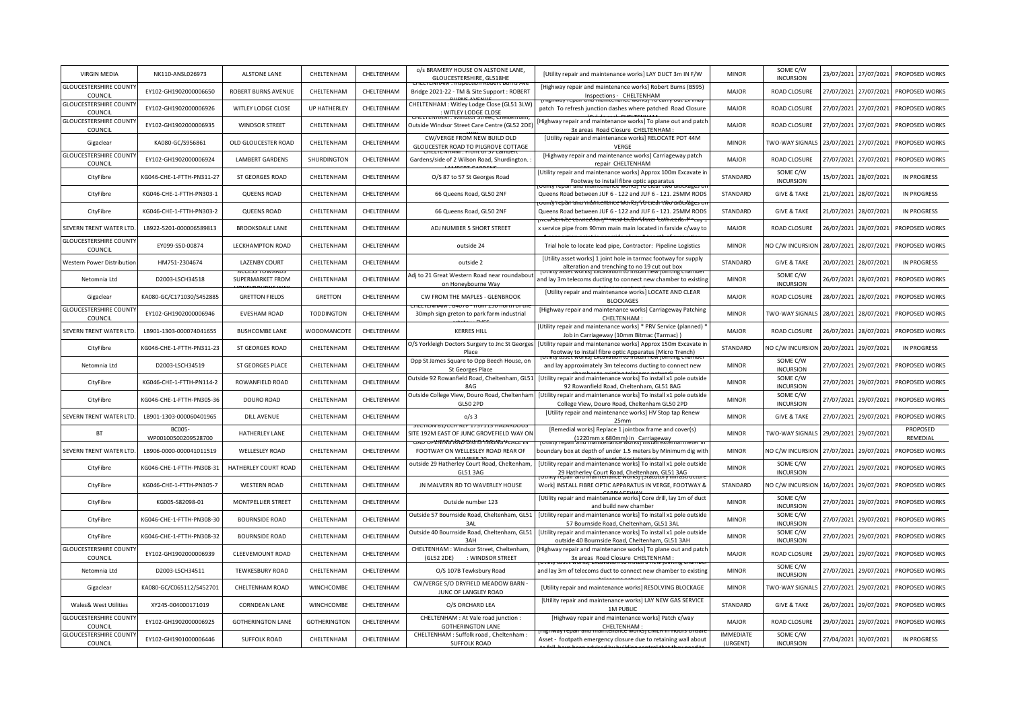| <b>VIRGIN MEDIA</b>                     | NK110-ANSL026973              | <b>ALSTONE LANE</b>      | CHELTENHAM          | CHELTENHAM | o/s BRAMERY HOUSE ON ALSTONE LANE,<br>GLOUCESTERSHIRE, GL518HE                | [Utility repair and maintenance works] LAY DUCT 3m IN F/W                                                                          | <b>MINOR</b>                 | SOME C/W<br><b>INCURSION</b> | 23/07/2021 | 27/07/2021 | PROPOSED WORKS       |
|-----------------------------------------|-------------------------------|--------------------------|---------------------|------------|-------------------------------------------------------------------------------|------------------------------------------------------------------------------------------------------------------------------------|------------------------------|------------------------------|------------|------------|----------------------|
| <b>GLOUCESTERSHIRE COUNT</b><br>COUNCIL | EY102-GH1902000006650         | ROBERT BURNS AVENUE      | CHELTENHAM          | CHELTENHAM | Bridge 2021-22 - TM & Site Support: ROBERT                                    | [Highway repair and maintenance works] Robert Burns (B595)<br>Inspections - CHELTENHAM                                             | <b>MAJOR</b>                 | <b>ROAD CLOSURE</b>          | 27/07/2021 | 27/07/2021 | PROPOSED WORKS       |
| <b>GLOUCESTERSHIRE COUNT</b><br>COUNCIL | EY102-GH1902000006926         | WITLEY LODGE CLOSE       | <b>UP HATHERLEY</b> | CHELTENHAM | CHELTENHAM : Witley Lodge Close (GL51 3LW)<br>: WITLEY LODGE CLOSE            | patch To refresh junction dashes where patched Road Closure                                                                        | <b>MAJOR</b>                 | <b>ROAD CLOSURE</b>          | 27/07/2021 | 27/07/2021 | PROPOSED WORKS       |
| <b>GLOUCESTERSHIRE COUNT</b><br>COUNCIL | EY102-GH1902000006935         | <b>WINDSOR STREET</b>    | CHELTENHAM          | CHELTENHAM | Outside Windsor Street Care Centre (GL52 2DE)                                 | Highway repair and maintenance works] To plane out and patch<br>3x areas Road Closure CHELTENHAM                                   | <b>MAJOR</b>                 | <b>ROAD CLOSURE</b>          | 27/07/2021 | 27/07/2021 | PROPOSED WORKS       |
| Gigaclear                               | KA080-GC/S956861              | OLD GLOUCESTER ROAD      | CHELTENHAM          | CHELTENHAM | CW/VERGE FROM NEW BUILD OLD<br>GLOUCESTER ROAD TO PILGROVE COTTAGE            | [Utility repair and maintenance works] RELOCATE POT 44M<br>VERGE                                                                   | <b>MINOR</b>                 | TWO-WAY SIGNALS              | 23/07/2021 | 27/07/2021 | PROPOSED WORKS       |
| <b>GLOUCESTERSHIRE COUNT</b><br>COUNCIL | EY102-GH1902000006924         | <b>LAMBERT GARDENS</b>   | SHURDINGTON         | CHELTENHAM | Gardens/side of 2 Wilson Road, Shurdington.                                   | [Highway repair and maintenance works] Carriageway patch<br>repair CHELTENHAM                                                      | <b>MAJOR</b>                 | <b>ROAD CLOSURE</b>          | 27/07/2021 | 27/07/2021 | PROPOSED WORKS       |
| CityFibre                               | KG046-CHE-1-FTTH-PN311-27     | <b>ST GEORGES ROAD</b>   | CHELTENHAM          | CHELTENHAM | O/S 87 to 57 St Georges Road                                                  | [Utility repair and maintenance works] Approx 100m Excavate ir<br>Footway to install fibre optic apparatus                         | STANDARD                     | SOME C/W<br><b>INCURSION</b> | 15/07/2021 | 28/07/2021 | <b>IN PROGRESS</b>   |
| CityFibre                               | KG046-CHE-1-FTTH-PN303-1      | <b>QUEENS ROAD</b>       | CHELTENHAM          | CHELTENHAM | 66 Queens Road, GL50 2NF                                                      | Queens Road between JUF 6 - 122 and JUF 6 - 121. 25MM RODS<br>and mannenance works; ho crear two orborages                         | STANDARD                     | <b>GIVE &amp; TAKE</b>       | 21/07/2021 | 28/07/2021 | <b>IN PROGRESS</b>   |
| CityFibre                               | KG046-CHE-1-FTTH-PN303-2      | <b>QUEENS ROAD</b>       | CHELTENHAM          | CHELTENHAM | 66 Queens Road, GL50 2NF                                                      | Queens Road between JUF 6 - 122 and JUF 6 - 121. 25MM RODS                                                                         | STANDARD                     | <b>GIVE &amp; TAKE</b>       | 21/07/2021 | 28/07/2021 | <b>IN PROGRESS</b>   |
| SEVERN TRENT WATER LTD                  | LB922-5201-000006589813       | <b>BROOKSDALE LANE</b>   | CHELTENHAM          | CHELTENHAM | ADJ NUMBER 5 SHORT STREET                                                     | x service pipe from 90mm main main located in farside c/way to                                                                     | <b>MAJOR</b>                 | ROAD CLOSURE                 | 26/07/2021 | 28/07/2021 | PROPOSED WORKS       |
| <b>GLOUCESTERSHIRE COUNT</b><br>COUNCIL | EY099-S50-00874               | LECKHAMPTON ROAD         | CHELTENHAM          | CHELTENHAM | outside 24                                                                    | Trial hole to locate lead pipe, Contractor: Pipeline Logistics                                                                     | <b>MINOR</b>                 | NO C/W INCURSION             | 28/07/2021 | 28/07/2021 | PROPOSED WORKS       |
| Western Power Distribution              | HM751-2304674                 | LAZENBY COURT            | CHELTENHAM          | CHELTENHAM | outside 2                                                                     | [Utility asset works] 1 joint hole in tarmac footway for supply<br>alteration and trenching to no 19 cut out box                   | STANDARD                     | <b>GIVE &amp; TAKE</b>       | 20/07/2021 | 28/07/2021 | IN PROGRESS          |
| Netomnia Ltd                            | D2003-LSCH34518               | SUPERMARKET FROM         | CHELTENHAM          | CHELTENHAM | Adj to 21 Great Western Road near roundabout<br>on Honeybourne Way            | and lay 3m telecoms ducting to connect new chamber to existing                                                                     | <b>MINOR</b>                 | SOME C/W<br><b>INCURSION</b> | 26/07/2021 | 28/07/2021 | PROPOSED WORKS       |
| Gigaclear                               | KA080-GC/C171030/S452885      | <b>GRETTON FIELDS</b>    | <b>GRETTON</b>      | CHELTENHAM | CW FROM THE MAPLES - GLENBROOK                                                | [Utility repair and maintenance works] LOCATE AND CLEAR<br><b>BLOCKAGES</b>                                                        | <b>MAJOR</b>                 | <b>ROAD CLOSURE</b>          | 28/07/2021 | 28/07/2021 | PROPOSED WORKS       |
| <b>GLOUCESTERSHIRE COUNT</b><br>COUNCIL | EY102-GH1902000006946         | <b>EVESHAM ROAD</b>      | <b>TODDINGTON</b>   | CHELTENHAM | 30mph sign greton to park farm industrial                                     | [Highway repair and maintenance works] Carriageway Patching<br>CHELTENHAM                                                          | <b>MINOR</b>                 | TWO-WAY SIGNALS              | 28/07/2021 | 28/07/2021 | PROPOSED WORKS       |
| SEVERN TRENT WATER LTD                  | LB901-1303-000074041655       | <b>BUSHCOMBE LANE</b>    | WOODMANCOTE         | CHELTENHAM | <b>KERRES HILL</b>                                                            | [Utility repair and maintenance works] * PRV Service (planned)<br>Job in Carriageway (10mm Bitmac (Tarmac))                        | <b>MAJOR</b>                 | ROAD CLOSURE                 | 26/07/2021 | 28/07/2021 | PROPOSED WORKS       |
| CityFibre                               | KG046-CHE-1-FTTH-PN311-23     | <b>ST GEORGES ROAD</b>   | CHELTENHAM          | CHELTENHAM | O/S Yorkleigh Doctors Surgery to Jnc St Georges<br>Place                      | [Utility repair and maintenance works] Approx 150m Excavate in<br>Footway to install fibre optic Apparatus (Micro Trench)          | STANDARD                     | NO C/W INCURSION             | 20/07/2021 | 29/07/2021 | <b>IN PROGRESS</b>   |
| Netomnia Ltd                            | D2003-LSCH34519               | <b>ST GEORGES PLACE</b>  | CHELTENHAM          | CHELTENHAM | Opp St James Square to Opp Beech House, on<br>St Georges Place                | and lay approximately 3m telecoms ducting to connect new                                                                           | <b>MINOR</b>                 | SOME C/W<br><b>INCURSION</b> | 27/07/2021 | 29/07/2021 | PROPOSED WORKS       |
| CityFibre                               | KG046-CHE-1-FTTH-PN114-2      | ROWANFIELD ROAD          | CHELTENHAM          | CHELTENHAM | Outside 92 Rowanfield Road, Cheltenham, GL51<br>8AG                           | [Utility repair and maintenance works] To install x1 pole outside<br>92 Rowanfield Road, Cheltenham, GL51 8AG                      | <b>MINOR</b>                 | SOME C/W<br><b>INCURSION</b> | 27/07/2021 | 29/07/2021 | PROPOSED WORKS       |
| CityFibre                               | KG046-CHE-1-FTTH-PN305-36     | DOURO ROAD               | CHELTENHAM          | CHELTENHAM | Outside College View, Douro Road, Cheltenham<br><b>GL50 2PD</b>               | [Utility repair and maintenance works] To install x1 pole outside<br>College View, Douro Road, Cheltenham GL50 2PD                 | <b>MINOR</b>                 | SOME C/W<br><b>INCURSION</b> | 27/07/2021 | 29/07/2021 | PROPOSED WORKS       |
| SEVERN TRENT WATER LTD                  | LB901-1303-000060401965       | <b>DILL AVENUE</b>       | CHELTENHAM          | CHELTENHAM | $o/s$ 3<br>SECTION 61/CCN NEF 1/3/115 NAZANDOUS                               | [Utility repair and maintenance works] HV Stop tap Renew<br>25mm                                                                   | <b>MINOR</b>                 | <b>GIVE &amp; TAKE</b>       | 27/07/2021 | 29/07/2021 | PROPOSED WORKS       |
| BT                                      | BC005-<br>WP00100500209528700 | HATHERLEY LANE           | CHELTENHAM          | CHELTENHAM | SITE 192M EAST OF JUNC GROVEFIELD WAY ON<br><del>LINNY KADDIUD IRRING Y</del> | [Remedial works] Replace 1 jointbox frame and cover(s)<br>(1220mm x 680mm) in Carriageway                                          | <b>MINOR</b>                 | TWO-WAY SIGNALS              | 29/07/2021 | 29/07/2021 | PROPOSED<br>REMEDIAL |
| SEVERN TRENT WATER LTD                  | LB906-0000-000041011519       | <b>WELLESLEY ROAD</b>    | CHELTENHAM          | CHELTENHAM | FOOTWAY ON WELLESLEY ROAD REAR OF                                             | poundary box at depth of under 1.5 meters by Minimum dig with                                                                      | <b>MINOR</b>                 | NO C/W INCURSION             | 27/07/2021 | 29/07/2021 | PROPOSED WORKS       |
| CityFibre                               | KG046-CHE-1-FTTH-PN308-31     | HATHERLEY COURT ROAD     | CHELTENHAM          | CHELTENHAM | outside 29 Hatherley Court Road, Cheltenham,<br><b>GL51 3AG</b>               | [Utility repair and maintenance works] To install x1 pole outside<br>29 Hatherley Court Road, Cheltenham, GL51 3AG                 | <b>MINOR</b>                 | SOME C/W<br><b>INCURSION</b> | 27/07/2021 | 29/07/2021 | PROPOSED WORKS       |
| CityFibre                               | KG046-CHE-1-FTTH-PN305-7      | <b>WESTERN ROAD</b>      | CHELTENHAM          | CHELTENHAM | JN MALVERN RD TO WAVERLEY HOUSE                                               | Work] INSTALL FIBRE OPTIC APPARATUS IN VERGE, FOOTWAY &                                                                            | STANDARD                     | NO C/W INCURSION             | 16/07/2021 | 29/07/2021 | PROPOSED WORKS       |
| CityFibre                               | KG005-S82098-01               | MONTPELLIER STREET       | CHELTENHAM          | CHELTENHAM | Outside number 123                                                            | [Utility repair and maintenance works] Core drill, lay 1m of duct<br>and build new chamber                                         | <b>MINOR</b>                 | SOME C/W<br><b>INCURSION</b> | 27/07/2021 | 29/07/2021 | PROPOSED WORKS       |
| CityFibre                               | KG046-CHE-1-FTTH-PN308-30     | <b>BOURNSIDE ROAD</b>    | CHELTENHAM          | CHELTENHAM | Outside 57 Bournside Road, Cheltenham, GL51<br>3AI                            | [Utility repair and maintenance works] To install x1 pole outside<br>57 Bournside Road, Cheltenham, GL51 3AL                       | <b>MINOR</b>                 | SOME C/W<br><b>INCURSION</b> | 27/07/2021 | 29/07/2021 | PROPOSED WORKS       |
| CityFibre                               | KG046-CHE-1-FTTH-PN308-32     | <b>BOURNSIDE ROAD</b>    | CHELTENHAM          | CHELTENHAM | Outside 40 Bournside Road, Cheltenham, GL51<br>3AH                            | [Utility repair and maintenance works] To install x1 pole outside<br>outside 40 Bournside Road, Cheltenham, GL51 3AH               | <b>MINOR</b>                 | SOME C/W<br><b>INCURSION</b> | 27/07/2021 | 29/07/2021 | PROPOSED WORKS       |
| <b>GLOUCESTERSHIRE COUNT</b><br>COUNCIL | EY102-GH1902000006939         | <b>CLEEVEMOUNT ROAD</b>  | CHELTENHAM          | CHELTENHAM | CHELTENHAM : Windsor Street, Cheltenham,<br>(GL52 2DE)<br>: WINDSOR STREET    | Highway repair and maintenance works] To plane out and patch<br>3x areas Road Closure CHELTENHAM:<br>et worksj cxcavation to insta | <b>MAJOR</b>                 | <b>ROAD CLOSURE</b>          | 29/07/2021 | 29/07/2021 | PROPOSED WORKS       |
| Netomnia Ltd                            | D2003-LSCH34511               | <b>TEWKESBURY ROAD</b>   | CHELTENHAM          | CHELTENHAM | O/S 107B Tewksbury Road                                                       | and lay 3m of telecoms duct to connect new chamber to existing                                                                     | <b>MINOR</b>                 | SOME C/W<br><b>INCURSION</b> | 27/07/2021 | 29/07/2021 | PROPOSED WORKS       |
| Gigaclear                               | KA080-GC/C065112/S452701      | CHELTENHAM ROAD          | WINCHCOMBE          | CHELTENHAM | CW/VERGE S/O DRYFIELD MEADOW BARN -<br>JUNC OF LANGLEY ROAD                   | [Utility repair and maintenance works] RESOLVING BLOCKAGE                                                                          | <b>MINOR</b>                 | TWO-WAY SIGNALS              | 27/07/2021 | 29/07/2021 | PROPOSED WORKS       |
| Wales& West Utilities                   | XY245-004000171019            | <b>CORNDEAN LANE</b>     | <b>WINCHCOMBE</b>   | CHELTENHAM | O/S ORCHARD LEA                                                               | [Utility repair and maintenance works] LAY NEW GAS SERVICE<br><b>1M PUBLIC</b>                                                     | STANDARD                     | <b>GIVE &amp; TAKE</b>       | 26/07/2021 | 29/07/2021 | PROPOSED WORKS       |
| <b>GLOUCESTERSHIRE COUNT</b><br>COUNCIL | EY102-GH1902000006925         | <b>GOTHERINGTON LANE</b> | <b>GOTHERINGTON</b> | CHELTENHAM | CHELTENHAM : At Vale road junction :<br><b>GOTHERINGTON LANE</b>              | [Highway repair and maintenance works] Patch c/way<br>CHELTENHAM:                                                                  | <b>MAJOR</b>                 | ROAD CLOSURE                 | 29/07/2021 | 29/07/2021 | PROPOSED WORKS       |
| <b>GLOUCESTERSHIRE COUNT</b><br>COUNCIL | EY102-GH1901000006446         | SUFFOLK ROAD             | CHELTENHAM          | CHELTENHAM | CHELTENHAM : Suffolk road, Cheltenham :<br><b>SUFFOLK ROAD</b>                | Asset - footpath emergency closure due to retaining wall about                                                                     | <b>IMMEDIATE</b><br>(URGENT) | SOME C/W<br><b>INCURSION</b> | 27/04/2021 | 30/07/2021 | <b>IN PROGRESS</b>   |
|                                         |                               |                          |                     |            |                                                                               |                                                                                                                                    |                              |                              |            |            |                      |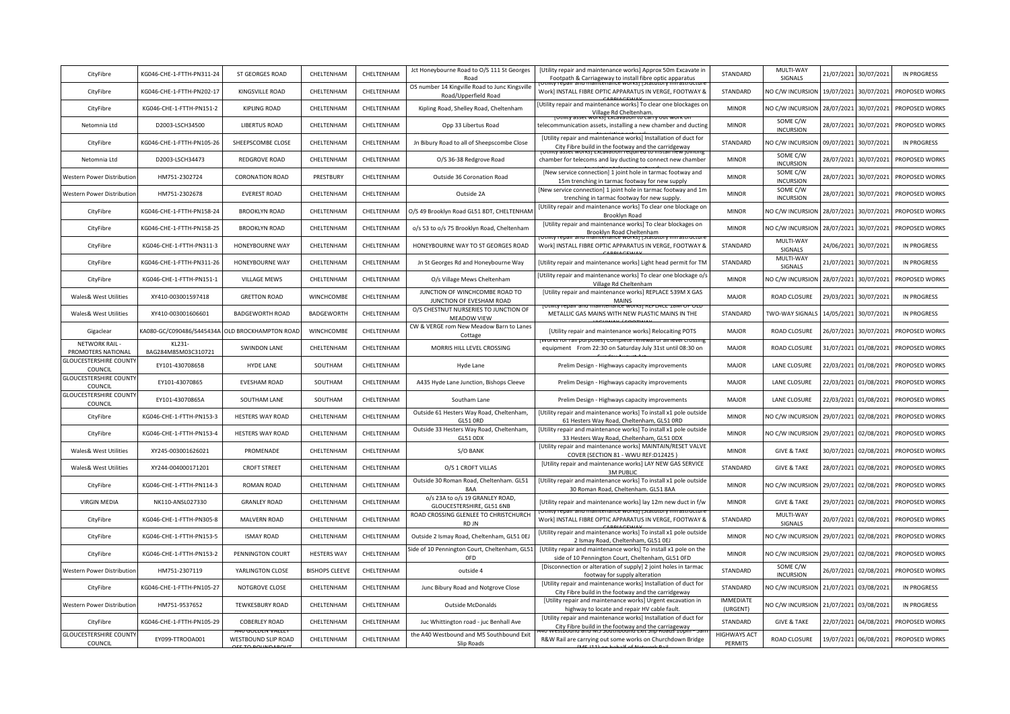| CityFibre                                   | KG046-CHE-1-FTTH-PN311-24     | <b>ST GEORGES ROAD</b>  | CHELTENHAM            | CHELTENHAM | Jct Honeybourne Road to O/S 111 St Georges<br>Road                     | [Utility repair and maintenance works] Approx 50m Excavate in<br>Footpath & Carriageway to install fibre optic apparatus                     | STANDARD                       | MULTI-WAY<br>SIGNALS         | 21/07/2021 | 30/07/2021 | <b>IN PROGRESS</b> |
|---------------------------------------------|-------------------------------|-------------------------|-----------------------|------------|------------------------------------------------------------------------|----------------------------------------------------------------------------------------------------------------------------------------------|--------------------------------|------------------------------|------------|------------|--------------------|
| CityFibre                                   | KG046-CHE-1-FTTH-PN202-17     | KINGSVILLE ROAD         | CHELTENHAM            | CHELTENHAM | OS number 14 Kingville Road to Junc Kingsville<br>Road/Upperfield Road | Work] INSTALL FIBRE OPTIC APPARATUS IN VERGE, FOOTWAY &                                                                                      | STANDARD                       | NO C/W INCURSION             | 19/07/2021 | 30/07/2021 | PROPOSED WORKS     |
| CityFibre                                   | KG046-CHE-1-FTTH-PN151-2      | <b>KIPLING ROAD</b>     | CHELTENHAM            | CHELTENHAM | Kipling Road, Shelley Road, Cheltenham                                 | Utility repair and maintenance works] To clear one blockages on<br>Village Rd Cheltenham                                                     | <b>MINOR</b>                   | NO C/W INCURSION             | 28/07/2021 | 30/07/2021 | PROPOSED WORKS     |
| Netomnia Ltd                                | D2003-LSCH34500               | <b>LIBERTUS ROAD</b>    | CHELTENHAM            | CHELTENHAM | Opp 33 Libertus Road                                                   | telecommunication assets, installing a new chamber and ducting                                                                               | <b>MINOR</b>                   | SOME C/W<br><b>INCURSION</b> | 28/07/2021 | 30/07/2021 | PROPOSED WORKS     |
| CityFibre                                   | KG046-CHE-1-FTTH-PN105-26     | SHEEPSCOMBE CLOSE       | CHELTENHAM            | CHELTENHAM | Jn Bibury Road to all of Sheepscombe Close                             | [Utility repair and maintenance works] Installation of duct for<br>City Fibre build in the footway and the carridgeway<br>iel Wulksi Excaval | STANDARD                       | NO C/W INCURSION             | 09/07/2021 | 30/07/2021 | <b>IN PROGRESS</b> |
| Netomnia Ltd                                | D2003-LSCH34473               | <b>REDGROVE ROAD</b>    | CHELTENHAM            | CHELTENHAM | O/S 36-38 Redgrove Road                                                | chamber for telecoms and lay ducting to connect new chamber                                                                                  | <b>MINOR</b>                   | SOME C/W<br><b>INCURSION</b> | 28/07/2021 | 30/07/2021 | PROPOSED WORKS     |
| Western Power Distributior                  | HM751-2302724                 | <b>CORONATION ROAD</b>  | PRESTBURY             | CHELTENHAM | Outside 36 Coronation Road                                             | [New service connection] 1 joint hole in tarmac footway and<br>15m trenching in tarmac footway for new supply                                | <b>MINOR</b>                   | SOME C/W<br><b>INCURSION</b> | 28/07/2021 | 30/07/2021 | PROPOSED WORKS     |
| Western Power Distribution                  | HM751-2302678                 | <b>EVEREST ROAD</b>     | CHELTENHAM            | CHELTENHAM | Outside 2A                                                             | [New service connection] 1 joint hole in tarmac footway and 1m<br>trenching in tarmac footway for new supply.                                | <b>MINOR</b>                   | SOME C/W<br><b>INCURSION</b> | 28/07/2021 | 30/07/2021 | PROPOSED WORKS     |
| CityFibre                                   | KG046-CHE-1-FTTH-PN158-24     | <b>BROOKLYN ROAD</b>    | CHELTENHAM            | CHELTENHAM | O/S 49 Brooklyn Road GL51 8DT, CHELTENHAM                              | [Utility repair and maintenance works] To clear one blockage on<br>Brooklyn Road                                                             | <b>MINOR</b>                   | NO C/W INCURSION             | 28/07/2021 | 30/07/2021 | PROPOSED WORKS     |
| CityFibre                                   | KG046-CHE-1-FTTH-PN158-25     | <b>BROOKLYN ROAD</b>    | CHELTENHAM            | CHELTENHAM | o/s 53 to o/s 75 Brooklyn Road, Cheltenham                             | [Utility repair and maintenance works] To clear blockages on<br>Brooklyn Road Cheltenham                                                     | <b>MINOR</b>                   | NO C/W INCURSION             | 28/07/2021 | 30/07/2021 | PROPOSED WORKS     |
| CityFibre                                   | KG046-CHE-1-FTTH-PN311-3      | HONEYBOURNE WAY         | CHELTENHAM            | CHELTENHAM | HONEYBOURNE WAY TO ST GEORGES ROAD                                     | Work] INSTALL FIBRE OPTIC APPARATUS IN VERGE, FOOTWAY &                                                                                      | STANDARD                       | MULTI-WAY<br>SIGNALS         | 24/06/2021 | 30/07/2021 | <b>IN PROGRESS</b> |
| CityFibre                                   | KG046-CHE-1-FTTH-PN311-26     | HONEYBOURNE WAY         | CHELTENHAM            | CHELTENHAM | Jn St Georges Rd and Honeybourne Way                                   | [Utility repair and maintenance works] Light head permit for TM                                                                              | STANDARD                       | MULTI-WAY<br>SIGNALS         | 21/07/2021 | 30/07/2021 | <b>IN PROGRESS</b> |
| CityFibre                                   | KG046-CHE-1-FTTH-PN151-1      | <b>VILLAGE MEWS</b>     | CHELTENHAM            | CHELTENHAM | O/s Village Mews Cheltenham                                            | [Utility repair and maintenance works] To clear one blockage o/s<br>Village Rd Cheltenham                                                    | <b>MINOR</b>                   | NO C/W INCURSION             | 28/07/2021 | 30/07/2021 | PROPOSED WORKS     |
| Wales& West Utilities                       | XY410-003001597418            | <b>GRETTON ROAD</b>     | WINCHCOMBE            | CHELTENHAM | JUNCTION OF WINCHCOMBE ROAD TO<br>JUNCTION OF EVESHAM ROAD             | [Utility repair and maintenance works] REPLACE 539M X GAS<br><b>MAINS</b>                                                                    | <b>MAJOR</b>                   | ROAD CLOSURE                 | 29/03/2021 | 30/07/2021 | <b>IN PROGRESS</b> |
| Wales& West Utilities                       | XY410-003001606601            | <b>BADGEWORTH ROAD</b>  | BADGEWORTH            | CHELTENHAM | O/S CHESTNUT NURSERIES TO JUNCTION OF<br><b>MEADOW VIEW</b>            | METALLIC GAS MAINS WITH NEW PLASTIC MAINS IN THE                                                                                             | STANDARD                       | TWO-WAY SIGNALS              | 14/05/2021 | 30/07/2021 | <b>IN PROGRESS</b> |
| Gigaclear                                   | KA080-GC/C090486/S445434A     | OLD BROCKHAMPTON ROAD   | WINCHCOMBE            | CHELTENHAM | CW & VERGE rom New Meadow Barn to Lanes<br>Cottage                     | [Utility repair and maintenance works] Relocaiting POTS                                                                                      | MAJOR                          | ROAD CLOSURE                 | 26/07/2021 | 30/07/2021 | PROPOSED WORKS     |
| <b>NETWORK RAIL -</b><br>PROMOTERS NATIONAL | KL231-<br>BAG284M85M03C310721 | <b>SWINDON LANE</b>     | CHELTENHAM            | CHELTENHAM | MORRIS HILL LEVEL CROSSING                                             | equipment From 22:30 on Saturday July 31st until 08:30 on                                                                                    | <b>MAJOR</b>                   | ROAD CLOSURE                 | 31/07/2021 | 01/08/2021 | PROPOSED WORKS     |
| <b>GLOUCESTERSHIRE COUNTY</b><br>COUNCIL    | EY101-43070865B               | HYDE LANE               | SOUTHAM               | CHELTENHAM | Hyde Lane                                                              | Prelim Design - Highways capacity improvements                                                                                               | <b>MAJOR</b>                   | LANE CLOSURE                 | 22/03/2021 | 01/08/2021 | PROPOSED WORKS     |
| <b>GLOUCESTERSHIRE COUNTY</b><br>COUNCIL    | EY101-43070865                | <b>EVESHAM ROAD</b>     | SOUTHAM               | CHELTENHAM | A435 Hyde Lane Junction, Bishops Cleeve                                | Prelim Design - Highways capacity improvements                                                                                               | <b>MAJOR</b>                   | LANE CLOSURE                 | 22/03/2021 | 01/08/2021 | PROPOSED WORKS     |
| <b>GLOUCESTERSHIRE COUNTY</b><br>COUNCIL    | EY101-43070865A               | SOUTHAM LANE            | SOUTHAM               | CHELTENHAM | Southam Lane                                                           | Prelim Design - Highways capacity improvements                                                                                               | <b>MAJOR</b>                   | LANE CLOSURE                 | 22/03/2021 | 01/08/2021 | PROPOSED WORKS     |
| CityFibre                                   | KG046-CHE-1-FTTH-PN153-3      | HESTERS WAY ROAD        | CHELTENHAM            | CHELTENHAM | Outside 61 Hesters Way Road, Cheltenham,<br><b>GL51 ORD</b>            | [Utility repair and maintenance works] To install x1 pole outside<br>61 Hesters Way Road, Cheltenham, GL51 ORD                               | <b>MINOR</b>                   | NO C/W INCURSION             | 29/07/2021 | 02/08/2021 | PROPOSED WORKS     |
| CityFibre                                   | KG046-CHE-1-FTTH-PN153-4      | <b>HESTERS WAY ROAD</b> | CHELTENHAM            | CHELTENHAM | Outside 33 Hesters Way Road, Cheltenham,<br><b>GL51 ODX</b>            | [Utility repair and maintenance works] To install x1 pole outside<br>33 Hesters Way Road, Cheltenham, GL51 0DX                               | <b>MINOR</b>                   | NO C/W INCURSION             | 29/07/2021 | 02/08/2021 | PROPOSED WORKS     |
| Wales& West Utilities                       | XY245-003001626021            | PROMENADE               | CHELTENHAM            | CHELTENHAM | S/O BANK                                                               | [Utility repair and maintenance works] MAINTAIN/RESET VALVE<br>COVER (SECTION 81 - WWU REF:D12425)                                           | <b>MINOR</b>                   | <b>GIVE &amp; TAKE</b>       | 30/07/2021 | 02/08/2021 | PROPOSED WORKS     |
| Wales& West Utilities                       | XY244-004000171201            | <b>CROFT STREET</b>     | CHELTENHAM            | CHELTENHAM | O/S 1 CROFT VILLAS                                                     | [Utility repair and maintenance works] LAY NEW GAS SERVICE<br><b>3M PUBLIC</b>                                                               | STANDARD                       | <b>GIVE &amp; TAKE</b>       | 28/07/2021 | 02/08/2021 | PROPOSED WORKS     |
| CityFibre                                   | KG046-CHE-1-FTTH-PN114-3      | <b>ROMAN ROAD</b>       | CHELTENHAM            | CHELTENHAM | Outside 30 Roman Road, Cheltenham. GL51<br>8AA                         | [Utility repair and maintenance works] To install x1 pole outside<br>30 Roman Road, Cheltenham. GL51 8AA                                     | <b>MINOR</b>                   | NO C/W INCURSION             | 29/07/2021 | 02/08/2021 | PROPOSED WORKS     |
| <b>VIRGIN MEDIA</b>                         | NK110-ANSL027330              | <b>GRANLEY ROAD</b>     | CHELTENHAM            | CHELTENHAM | o/s 23A to o/s 19 GRANLEY ROAD,<br>GLOUCESTERSHIRE, GL51 6NB           | [Utility repair and maintenance works] lay 12m new duct in f/w<br>ntenance worksr                                                            | <b>MINOR</b>                   | <b>GIVE &amp; TAKE</b>       | 29/07/2021 | 02/08/2021 | PROPOSED WORKS     |
| CityFibre                                   | KG046-CHE-1-FTTH-PN305-8      | MALVERN ROAD            | CHELTENHAM            | CHELTENHAM | ROAD CROSSING GLENLEE TO CHRISTCHURCH<br>RD JN                         | Work] INSTALL FIBRE OPTIC APPARATUS IN VERGE, FOOTWAY &                                                                                      | STANDARD                       | MULTI-WAY<br>SIGNALS         | 20/07/2021 | 02/08/2021 | PROPOSED WORKS     |
| CityFibre                                   | KG046-CHE-1-FTTH-PN153-5      | <b>ISMAY ROAD</b>       | CHELTENHAM            | CHELTENHAM | Outside 2 Ismay Road, Cheltenham, GL51 OEJ                             | [Utility repair and maintenance works] To install x1 pole outside<br>2 Ismay Road, Cheltenham, GL51 OEJ                                      | <b>MINOR</b>                   | NO C/W INCURSION             | 29/07/2021 | 02/08/2021 | PROPOSED WORKS     |
| CityFibre                                   | KG046-CHE-1-FTTH-PN153-2      | PENNINGTON COURT        | <b>HESTERS WAY</b>    | CHELTENHAM | Side of 10 Pennington Court, Cheltenham, GL51<br>0FD                   | [Utility repair and maintenance works] To install x1 pole on the<br>side of 10 Pennington Court, Cheltenham, GL51 OFD                        | <b>MINOR</b>                   | NO C/W INCURSION             | 29/07/2021 | 02/08/2021 | PROPOSED WORKS     |
| Western Power Distribution                  | HM751-2307119                 | YARLINGTON CLOSE        | <b>BISHOPS CLEEVE</b> | CHELTENHAM | outside 4                                                              | [Disconnection or alteration of supply] 2 joint holes in tarmac<br>footway for supply alteration                                             | STANDARD                       | SOME C/W<br><b>INCURSION</b> | 26/07/2021 | 02/08/2021 | PROPOSED WORKS     |
| CityFibre                                   | KG046-CHE-1-FTTH-PN105-27     | NOTGROVE CLOSE          | CHELTENHAM            | CHELTENHAM | Junc Bibury Road and Notgrove Close                                    | [Utility repair and maintenance works] Installation of duct for<br>City Fibre build in the footway and the carridgeway                       | STANDARD                       | NO C/W INCURSION             | 21/07/2021 | 03/08/2021 | <b>IN PROGRESS</b> |
| Western Power Distributior                  | HM751-9537652                 | <b>TEWKESBURY ROAD</b>  | CHELTENHAM            | CHELTENHAM | Outside McDonalds                                                      | [Utility repair and maintenance works] Urgent excavation in<br>highway to locate and repair HV cable fault.                                  | <b>IMMEDIATE</b><br>(URGENT)   | NO C/W INCURSION             | 21/07/2021 | 03/08/2021 | <b>IN PROGRESS</b> |
| CityFibre                                   | KG046-CHE-1-FTTH-PN105-29     | <b>COBERLEY ROAD</b>    | CHELTENHAM            | CHELTENHAM | Juc Whittington road - juc Benhall Ave                                 | [Utility repair and maintenance works] Installation of duct for<br>City Fibre build in the footway and the carriageway                       | STANDARD                       | <b>GIVE &amp; TAKE</b>       | 22/07/2021 | 04/08/2021 | PROPOSED WORKS     |
| <b>GLOUCESTERSHIRE COUNT</b><br>COUNCIL     | EY099-TTROOA001               | WESTBOUND SLIP ROAD     | CHELTENHAM            | CHELTENHAM | the A40 Westbound and M5 Southbound Exit<br>Slip Roads                 | R&W Rail are carrying out some works on Churchdown Bridge                                                                                    | <b>HIGHWAYS ACT</b><br>PERMITS | <b>ROAD CLOSURE</b>          | 19/07/2021 | 06/08/2021 | PROPOSED WORKS     |
|                                             |                               |                         |                       |            |                                                                        |                                                                                                                                              |                                |                              |            |            |                    |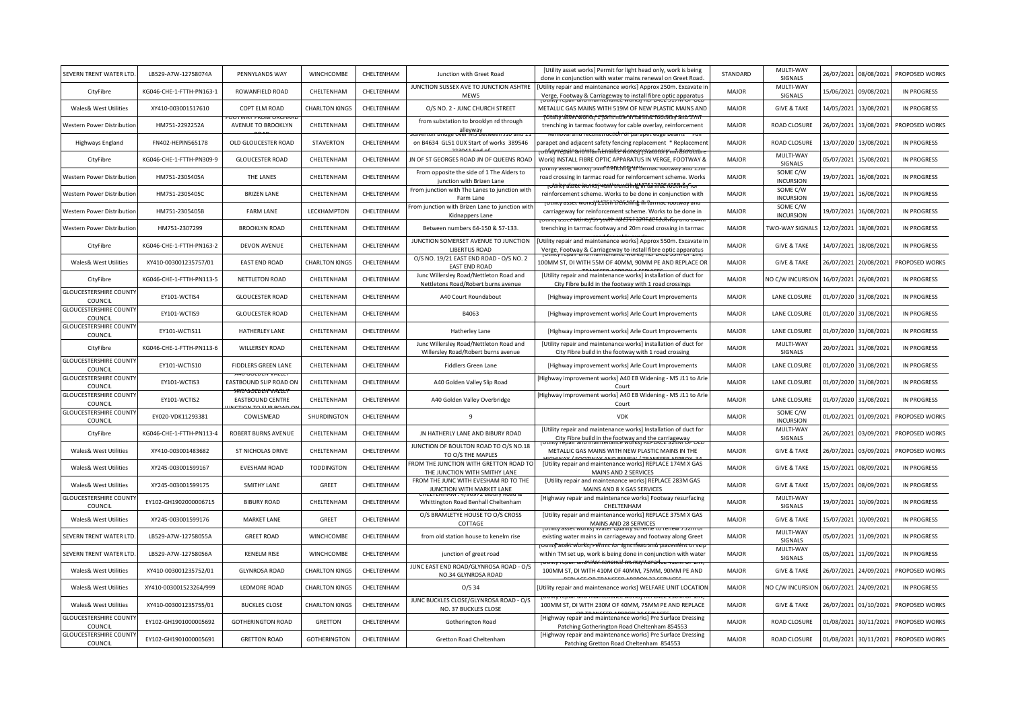| SEVERN TRENT WATER LTD.                  | LB529-A7W-12758074A      | PENNYLANDS WAY                                        | WINCHCOMBE            | CHELTENHAM | Junction with Greet Road                                                       | [Utility asset works] Permit for light head only, work is being<br>done in conjunction with water mains renewal on Greet Road.        | STANDARD     | MULTI-WAY<br>SIGNALS         | 26/07/2021 | 08/08/2021 | PROPOSED WORKS     |
|------------------------------------------|--------------------------|-------------------------------------------------------|-----------------------|------------|--------------------------------------------------------------------------------|---------------------------------------------------------------------------------------------------------------------------------------|--------------|------------------------------|------------|------------|--------------------|
| CityFibre                                | KG046-CHE-1-FTTH-PN163-1 | ROWANFIELD ROAD                                       | CHELTENHAM            | CHELTENHAM | JUNCTION SUSSEX AVE TO JUNCTION ASHTRE<br>MEWS                                 | [Utility repair and maintenance works] Approx 250m. Excavate in<br>Verge, Footway & Carriageway to install fibre optic apparatus      | <b>MAJOR</b> | MULTI-WAY<br>SIGNALS         | 15/06/2021 | 09/08/2021 | <b>IN PROGRESS</b> |
| Wales& West Utilities                    | XY410-003001517610       | COPT ELM ROAD                                         | <b>CHARLTON KINGS</b> | CHELTENHAM | O/S NO. 2 - JUNC CHURCH STREET                                                 | METALLIC GAS MAINS WITH 519M OF NEW PLASTIC MAINS AND                                                                                 | <b>MAJOR</b> | <b>GIVE &amp; TAKE</b>       | 14/05/2021 | 13/08/2021 | <b>IN PROGRESS</b> |
| Western Power Distributior               | HM751-2292252A           | AVENUE TO BROOKLYN                                    | CHELTENHAM            | CHELTENHAM | from substation to brooklyn rd through<br>alleyway                             | trenching in tarmac footway for cable overlay, reinforcement                                                                          | <b>MAJOR</b> | ROAD CLOSURE                 | 26/07/2021 | 13/08/2021 | PROPOSED WORKS     |
| Highways England                         | FN402-HEPIN565178        | OLD GLOUCESTER ROAD                                   | <b>STAVERTON</b>      | CHELTENHAM | on B4634 GL51 OUX Start of works 389546                                        | mu reconstructi <b>on or</b> parapet euge<br>parapet and adjacent safety fencing replacement * Replacement                            | <b>MAJOR</b> | ROAD CLOSURE                 | 13/07/2020 | 13/08/2021 | <b>IN PROGRESS</b> |
| CityFibre                                | KG046-CHE-1-FTTH-PN309-9 | <b>GLOUCESTER ROAD</b>                                | CHELTENHAM            | CHELTENHAM | JN OF ST GEORGES ROAD JN OF QUEENS ROAD                                        | <del>tanfidenariter works pysta totory min astruct</del><br>Work] INSTALL FIBRE OPTIC APPARATUS IN VERGE, FOOTWAY &                   | <b>MAJOR</b> | MULTI-WAY<br>SIGNALS         | 05/07/2021 | 15/08/2021 | <b>IN PROGRESS</b> |
| Western Power Distributior               | HM751-2305405A           | THE LANES                                             | CHELTENHAM            | CHELTENHAM | From opposite the side of 1 The Alders to<br>junction with Brizen Lane         | วเทเพ asset worksr <del>วจาก ใช้ PN ใก่กี่นี่ "If Yarmac root</del> w<br>road crossing in tarmac road for reinforcement scheme. Works | <b>MAJOR</b> | SOME C/W<br><b>INCURSION</b> | 19/07/2021 | 16/08/2021 | <b>IN PROGRESS</b> |
| Western Power Distribution               | HM751-2305405C           | <b>BRIZEN LANE</b>                                    | CHELTENHAM            | CHELTENHAM | From junction with The Lanes to junction with<br>Farm Lane                     | rotnitv alsser worksi vanti trentithrich in Tannac 100 Mavno<br>reinforcement scheme. Works to be done in conjunction with            | <b>MAJOR</b> | SOME C/W<br><b>INCURSION</b> | 19/07/2021 | 16/08/2021 | <b>IN PROGRESS</b> |
| Western Power Distributior               | HM751-2305405B           | <b>FARM LANE</b>                                      | LECKHAMPTON           | CHELTENHAM | rom junction with Brizen Lane to junction with<br>Kidnappers Lane              | ity asset worksj' <del>'2178f1'\î'êficînfi</del> ĝ fli tarm<br>carriageway for reinforcement scheme. Works to be done in              | MAJOR        | SOME C/W<br><b>INCURSION</b> | 19/07/2021 | 16/08/2021 | <b>IN PROGRESS</b> |
| Western Power Distribution               | HM751-2307299            | <b>BROOKLYN ROAD</b>                                  | CHELTENHAM            | CHELTENHAM | Between numbers 64-150 & 57-133.                                               | otmty asset wórksj's / joriit riches fif tanfrac footway and zee<br>trenching in tarmac footway and 20m road crossing in tarmac       | <b>MAJOR</b> | TWO-WAY SIGNALS              | 12/07/2021 | 18/08/2021 | <b>IN PROGRESS</b> |
| CityFibre                                | KG046-CHE-1-FTTH-PN163-2 | <b>DEVON AVENUE</b>                                   | CHELTENHAM            | CHELTENHAM | JUNCTION SOMERSET AVENUE TO JUNCTION<br><b>LIBERTUS ROAD</b>                   | Utility repair and maintenance works] Approx 550m. Excavate in<br>Verge, Footway & Carriageway to install fibre optic apparatus       | <b>MAJOR</b> | <b>GIVE &amp; TAKE</b>       | 14/07/2021 | 18/08/2021 | <b>IN PROGRESS</b> |
| Wales& West Utilities                    | XY410-003001235757/01    | <b>EAST END ROAD</b>                                  | <b>CHARLTON KINGS</b> | CHELTENHAM | O/S NO. 19/21 EAST END ROAD - O/S NO. 2<br><b>EAST END ROAD</b>                | 100MM ST, DI WITH 55M OF 40MM, 90MM PE AND REPLACE OR                                                                                 | MAJOR        | <b>GIVE &amp; TAKE</b>       | 26/07/2021 | 20/08/2021 | PROPOSED WORKS     |
| CityFibre                                | KG046-CHE-1-FTTH-PN113-5 | NETTLETON ROAD                                        | CHELTENHAM            | CHELTENHAM | Junc Willersley Road/Nettleton Road and<br>Nettletons Road/Robert burns avenue | [Utility repair and maintenance works] installation of duct for<br>City Fibre build in the footway with 1 road crossings              | <b>MAJOR</b> | NO C/W INCURSION             | 16/07/2021 | 26/08/2021 | <b>IN PROGRESS</b> |
| <b>GLOUCESTERSHIRE COUNTY</b><br>COUNCIL | EY101-WCTIS4             | <b>GLOUCESTER ROAD</b>                                | CHELTENHAM            | CHELTENHAM | A40 Court Roundabout                                                           | [Highway improvement works] Arle Court Improvements                                                                                   | <b>MAJOR</b> | LANE CLOSURE                 | 01/07/2020 | 31/08/2021 | <b>IN PROGRESS</b> |
| <b>GLOUCESTERSHIRE COUNTY</b><br>COUNCIL | EY101-WCTIS9             | <b>GLOUCESTER ROAD</b>                                | CHELTENHAM            | CHELTENHAM | B4063                                                                          | [Highway improvement works] Arle Court Improvements                                                                                   | <b>MAJOR</b> | LANE CLOSURE                 | 01/07/2020 | 31/08/2021 | <b>IN PROGRESS</b> |
| <b>GLOUCESTERSHIRE COUNTY</b><br>COUNCIL | EY101-WCTIS11            | <b>HATHERLEY LANE</b>                                 | CHELTENHAM            | CHELTENHAM | Hatherley Lane                                                                 | [Highway improvement works] Arle Court Improvements                                                                                   | MAJOR        | LANE CLOSURE                 | 01/07/2020 | 31/08/2021 | <b>IN PROGRESS</b> |
| CityFibre                                | KG046-CHE-1-FTTH-PN113-6 | <b>WILLERSEY ROAD</b>                                 | CHELTENHAM            | CHELTENHAM | Junc Willersley Road/Nettleton Road and<br>Willersley Road/Robert burns avenue | [Utility repair and maintenance works] installation of duct for<br>City Fibre build in the footway with 1 road crossing               | <b>MAJOR</b> | MULTI-WAY<br>SIGNALS         | 20/07/2021 | 31/08/2021 | <b>IN PROGRESS</b> |
| <b>GLOUCESTERSHIRE COUNTY</b><br>COUNCIL | EY101-WCTIS10            | FIDDLERS GREEN LANE                                   | CHELTENHAM            | CHELTENHAM | <b>Fiddlers Green Lane</b>                                                     | [Highway improvement works] Arle Court Improvements                                                                                   | <b>MAJOR</b> | LANE CLOSURE                 | 01/07/2020 | 31/08/2021 | <b>IN PROGRESS</b> |
| <b>GLOUCESTERSHIRE COUNTY</b><br>COUNCIL | EY101-WCTIS3             | EASTBOUND SLIP ROAD ON                                | CHELTENHAM            | CHELTENHAM | A40 Golden Valley Slip Road                                                    | Highway improvement works] A40 EB Widening - M5 J11 to Arle<br>Court                                                                  | <b>MAJOR</b> | LANE CLOSURE                 | 01/07/2020 | 31/08/2021 | <b>IN PROGRESS</b> |
| <b>GLOUCESTERSHIRE COUNTY</b><br>COUNCIL | EY101-WCTIS2             | Y <del>oorden vall</del> e<br><b>EASTBOUND CENTRE</b> | CHELTENHAM            | CHELTENHAM | A40 Golden Valley Overbridge                                                   | Highway improvement works] A40 EB Widening - M5 J11 to Arle<br>Court                                                                  | MAJOR        | LANE CLOSURE                 | 01/07/2020 | 31/08/2021 | <b>IN PROGRESS</b> |
| <b>GLOUCESTERSHIRE COUNTY</b><br>COUNCIL | EY020-VDK11293381        | COWLSMEAD                                             | SHURDINGTON           | CHELTENHAM | 9                                                                              | <b>VDK</b>                                                                                                                            | <b>MAJOR</b> | SOME C/W<br><b>INCURSION</b> | 01/02/2021 | 01/09/2021 | PROPOSED WORKS     |
| CityFibre                                | KG046-CHE-1-FTTH-PN113-4 | <b>ROBERT BURNS AVENUE</b>                            | CHELTENHAM            | CHELTENHAM | JN HATHERLY LANE AND BIBURY ROAD                                               | [Utility repair and maintenance works] Installation of duct for<br>City Fibre build in the footway and the carriageway                | <b>MAJOR</b> | MULTI-WAY<br>SIGNALS         | 26/07/2021 | 03/09/2021 | PROPOSED WORKS     |
| Wales& West Utilities                    | XY410-003001483682       | ST NICHOLAS DRIVE                                     | CHELTENHAM            | CHELTENHAM | JUNCTION OF BOULTON ROAD TO O/S NO.18<br>TO O/S THE MAPLES                     | METALLIC GAS MAINS WITH NEW PLASTIC MAINS IN THE                                                                                      | <b>MAJOR</b> | <b>GIVE &amp; TAKE</b>       | 26/07/2021 | 03/09/2021 | PROPOSED WORKS     |
| Wales& West Utilities                    | XY245-003001599167       | <b>EVESHAM ROAD</b>                                   | <b>TODDINGTON</b>     | CHELTENHAM | FROM THE JUNCTION WITH GRETTON ROAD TO<br>THE JUNCTION WITH SMITHY LANE        | [Utility repair and maintenance works] REPLACE 174M X GAS<br>MAINS AND 2 SERVICES                                                     | <b>MAJOR</b> | <b>GIVE &amp; TAKE</b>       | 15/07/2021 | 08/09/2021 | <b>IN PROGRESS</b> |
| Wales& West Utilities                    | XY245-003001599175       | <b>SMITHY LANE</b>                                    | GREET                 | CHELTENHAM | FROM THE JUNC WITH EVESHAM RD TO THE<br>JUNCTION WITH MARKET LANE              | [Utility repair and maintenance works] REPLACE 283M GAS<br>MAINS AND 8 X GAS SERVICES                                                 | <b>MAJOR</b> | <b>GIVE &amp; TAKE</b>       | 15/07/2021 | 08/09/2021 | <b>IN PROGRESS</b> |
| <b>GLOUCESTERSHIRE COUNT</b><br>COUNCIL  | EY102-GH1902000006715    | <b>BIBURY ROAD</b>                                    | CHELTENHAM            | CHELTENHAM | Whittington Road Benhall Cheltenham                                            | [Highway repair and maintenance works] Footway resurfacing<br>CHELTENHAM                                                              | <b>MAJOR</b> | MULTI-WAY<br>SIGNALS         | 19/07/2021 | 10/09/2021 | <b>IN PROGRESS</b> |
| Wales& West Utilities                    | XY245-003001599176       | <b>MARKET LANE</b>                                    | GREET                 | CHELTENHAM | O/S BRAMLETYE HOUSE TO O/S CROSS<br>COTTAGE                                    | [Utility repair and maintenance works] REPLACE 375M X GAS<br>MAINS AND 28 SERVICES                                                    | <b>MAJOR</b> | <b>GIVE &amp; TAKE</b>       | 15/07/2021 | 10/09/2021 | <b>IN PROGRESS</b> |
| SEVERN TRENT WATER LTD                   | LB529-A7W-12758055A      | <b>GREET ROAD</b>                                     | WINCHCOMBE            | CHELTENHAM | from old station house to kenelm rise                                          | existing water mains in carriageway and footway along Greet<br><del>rounty asset worksjied mit for itgin rfeau and piacen</del>       | <b>MAJOR</b> | MULTI-WAY<br>SIGNALS         | 05/07/2021 | 11/09/2021 | <b>IN PROGRESS</b> |
| SEVERN TRENT WATER LTD                   | LB529-A7W-12758056A      | <b>KENELM RISE</b>                                    | WINCHCOMBE            | CHELTENHAM | junction of greet road                                                         | within TM set up, work is being done in conjunction with water<br>ity repair and maintenance worksj KentACe 410M On                   | <b>MAJOR</b> | MULTI-WAY<br>SIGNALS         | 05/07/2021 | 11/09/2021 | <b>IN PROGRESS</b> |
| Wales& West Utilities                    | XY410-003001235752/01    | <b>GLYNROSA ROAD</b>                                  | <b>CHARLTON KINGS</b> | CHELTENHAM | JUNC EAST END ROAD/GLYNROSA ROAD - O/S<br>NO.34 GLYNROSA ROAD                  | 100MM ST, DI WITH 410M OF 40MM, 75MM, 90MM PE AND                                                                                     | <b>MAJOR</b> | <b>GIVE &amp; TAKE</b>       | 26/07/2021 | 24/09/2021 | PROPOSED WORKS     |
| Wales& West Utilities                    | XY410-003001523264/999   | LEDMORE ROAD                                          | <b>CHARLTON KINGS</b> | CHELTENHAM | $O/S$ 34                                                                       | Utility repair and maintenance works] WELFARE UNIT LOCATION<br>and maintenance worksj KentACE 23                                      | <b>MAJOR</b> | NO C/W INCURSION             | 06/07/2021 | 24/09/2021 | <b>IN PROGRESS</b> |
| Wales& West Utilities                    | XY410-003001235755/01    | <b>BUCKLES CLOSE</b>                                  | <b>CHARLTON KINGS</b> | CHELTENHAM | JUNC BUCKLES CLOSE/GLYNROSA ROAD - O/S<br>NO. 37 BUCKLES CLOSE                 | 100MM ST, DI WITH 230M OF 40MM, 75MM PE AND REPLACE                                                                                   | <b>MAJOR</b> | <b>GIVE &amp; TAKE</b>       | 26/07/2021 | 01/10/2021 | PROPOSED WORKS     |
| <b>GLOUCESTERSHIRE COUNT</b><br>COUNCIL  | EY102-GH1901000005692    | <b>GOTHERINGTON ROAD</b>                              | <b>GRETTON</b>        | CHELTENHAM | Gotherington Road                                                              | [Highway repair and maintenance works] Pre Surface Dressing<br>Patching Gotherington Road Cheltenham 854553                           | <b>MAJOR</b> | <b>ROAD CLOSURE</b>          | 01/08/2021 | 30/11/2021 | PROPOSED WORKS     |
| <b>GLOUCESTERSHIRE COUNT</b><br>COUNCIL  | EY102-GH1901000005691    | <b>GRETTON ROAD</b>                                   | <b>GOTHERINGTON</b>   | CHELTENHAM | Gretton Road Cheltenham                                                        | [Highway repair and maintenance works] Pre Surface Dressing<br>Patching Gretton Road Cheltenham 854553                                | <b>MAJOR</b> | ROAD CLOSURE                 | 01/08/2021 | 30/11/2021 | PROPOSED WORKS     |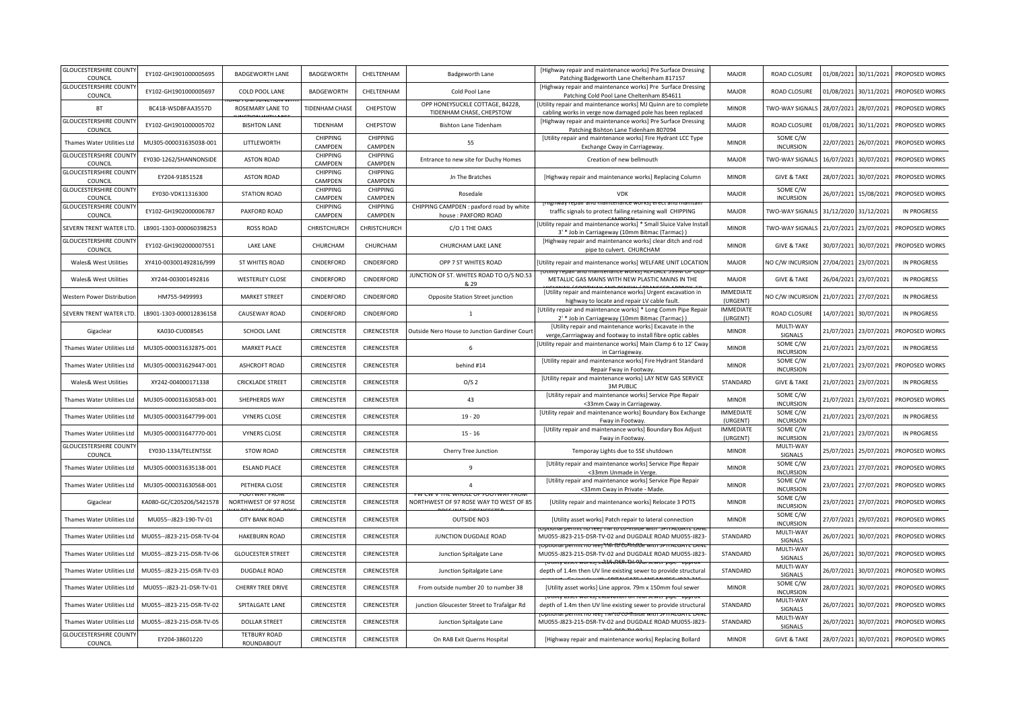| <b>GLOUCESTERSHIRE COUNT</b><br>COUNCIL  | EY102-GH1901000005695     | <b>BADGEWORTH LANE</b>                        | <b>BADGEWORTH</b>          | CHELTENHAM                 | Badgeworth Lane                                                                 | [Highway repair and maintenance works] Pre Surface Dressing<br>Patching Badgeworth Lane Cheltenham 817157                      | <b>MAJOR</b>                 | ROAD CLOSURE                 | 01/08/2021 | 30/11/2021            | PROPOSED WORKS     |
|------------------------------------------|---------------------------|-----------------------------------------------|----------------------------|----------------------------|---------------------------------------------------------------------------------|--------------------------------------------------------------------------------------------------------------------------------|------------------------------|------------------------------|------------|-----------------------|--------------------|
| <b>GLOUCESTERSHIRE COUNT</b><br>COUNCIL  | EY102-GH1901000005697     | COLD POOL LANE                                | BADGEWORTH                 | CHELTENHAM                 | Cold Pool Lane                                                                  | [Highway repair and maintenance works] Pre Surface Dressing<br>Patching Cold Pool Lane Cheltenham 854611                       | <b>MAJOR</b>                 | ROAD CLOSURE                 | 01/08/2021 | 30/11/2021            | PROPOSED WORKS     |
| <b>BT</b>                                | BC418-WSDBFAA3557D        | ROSEMARY LANE TO                              | TIDENHAM CHASE             | CHEPSTOW                   | OPP HONEYSUCKLE COTTAGE, B4228,<br>TIDENHAM CHASE, CHEPSTOW                     | Utility repair and maintenance works] MJ Quinn are to complete<br>cabling works in verge now damaged pole has been replaced    | <b>MINOR</b>                 | TWO-WAY SIGNALS              |            | 28/07/2021 28/07/2021 | PROPOSED WORKS     |
| <b>GLOUCESTERSHIRE COUNT</b><br>COUNCIL  | EY102-GH1901000005702     | <b>BISHTON LANE</b>                           | TIDENHAM                   | CHEPSTOW                   | Bishton Lane Tidenham                                                           | [Highway repair and maintenance works] Pre Surface Dressing<br>Patching Bishton Lane Tidenham 807094                           | <b>MAJOR</b>                 | ROAD CLOSURE                 | 01/08/2021 | 30/11/2021            | PROPOSED WORKS     |
| Thames Water Utilities Ltd               | MU305-000031635038-001    | LITTLEWORTH                                   | CHIPPING<br>CAMPDEN        | <b>CHIPPING</b><br>CAMPDEN | 55                                                                              | [Utility repair and maintenance works] Fire Hydrant LCC Type<br>Exchange Cway in Carriageway.                                  | <b>MINOR</b>                 | SOME C/W<br><b>INCURSION</b> | 22/07/2021 | 26/07/2021            | PROPOSED WORKS     |
| <b>GLOUCESTERSHIRE COUNT</b><br>COUNCIL  | EY030-1262/SHANNONSIDE    | <b>ASTON ROAD</b>                             | CHIPPING<br>CAMPDEN        | CHIPPING<br>CAMPDEN        | Entrance to new site for Duchy Homes                                            | Creation of new bellmouth                                                                                                      | <b>MAJOR</b>                 | <b>TWO-WAY SIGNALS</b>       | 16/07/2021 | 30/07/2021            | PROPOSED WORKS     |
| <b>GLOUCESTERSHIRE COUNTY</b><br>COUNCIL | EY204-91851528            | <b>ASTON ROAD</b>                             | CHIPPING<br>CAMPDEN        | CHIPPING<br>CAMPDEN        | Jn The Bratches                                                                 | [Highway repair and maintenance works] Replacing Column                                                                        | <b>MINOR</b>                 | <b>GIVE &amp; TAKE</b>       | 28/07/2021 | 30/07/2021            | PROPOSED WORKS     |
| <b>GLOUCESTERSHIRE COUNTY</b><br>COUNCIL | EY030-VDK11316300         | <b>STATION ROAD</b>                           | <b>CHIPPING</b><br>CAMPDEN | <b>CHIPPING</b><br>CAMPDEN | Rosedale                                                                        | <b>VDK</b>                                                                                                                     | <b>MAJOR</b>                 | SOME C/W<br><b>INCURSION</b> | 26/07/2021 | 15/08/2021            | PROPOSED WORKS     |
| <b>GLOUCESTERSHIRE COUNT</b><br>COUNCIL  | EY102-GH1902000006787     | PAXFORD ROAD                                  | CHIPPING<br>CAMPDEN        | CHIPPING<br>CAMPDEN        | CHIPPING CAMPDEN : paxford road by white<br>house: PAXFORD ROAD                 | traffic signals to protect failing retaining wall CHIPPING                                                                     | <b>MAJOR</b>                 | TWO-WAY SIGNALS              | 31/12/2020 | 31/12/2021            | <b>IN PROGRESS</b> |
| SEVERN TRENT WATER LTD                   | LB901-1303-000060398253   | <b>ROSS ROAD</b>                              | CHRISTCHURCH               | CHRISTCHURCH               | C/O 1 THE OAKS                                                                  | Utility repair and maintenance works] * Small Sluice Valve Install<br>3' * Job in Carriageway (10mm Bitmac (Tarmac))           | <b>MINOR</b>                 | TWO-WAY SIGNALS              | 21/07/2021 | 23/07/2021            | PROPOSED WORKS     |
| <b>GLOUCESTERSHIRE COUNT</b><br>COUNCIL  | EY102-GH1902000007551     | <b>LAKE LANE</b>                              | CHURCHAM                   | CHURCHAM                   | CHURCHAM LAKE LANE                                                              | [Highway repair and maintenance works] clear ditch and rod<br>pipe to culvert. CHURCHAM                                        | <b>MINOR</b>                 | <b>GIVE &amp; TAKE</b>       | 30/07/2021 | 30/07/2021            | PROPOSED WORKS     |
| Wales& West Utilities                    | XY410-003001492816/999    | ST WHITES ROAD                                | CINDERFORD                 | CINDERFORD                 | OPP 7 ST WHITES ROAD                                                            | Utility repair and maintenance works] WELFARE UNIT LOCATION                                                                    | <b>MAJOR</b>                 | NO C/W INCURSION             | 27/04/2021 | 23/07/2021            | <b>IN PROGRESS</b> |
| Wales& West Utilities                    | XY244-003001492816        | <b>WESTERLEY CLOSE</b>                        | CINDERFORD                 | CINDERFORD                 | JUNCTION OF ST. WHITES ROAD TO O/S NO.53<br>& 29                                | METALLIC GAS MAINS WITH NEW PLASTIC MAINS IN THE                                                                               | <b>MAJOR</b>                 | <b>GIVE &amp; TAKE</b>       | 26/04/2021 | 23/07/2021            | <b>IN PROGRESS</b> |
| Western Power Distributio                | HM755-9499993             | <b>MARKET STREET</b>                          | CINDERFORD                 | CINDERFORD                 | Opposite Station Street junction                                                | [Utility repair and maintenance works] Urgent excavation in<br>highway to locate and repair LV cable fault                     | <b>IMMEDIATE</b><br>(URGENT) | NO C/W INCURSION             | 21/07/2021 | 27/07/2021            | <b>IN PROGRESS</b> |
| SEVERN TRENT WATER LTD                   | LB901-1303-000012836158   | CAUSEWAY ROAD                                 | CINDERFORD                 | CINDERFORD                 | 1                                                                               | [Utility repair and maintenance works] * Long Comm Pipe Repair<br>2' * Job in Carriageway (10mm Bitmac (Tarmac))               | <b>IMMEDIATE</b><br>(URGENT) | ROAD CLOSURE                 | 14/07/2021 | 30/07/2021            | <b>IN PROGRESS</b> |
| Gigaclear                                | KA030-CU008545            | SCHOOL LANE                                   | CIRENCESTER                | <b>CIRENCESTER</b>         | <b>Dutside Nero House to Junction Gardiner Court</b>                            | [Utility repair and maintenance works] Excavate in the<br>verge, Carrriagway and footway to install fibre optic cables         | <b>MINOR</b>                 | MULTI-WAY<br>SIGNALS         | 21/07/2021 | 23/07/2021            | PROPOSED WORKS     |
| Thames Water Utilities Ltd               | MU305-000031632875-001    | <b>MARKET PLACE</b>                           | CIRENCESTER                | <b>CIRENCESTER</b>         | 6                                                                               | [Utility repair and maintenance works] Main Clamp 6 to 12' Cway<br>in Carriageway.                                             | <b>MINOR</b>                 | SOME C/W<br><b>INCURSION</b> | 21/07/2021 | 23/07/2021            | <b>IN PROGRESS</b> |
| Thames Water Utilities Ltd               | MU305-000031629447-001    | <b>ASHCROFT ROAD</b>                          | CIRENCESTER                | CIRENCESTER                | behind #14                                                                      | [Utility repair and maintenance works] Fire Hydrant Standard<br>Repair Fway in Footway.                                        | <b>MINOR</b>                 | SOME C/W<br><b>INCURSION</b> | 21/07/2021 | 23/07/2021            | PROPOSED WORKS     |
| Wales& West Utilities                    | XY242-004000171338        | <b>CRICKLADE STREET</b>                       | CIRENCESTER                | CIRENCESTER                | O/S <sub>2</sub>                                                                | [Utility repair and maintenance works] LAY NEW GAS SERVICE<br>3M PUBLIC                                                        | STANDARD                     | <b>GIVE &amp; TAKE</b>       |            | 21/07/2021 23/07/2021 | <b>IN PROGRESS</b> |
| Thames Water Utilities Ltd               | MU305-000031630583-001    | SHEPHERDS WAY                                 | CIRENCESTER                | CIRENCESTER                | 43                                                                              | [Utility repair and maintenance works] Service Pipe Repair<br><33mm Cway in Carriageway.                                       | <b>MINOR</b>                 | SOME C/W<br><b>INCURSION</b> | 21/07/2021 | 23/07/2021            | PROPOSED WORKS     |
| Thames Water Utilities Ltd               | MU305-000031647799-001    | <b>VYNERS CLOSE</b>                           | CIRENCESTER                | CIRENCESTER                | $19 - 20$                                                                       | [Utility repair and maintenance works] Boundary Box Exchange<br>Fway in Footway.                                               | <b>IMMEDIATE</b><br>(URGENT) | SOME C/W<br><b>INCURSION</b> | 21/07/2021 | 23/07/2021            | IN PROGRESS        |
| Thames Water Utilities Ltd               | MU305-000031647770-001    | <b>VYNERS CLOSE</b>                           | CIRENCESTER                | CIRENCESTER                | $15 - 16$                                                                       | [Utility repair and maintenance works] Boundary Box Adjust<br>Fway in Footway.                                                 | <b>IMMEDIATE</b><br>(URGENT) | SOME C/W<br><b>INCURSION</b> | 21/07/2021 | 23/07/2021            | <b>IN PROGRESS</b> |
| <b>GLOUCESTERSHIRE COUNT</b><br>COUNCIL  | EY030-1334/TELENTSSE      | <b>STOW ROAD</b>                              | CIRENCESTER                | CIRENCESTER                | Cherry Tree Junction                                                            | Temporay Lights due to SSE shutdown                                                                                            | <b>MINOR</b>                 | MULTI-WAY<br>SIGNALS         | 25/07/2021 | 25/07/2021            | PROPOSED WORKS     |
| Thames Water Utilities Ltd               | MU305-000031635138-001    | <b>ESLAND PLACE</b>                           | CIRENCESTER                | <b>CIRENCESTER</b>         | q                                                                               | [Utility repair and maintenance works] Service Pipe Repair<br><33mm Unmade in Verge.                                           | <b>MINOR</b>                 | SOME C/W<br><b>INCURSION</b> | 23/07/2021 | 27/07/2021            | PROPOSED WORKS     |
| Thames Water Utilities Ltd               | MU305-000031630568-001    | PETHERA CLOSE                                 | CIRENCESTER                | CIRENCESTER                | $\Delta$                                                                        | [Utility repair and maintenance works] Service Pipe Repair<br><33mm Cway in Private - Made.                                    | <b>MINOR</b>                 | SOME C/W<br><b>INCURSION</b> | 23/07/2021 | 27/07/2021            | PROPOSED WORKS     |
| Gigaclear                                | KA080-GC/C205206/S421578  | <b>THIS WAIT CALL</b><br>NORTHWEST OF 97 ROSE | CIRENCESTER                | CIRENCESTER                | <b>LW V IFIT WHUIT UF FUULWAL FAU</b><br>NORTHWEST OF 97 ROSE WAY TO WEST OF 85 | [Utility repair and maintenance works] Relocate 3 POTS                                                                         | <b>MINOR</b>                 | SOME C/W<br><b>INCURSION</b> | 23/07/2021 | 27/07/2021            | PROPOSED WORKS     |
| Thames Water Utilities Ltd               | MU055--J823-190-TV-01     | <b>CITY BANK ROAD</b>                         | CIRENCESTER                | CIRENCESTER                | <b>OUTSIDE NO3</b>                                                              | [Utility asset works] Patch repair to lateral connection                                                                       | <b>MINOR</b>                 | SOME C/W<br><b>INCURSION</b> | 27/07/2021 | 29/07/2021            | PROPOSED WORKS     |
| Thames Water Utilities Ltd               | MU055--J823-215-DSR-TV-04 | <b>HAKEBURN ROAD</b>                          | CIRENCESTER                | CIRENCESTER                | JUNCTION DUGDALE ROAD                                                           | MU055-J823-215-DSR-TV-02 and DUGDALE ROAD MU055-J823-                                                                          | STANDARD                     | MULTI-WAY<br>SIGNALS         | 26/07/2021 | 30/07/2021            | PROPOSED WORKS     |
| Thames Water Utilities Ltd               | MU055--J823-215-DSR-TV-06 | <b>GLOUCESTER STREET</b>                      | CIRENCESTER                | CIRENCESTER                | Junction Spitalgate Lane                                                        | นบทสเ permit no reer ให้พี ใช้ ใบ-็ที่ที่พี่ใช้e with signation to ta<br>MU055-J823-215-DSR-TV-02 and DUGDALE ROAD MU055-J823- | STANDARD                     | MULTI-WAY<br>SIGNALS         | 26/07/2021 | 30/07/2021            | PROPOSED WORKS     |
| Thames Water Utilities Ltd               | MU055--J823-215-DSR-TV-03 | DUGDALE ROAD                                  | CIRENCESTER                | CIRENCESTER                | Junction Spitalgate Lane                                                        | วเทเง asset worksi cxิใส่งิสโน๊ก้าปีทำปีนิทรewer pipe.<br>depth of 1.4m then UV line existing sewer to provide structural      | STANDARD                     | MULTI-WAY<br>SIGNALS         | 26/07/2021 | 30/07/2021            | PROPOSED WORKS     |
| Thames Water Utilities Ltd               | MU055--J823-21-DSR-TV-01  | <b>CHERRY TREE DRIVE</b>                      | <b>CIRENCESTER</b>         | CIRENCESTER                | From outside number 20 to number 38                                             | [Utility asset works] Line approx. 79m x 150mm foul sewer                                                                      | <b>MINOR</b>                 | SOME C/W<br><b>INCURSION</b> | 28/07/2021 | 30/07/2021            | PROPOSED WORKS     |
| Thames Water Utilities Ltd               | MU055--J823-215-DSR-TV-02 | SPITALGATE LANE                               | CIRENCESTER                | <b>CIRENCESTER</b>         | junction Gloucester Street to Trafalgar Rd                                      | <b>JOURNAL ASSET MOTIVE EXCAVATION ON TOUR SEWER</b><br>depth of 1.4m then UV line existing sewer to provide structural        | STANDARD                     | MULTI-WAY<br>SIGNALS         | 26/07/2021 | 30/07/2021            | PROPOSED WORKS     |
| Thames Water Utilities Ltd               | MU055--J823-215-DSR-TV-05 | <b>DOLLAR STREET</b>                          | CIRENCESTER                | CIRENCESTER                | Junction Spitalgate Lane                                                        | MU055-J823-215-DSR-TV-02 and DUGDALE ROAD MU055-J823-                                                                          | STANDARD                     | MULTI-WAY<br>SIGNALS         | 26/07/2021 | 30/07/2021            | PROPOSED WORKS     |
| <b>GLOUCESTERSHIRE COUNTY</b><br>COUNCIL | EY204-38601220            | <b>TETBURY ROAD</b><br>ROUNDABOUT             | <b>CIRENCESTER</b>         | <b>CIRENCESTER</b>         | On RAB Exit Querns Hospital                                                     | [Highway repair and maintenance works] Replacing Bollard                                                                       | <b>MINOR</b>                 | <b>GIVE &amp; TAKE</b>       | 28/07/2021 | 30/07/2021            | PROPOSED WORKS     |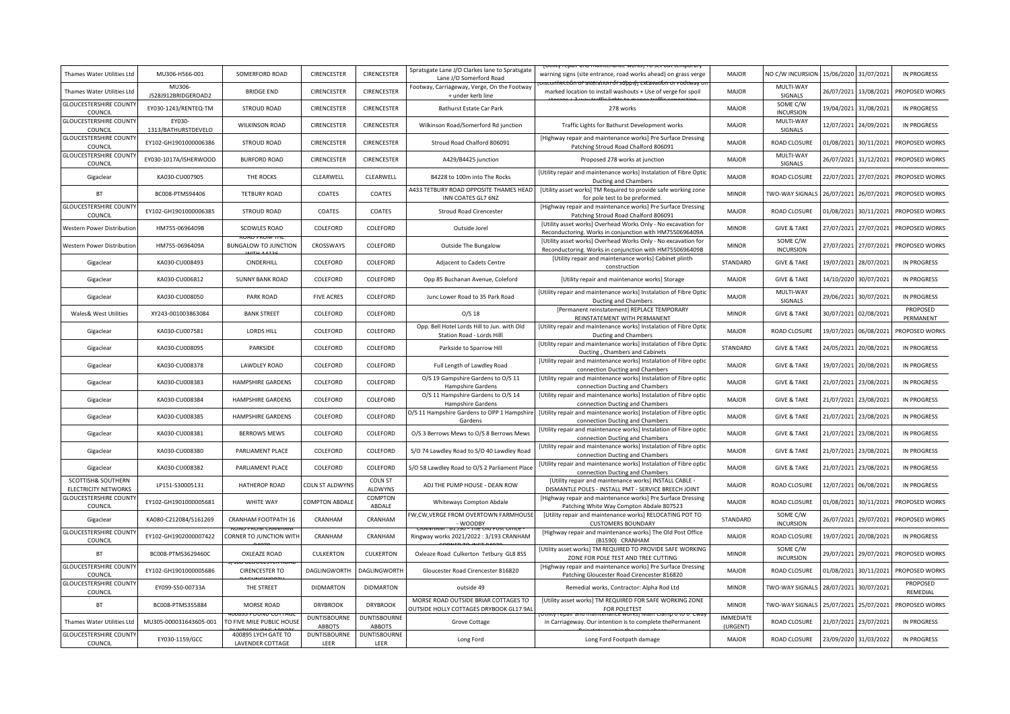| Thames Water Utilities Ltd                        | MU306-H566-001                | SOMERFORD ROAD                          | CIRENCESTER                          | CIRENCESTER                          | Spratsgate Lane J/O Clarkes lane to Spratsgate<br>Lane J/O Somerford Road       | (Othity repair and maintenance works) To set out tempora<br>warning signs (site entrance, road works ahead) on grass verge<br>hecuOn or anteration ór suppiyj extiavation or rodtway i | <b>MAJOR</b>                 | NO C/W INCURSION             | 15/06/2020 | 31/07/2021 | <b>IN PROGRESS</b>    |
|---------------------------------------------------|-------------------------------|-----------------------------------------|--------------------------------------|--------------------------------------|---------------------------------------------------------------------------------|----------------------------------------------------------------------------------------------------------------------------------------------------------------------------------------|------------------------------|------------------------------|------------|------------|-----------------------|
| Thames Water Utilities Ltd                        | MU306-<br>J528J912BRIDGEROAD2 | <b>BRIDGE END</b>                       | CIRENCESTER                          | CIRENCESTER                          | Footway, Carriageway, Verge, On the Footway<br>+ under kerb line                | marked location to install washouts + Use of verge for spoil                                                                                                                           | <b>MAJOR</b>                 | MULTI-WAY<br>SIGNALS         | 26/07/2021 | 13/08/2021 | PROPOSED WORKS        |
| <b>GLOUCESTERSHIRE COUNTY</b><br>COUNCIL          | EY030-1243/RENTEQ-TM          | <b>STROUD ROAD</b>                      | <b>CIRENCESTER</b>                   | <b>CIRENCESTER</b>                   | Bathurst Estate Car Park                                                        | 278 works                                                                                                                                                                              | <b>MAJOR</b>                 | SOME C/W<br><b>INCURSION</b> | 19/04/2021 | 31/08/2021 | <b>IN PROGRESS</b>    |
| <b>GLOUCESTERSHIRE COUNT</b><br>COUNCIL           | 1313/BATHURSTDEVELO           | <b>WILKINSON ROAD</b>                   | CIRENCESTER                          | CIRENCESTER                          | Wilkinson Road/Somerford Rd junction                                            | Traffic Lights for Bathurst Development works                                                                                                                                          | <b>MAJOR</b>                 | MULTI-WAY<br>SIGNALS         | 12/07/2021 | 24/09/2021 | <b>IN PROGRESS</b>    |
| <b>GLOUCESTERSHIRE COUNT</b><br>COUNCIL           | EY102-GH1901000006386         | <b>STROUD ROAD</b>                      | CIRENCESTER                          | CIRENCESTER                          | Stroud Road Chalford 806091                                                     | [Highway repair and maintenance works] Pre Surface Dressing<br>Patching Stroud Road Chalford 806091                                                                                    | <b>MAJOR</b>                 | <b>ROAD CLOSURE</b>          | 01/08/2021 | 30/11/2021 | PROPOSED WORKS        |
| <b>GLOUCESTERSHIRE COUNT</b><br>COUNCIL           | EY030-1017A/ISHERWOOD         | <b>BURFORD ROAD</b>                     | <b>CIRENCESTER</b>                   | CIRENCESTER                          | A429/B4425 junction                                                             | Proposed 278 works at junction                                                                                                                                                         | <b>MAJOR</b>                 | MULTI-WAY<br>SIGNALS         | 26/07/2021 | 31/12/2021 | PROPOSED WORKS        |
| Gigaclear                                         | KA030-CU007905                | THE ROCKS                               | CLEARWELL                            | CLEARWELL                            | B4228 to 100m into The Rocks                                                    | [Utility repair and maintenance works] Instalation of Fibre Optic<br>Ducting and Chambers                                                                                              | <b>MAJOR</b>                 | ROAD CLOSURE                 | 22/07/2021 | 27/07/2021 | PROPOSED WORKS        |
| <b>BT</b>                                         | BC008-PTMS94406               | <b>TETBURY ROAD</b>                     | COATES                               | COATES                               | A433 TETBURY ROAD OPPOSITE THAMES HEAD<br>INN COATES GL7 6NZ                    | [Utility asset works] TM Required to provide safe working zone<br>for pole test to be preformed.                                                                                       | <b>MINOR</b>                 | TWO-WAY SIGNALS              | 26/07/2021 | 26/07/2021 | PROPOSED WORKS        |
| <b>GLOUCESTERSHIRE COUNTY</b><br>COUNCIL          | EY102-GH1901000006385         | <b>STROUD ROAD</b>                      | COATES                               | COATES                               | <b>Stroud Road Cirencester</b>                                                  | [Highway repair and maintenance works] Pre Surface Dressing<br>Patching Stroud Road Chalford 806091                                                                                    | MAJOR                        | ROAD CLOSURE                 | 01/08/2021 | 30/11/2021 | PROPOSED WORKS        |
| <b>Nestern Power Distributior</b>                 | HM755-0696409B                | <b>SCOWLES ROAD</b>                     | COLEFORD                             | COLEFORD                             | Outside Jorel                                                                   | [Utility asset works] Overhead Works Only - No excavation for<br>Reconductoring. Works in conjunction with HM7550696409A                                                               | <b>MINOR</b>                 | <b>GIVE &amp; TAKE</b>       | 27/07/2021 | 27/07/2021 | PROPOSED WORKS        |
| Western Power Distribution                        | HM755-0696409A                | <b>BUNGALOW TO JUNCTION</b>             | CROSSWAYS                            | COLEFORD                             | Outside The Bungalow                                                            | [Utility asset works] Overhead Works Only - No excavation for<br>Reconductoring. Works in conjunction with HM7550696409B                                                               | <b>MINOR</b>                 | SOME C/W<br><b>INCURSION</b> | 27/07/2021 | 27/07/2021 | PROPOSED WORKS        |
| Gigaclear                                         | KA030-CU008493                | CINDERHILL                              | COLEFORD                             | COLEFORD                             | Adjacent to Cadets Centre                                                       | [Utility repair and maintenance works] Cabinet plinth<br>construction                                                                                                                  | STANDARD                     | <b>GIVE &amp; TAKE</b>       | 19/07/2021 | 28/07/2021 | <b>IN PROGRESS</b>    |
| Gigaclear                                         | KA030-CU006812                | <b>SUNNY BANK ROAD</b>                  | COLEFORD                             | COLEFORD                             | Opp 85 Buchanan Avenue, Coleford                                                | [Utility repair and maintenance works] Storage                                                                                                                                         | <b>MAJOR</b>                 | <b>GIVE &amp; TAKE</b>       | 14/10/2020 | 30/07/2021 | <b>IN PROGRESS</b>    |
| Gigaclear                                         | KA030-CU008050                | PARK ROAD                               | <b>FIVE ACRES</b>                    | COLEFORD                             | Junc Lower Road to 35 Park Road                                                 | [Utility repair and maintenance works] Instalation of Fibre Optic<br>Ducting and Chambers                                                                                              | <b>MAJOR</b>                 | MULTI-WAY<br>SIGNALS         | 29/06/2021 | 30/07/2021 | <b>IN PROGRESS</b>    |
| Wales& West Utilities                             | XY243-001003863084            | <b>BANK STREET</b>                      | COLEFORD                             | COLEFORD                             | $O/S$ 18                                                                        | [Permanent reinstatement] REPLACE TEMPORARY<br>REINSTATEMENT WITH PERMANENT                                                                                                            | <b>MINOR</b>                 | <b>GIVE &amp; TAKE</b>       | 30/07/2021 | 02/08/2021 | PROPOSED<br>PERMANENT |
| Gigaclear                                         | KA030-CU007581                | <b>LORDS HILL</b>                       | COLEFORD                             | COLEFORD                             | Opp. Bell Hotel Lords Hill to Jun. with Old<br>Station Road - Lords Hill        | [Utility repair and maintenance works] Instalation of Fibre Optic<br>Ducting and Chambers                                                                                              | <b>MAJOR</b>                 | <b>ROAD CLOSURE</b>          | 19/07/2021 | 06/08/2021 | PROPOSED WORKS        |
| Gigaclear                                         | KA030-CU008095                | PARKSIDE                                | COLEFORD                             | COLEFORD                             | Parkside to Sparrow Hill                                                        | [Utility repair and maintenance works] Instalation of Fibre Option<br>Ducting, Chambers and Cabinets                                                                                   | STANDARD                     | <b>GIVE &amp; TAKE</b>       | 24/05/2021 | 20/08/2021 | <b>IN PROGRESS</b>    |
| Gigaclear                                         | KA030-CU008378                | LAWDLEY ROAD                            | COLEFORD                             | COLEFORD                             | Full Length of Lawdley Road                                                     | [Utility repair and maintenance works] Instalation of Fibre optic<br>connection Ducting and Chambers                                                                                   | <b>MAJOR</b>                 | <b>GIVE &amp; TAKE</b>       | 19/07/2021 | 20/08/2021 | <b>IN PROGRESS</b>    |
| Gigaclear                                         | KA030-CU008383                | HAMPSHIRE GARDENS                       | COLEFORD                             | COLEFORD                             | O/S 19 Gampshire Gardens to O/S 11<br><b>Hampshire Gardens</b>                  | [Utility repair and maintenance works] Instalation of Fibre optic<br>connection Ducting and Chambers                                                                                   | <b>MAJOR</b>                 | <b>GIVE &amp; TAKE</b>       | 21/07/2021 | 23/08/2021 | <b>IN PROGRESS</b>    |
| Gigaclear                                         | KA030-CU008384                | <b>HAMPSHIRE GARDENS</b>                | COLEFORD                             | COLEFORD                             | O/S 11 Hampshire Gardens to O/S 14<br><b>Hampshire Gardens</b>                  | [Utility repair and maintenance works] Instalation of Fibre optic<br>connection Ducting and Chambers                                                                                   | <b>MAJOR</b>                 | <b>GIVE &amp; TAKE</b>       | 21/07/2021 | 23/08/2021 | <b>IN PROGRESS</b>    |
| Gigaclear                                         | KA030-CU008385                | <b>HAMPSHIRE GARDENS</b>                | COLEFORD                             | COLEFORD                             | O/S 11 Hampshire Gardens to OPP 1 Hampshire<br>Gardens                          | [Utility repair and maintenance works] Instalation of Fibre optic<br>connection Ducting and Chambers                                                                                   | <b>MAJOR</b>                 | <b>GIVE &amp; TAKE</b>       | 21/07/2021 | 23/08/2021 | <b>IN PROGRESS</b>    |
| Gigaclear                                         | KA030-CU008381                | <b>BERROWS MEWS</b>                     | COLEFORD                             | COLEFORD                             | O/S 3 Berrows Mews to O/S 8 Berrows Mews                                        | [Utility repair and maintenance works] Instalation of Fibre optic<br>connection Ducting and Chambers                                                                                   | <b>MAJOR</b>                 | <b>GIVE &amp; TAKE</b>       | 21/07/2021 | 23/08/2021 | <b>IN PROGRESS</b>    |
| Gigaclear                                         | KA030-CU008380                | PARLIAMENT PLACE                        | COLEFORD                             | COLEFORD                             | S/O 74 Lawdley Road to S/O 40 Lawdley Road                                      | [Utility repair and maintenance works] Instalation of Fibre optic<br>connection Ducting and Chambers                                                                                   | <b>MAJOR</b>                 | <b>GIVE &amp; TAKE</b>       | 21/07/2021 | 23/08/2021 | <b>IN PROGRESS</b>    |
| Gigaclear                                         | KA030-CU008382                | PARLIAMENT PLACE                        | COLEFORD                             | COLEFORD                             | S/O 58 Lawdley Road to O/S 2 Parliament Place                                   | [Utility repair and maintenance works] Instalation of Fibre optic<br>connection Ducting and Chambers                                                                                   | <b>MAJOR</b>                 | <b>GIVE &amp; TAKE</b>       | 21/07/2021 | 23/08/2021 | <b>IN PROGRESS</b>    |
| SCOTTISH& SOUTHERN<br><b>ELECTRICITY NETWORKS</b> | LP151-S30005131               | <b>HATHEROP ROAD</b>                    | COLN ST ALDWYNS                      | <b>COLN ST</b><br>ALDWYNS            | ADJ THE PUMP HOUSE - DEAN ROW                                                   | [Utility repair and maintenance works] INSTALL CABLE -<br>DISMANTLE POLES - INSTALL PMT - SERVICE BREECH JOINT                                                                         | <b>MAJOR</b>                 | <b>ROAD CLOSURE</b>          | 12/07/2021 | 06/08/2021 | <b>IN PROGRESS</b>    |
| <b>GLOUCESTERSHIRE COUNT</b><br>COUNCIL           | EY102-GH1901000005681         | WHITE WAY                               | <b>COMPTON ABDALE</b>                | COMPTON<br>ABDALE                    | Whiteways Compton Abdale                                                        | [Highway repair and maintenance works] Pre Surface Dressing<br>Patching White Way Compton Abdale 807523                                                                                | <b>MAJOR</b>                 | <b>ROAD CLOSURE</b>          | 01/08/2021 | 30/11/2021 | PROPOSED WORKS        |
| Gigaclear                                         | KA080-C212084/S161269         | CRANHAM FOOTPATH 16                     | CRANHAM                              | CRANHAM                              | W, CW, VERGE FROM OVERTOWN FARMHOUSE<br>- WOODBY                                | [Utility repair and maintenance works] RELOCATING POT TO<br><b>CUSTOMERS BOUNDARY</b>                                                                                                  | STANDARD                     | SOME C/W<br><b>INCURSION</b> | 26/07/2021 | 29/07/2021 | PROPOSED WORKS        |
| <b>GLOUCESTERSHIRE COUNT</b><br>COUNCIL           | EY102-GH1902000007422         | CORNER TO JUNCTION WITH                 | CRANHAM                              | CRANHAM                              | Ringway works 2021/2022 : 3/193 CRANHAM                                         | [Highway repair and maintenance works] The Old Post Office<br>(B1590) CRANHAM                                                                                                          | <b>MAJOR</b>                 | ROAD CLOSURE                 | 19/07/2021 | 20/08/2021 | <b>IN PROGRESS</b>    |
| <b>BT</b>                                         | BC008-PTMS3629460C            | <b>OXLEAZE ROAD</b>                     | CULKERTON                            | CULKERTON                            | Oxleaze Road Culkerton Tetbury GL8 8SS                                          | [Utility asset works] TM REQUIRED TO PROVIDE SAFE WORKING<br>ZONE FOR POLE TEST AND TREE CUTTING                                                                                       | <b>MINOR</b>                 | SOME C/W<br><b>INCURSION</b> | 29/07/2021 | 29/07/2021 | PROPOSED WORKS        |
| <b>GLOUCESTERSHIRE COUNTY</b><br>COUNCIL          | EY102-GH1901000005686         | <b>CIRENCESTER TO</b>                   | DAGLINGWORTH                         | DAGLINGWORTH                         | Gloucester Road Cirencester 816820                                              | [Highway repair and maintenance works] Pre Surface Dressing<br>Patching Gloucester Road Cirencester 816820                                                                             | <b>MAJOR</b>                 | ROAD CLOSURE                 | 01/08/2021 | 30/11/2021 | PROPOSED WORKS        |
| <b>GLOUCESTERSHIRE COUNTY</b><br>COUNCIL          | EY099-S50-00733A              | THE STREET                              | <b>DIDMARTON</b>                     | <b>DIDMARTON</b>                     | outside 49                                                                      | Remedial works, Contractor: Alpha Rod Ltd                                                                                                                                              | <b>MINOR</b>                 | TWO-WAY SIGNALS              | 28/07/2021 | 30/07/2021 | PROPOSED<br>REMEDIAL  |
| <b>BT</b>                                         | BC008-PTMS355884              | MORSE ROAD                              | <b>DRYBROOK</b>                      | <b>DRYBROOK</b>                      | MORSE ROAD OUTSIDE BRIAR COTTAGES TO<br>OUTSIDE HOLLY COTTAGES DRYBOOK GL17 9AL | [Utility asset works] TM REQUIRED FOR SAFE WORKING ZONE<br>FOR POLETEST                                                                                                                | <b>MINOR</b>                 | TWO-WAY SIGNALS              | 25/07/2021 | 25/07/2021 | PROPOSED WORKS        |
| Thames Water Utilities Ltd                        | MU305-000031643605-001        | TO FIVE MILE PUBLIC HOUSE               | <b>DUNTISBOURNE</b><br><b>ABBOTS</b> | <b>DUNTISBOURNE</b><br><b>ABBOTS</b> | Grove Cottage                                                                   | in Carriageway. Our intention is to complete thePermanent                                                                                                                              | <b>IMMEDIATE</b><br>(URGENT) | <b>ROAD CLOSURE</b>          | 21/07/2021 | 23/07/2021 | <b>IN PROGRESS</b>    |
| <b>GLOUCESTERSHIRE COUNTY</b><br>COUNCIL          | EY030-1159/GCC                | 400895 LYCH GATE TO<br>LAVENDER COTTAGE | <b>DUNTISBOURNE</b><br>LEER          | <b>DUNTISBOURNE</b><br>LEER          | Long Ford                                                                       | Long Ford Footpath damage                                                                                                                                                              | <b>MAJOR</b>                 | ROAD CLOSURE                 | 23/09/2020 | 31/03/2022 | <b>IN PROGRESS</b>    |
|                                                   |                               |                                         |                                      |                                      |                                                                                 |                                                                                                                                                                                        |                              |                              |            |            |                       |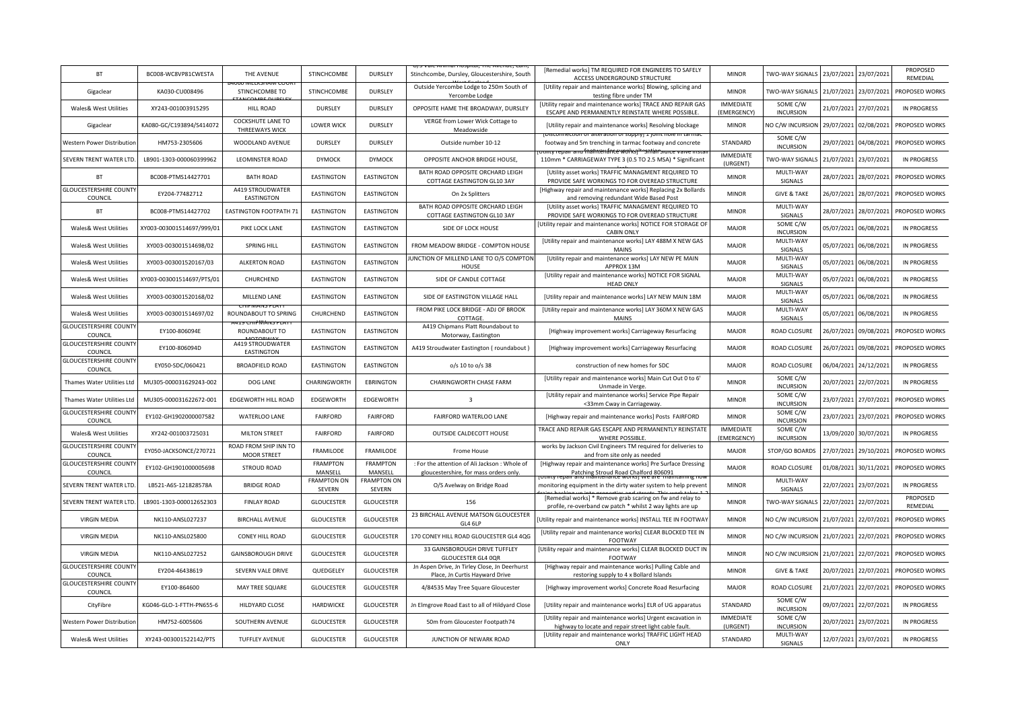| <b>BT</b>                                | BC008-WC8VP81CWESTA       | THE AVENUE                                        | STINCHCOMBE                  | DURSLEY                      | i nospital, The Avei<br>Stinchcombe, Dursley, Gloucestershire, South                   | [Remedial works] TM REQUIRED FOR ENGINEERS TO SAFELY<br>ACCESS UNDERGROUND STRUCTURE                                    | <b>MINOR</b>                    | TWO-WAY SIGNALS              | 23/07/2021 | 23/07/2021 | PROPOSED<br>REMEDIAL |
|------------------------------------------|---------------------------|---------------------------------------------------|------------------------------|------------------------------|----------------------------------------------------------------------------------------|-------------------------------------------------------------------------------------------------------------------------|---------------------------------|------------------------------|------------|------------|----------------------|
| Gigaclear                                | KA030-CU008496            | STINCHCOMBE TO                                    | STINCHCOMBE                  | <b>DURSLEY</b>               | Outside Yercombe Lodge to 250m South of<br>Yercombe Lodge                              | [Utility repair and maintenance works] Blowing, splicing and<br>testing fibre under TM                                  | <b>MINOR</b>                    | TWO-WAY SIGNALS              | 21/07/2021 | 23/07/2021 | PROPOSED WORKS       |
| Wales& West Utilities                    | XY243-001003915295        | <b>HILL ROAD</b>                                  | DURSLEY                      | DURSLEY                      | OPPOSITE HAME THE BROADWAY, DURSLEY                                                    | [Utility repair and maintenance works] TRACE AND REPAIR GAS<br>ESCAPE AND PERMANENTLY REINSTATE WHERE POSSIBLE.         | <b>IMMEDIATE</b><br>(EMERGENCY) | SOME C/W<br><b>INCURSION</b> | 21/07/2021 | 27/07/2021 | <b>IN PROGRESS</b>   |
| Gigaclear                                | KA080-GC/C193894/S414072  | <b>COCKSHUTE LANE TO</b><br><b>THREEWAYS WICK</b> | <b>LOWER WICK</b>            | DURSLEY                      | VERGE from Lower Wick Cottage to<br>Meadowside                                         | [Utility repair and maintenance works] Resolving blockage<br>i vi anerativni vi suppivi 1 ivinc noje n                  | <b>MINOR</b>                    | NO C/W INCURSION             | 29/07/2021 | 02/08/2021 | PROPOSED WORKS       |
| <b>Nestern Power Distribution</b>        | HM753-2305606             | WOODLAND AVENUE                                   | DURSLEY                      | DURSLEY                      | Outside number 10-12                                                                   | footway and 5m trenching in tarmac footway and concrete                                                                 | STANDARD                        | SOME C/W<br><b>INCURSION</b> | 29/07/2021 | 04/08/2021 | PROPOSED WORKS       |
| SEVERN TRENT WATER LTD                   | LB901-1303-000060399962   | LEOMINSTER ROAD                                   | <b>DYMOCK</b>                | <b>DYMOCK</b>                | OPPOSITE ANCHOR BRIDGE HOUSE,                                                          | 110mm * CARRIAGEWAY TYPE 3 (0.5 TO 2.5 MSA) * Significant                                                               | <b>IMMEDIATE</b><br>(URGENT)    | TWO-WAY SIGNALS              | 21/07/2021 | 23/07/2021 | IN PROGRESS          |
| BT                                       | BC008-PTMS14427701        | <b>BATH ROAD</b>                                  | <b>EASTINGTON</b>            | <b>EASTINGTON</b>            | BATH ROAD OPPOSITE ORCHARD LEIGH<br>COTTAGE EASTINGTON GL10 3AY                        | [Utility asset works] TRAFFIC MANAGMENT REQUIRED TO<br>PROVIDE SAFE WORKINGS TO FOR OVEREAD STRUCTURE                   | <b>MINOR</b>                    | MULTI-WAY<br>SIGNALS         | 28/07/2021 | 28/07/2021 | PROPOSED WORKS       |
| <b>GLOUCESTERSHIRE COUNTY</b><br>COUNCIL | EY204-77482712            | A419 STROUDWATER<br><b>EASTINGTON</b>             | EASTINGTON                   | <b>EASTINGTON</b>            | On 2x Splitters                                                                        | [Highway repair and maintenance works] Replacing 2x Bollards<br>and removing redundant Wide Based Post                  | <b>MINOR</b>                    | <b>GIVE &amp; TAKE</b>       | 26/07/2021 | 28/07/2021 | PROPOSED WORKS       |
| <b>BT</b>                                | BC008-PTMS14427702        | <b>EASTINGTON FOOTPATH 71</b>                     | <b>EASTINGTON</b>            | <b>EASTINGTON</b>            | BATH ROAD OPPOSITE ORCHARD LEIGH<br>COTTAGE EASTINGTON GL10 3AY                        | [Utility asset works] TRAFFIC MANAGMENT REQUIRED TO<br>PROVIDE SAFE WORKINGS TO FOR OVEREAD STRUCTURE                   | <b>MINOR</b>                    | MULTI-WAY<br>SIGNALS         | 28/07/2021 | 28/07/2021 | PROPOSED WORKS       |
| Wales& West Utilities                    | KY003-003001514697/999/01 | PIKE LOCK LANE                                    | EASTINGTON                   | EASTINGTON                   | SIDE OF LOCK HOUSE                                                                     | Utility repair and maintenance works] NOTICE FOR STORAGE OF<br><b>CABIN ONLY</b>                                        | MAJOR                           | SOME C/W<br><b>INCURSION</b> | 05/07/2021 | 06/08/2021 | <b>IN PROGRESS</b>   |
| Wales& West Utilities                    | XY003-003001514698/02     | SPRING HILL                                       | EASTINGTON                   | EASTINGTON                   | FROM MEADOW BRIDGE - COMPTON HOUSE                                                     | [Utility repair and maintenance works] LAY 488M X NEW GAS<br><b>MAINS</b>                                               | <b>MAJOR</b>                    | MULTI-WAY<br>SIGNALS         | 05/07/2021 | 06/08/2021 | <b>IN PROGRESS</b>   |
| Wales& West Utilities                    | XY003-003001520167/03     | <b>ALKERTON ROAD</b>                              | <b>EASTINGTON</b>            | <b>EASTINGTON</b>            | UNCTION OF MILLEND LANE TO O/S COMPTON<br>HOUSE                                        | [Utility repair and maintenance works] LAY NEW PE MAIN<br>APPROX 13M                                                    | <b>MAJOR</b>                    | MULTI-WAY<br>SIGNALS         | 05/07/2021 | 06/08/2021 | <b>IN PROGRESS</b>   |
| Wales& West Utilities                    | KY003-003001514697/PTS/01 | CHURCHEND                                         | EASTINGTON                   | EASTINGTON                   | SIDE OF CANDLE COTTAGE                                                                 | [Utility repair and maintenance works] NOTICE FOR SIGNAL<br><b>HEAD ONLY</b>                                            | <b>MAJOR</b>                    | MULTI-WAY<br>SIGNALS         | 05/07/2021 | 06/08/2021 | <b>IN PROGRESS</b>   |
| Wales& West Utilities                    | XY003-003001520168/02     | MILLEND LANE                                      | EASTINGTON                   | EASTINGTON                   | SIDE OF EASTINGTON VILLAGE HALL                                                        | [Utility repair and maintenance works] LAY NEW MAIN 18M                                                                 | <b>MAJOR</b>                    | MULTI-WAY<br>SIGNALS         | 05/07/2021 | 06/08/2021 | <b>IN PROGRESS</b>   |
| Wales& West Utilities                    | XY003-003001514697/02     | <b>CUP IVIAIN SPIAL</b><br>ROUNDABOUT TO SPRING   | CHURCHEND                    | <b>EASTINGTON</b>            | FROM PIKE LOCK BRIDGE - ADJ OF BROOK<br>COTTAGE                                        | [Utility repair and maintenance works] LAY 360M X NEW GAS<br><b>MAINS</b>                                               | <b>MAJOR</b>                    | MULTI-WAY<br>SIGNALS         | 05/07/2021 | 06/08/2021 | <b>IN PROGRESS</b>   |
| <b>GLOUCESTERSHIRE COUNT</b><br>COUNCIL  | EY100-806094E             | ROUNDABOUT TO                                     | <b>EASTINGTON</b>            | <b>EASTINGTON</b>            | A419 Chipmans Platt Roundabout to<br>Motorway, Eastington                              | [Highway improvement works] Carriageway Resurfacing                                                                     | <b>MAJOR</b>                    | ROAD CLOSURE                 | 26/07/2021 | 09/08/2021 | PROPOSED WORKS       |
| <b>GLOUCESTERSHIRE COUNTY</b><br>COUNCIL | EY100-806094D             | A419 STROUDWATER<br>EASTINGTON                    | EASTINGTON                   | EASTINGTON                   | A419 Stroudwater Eastington (roundabout)                                               | [Highway improvement works] Carriageway Resurfacing                                                                     | <b>MAJOR</b>                    | ROAD CLOSURE                 | 26/07/2021 | 09/08/2021 | PROPOSED WORKS       |
| <b>GLOUCESTERSHIRE COUNTY</b><br>COUNCIL | EY050-SDC/060421          | <b>BROADFIELD ROAD</b>                            | EASTINGTON                   | EASTINGTON                   | o/s 10 to o/s 38                                                                       | construction of new homes for SDC                                                                                       | <b>MAJOR</b>                    | ROAD CLOSURE                 | 06/04/2021 | 24/12/2021 | <b>IN PROGRESS</b>   |
| Thames Water Utilities Ltd               | MU305-000031629243-002    | DOG LANE                                          | CHARINGWORTH                 | <b>EBRINGTON</b>             | CHARINGWORTH CHASE FARM                                                                | [Utility repair and maintenance works] Main Cut Out 0 to 6'<br>Unmade in Verge.                                         | <b>MINOR</b>                    | SOME C/W<br><b>INCURSION</b> | 20/07/2021 | 22/07/2021 | <b>IN PROGRESS</b>   |
| Thames Water Utilities Ltd               | MU305-000031622672-001    | EDGEWORTH HILL ROAD                               | EDGEWORTH                    | EDGEWORTH                    | $\overline{\mathbf{3}}$                                                                | [Utility repair and maintenance works] Service Pipe Repair<br><33mm Cway in Carriageway.                                | <b>MINOR</b>                    | SOME C/W<br><b>INCURSION</b> | 23/07/2021 | 27/07/2021 | PROPOSED WORKS       |
| <b>GLOUCESTERSHIRE COUNT</b><br>COUNCIL  | EY102-GH1902000007582     | WATERLOO LANE                                     | <b>FAIRFORD</b>              | FAIRFORD                     | FAIRFORD WATERLOO LANE                                                                 | [Highway repair and maintenance works] Posts FAIRFORD                                                                   | <b>MINOR</b>                    | SOME C/W<br><b>INCURSION</b> | 23/07/2021 | 23/07/2021 | PROPOSED WORKS       |
| Wales& West Utilities                    | XY242-001003725031        | <b>MILTON STREET</b>                              | <b>FAIRFORD</b>              | <b>FAIRFORD</b>              | OUTSIDE CALDECOTT HOUSE                                                                | TRACE AND REPAIR GAS ESCAPE AND PERMANENTLY REINSTATE<br>WHERE POSSIBLE.                                                | <b>IMMEDIATE</b><br>(EMERGENCY) | SOME C/W<br><b>INCURSION</b> | 13/09/2020 | 30/07/2021 | <b>IN PROGRESS</b>   |
| <b>GLOUCESTERSHIRE COUNT</b><br>COUNCIL  | EY050-JACKSONCE/270721    | ROAD FROM SHIP INN TO<br><b>MOOR STREET</b>       | FRAMILODE                    | FRAMILODE                    | Frome House                                                                            | works by Jackson Civil Engineers TM required for deliveries to<br>and from site only as needed                          | <b>MAJOR</b>                    | STOP/GO BOARDS               | 27/07/2021 | 29/10/2021 | PROPOSED WORKS       |
| <b>GLOUCESTERSHIRE COUNT</b><br>COUNCIL  | EY102-GH1901000005698     | <b>STROUD ROAD</b>                                | <b>FRAMPTON</b><br>MANSELL   | <b>FRAMPTON</b><br>MANSELL   | : For the attention of Ali Jackson : Whole of<br>gloucestershire, for mass orders only | [Highway repair and maintenance works] Pre Surface Dressing<br>Patching Stroud Road Chalford 806091                     | <b>MAJOR</b>                    | <b>ROAD CLOSURE</b>          | 01/08/2021 | 30/11/2021 | PROPOSED WORKS       |
| SEVERN TRENT WATER LTD                   | LB521-A6S-121828578A      | <b>BRIDGE ROAD</b>                                | <b>FRAMPTON ON</b><br>SEVERN | <b>FRAMPTON ON</b><br>SEVERN | O/S Avelway on Bridge Road                                                             | monitoring equipment in the dirty water system to help preven                                                           | <b>MINOR</b>                    | MULTI-WAY<br>SIGNALS         | 22/07/2021 | 23/07/2021 | <b>IN PROGRESS</b>   |
| SEVERN TRENT WATER LTD                   | LB901-1303-000012652303   | <b>FINLAY ROAD</b>                                | <b>GLOUCESTER</b>            | <b>GLOUCESTER</b>            | 156                                                                                    | [Remedial works] * Remove grab scaring on fw and relay to<br>profile, re-overband cw patch * whilst 2 way lights are up | <b>MINOR</b>                    | TWO-WAY SIGNALS              | 22/07/2021 | 22/07/2021 | PROPOSED<br>REMEDIAL |
| <b>VIRGIN MEDIA</b>                      | NK110-ANSL027237          | <b>BIRCHALL AVENUE</b>                            | <b>GLOUCESTER</b>            | <b>GLOUCESTER</b>            | 23 BIRCHALL AVENUE MATSON GLOUCESTER<br>GL4 6LP                                        | Utility repair and maintenance works] INSTALL TEE IN FOOTWAY                                                            | <b>MINOR</b>                    | NO C/W INCURSION             | 21/07/2021 | 22/07/2021 | PROPOSED WORKS       |
| <b>VIRGIN MEDIA</b>                      | NK110-ANSL025800          | CONEY HILL ROAD                                   | <b>GLOUCESTER</b>            | <b>GLOUCESTER</b>            | 170 CONEY HILL ROAD GLOUCESTER GL4 4QG                                                 | [Utility repair and maintenance works] CLEAR BLOCKED TEE IN<br>FOOTWAY                                                  | <b>MINOR</b>                    | NO C/W INCURSION             | 21/07/2021 | 22/07/2021 | PROPOSED WORKS       |
| <b>VIRGIN MEDIA</b>                      | NK110-ANSL027252          | <b>GAINSBOROUGH DRIVE</b>                         | <b>GLOUCESTER</b>            | <b>GLOUCESTER</b>            | 33 GAINSBOROUGH DRIVE TUFFLEY<br><b>GLOUCESTER GL4 OQR</b>                             | [Utility repair and maintenance works] CLEAR BLOCKED DUCT IN<br>FOOTWAY                                                 | <b>MINOR</b>                    | NO C/W INCURSION             | 21/07/2021 | 22/07/2021 | PROPOSED WORKS       |
| <b>GLOUCESTERSHIRE COUNTY</b><br>COUNCIL | EY204-46438619            | SEVERN VALE DRIVE                                 | QUEDGELEY                    | <b>GLOUCESTER</b>            | Jn Aspen Drive, Jn Tirley Close, Jn Deerhurst<br>Place, Jn Curtis Hayward Drive        | [Highway repair and maintenance works] Pulling Cable and<br>restoring supply to 4 x Bollard Islands                     | <b>MINOR</b>                    | <b>GIVE &amp; TAKE</b>       | 20/07/2021 | 22/07/2021 | PROPOSED WORKS       |
| <b>GLOUCESTERSHIRE COUNTY</b><br>COUNCIL | EY100-864600              | MAY TREE SQUARE                                   | <b>GLOUCESTER</b>            | <b>GLOUCESTER</b>            | 4/84535 May Tree Square Gloucester                                                     | [Highway improvement works] Concrete Road Resurfacing                                                                   | <b>MAJOR</b>                    | ROAD CLOSURE                 | 21/07/2021 | 22/07/2021 | PROPOSED WORKS       |
| CityFibre                                | KG046-GLO-1-FTTH-PN655-6  | <b>HILDYARD CLOSE</b>                             | HARDWICKE                    | <b>GLOUCESTER</b>            | Jn Elmgrove Road East to all of Hildyard Close                                         | [Utility repair and maintenance works] ELR of UG apparatus                                                              | STANDARD                        | SOME C/W<br><b>INCURSION</b> | 09/07/2021 | 22/07/2021 | <b>IN PROGRESS</b>   |
| <b>Nestern Power Distributior</b>        | HM752-6005606             | SOUTHERN AVENUE                                   | <b>GLOUCESTER</b>            | <b>GLOUCESTER</b>            | 50m from Gloucester Footpath74                                                         | [Utility repair and maintenance works] Urgent excavation in<br>highway to locate and repair street light cable fault.   | IMMEDIATE<br>(URGENT)           | SOME C/W<br><b>INCURSION</b> | 20/07/2021 | 23/07/2021 | <b>IN PROGRESS</b>   |
| Wales& West Utilities                    | XY243-003001522142/PTS    | <b>TUFFLEY AVENUE</b>                             | <b>GLOUCESTER</b>            | <b>GLOUCESTER</b>            | JUNCTION OF NEWARK ROAD                                                                | [Utility repair and maintenance works] TRAFFIC LIGHT HEAD<br>ONLY                                                       | STANDARD                        | MULTI-WAY<br>SIGNALS         | 12/07/2021 | 23/07/2021 | <b>IN PROGRESS</b>   |
|                                          |                           |                                                   |                              |                              |                                                                                        |                                                                                                                         |                                 |                              |            |            |                      |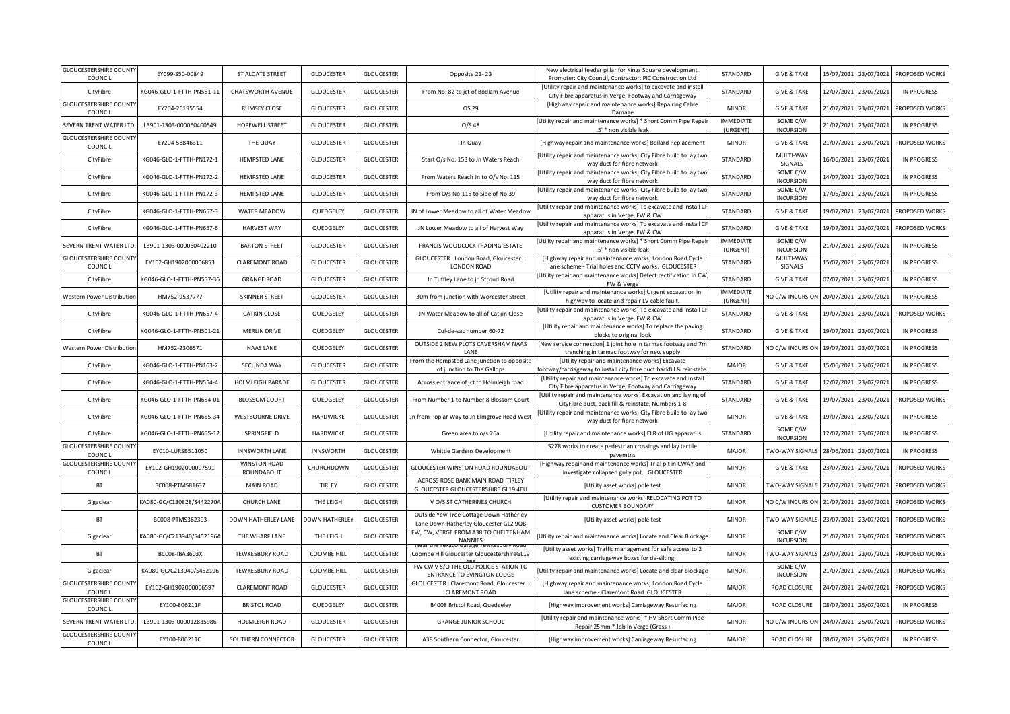| <b>GLOUCESTERSHIRE COUNTY</b><br>COUNCIL                | EY099-S50-00849           | ST ALDATE STREET                  | <b>GLOUCESTER</b>     | <b>GLOUCESTER</b> | Opposite 21-23                                                                    | New electrical feeder pillar for Kings Square development,<br>Promoter: City Council, Contractor: PIC Construction Ltd   | STANDARD                     | <b>GIVE &amp; TAKE</b>       | 15/07/2021 | 23/07/2021 | PROPOSED WORKS     |
|---------------------------------------------------------|---------------------------|-----------------------------------|-----------------------|-------------------|-----------------------------------------------------------------------------------|--------------------------------------------------------------------------------------------------------------------------|------------------------------|------------------------------|------------|------------|--------------------|
| CityFibre                                               | KG046-GLO-1-FTTH-PN551-11 | <b>CHATSWORTH AVENUE</b>          | <b>GLOUCESTER</b>     | <b>GLOUCESTER</b> | From No. 82 to jct of Bodiam Avenue                                               | [Utility repair and maintenance works] to excavate and install<br>City Fibre apparatus in Verge, Footway and Carriageway | STANDARD                     | <b>GIVE &amp; TAKE</b>       | 12/07/2021 | 23/07/2021 | <b>IN PROGRESS</b> |
| <b>GLOUCESTERSHIRE COUNTY</b><br>COUNCIL                | EY204-26195554            | <b>RUMSEY CLOSE</b>               | <b>GLOUCESTER</b>     | <b>GLOUCESTER</b> | OS 29                                                                             | [Highway repair and maintenance works] Repairing Cable<br>Damage                                                         | <b>MINOR</b>                 | <b>GIVE &amp; TAKE</b>       | 21/07/2021 | 23/07/2021 | PROPOSED WORKS     |
| SEVERN TRENT WATER LTD                                  | LB901-1303-000060400549   | HOPEWELL STREET                   | <b>GLOUCESTER</b>     | <b>GLOUCESTER</b> | O/S <sub>48</sub>                                                                 | Utility repair and maintenance works] * Short Comm Pipe Repair<br>.5' * non visible leak                                 | <b>IMMEDIATE</b><br>(URGENT) | SOME C/W<br><b>INCURSION</b> | 21/07/2021 | 23/07/2021 | <b>IN PROGRESS</b> |
| <b>GLOUCESTERSHIRE COUNTY</b><br>COUNCIL                | EY204-58846311            | THE QUAY                          | <b>GLOUCESTER</b>     | <b>GLOUCESTER</b> | Jn Quay                                                                           | [Highway repair and maintenance works] Bollard Replacement                                                               | <b>MINOR</b>                 | <b>GIVE &amp; TAKE</b>       | 21/07/2021 | 23/07/2021 | PROPOSED WORKS     |
| CityFibre                                               | KG046-GLO-1-FTTH-PN172-1  | <b>HEMPSTED LANE</b>              | <b>GLOUCESTER</b>     | <b>GLOUCESTER</b> | Start O/s No. 153 to Jn Waters Reach                                              | [Utility repair and maintenance works] City Fibre build to lay two<br>way duct for fibre network                         | STANDARD                     | MULTI-WAY<br>SIGNALS         | 16/06/2021 | 23/07/2021 | <b>IN PROGRESS</b> |
| CityFibre                                               | KG046-GLO-1-FTTH-PN172-2  | <b>HEMPSTED LANE</b>              | <b>GLOUCESTER</b>     | <b>GLOUCESTER</b> | From Waters Reach Jn to O/s No. 115                                               | [Utility repair and maintenance works] City Fibre build to lay two<br>way duct for fibre network                         | STANDARD                     | SOME C/W<br><b>INCURSION</b> | 14/07/2021 | 23/07/2021 | <b>IN PROGRESS</b> |
| CityFibre                                               | KG046-GLO-1-FTTH-PN172-3  | <b>HEMPSTED LANE</b>              | <b>GLOUCESTER</b>     | <b>GLOUCESTER</b> | From O/s No.115 to Side of No.39                                                  | [Utility repair and maintenance works] City Fibre build to lay two<br>way duct for fibre network                         | STANDARD                     | SOME C/W<br><b>INCURSION</b> | 17/06/2021 | 23/07/2021 | <b>IN PROGRESS</b> |
| CityFibre                                               | KG046-GLO-1-FTTH-PN657-3  | WATER MEADOW                      | QUEDGELEY             | <b>GLOUCESTER</b> | JN of Lower Meadow to all of Water Meadow                                         | Utility repair and maintenance works] To excavate and install CI<br>apparatus in Verge, FW & CW                          | STANDARD                     | <b>GIVE &amp; TAKE</b>       | 19/07/2021 | 23/07/2021 | PROPOSED WORKS     |
| CityFibre                                               | KG046-GLO-1-FTTH-PN657-6  | <b>HARVEST WAY</b>                | QUEDGELEY             | <b>GLOUCESTER</b> | JN Lower Meadow to all of Harvest Way                                             | Utility repair and maintenance works] To excavate and install CF<br>apparatus in Verge, FW & CW                          | STANDARD                     | <b>GIVE &amp; TAKE</b>       | 19/07/2021 | 23/07/2021 | PROPOSED WORKS     |
| SEVERN TRENT WATER LTD                                  | LB901-1303-000060402210   | <b>BARTON STREET</b>              | <b>GLOUCESTER</b>     | <b>GLOUCESTER</b> | FRANCIS WOODCOCK TRADING ESTATE                                                   | Utility repair and maintenance works] * Short Comm Pipe Repair<br>.5' * non visible leak                                 | <b>IMMEDIATE</b><br>(URGENT) | SOME C/W<br><b>INCURSION</b> | 21/07/2021 | 23/07/2021 | <b>IN PROGRESS</b> |
| <b>GLOUCESTERSHIRE COUNT</b><br>COUNCIL                 | EY102-GH1902000006853     | <b>CLAREMONT ROAD</b>             | <b>GLOUCESTER</b>     | <b>GLOUCESTER</b> | GLOUCESTER : London Road, Gloucester. :<br>LONDON ROAD                            | [Highway repair and maintenance works] London Road Cycle<br>lane scheme - Trial holes and CCTV works. GLOUCESTER         | STANDARD                     | MULTI-WAY<br>SIGNALS         | 15/07/2021 | 23/07/2021 | <b>IN PROGRESS</b> |
| CityFibre                                               | KG046-GLO-1-FTTH-PN557-36 | <b>GRANGE ROAD</b>                | <b>GLOUCESTER</b>     | <b>GLOUCESTER</b> | Jn Tuffley Lane to jn Stroud Road                                                 | Utility repair and maintenance works] Defect rectification in CW<br>FW & Verge                                           | STANDARD                     | <b>GIVE &amp; TAKE</b>       | 07/07/2021 | 23/07/2021 | <b>IN PROGRESS</b> |
| Western Power Distributio                               | HM752-9537777             | <b>SKINNER STREET</b>             | <b>GLOUCESTER</b>     | <b>GLOUCESTER</b> | 30m from junction with Worcester Street                                           | [Utility repair and maintenance works] Urgent excavation in<br>highway to locate and repair LV cable fault.              | <b>IMMEDIATE</b><br>(URGENT) | NO C/W INCURSION             | 20/07/2021 | 23/07/2021 | <b>IN PROGRESS</b> |
| CityFibre                                               | KG046-GLO-1-FTTH-PN657-4  | <b>CATKIN CLOSE</b>               | QUEDGELEY             | <b>GLOUCESTER</b> | JN Water Meadow to all of Catkin Close                                            | Utility repair and maintenance works] To excavate and install CF<br>apparatus in Verge, FW & CW                          | STANDARD                     | <b>GIVE &amp; TAKE</b>       | 19/07/2021 | 23/07/2021 | PROPOSED WORKS     |
| CityFibre                                               | KG046-GLO-1-FTTH-PN501-21 | <b>MERLIN DRIVE</b>               | QUEDGELEY             | <b>GLOUCESTER</b> | Cul-de-sac number 60-72                                                           | [Utility repair and maintenance works] To replace the paving<br>blocks to original look                                  | STANDARD                     | <b>GIVE &amp; TAKE</b>       | 19/07/2021 | 23/07/2021 | <b>IN PROGRESS</b> |
| Western Power Distribution                              | HM752-2306571             | <b>NAAS LANE</b>                  | QUEDGELEY             | <b>GLOUCESTER</b> | OUTSIDE 2 NEW PLOTS CAVERSHAM NAAS<br>LANE                                        | [New service connection] 1 joint hole in tarmac footway and 7m<br>trenching in tarmac footway for new supply             | STANDARD                     | NO C/W INCURSION             | 19/07/2021 | 23/07/2021 | <b>IN PROGRESS</b> |
|                                                         |                           |                                   |                       |                   |                                                                                   |                                                                                                                          |                              |                              |            |            |                    |
| CityFibre                                               | KG046-GLO-1-FTTH-PN163-2  | SECUNDA WAY                       | <b>GLOUCESTER</b>     | <b>GLOUCESTER</b> | From the Hempsted Lane junction to opposite<br>of junction to The Gallops         | [Utility repair and maintenance works] Excavate<br>footway/carriageway to install city fibre duct backfill & reinstate   | <b>MAJOR</b>                 | <b>GIVE &amp; TAKE</b>       | 15/06/2021 | 23/07/2021 | <b>IN PROGRESS</b> |
| CityFibre                                               | KG046-GLO-1-FTTH-PN554-4  | HOLMLEIGH PARADE                  | <b>GLOUCESTER</b>     | <b>GLOUCESTER</b> | Across entrance of jct to Holmleigh road                                          | [Utility repair and maintenance works] To excavate and install<br>City Fibre apparatus in Verge, Footway and Carriageway | STANDARD                     | <b>GIVE &amp; TAKE</b>       | 12/07/2021 | 23/07/2021 | <b>IN PROGRESS</b> |
| CityFibre                                               | KG046-GLO-1-FTTH-PN654-01 | <b>BLOSSOM COURT</b>              | QUEDGELEY             | <b>GLOUCESTER</b> | From Number 1 to Number 8 Blossom Court                                           | [Utility repair and maintenance works] Excavation and laying of<br>CityFibre duct, back fill & reinstate, Numbers 1-8    | STANDARD                     | <b>GIVE &amp; TAKE</b>       | 19/07/2021 | 23/07/2021 | PROPOSED WORKS     |
| CityFibre                                               | KG046-GLO-1-FTTH-PN655-34 | <b>WESTBOURNE DRIVE</b>           | <b>HARDWICKE</b>      | <b>GLOUCESTER</b> | Jn from Poplar Way to Jn Elmgrove Road West                                       | Utility repair and maintenance works] City Fibre build to lay two<br>way duct for fibre network                          | <b>MINOR</b>                 | <b>GIVE &amp; TAKE</b>       | 19/07/2021 | 23/07/2021 | <b>IN PROGRESS</b> |
| CityFibre                                               | KG046-GLO-1-FTTH-PN655-12 | SPRINGFIELD                       | <b>HARDWICKE</b>      | <b>GLOUCESTER</b> | Green area to o/s 26a                                                             | [Utility repair and maintenance works] ELR of UG apparatus                                                               | STANDARD                     | SOME C/W<br><b>INCURSION</b> | 12/07/2021 | 23/07/2021 | <b>IN PROGRESS</b> |
| <b>GLOUCESTERSHIRE COUNTY</b><br>COUNCIL                | EY010-LURSB511050         | <b>INNSWORTH LANE</b>             | <b>INNSWORTH</b>      | <b>GLOUCESTER</b> | Whittle Gardens Development                                                       | S278 works to create pedestrian crossings and lay tactile<br>pavemtns                                                    | <b>MAJOR</b>                 | TWO-WAY SIGNALS              | 28/06/2021 | 23/07/2021 | <b>IN PROGRESS</b> |
| <b>GLOUCESTERSHIRE COUNTY</b><br>COUNCIL                | EY102-GH1902000007591     | <b>WINSTON ROAD</b><br>ROUNDABOUT | CHURCHDOWN            | <b>GLOUCESTER</b> | GLOUCESTER WINSTON ROAD ROUNDABOUT                                                | [Highway repair and maintenance works] Trial pit in CWAY and<br>investigate collapsed gully pot. GLOUCESTER              | <b>MINOR</b>                 | <b>GIVE &amp; TAKE</b>       | 23/07/2021 | 23/07/2021 | PROPOSED WORKS     |
| BT                                                      | BC008-PTMS81637           | <b>MAIN ROAD</b>                  | TIRLEY                | <b>GLOUCESTER</b> | ACROSS ROSE BANK MAIN ROAD TIRLEY<br>GLOUCESTER GLOUCESTERSHIRE GL19 4EU          | [Utility asset works] pole test                                                                                          | <b>MINOR</b>                 | TWO-WAY SIGNALS              | 23/07/2021 | 23/07/2021 | PROPOSED WORKS     |
| Gigaclear                                               | KA080-GC/C130828/S442270A | CHURCH LANE                       | THE LEIGH             | <b>GLOUCESTER</b> | V O/S ST CATHERINES CHURCH                                                        | [Utility repair and maintenance works] RELOCATING POT TO<br><b>CUSTOMER BOUNDARY</b>                                     | <b>MINOR</b>                 | NO C/W INCURSION             | 21/07/2021 | 23/07/2021 | PROPOSED WORKS     |
| <b>BT</b>                                               | BC008-PTMS362393          | DOWN HATHERLEY LANE               | <b>DOWN HATHERLEY</b> | <b>GLOUCESTER</b> | Outside Yew Tree Cottage Down Hatherley<br>Lane Down Hatherley Gloucester GL2 9QB | [Utility asset works] pole test                                                                                          | <b>MINOR</b>                 | TWO-WAY SIGNALS              | 23/07/2021 | 23/07/2021 | PROPOSED WORKS     |
| Gigaclear                                               | KA080-GC/C213940/S452196A | THE WHARF LANE                    | THE LEIGH             | <b>GLOUCESTER</b> | FW, CW, VERGE FROM A38 TO CHELTENHAM<br><b>NANNIES</b>                            | [Utility repair and maintenance works] Locate and Clear Blockage                                                         | <b>MINOR</b>                 | SOME C/W<br><b>INCURSION</b> | 21/07/2021 | 23/07/2021 | PROPOSED WORKS     |
| <b>BT</b>                                               | BC008-IBA3603X            | <b>TEWKESBURY ROAD</b>            | <b>COOMBE HILL</b>    | <b>GLOUCESTER</b> | Coombe Hill Gloucester GloucestershireGL19                                        | [Utility asset works] Traffic management for safe access to 2<br>existing carriageway boxes for de-silting               | <b>MINOR</b>                 | TWO-WAY SIGNALS              | 23/07/2021 | 23/07/2021 | PROPOSED WORKS     |
| Gigaclear                                               | KA080-GC/C213940/S452196  | <b>TEWKESBURY ROAD</b>            | COOMBE HILL           | <b>GLOUCESTER</b> | FW CW V S/O THE OLD POLICE STATION TO<br><b>ENTRANCE TO EVINGTON LODGE</b>        | Utility repair and maintenance works] Locate and clear blockage                                                          | <b>MINOR</b>                 | SOME C/W<br><b>INCURSION</b> | 21/07/2021 | 23/07/2021 | PROPOSED WORKS     |
| <b>GLOUCESTERSHIRE COUNT</b><br>COUNCIL                 | EY102-GH1902000006597     | <b>CLAREMONT ROAD</b>             | <b>GLOUCESTER</b>     | <b>GLOUCESTER</b> | GLOUCESTER : Claremont Road, Gloucester. :<br><b>CLAREMONT ROAD</b>               | [Highway repair and maintenance works] London Road Cycle<br>lane scheme - Claremont Road GLOUCESTER                      | <b>MAJOR</b>                 | ROAD CLOSURE                 | 24/07/2021 | 24/07/2021 | PROPOSED WORKS     |
| <b>GLOUCESTERSHIRE COUNTY</b><br>COUNCIL                | EY100-806211F             | <b>BRISTOL ROAD</b>               | QUEDGELEY             | <b>GLOUCESTER</b> | B4008 Bristol Road, Quedgeley                                                     | [Highway improvement works] Carriageway Resurfacing                                                                      | MAJOR                        | <b>ROAD CLOSURE</b>          | 08/07/2021 | 25/07/2021 | <b>IN PROGRESS</b> |
| SEVERN TRENT WATER LTD<br><b>GLOUCESTERSHIRE COUNTY</b> | LB901-1303-000012835986   | HOLMLEIGH ROAD                    | <b>GLOUCESTER</b>     | <b>GLOUCESTER</b> | <b>GRANGE JUNIOR SCHOOL</b>                                                       | [Utility repair and maintenance works] * HV Short Comm Pipe<br>Repair 25mm * Job in Verge (Grass)                        | <b>MINOR</b>                 | NO C/W INCURSION             | 24/07/2021 | 25/07/2021 | PROPOSED WORKS     |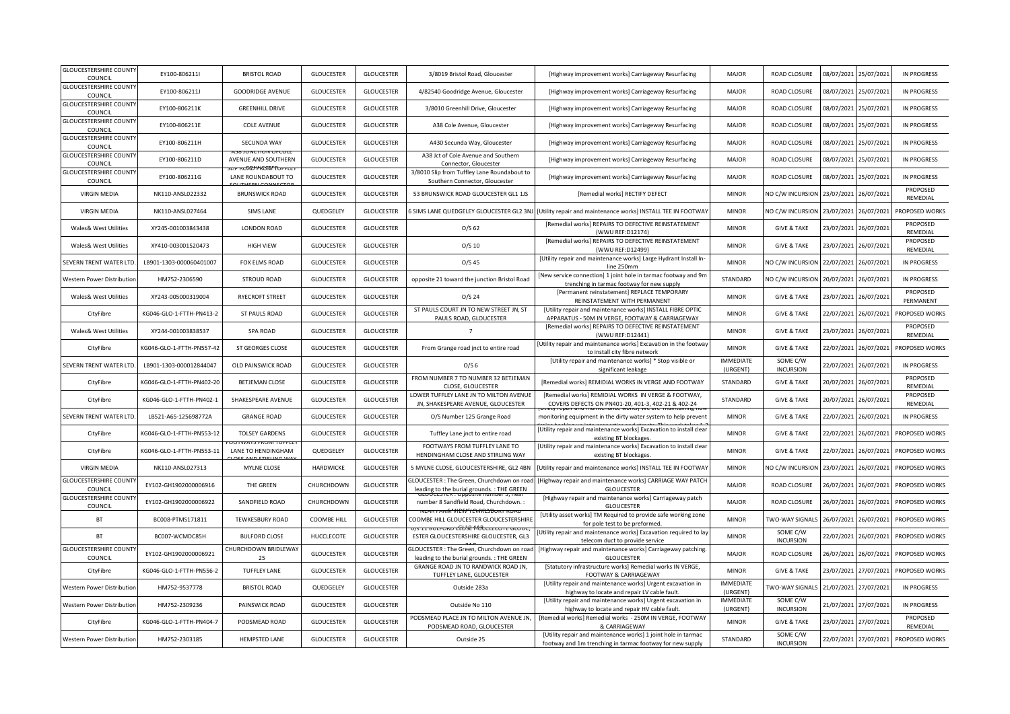| <b>GLOUCESTERSHIRE COUNTY</b><br>COUNCIL | EY100-806211I                                                                                                                                                                                                                                                                                                                                                                                                       | <b>BRISTOL ROAD</b>                                                     | <b>GLOUCESTER</b>  | <b>GLOUCESTER</b> | 3/8019 Bristol Road, Gloucester                                                         | [Highway improvement works] Carriageway Resurfacing                                                                        | MAJOR                        | ROAD CLOSURE                 | 08/07/2021 | 25/07/2021 | <b>IN PROGRESS</b>    |
|------------------------------------------|---------------------------------------------------------------------------------------------------------------------------------------------------------------------------------------------------------------------------------------------------------------------------------------------------------------------------------------------------------------------------------------------------------------------|-------------------------------------------------------------------------|--------------------|-------------------|-----------------------------------------------------------------------------------------|----------------------------------------------------------------------------------------------------------------------------|------------------------------|------------------------------|------------|------------|-----------------------|
| <b>GLOUCESTERSHIRE COUNTY</b><br>COUNCIL | EY100-806211J                                                                                                                                                                                                                                                                                                                                                                                                       | <b>GOODRIDGE AVENUE</b>                                                 | <b>GLOUCESTER</b>  | <b>GLOUCESTER</b> | 4/82540 Goodridge Avenue, Gloucester                                                    | [Highway improvement works] Carriageway Resurfacing                                                                        | <b>MAJOR</b>                 | ROAD CLOSURE                 | 08/07/2021 | 25/07/2021 | <b>IN PROGRESS</b>    |
| <b>GLOUCESTERSHIRE COUNTY</b><br>COUNCIL | EY100-806211K                                                                                                                                                                                                                                                                                                                                                                                                       | <b>GREENHILL DRIVE</b>                                                  | <b>GLOUCESTER</b>  | <b>GLOUCESTER</b> | 3/8010 Greenhill Drive, Gloucester                                                      | [Highway improvement works] Carriageway Resurfacing                                                                        | <b>MAJOR</b>                 | ROAD CLOSURE                 | 08/07/2021 | 25/07/2021 | <b>IN PROGRESS</b>    |
| <b>GLOUCESTERSHIRE COUNTY</b><br>COUNCIL | EY100-806211E                                                                                                                                                                                                                                                                                                                                                                                                       | <b>COLE AVENUE</b>                                                      | <b>GLOUCESTER</b>  | <b>GLOUCESTER</b> | A38 Cole Avenue, Gloucester                                                             | [Highway improvement works] Carriageway Resurfacing                                                                        | <b>MAJOR</b>                 | ROAD CLOSURE                 | 08/07/2021 | 25/07/2021 | <b>IN PROGRESS</b>    |
| <b>GLOUCESTERSHIRE COUNT</b><br>COUNCIL  | EY100-806211H                                                                                                                                                                                                                                                                                                                                                                                                       | SECUNDA WAY                                                             | <b>GLOUCESTER</b>  | <b>GLOUCESTER</b> | A430 Secunda Way, Gloucester                                                            | [Highway improvement works] Carriageway Resurfacing                                                                        | <b>MAJOR</b>                 | ROAD CLOSURE                 | 08/07/2021 | 25/07/2021 | <b>IN PROGRESS</b>    |
| <b>GLOUCESTERSHIRE COUNTY</b><br>COUNCIL | EY100-806211D                                                                                                                                                                                                                                                                                                                                                                                                       | AVENUE AND SOUTHERN<br>᠁ <i>᠇᠄ᠢ᠓</i> ᠷᠻᢣᢪᠰᠮ <i>ᠻᡝ</i> ᠯᡏ᠊ᠻᡕ <i>ᡴ</i> ᠇ᡣ | GLOUCESTER         | <b>GLOUCESTER</b> | A38 Jct of Cole Avenue and Southern<br>Connector, Gloucester                            | [Highway improvement works] Carriageway Resurfacing                                                                        | MAJOR                        | ROAD CLOSURE                 | 08/07/2021 | 25/07/2021 | <b>IN PROGRESS</b>    |
| <b>GLOUCESTERSHIRE COUNTY</b><br>COUNCIL | EY100-806211G                                                                                                                                                                                                                                                                                                                                                                                                       | LANE ROUNDABOUT TO                                                      | <b>GLOUCESTER</b>  | <b>GLOUCESTER</b> | 3/8010 Slip from Tuffley Lane Roundabout to<br>Southern Connector, Gloucester           | [Highway improvement works] Carriageway Resurfacing                                                                        | <b>MAJOR</b>                 | ROAD CLOSURE                 | 08/07/2021 | 25/07/2021 | <b>IN PROGRESS</b>    |
| <b>VIRGIN MEDIA</b>                      | NK110-ANSL022332                                                                                                                                                                                                                                                                                                                                                                                                    | <b>BRUNSWICK ROAD</b>                                                   | <b>GLOUCESTER</b>  | <b>GLOUCESTER</b> | 53 BRUNSWICK ROAD GLOUCESTER GL1 1JS                                                    | [Remedial works] RECTIFY DEFECT                                                                                            | <b>MINOR</b>                 | NO C/W INCURSION             | 23/07/2021 | 26/07/2021 | PROPOSED<br>REMEDIAL  |
| <b>VIRGIN MEDIA</b>                      | NK110-ANSL027464                                                                                                                                                                                                                                                                                                                                                                                                    | <b>SIMS LANE</b>                                                        | QUEDGELEY          | <b>GLOUCESTER</b> | SIMS LANE QUEDGELEY GLOUCESTER GL2 3NJ                                                  | [Utility repair and maintenance works] INSTALL TEE IN FOOTWAY                                                              | <b>MINOR</b>                 | NO C/W INCURSION             | 23/07/2021 | 26/07/2021 | PROPOSED WORKS        |
| Wales& West Utilities                    | XY245-001003843438                                                                                                                                                                                                                                                                                                                                                                                                  | <b>LONDON ROAD</b>                                                      | <b>GLOUCESTER</b>  | <b>GLOUCESTER</b> | $O/S$ 62                                                                                | [Remedial works] REPAIRS TO DEFECTIVE REINSTATEMENT<br>(WWU REF:D12174)                                                    | <b>MINOR</b>                 | <b>GIVE &amp; TAKE</b>       | 23/07/2021 | 26/07/2021 | PROPOSED<br>REMEDIAL  |
| Wales& West Utilities                    | XY410-003001520473                                                                                                                                                                                                                                                                                                                                                                                                  | <b>HIGH VIEW</b>                                                        | <b>GLOUCESTER</b>  | <b>GLOUCESTER</b> | $O/S$ 10                                                                                | [Remedial works] REPAIRS TO DEFECTIVE REINSTATEMENT<br>(WWU REF:D12499)                                                    | <b>MINOR</b>                 | <b>GIVE &amp; TAKE</b>       | 23/07/2021 | 26/07/2021 | PROPOSED<br>REMEDIAL  |
| SEVERN TRENT WATER LTD                   | LB901-1303-000060401007                                                                                                                                                                                                                                                                                                                                                                                             | <b>FOX ELMS ROAD</b>                                                    | <b>GLOUCESTER</b>  | <b>GLOUCESTER</b> | $O/S$ 45                                                                                | [Utility repair and maintenance works] Large Hydrant Install In-<br>line 250mm                                             | <b>MINOR</b>                 | NO C/W INCURSION             | 22/07/2021 | 26/07/2021 | <b>IN PROGRESS</b>    |
| Western Power Distribution               | HM752-2306590                                                                                                                                                                                                                                                                                                                                                                                                       | <b>STROUD ROAD</b>                                                      | <b>GLOUCESTER</b>  | <b>GLOUCESTER</b> | opposite 21 toward the junction Bristol Road                                            | [New service connection] 1 joint hole in tarmac footway and 9m<br>trenching in tarmac footway for new supply               | STANDARD                     | NO C/W INCURSION             | 20/07/2021 | 26/07/2021 | <b>IN PROGRESS</b>    |
| Wales& West Utilities                    | XY243-005000319004                                                                                                                                                                                                                                                                                                                                                                                                  | <b>RYECROFT STREET</b>                                                  | <b>GLOUCESTER</b>  | <b>GLOUCESTER</b> | $O/S$ 24                                                                                | [Permanent reinstatement] REPLACE TEMPORARY<br>REINSTATEMENT WITH PERMANENT                                                | <b>MINOR</b>                 | <b>GIVE &amp; TAKE</b>       | 23/07/2021 | 26/07/2021 | PROPOSED<br>PERMANENT |
| CityFibre                                | KG046-GLO-1-FTTH-PN413-2                                                                                                                                                                                                                                                                                                                                                                                            | ST PAULS ROAD                                                           | <b>GLOUCESTER</b>  | <b>GLOUCESTER</b> | ST PAULS COURT JN TO NEW STREET JN, ST<br>PAULS ROAD, GLOUCESTER                        | [Utility repair and maintenance works] INSTALL FIBRE OPTIC<br>APPARATUS - 50M IN VERGE, FOOTWAY & CARRIAGEWAY              | <b>MINOR</b>                 | <b>GIVE &amp; TAKE</b>       | 22/07/2021 | 26/07/2021 | PROPOSED WORKS        |
| Wales& West Utilities                    | XY244-001003838537                                                                                                                                                                                                                                                                                                                                                                                                  | <b>SPA ROAD</b>                                                         | <b>GLOUCESTER</b>  | <b>GLOUCESTER</b> | $\overline{7}$                                                                          | [Remedial works] REPAIRS TO DEFECTIVE REINSTATEMENT<br>(WWU REF:D12441)                                                    | <b>MINOR</b>                 | <b>GIVE &amp; TAKE</b>       | 23/07/2021 | 26/07/2021 | PROPOSED<br>REMEDIAL  |
| CityFibre                                | <g046-glo-1-ftth-pn557-42< td=""><td>ST GEORGES CLOSE</td><td><b>GLOUCESTER</b></td><td><b>GLOUCESTER</b></td><td>From Grange road jnct to entire road</td><td>[Utility repair and maintenance works] Excavation in the footway<br/>to install city fibre network</td><td><b>MINOR</b></td><td><b>GIVE &amp; TAKE</b></td><td>22/07/2021</td><td>26/07/2021</td><td>PROPOSED WORKS</td></g046-glo-1-ftth-pn557-42<> | ST GEORGES CLOSE                                                        | <b>GLOUCESTER</b>  | <b>GLOUCESTER</b> | From Grange road jnct to entire road                                                    | [Utility repair and maintenance works] Excavation in the footway<br>to install city fibre network                          | <b>MINOR</b>                 | <b>GIVE &amp; TAKE</b>       | 22/07/2021 | 26/07/2021 | PROPOSED WORKS        |
| SEVERN TRENT WATER LTD                   | LB901-1303-000012844047                                                                                                                                                                                                                                                                                                                                                                                             | OLD PAINSWICK ROAD                                                      | <b>GLOUCESTER</b>  | <b>GLOUCESTER</b> | O/S <sub>6</sub>                                                                        | [Utility repair and maintenance works] * Stop visible or<br>significant leakage                                            | <b>IMMEDIATE</b><br>(URGENT) | SOME C/W<br><b>INCURSION</b> | 22/07/2021 | 26/07/2021 | <b>IN PROGRESS</b>    |
| CityFibre                                | KG046-GLO-1-FTTH-PN402-20                                                                                                                                                                                                                                                                                                                                                                                           | <b>BETJEMAN CLOSE</b>                                                   | <b>GLOUCESTER</b>  | <b>GLOUCESTER</b> | FROM NUMBER 7 TO NUMBER 32 BETJEMAN<br>CLOSE, GLOUCESTER                                | [Remedial works] REMIDIAL WORKS IN VERGE AND FOOTWAY                                                                       | STANDARD                     | <b>GIVE &amp; TAKE</b>       | 20/07/2021 | 26/07/2021 | PROPOSED<br>REMEDIAL  |
| CityFibre                                | KG046-GLO-1-FTTH-PN402-1                                                                                                                                                                                                                                                                                                                                                                                            | SHAKESPEARE AVENUE                                                      | <b>GLOUCESTER</b>  | <b>GLOUCESTER</b> | LOWER TUFFLEY LANE JN TO MILTON AVENUE<br>JN, SHAKESPEARE AVENUE, GLOUCESTER            | [Remedial works] REMIDIAL WORKS IN VERGE & FOOTWAY,<br>COVERS DEFECTS ON PN401-20, 401-3, 402-21 & 402-24                  | STANDARD                     | <b>GIVE &amp; TAKE</b>       | 20/07/2021 | 26/07/2021 | PROPOSED<br>REMEDIAL  |
| SEVERN TRENT WATER LTD                   | LB521-A6S-125698772A                                                                                                                                                                                                                                                                                                                                                                                                | <b>GRANGE ROAD</b>                                                      | <b>GLOUCESTER</b>  | <b>GLOUCESTER</b> | O/S Number 125 Grange Road                                                              | monitoring equipment in the dirty water system to help prevent                                                             | <b>MINOR</b>                 | <b>GIVE &amp; TAKE</b>       | 22/07/2021 | 26/07/2021 | <b>IN PROGRESS</b>    |
| CityFibre                                | KG046-GLO-1-FTTH-PN553-12                                                                                                                                                                                                                                                                                                                                                                                           | <b>TOLSEY GARDENS</b>                                                   | <b>GLOUCESTER</b>  | <b>GLOUCESTER</b> | Tuffley Lane jnct to entire road                                                        | [Utility repair and maintenance works] Excavation to install clear<br>existing BT blockages.                               | <b>MINOR</b>                 | <b>GIVE &amp; TAKE</b>       | 22/07/2021 | 26/07/2021 | PROPOSED WORKS        |
| CityFibre                                | KG046-GLO-1-FTTH-PN553-11                                                                                                                                                                                                                                                                                                                                                                                           | LANE TO HENDINGHAM                                                      | QUEDGELEY          | <b>GLOUCESTER</b> | FOOTWAYS FROM TUFFLEY LANE TO<br>HENDINGHAM CLOSE AND STIRLING WAY                      | [Utility repair and maintenance works] Excavation to install clear<br>existing BT blockages.                               | <b>MINOR</b>                 | <b>GIVE &amp; TAKE</b>       | 22/07/2021 | 26/07/2021 | PROPOSED WORKS        |
| <b>VIRGIN MEDIA</b>                      | NK110-ANSL027313                                                                                                                                                                                                                                                                                                                                                                                                    | <b>MYLNE CLOSE</b>                                                      | <b>HARDWICKE</b>   | <b>GLOUCESTER</b> |                                                                                         |                                                                                                                            |                              |                              |            |            | PROPOSED WORKS        |
| <b>GLOUCESTERSHIRE COUNT</b><br>COUNCIL  |                                                                                                                                                                                                                                                                                                                                                                                                                     |                                                                         |                    |                   | 5 MYLNE CLOSE, GLOUCESTERSHIRE, GL2 4BN                                                 | Utility repair and maintenance works] INSTALL TEE IN FOOTWAY                                                               | <b>MINOR</b>                 | NO C/W INCURSION             | 23/07/2021 | 26/07/2021 |                       |
|                                          | EY102-GH1902000006916                                                                                                                                                                                                                                                                                                                                                                                               | THE GREEN                                                               | CHURCHDOWN         | <b>GLOUCESTER</b> | LOUCESTER : The Green, Churchdown on road<br>leading to the burial grounds. : THE GREEN | Highway repair and maintenance works] CARRIAGE WAY PATCH<br><b>GLOUCESTER</b>                                              | MAJOR                        | ROAD CLOSURE                 | 26/07/2021 | 26/07/2021 | PROPOSED WORKS        |
| <b>GLOUCESTERSHIRE COUNT</b><br>COUNCIL  | EY102-GH1902000006922                                                                                                                                                                                                                                                                                                                                                                                               | SANDFIELD ROAD                                                          | CHURCHDOWN         | <b>GLOUCESTER</b> | ESTEN . Opposite number 3, nea<br>number 8 Sandfield Road, Churchdown.:                 | [Highway repair and maintenance works] Carriageway patch<br><b>GLOUCESTER</b>                                              | <b>MAJOR</b>                 | ROAD CLOSURE                 | 26/07/2021 | 26/07/2021 | PROPOSED WORKS        |
| <b>BT</b>                                | BC008-PTMS171811                                                                                                                                                                                                                                                                                                                                                                                                    | <b>TEWKESBURY ROAD</b>                                                  | <b>COOMBE HILL</b> | <b>GLOUCESTER</b> | <b>VEAN FANIM NEW TEVARSBUNT</b><br>COOMBE HILL GLOUCESTER GLOUCESTERSHIRE              | [Utility asset works] TM Required to provide safe working zone<br>for pole test to be preformed.                           | <b>MINOR</b>                 | TWO-WAY SIGNALS              | 26/07/2021 | 26/07/2021 | PROPOSED WORKS        |
| <b>BT</b>                                | BC007-WCMDC85H                                                                                                                                                                                                                                                                                                                                                                                                      | <b>BULFORD CLOSE</b>                                                    | HUCCLECOTE         | <b>GLOUCESTER</b> | <u>is it but runn CUSP MR circui</u><br>ESTER GLOUCESTERSHIRE GLOUCESTER, GL3           | Utility repair and maintenance works] Excavation required to lay<br>telecom duct to provide service                        | <b>MINOR</b>                 | SOME C/W<br><b>INCURSION</b> | 22/07/2021 | 26/07/2021 | PROPOSED WORKS        |
| <b>GLOUCESTERSHIRE COUNT</b><br>COUNCIL  | EY102-GH1902000006921                                                                                                                                                                                                                                                                                                                                                                                               | CHURCHDOWN BRIDLEWAY<br>25                                              | <b>GLOUCESTER</b>  | <b>GLOUCESTER</b> | GLOUCESTER: The Green, Churchdown on road<br>leading to the burial grounds. : THE GREEN | [Highway repair and maintenance works] Carriageway patching.<br><b>GLOUCESTER</b>                                          | MAJOR                        | ROAD CLOSURE                 | 26/07/2021 | 26/07/2021 | PROPOSED WORKS        |
| CityFibre                                | KG046-GLO-1-FTTH-PN556-2                                                                                                                                                                                                                                                                                                                                                                                            | TUFFLEY LANE                                                            | <b>GLOUCESTER</b>  | <b>GLOUCESTER</b> | GRANGE ROAD JN TO RANDWICK ROAD JN,<br>TUFFLEY LANE, GLOUCESTER                         | [Statutory infrastructure works] Remedial works IN VERGE,<br>FOOTWAY & CARRIAGEWAY                                         | <b>MINOR</b>                 | <b>GIVE &amp; TAKE</b>       | 23/07/2021 | 27/07/2021 | PROPOSED WORKS        |
| Western Power Distribution               | HM752-9537778                                                                                                                                                                                                                                                                                                                                                                                                       | <b>BRISTOL ROAD</b>                                                     | QUEDGELEY          | <b>GLOUCESTER</b> | Outside 283a                                                                            | [Utility repair and maintenance works] Urgent excavation in<br>highway to locate and repair LV cable fault.                | <b>IMMEDIATE</b><br>(URGENT) | WO-WAY SIGNALS               | 21/07/2021 | 27/07/2021 | <b>IN PROGRESS</b>    |
| Western Power Distribution               | HM752-2309236                                                                                                                                                                                                                                                                                                                                                                                                       | PAINSWICK ROAD                                                          | <b>GLOUCESTER</b>  | <b>GLOUCESTER</b> | Outside No 110                                                                          | [Utility repair and maintenance works] Urgent excavation in<br>highway to locate and repair HV cable fault.                | <b>IMMEDIATE</b><br>(URGENT) | SOME C/W<br><b>INCURSION</b> | 21/07/2021 | 27/07/2021 | <b>IN PROGRESS</b>    |
| CityFibre                                | KG046-GLO-1-FTTH-PN404-7                                                                                                                                                                                                                                                                                                                                                                                            | PODSMEAD ROAD                                                           | <b>GLOUCESTER</b>  | <b>GLOUCESTER</b> | PODSMEAD PLACE JN TO MILTON AVENUE JN,<br>PODSMEAD ROAD, GLOUCESTER                     | [Remedial works] Remedial works - 250M IN VERGE, FOOTWAY<br>& CARRIAGEWAY                                                  | <b>MINOR</b>                 | <b>GIVE &amp; TAKE</b>       | 23/07/2021 | 27/07/2021 | PROPOSED<br>REMEDIAL  |
| Western Power Distribution               | HM752-2303185                                                                                                                                                                                                                                                                                                                                                                                                       | <b>HEMPSTED LANE</b>                                                    | <b>GLOUCESTER</b>  | <b>GLOUCESTER</b> | Outside 25                                                                              | [Utility repair and maintenance works] 1 joint hole in tarmac<br>footway and 1m trenching in tarmac footway for new supply | STANDARD                     | SOME C/W<br><b>INCURSION</b> | 22/07/2021 | 27/07/2021 | PROPOSED WORKS        |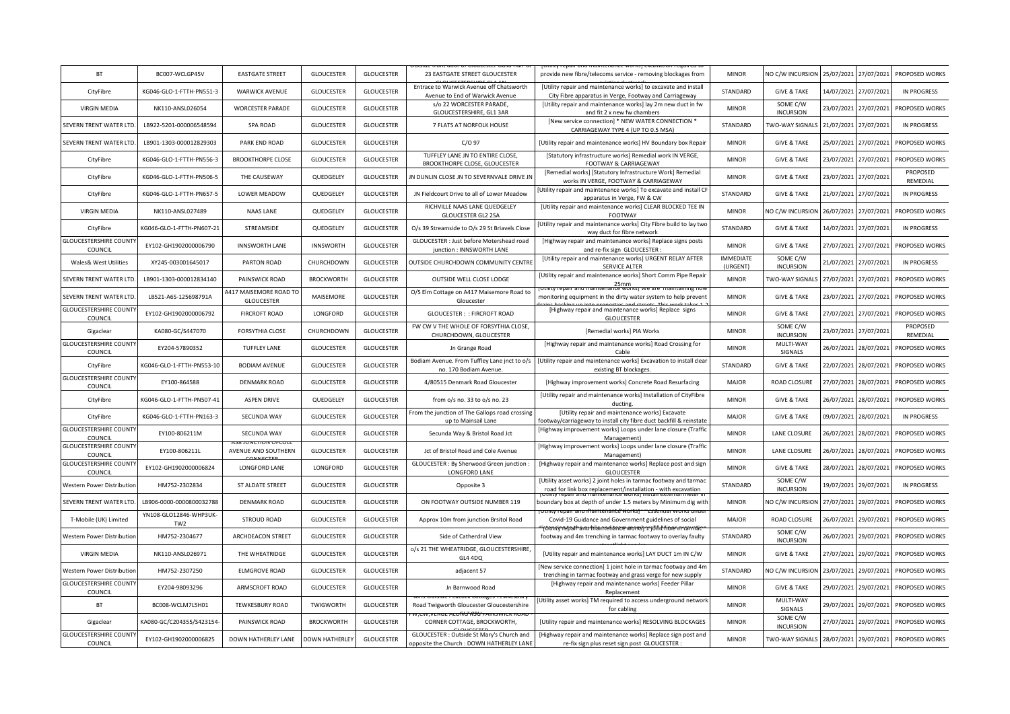| <b>BT</b>                                | BC007-WCLGP45V                            | <b>EASTGATE STREET</b>               | <b>GLOUCESTER</b>     | <b>GLOUCESTER</b> | 23 EASTGATE STREET GLOUCESTER                                                     | provide new fibre/telecoms service - removing blockages from                                                                     | <b>MINOR</b>                 | NO C/W INCURSION             | 25/07/2021 | 27/07/2021 | PROPOSED WORKS       |
|------------------------------------------|-------------------------------------------|--------------------------------------|-----------------------|-------------------|-----------------------------------------------------------------------------------|----------------------------------------------------------------------------------------------------------------------------------|------------------------------|------------------------------|------------|------------|----------------------|
| CityFibre                                | KG046-GLO-1-FTTH-PN551-3                  | <b>WARWICK AVENUE</b>                | <b>GLOUCESTER</b>     | <b>GLOUCESTER</b> | Entrace to Warwick Avenue off Chatsworth<br>Avenue to End of Warwick Avenue       | [Utility repair and maintenance works] to excavate and install<br>City Fibre apparatus in Verge, Footway and Carriageway         | STANDARD                     | <b>GIVE &amp; TAKE</b>       | 14/07/2021 | 27/07/2021 | <b>IN PROGRESS</b>   |
| <b>VIRGIN MEDIA</b>                      | NK110-ANSL026054                          | <b>WORCESTER PARADE</b>              | <b>GLOUCESTER</b>     | <b>GLOUCESTER</b> | s/o 22 WORCESTER PARADE,<br>GLOUCESTERSHIRE, GL1 3AR                              | [Utility repair and maintenance works] lay 2m new duct in fw<br>and fit 2 x new fw chambers                                      | <b>MINOR</b>                 | SOME C/W<br><b>INCURSION</b> | 23/07/2021 | 27/07/2021 | PROPOSED WORKS       |
| SEVERN TRENT WATER LTD                   | LB922-5201-000006548594                   | SPA ROAD                             | <b>GLOUCESTER</b>     | <b>GLOUCESTER</b> | 7 FLATS AT NORFOLK HOUSE                                                          | [New service connection] * NEW WATER CONNECTION *<br>CARRIAGEWAY TYPE 4 (UP TO 0.5 MSA)                                          | STANDARD                     | TWO-WAY SIGNALS              | 21/07/2021 | 27/07/2021 | <b>IN PROGRESS</b>   |
| SEVERN TRENT WATER LTD                   | LB901-1303-000012829303                   | PARK END ROAD                        | <b>GLOUCESTER</b>     | <b>GLOUCESTER</b> | $C/O$ 97                                                                          | [Utility repair and maintenance works] HV Boundary box Repair                                                                    | <b>MINOR</b>                 | <b>GIVE &amp; TAKE</b>       | 25/07/2021 | 27/07/2021 | PROPOSED WORKS       |
| CityFibre                                | KG046-GLO-1-FTTH-PN556-3                  | <b>BROOKTHORPE CLOSE</b>             | <b>GLOUCESTER</b>     | <b>GLOUCESTER</b> | TUFFLEY LANE JN TO ENTIRE CLOSE,<br>BROOKTHORPE CLOSE, GLOUCESTER                 | [Statutory infrastructure works] Remedial work IN VERGE,<br><b>FOOTWAY &amp; CARRIAGEWAY</b>                                     | <b>MINOR</b>                 | <b>GIVE &amp; TAKE</b>       | 23/07/2021 | 27/07/2021 | PROPOSED WORKS       |
| CityFibre                                | KG046-GLO-1-FTTH-PN506-5                  | THE CAUSEWAY                         | QUEDGELEY             | <b>GLOUCESTER</b> | IN DUNLIN CLOSE IN TO SEVERNVALE DRIVE IN                                         | [Remedial works] [Statutory Infrastructure Work] Remedial<br>works IN VERGE, FOOTWAY & CARRIAGEWAY                               | <b>MINOR</b>                 | <b>GIVE &amp; TAKE</b>       | 23/07/2021 | 27/07/2021 | PROPOSED<br>REMEDIAL |
| CityFibre                                | KG046-GLO-1-FTTH-PN657-5                  | <b>LOWER MEADOW</b>                  | QUEDGELEY             | <b>GLOUCESTER</b> | JN Fieldcourt Drive to all of Lower Meadow                                        | Utility repair and maintenance works] To excavate and install CF<br>apparatus in Verge, FW & CW                                  | STANDARD                     | <b>GIVE &amp; TAKE</b>       | 21/07/2021 | 27/07/2021 | <b>IN PROGRESS</b>   |
| <b>VIRGIN MEDIA</b>                      | NK110-ANSL027489                          | <b>NAAS LANE</b>                     | QUEDGELEY             | <b>GLOUCESTER</b> | RICHVILLE NAAS LANE QUEDGELEY<br><b>GLOUCESTER GL2 2SA</b>                        | [Utility repair and maintenance works] CLEAR BLOCKED TEE IN<br>FOOTWAY                                                           | <b>MINOR</b>                 | NO C/W INCURSION             | 26/07/2021 | 27/07/2021 | PROPOSED WORKS       |
| CityFibre                                | KG046-GLO-1-FTTH-PN607-21                 | STREAMSIDE                           | QUEDGELEY             | <b>GLOUCESTER</b> | O/s 39 Streamside to O/s 29 St Briavels Close                                     | Utility repair and maintenance works] City Fibre build to lay two<br>way duct for fibre network                                  | STANDARD                     | <b>GIVE &amp; TAKE</b>       | 14/07/2021 | 27/07/2021 | <b>IN PROGRESS</b>   |
| <b>GLOUCESTERSHIRE COUNT</b><br>COUNCIL  | EY102-GH1902000006790                     | <b>INNSWORTH LANE</b>                | <b>INNSWORTH</b>      | <b>GLOUCESTER</b> | GLOUCESTER : Just before Motershead road<br>junction : INNSWORTH LANE             | [Highway repair and maintenance works] Replace signs posts<br>and re-fix sign GLOUCESTER                                         | <b>MINOR</b>                 | <b>GIVE &amp; TAKE</b>       | 27/07/2021 | 27/07/2021 | PROPOSED WORKS       |
| Wales& West Utilities                    | XY245-003001645017                        | PARTON ROAD                          | CHURCHDOWN            | <b>GLOUCESTER</b> | OUTSIDE CHURCHDOWN COMMUNITY CENTRE                                               | [Utility repair and maintenance works] URGENT RELAY AFTER<br>SERVICE ALTER                                                       | <b>IMMEDIATE</b><br>(URGENT) | SOME C/W<br><b>INCURSION</b> | 21/07/2021 | 27/07/2021 | <b>IN PROGRESS</b>   |
| SEVERN TRENT WATER LTD                   | LB901-1303-000012834140                   | PAINSWICK ROAD                       | <b>BROCKWORTH</b>     | <b>GLOUCESTER</b> | OUTSIDE WELL CLOSE LODGE                                                          | [Utility repair and maintenance works] Short Comm Pipe Repair<br>25mm                                                            | <b>MINOR</b>                 | TWO-WAY SIGNALS              | 27/07/2021 | 27/07/2021 | PROPOSED WORKS       |
| SEVERN TRENT WATER LTD                   | LB521-A6S-125698791A                      | A417 MAISEMORE ROAD TO<br>GLOUCESTER | MAISEMORE             | GLOUCESTER        | O/S Elm Cottage on A417 Maisemore Road to<br>Gloucester                           | monitoring equipment in the dirty water system to help preven                                                                    | <b>MINOR</b>                 | <b>GIVE &amp; TAKE</b>       | 23/07/2021 | 27/07/2021 | PROPOSED WORKS       |
| <b>GLOUCESTERSHIRE COUNT</b><br>COUNCIL  | EY102-GH1902000006792                     | <b>FIRCROFT ROAD</b>                 | LONGFORD              | <b>GLOUCESTER</b> | <b>GLOUCESTER: : FIRCROFT ROAD</b>                                                | [Highway repair and maintenance works] Replace signs<br>GLOUCESTER                                                               | <b>MINOR</b>                 | <b>GIVE &amp; TAKE</b>       | 27/07/2021 | 27/07/2021 | PROPOSED WORKS       |
| Gigaclear                                | KA080-GC/S447070                          | <b>FORSYTHIA CLOSE</b>               | CHURCHDOWN            | <b>GLOUCESTER</b> | FW CW V THE WHOLE OF FORSYTHIA CLOSE,<br>CHURCHDOWN, GLOUCESTER                   | [Remedial works] PIA Works                                                                                                       | <b>MINOR</b>                 | SOME C/W<br><b>INCURSION</b> | 23/07/2021 | 27/07/2021 | PROPOSED<br>REMEDIAL |
| <b>GLOUCESTERSHIRE COUNTY</b><br>COUNCIL | EY204-57890352                            | <b>TUFFLEY LANE</b>                  | <b>GLOUCESTER</b>     | <b>GLOUCESTER</b> | Jn Grange Road                                                                    | [Highway repair and maintenance works] Road Crossing for<br>Cable                                                                | <b>MINOR</b>                 | MULTI-WAY<br>SIGNALS         | 26/07/2021 | 28/07/2021 | PROPOSED WORKS       |
| CityFibre                                | KG046-GLO-1-FTTH-PN553-10                 | <b>BODIAM AVENUE</b>                 | <b>GLOUCESTER</b>     | <b>GLOUCESTER</b> | Bodiam Avenue. From Tuffley Lane jnct to o/s<br>no. 170 Bodiam Avenue             | [Utility repair and maintenance works] Excavation to install clear<br>existing BT blockages.                                     | STANDARD                     | <b>GIVE &amp; TAKE</b>       | 22/07/2021 | 28/07/2021 | PROPOSED WORKS       |
| <b>GLOUCESTERSHIRE COUNT</b><br>COUNCIL  | EY100-864588                              | <b>DENMARK ROAD</b>                  | <b>GLOUCESTER</b>     | <b>GLOUCESTER</b> | 4/80515 Denmark Road Gloucester                                                   | [Highway improvement works] Concrete Road Resurfacing                                                                            | <b>MAJOR</b>                 | <b>ROAD CLOSURE</b>          | 27/07/2021 | 28/07/2021 | PROPOSED WORKS       |
| CityFibre                                | KG046-GLO-1-FTTH-PN507-41                 | <b>ASPEN DRIVE</b>                   | QUEDGELEY             | <b>GLOUCESTER</b> | from o/s no. 33 to o/s no. 23                                                     | [Utility repair and maintenance works] Installation of CityFibre<br>ducting                                                      | <b>MINOR</b>                 | <b>GIVE &amp; TAKE</b>       | 26/07/2021 | 28/07/2021 | PROPOSED WORKS       |
| CityFibre                                | KG046-GLO-1-FTTH-PN163-3                  | SECUNDA WAY                          | <b>GLOUCESTER</b>     | <b>GLOUCESTER</b> | From the junction of The Gallops road crossing<br>up to Mainsail Lane             | [Utility repair and maintenance works] Excavate<br>footway/carriageway to install city fibre duct backfill & reinstate           | <b>MAJOR</b>                 | <b>GIVE &amp; TAKE</b>       | 09/07/2021 | 28/07/2021 | <b>IN PROGRESS</b>   |
| <b>GLOUCESTERSHIRE COUNT</b><br>COUNCIL  | EY100-806211M                             | SECUNDA WAY                          | <b>GLOUCESTER</b>     | <b>GLOUCESTER</b> | Secunda Way & Bristol Road Jct                                                    | [Highway improvement works] Loops under lane closure (Traffic<br>Management)                                                     | <b>MINOR</b>                 | LANE CLOSURE                 | 26/07/2021 | 28/07/2021 | PROPOSED WORKS       |
| <b>GLOUCESTERSHIRE COUNTY</b><br>COUNCIL | EY100-806211L                             | AVENUE AND SOUTHERN                  | GLOUCESTER            | <b>GLOUCESTER</b> | Jct of Bristol Road and Cole Avenue                                               | Highway improvement works] Loops under lane closure (Traffic<br>Management)                                                      | <b>MINOR</b>                 | LANE CLOSURE                 | 26/07/2021 | 28/07/2021 | PROPOSED WORKS       |
| <b>GLOUCESTERSHIRE COUNT</b><br>COUNCIL  | EY102-GH1902000006824                     | LONGFORD LANE                        | LONGFORD              | <b>GLOUCESTER</b> | GLOUCESTER : By Sherwood Green junction :<br>LONGFORD LANE                        | [Highway repair and maintenance works] Replace post and sign<br><b>GLOUCESTER</b>                                                | <b>MINOR</b>                 | <b>GIVE &amp; TAKE</b>       | 28/07/2021 | 28/07/2021 | PROPOSED WORKS       |
| Western Power Distributior               | HM752-2302834                             | ST ALDATE STREET                     | GLOUCESTER            | <b>GLOUCESTER</b> | Opposite 3                                                                        | [Utility asset works] 2 joint holes in tarmac footway and tarmac<br>road for link box replacement/installation - with excavation | STANDARD                     | SOME C/W<br><b>INCURSION</b> | 19/07/2021 | 29/07/2021 | <b>IN PROGRESS</b>   |
| SEVERN TRENT WATER LTD                   | LB906-0000-0000800032788                  | <b>DENMARK ROAD</b>                  | <b>GLOUCESTER</b>     | <b>GLOUCESTER</b> | ON FOOTWAY OUTSIDE NUMBER 119                                                     | boundary box at depth of under 1.5 meters by Minimum dig with<br><del>r anu mamtenante workst</del>                              | <b>MINOR</b>                 | NO C/W INCURSION             | 27/07/2021 | 29/07/2021 | PROPOSED WORKS       |
| T-Mobile (UK) Limited                    | YN108-GLO12846-WHP3UK-<br>TW <sub>2</sub> | <b>STROUD ROAD</b>                   | <b>GLOUCESTER</b>     | <b>GLOUCESTER</b> | Approx 10m from junction Brsitol Road                                             | Covid-19 Guidance and Government guidelines of social                                                                            | <b>MAJOR</b>                 | <b>ROAD CLOSURE</b>          | 26/07/2021 | 29/07/2021 | PROPOSED WORKS       |
| Western Power Distribution               | HM752-2304677                             | ARCHDEACON STREET                    | <b>GLOUCESTER</b>     | <b>GLOUCESTER</b> | Side of Catherdral View                                                           | iπtγ repail anu hlamtehance works) 1 jūr<br>footway and 4m trenching in tarmac footway to overlay faulty                         | STANDARD                     | SOME C/W<br><b>INCURSION</b> | 26/07/2021 | 29/07/2021 | PROPOSED WORKS       |
| <b>VIRGIN MEDIA</b>                      | NK110-ANSL026971                          | THE WHEATRIDGE                       | <b>GLOUCESTER</b>     | <b>GLOUCESTER</b> | o/s 21 THE WHEATRIDGE, GLOUCESTERSHIRE,<br>GL4 4DQ                                | [Utility repair and maintenance works] LAY DUCT 1m IN C/W                                                                        | <b>MINOR</b>                 | <b>GIVE &amp; TAKE</b>       | 27/07/2021 | 29/07/2021 | PROPOSED WORKS       |
| Western Power Distributio                | HM752-2307250                             | <b>ELMGROVE ROAD</b>                 | GLOUCESTER            | GLOUCESTER        | adjacent 57                                                                       | New service connection] 1 joint hole in tarmac footway and 4m<br>trenching in tarmac footway and grass verge for new supply      | STANDARD                     | NO C/W INCURSION             | 23/07/2021 | 29/07/2021 | PROPOSED WORKS       |
| <b>GLOUCESTERSHIRE COUNTY</b><br>COUNCIL | EY204-98093296                            | ARMSCROFT ROAD                       | GLOUCESTER            | GLOUCESTER        | Jn Barnwood Road                                                                  | [Highway repair and maintenance works] Feeder Pillar<br>Replacement                                                              | <b>MINOR</b>                 | <b>GIVE &amp; TAKE</b>       | 29/07/2021 | 29/07/2021 | PROPOSED WORKS       |
| BT                                       | BC008-WCLM7L5H01                          | <b>TEWKESBURY ROAD</b>               | TWIGWORTH             | <b>GLOUCESTER</b> | ns Outside Peacock Cottages Tewkespu<br>Road Twigworth Gloucester Gloucestershire | Utility asset works] TM required to access underground network<br>for cabling                                                    | <b>MINOR</b>                 | MULTI-WAY<br>SIGNALS         | 29/07/2021 | 29/07/2021 | PROPOSED WORKS       |
| Gigaclear                                | KA080-GC/C204355/S423154-                 | PAINSWICK ROAD                       | <b>BROCKWORTH</b>     | <b>GLOUCESTER</b> | CORNER COTTAGE, BROCKWORTH,                                                       | [Utility repair and maintenance works] RESOLVING BLOCKAGES                                                                       | <b>MINOR</b>                 | SOME C/W<br><b>INCURSION</b> | 27/07/2021 | 29/07/2021 | PROPOSED WORKS       |
| <b>GLOUCESTERSHIRE COUNT</b>             | EY102-GH1902000006825                     | DOWN HATHERLEY LANE                  | <b>DOWN HATHERLEY</b> | <b>GLOUCESTER</b> | GLOUCESTER : Outside St Mary's Church and                                         | [Highway repair and maintenance works] Replace sign post and                                                                     | <b>MINOR</b>                 | TWO-WAY SIGNALS              | 28/07/2021 | 29/07/2021 | PROPOSED WORKS       |
| COUNCIL                                  |                                           |                                      |                       |                   | opposite the Church : DOWN HATHERLEY LANE                                         | re-fix sign plus reset sign post GLOUCESTER                                                                                      |                              |                              |            |            |                      |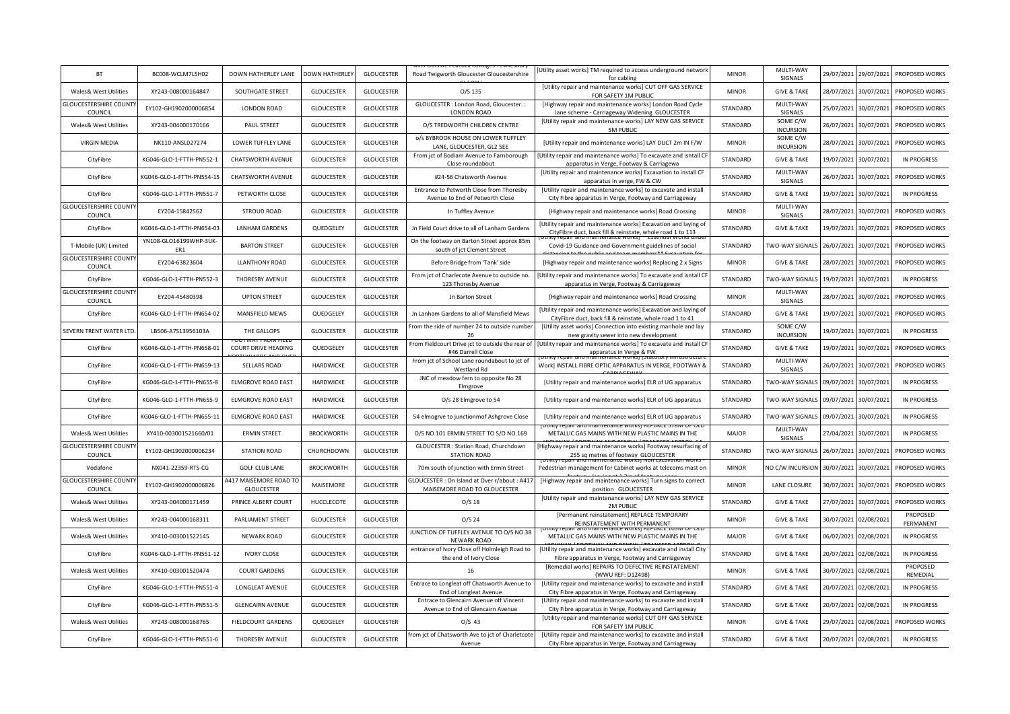| BT                                       | BC008-WCLM7L5H02              | DOWN HATHERLEY LANE                         | <b>DOWN HATHERLEY</b> | <b>GLOUCESTER</b> | Road Twigworth Gloucester Gloucestershire                                     | Utility asset works] TM required to access underground network<br>for cabling                                                 | <b>MINOR</b> | MULTI-WAY<br>SIGNALS         | 29/07/2021 | 29/07/2021 | PROPOSED WORKS        |
|------------------------------------------|-------------------------------|---------------------------------------------|-----------------------|-------------------|-------------------------------------------------------------------------------|-------------------------------------------------------------------------------------------------------------------------------|--------------|------------------------------|------------|------------|-----------------------|
| Wales& West Utilities                    | XY243-008000164847            | SOUTHGATE STREET                            | <b>GLOUCESTER</b>     | <b>GLOUCESTER</b> | $O/S$ 135                                                                     | [Utility repair and maintenance works] CUT OFF GAS SERVICE<br>FOR SAFETY 1M PUBLIC                                            | <b>MINOR</b> | <b>GIVE &amp; TAKE</b>       | 28/07/2021 | 30/07/2021 | PROPOSED WORKS        |
| <b>GLOUCESTERSHIRE COUNTY</b><br>COUNCIL | EY102-GH1902000006854         | <b>LONDON ROAD</b>                          | <b>GLOUCESTER</b>     | <b>GLOUCESTER</b> | GLOUCESTER : London Road, Gloucester.<br>LONDON ROAD                          | [Highway repair and maintenance works] London Road Cycle<br>lane scheme - Carriageway Widening GLOUCESTER                     | STANDARD     | MULTI-WAY<br>SIGNALS         | 25/07/2021 | 30/07/2021 | PROPOSED WORKS        |
| Wales& West Utilities                    | XY243-004000170166            | <b>PAUL STREET</b>                          | <b>GLOUCESTER</b>     | <b>GLOUCESTER</b> | O/S TREDWORTH CHILDREN CENTRE                                                 | [Utility repair and maintenance works] LAY NEW GAS SERVICE<br><b>5M PUBLIC</b>                                                | STANDARD     | SOME C/W<br><b>INCURSION</b> | 26/07/2021 | 30/07/2021 | PROPOSED WORKS        |
| <b>VIRGIN MEDIA</b>                      | NK110-ANSL027274              | LOWER TUFFLEY LANE                          | <b>GLOUCESTER</b>     | <b>GLOUCESTER</b> | o/s BYBROOK HOUSE ON LOWER TUFFLEY<br>LANE, GLOUCESTER, GL2 5EE               | [Utility repair and maintenance works] LAY DUCT 2m IN F/W                                                                     | <b>MINOR</b> | SOME C/W<br><b>INCURSION</b> | 28/07/2021 | 30/07/2021 | PROPOSED WORKS        |
| CityFibre                                | KG046-GLO-1-FTTH-PN552-1      | <b>CHATSWORTH AVENUE</b>                    | <b>GLOUCESTER</b>     | <b>GLOUCESTER</b> | From jct of Bodiam Avenue to Farnborough<br>Close roundabout                  | Utility repair and maintenance works] To excavate and isntall CF<br>apparatus in Verge, Footway & Carriagewa                  | STANDARD     | <b>GIVE &amp; TAKE</b>       | 19/07/2021 | 30/07/2021 | <b>IN PROGRESS</b>    |
| CityFibre                                | KG046-GLO-1-FTTH-PN554-15     | <b>CHATSWORTH AVENUE</b>                    | <b>GLOUCESTER</b>     | <b>GLOUCESTER</b> | #24-56 Chatsworth Avenue                                                      | [Utility repair and maintenance works] Excavation to install CF<br>apparatus in verge, FW & CW                                | STANDARD     | MULTI-WAY<br>SIGNALS         | 26/07/2021 | 30/07/2021 | PROPOSED WORKS        |
| CityFibre                                | KG046-GLO-1-FTTH-PN551-7      | PETWORTH CLOSE                              | <b>GLOUCESTER</b>     | <b>GLOUCESTER</b> | Entrance to Petworth Close from Thoresby<br>Avenue to End of Petworth Close   | [Utility repair and maintenance works] to excavate and install<br>City Fibre apparatus in Verge, Footway and Carriageway      | STANDARD     | <b>GIVE &amp; TAKE</b>       | 19/07/2021 | 30/07/2021 | <b>IN PROGRESS</b>    |
| <b>GLOUCESTERSHIRE COUNTY</b><br>COUNCIL | EY204-15842562                | <b>STROUD ROAD</b>                          | <b>GLOUCESTER</b>     | <b>GLOUCESTER</b> | Jn Tuffley Avenue                                                             | [Highway repair and maintenance works] Road Crossing                                                                          | <b>MINOR</b> | MULTI-WAY<br>SIGNALS         | 28/07/2021 | 30/07/2021 | PROPOSED WORKS        |
| CityFibre                                | KG046-GLO-1-FTTH-PN654-03     | <b>LANHAM GARDENS</b>                       | QUEDGELEY             | GLOUCESTER        | Jn Field Court drive to all of Lanham Gardens                                 | [Utility repair and maintenance works] Excavation and laying of<br>CityFibre duct, back fill & reinstate, whole road 1 to 113 | STANDARD     | <b>GIVE &amp; TAKE</b>       | 19/07/2021 | 30/07/2021 | PROPOSED WORKS        |
| T-Mobile (UK) Limited                    | YN108-GLO16199WHP-3UK-<br>ER1 | <b>BARTON STREET</b>                        | <b>GLOUCESTER</b>     | <b>GLOUCESTER</b> | On the footway on Barton Street approx 85m<br>south of jct Clement Street     | Covid-19 Guidance and Government guidelines of social                                                                         | STANDARD     | <b>TWO-WAY SIGNALS</b>       | 26/07/2021 | 30/07/2021 | PROPOSED WORKS        |
| <b>GLOUCESTERSHIRE COUNTY</b><br>COUNCIL | EY204-63823604                | <b>LLANTHONY ROAD</b>                       | <b>GLOUCESTER</b>     | <b>GLOUCESTER</b> | Before Bridge from 'Tank' side                                                | [Highway repair and maintenance works] Replacing 2 x Signs                                                                    | <b>MINOR</b> | <b>GIVE &amp; TAKE</b>       | 28/07/2021 | 30/07/2021 | PROPOSED WORKS        |
| CityFibre                                | KG046-GLO-1-FTTH-PN552-3      | THORESBY AVENUE                             | <b>GLOUCESTER</b>     | <b>GLOUCESTER</b> | From jct of Charlecote Avenue to outside no.<br>123 Thoresby Avenue           | Utility repair and maintenance works] To excavate and isntall CF<br>apparatus in Verge, Footway & Carriageway                 | STANDARD     | TWO-WAY SIGNALS              | 19/07/2021 | 30/07/2021 | <b>IN PROGRESS</b>    |
| <b>GLOUCESTERSHIRE COUNTY</b><br>COUNCIL | EY204-45480398                | <b>UPTON STREET</b>                         | <b>GLOUCESTER</b>     | <b>GLOUCESTER</b> | Jn Barton Street                                                              | [Highway repair and maintenance works] Road Crossing                                                                          | <b>MINOR</b> | MULTI-WAY<br>SIGNALS         | 28/07/2021 | 30/07/2021 | PROPOSED WORKS        |
| CityFibre                                | KG046-GLO-1-FTTH-PN654-02     | MANSFIELD MEWS                              | QUEDGELEY             | <b>GLOUCESTER</b> | Jn Lanham Gardens to all of Mansfield Mews                                    | [Utility repair and maintenance works] Excavation and laying of<br>CityFibre duct, back fill & reinstate, whole road 1 to 41  | STANDARD     | <b>GIVE &amp; TAKE</b>       | 19/07/2021 | 30/07/2021 | PROPOSED WORKS        |
| SEVERN TRENT WATER LTD                   | LB506-A7S13956103A            | THE GALLOPS                                 | <b>GLOUCESTER</b>     | <b>GLOUCESTER</b> | From the side of number 24 to outside number<br>26                            | [Utility asset works] Connection into existing manhole and lay<br>new gravity sewer into new development                      | STANDARD     | SOME C/W<br><b>INCURSION</b> | 19/07/2021 | 30/07/2021 | <b>IN PROGRESS</b>    |
| CityFibre                                | KG046-GLO-1-FTTH-PN658-01     | <b>COURT DRIVE HEADING</b>                  | QUEDGELEY             | <b>GLOUCESTER</b> | From Fieldcourt Drive jct to outside the rear of<br>#46 Darrell Close         | [Utility repair and maintenance works] To excavate and install CI<br>apparatus in Verge & FW                                  | STANDARD     | <b>GIVE &amp; TAKE</b>       | 19/07/2021 | 30/07/2021 | PROPOSED WORKS        |
| CityFibre                                | KG046-GLO-1-FTTH-PN659-13     | SELLARS ROAD                                | HARDWICKE             | <b>GLOUCESTER</b> | From jct of School Lane roundabout to jct of<br>Westland Rd                   | Work] INSTALL FIBRE OPTIC APPARATUS IN VERGE, FOOTWAY &                                                                       | STANDARD     | MULTI-WAY<br>SIGNALS         | 26/07/2021 | 30/07/2021 | PROPOSED WORKS        |
| CityFibre                                | KG046-GLO-1-FTTH-PN655-8      | <b>ELMGROVE ROAD EAST</b>                   | HARDWICKE             | <b>GLOUCESTER</b> | JNC of meadow fern to opposite No 28<br>Elmgrove                              | [Utility repair and maintenance works] ELR of UG apparatus                                                                    | STANDARD     | TWO-WAY SIGNALS 09/07/2021   |            | 30/07/2021 | <b>IN PROGRESS</b>    |
| CityFibre                                | KG046-GLO-1-FTTH-PN655-9      | <b>ELMGROVE ROAD EAST</b>                   | HARDWICKE             | <b>GLOUCESTER</b> | O/s 28 Elmgrove to 54                                                         | [Utility repair and maintenance works] ELR of UG apparatus                                                                    | STANDARD     | TWO-WAY SIGNALS              | 09/07/2021 | 30/07/2021 | <b>IN PROGRESS</b>    |
| CityFibre                                | KG046-GLO-1-FTTH-PN655-11     | <b>ELMGROVE ROAD EAST</b>                   | HARDWICKE             | <b>GLOUCESTER</b> | 54 elmogrve to junctionmof Ashgrove Close                                     | [Utility repair and maintenance works] ELR of UG apparatus                                                                    | STANDARD     | TWO-WAY SIGNALS              | 09/07/2021 | 30/07/2021 | <b>IN PROGRESS</b>    |
| Wales& West Utilities                    | XY410-003001521660/01         | <b>ERMIN STREET</b>                         | <b>BROCKWORTH</b>     | <b>GLOUCESTER</b> | O/S NO.101 ERMIN STREET TO S/O NO.169                                         | iu maimenance worksi Neptace<br>METALLIC GAS MAINS WITH NEW PLASTIC MAINS IN THE                                              | <b>MAJOR</b> | MULTI-WAY<br>SIGNALS         | 27/04/2021 | 30/07/2021 | <b>IN PROGRESS</b>    |
| <b>GLOUCESTERSHIRE COUNT</b><br>COUNCIL  | EY102-GH1902000006234         | <b>STATION ROAD</b>                         | CHURCHDOWN            | <b>GLOUCESTER</b> | GLOUCESTER : Station Road, Churchdown<br><b>STATION ROAD</b>                  | Highway repair and maintenance works] Footway resurfacing of<br>255 sq metres of footway GLOUCESTER                           | STANDARD     | TWO-WAY SIGNALS              | 26/07/2021 | 30/07/2021 | PROPOSED WORKS        |
| Vodafone                                 | NX041-22359-RTS-CG            | <b>GOLF CLUB LANE</b>                       | <b>BROCKWORTH</b>     | <b>GLOUCESTER</b> | 70m south of junction with Ermin Street                                       | Pedestrian management for Cabinet works at telecoms mast or                                                                   | <b>MINOR</b> | NO C/W INCURSION 30/07/2021  |            | 30/07/2021 | PROPOSED WORKS        |
| <b>GLOUCESTERSHIRE COUNT</b><br>COUNCIL  | EY102-GH1902000006826         | A417 MAISEMORE ROAD TO<br><b>GLOUCESTER</b> | MAISEMORE             | <b>GLOUCESTER</b> | GLOUCESTER : On Island at Over r/about : A417<br>MAISEMORE ROAD TO GLOUCESTER | [Highway repair and maintenance works] Turn signs to correct<br>position GLOUCESTER                                           | <b>MINOR</b> | LANE CLOSURE                 | 30/07/2021 | 30/07/2021 | PROPOSED WORKS        |
| Wales& West Utilities                    | XY243-004000171459            | PRINCE ALBERT COURT                         | HUCCLECOTE            | <b>GLOUCESTER</b> | $O/S$ 18                                                                      | [Utility repair and maintenance works] LAY NEW GAS SERVICE<br>2M PUBLIC                                                       | STANDARD     | <b>GIVE &amp; TAKE</b>       | 27/07/2021 | 30/07/2021 | PROPOSED WORKS        |
| Wales& West Utilities                    | XY243-004000168311            | <b>PARLIAMENT STREET</b>                    | <b>GLOUCESTER</b>     | <b>GLOUCESTER</b> | $O/S$ 24                                                                      | [Permanent reinstatement] REPLACE TEMPORARY<br>REINSTATEMENT WITH PERMANENT                                                   | <b>MINOR</b> | <b>GIVE &amp; TAKE</b>       | 30/07/2021 | 02/08/2021 | PROPOSED<br>PERMANENT |
| Wales& West Utilities                    | XY410-003001522145            | <b>NEWARK ROAD</b>                          | <b>GLOUCESTER</b>     | <b>GLOUCESTER</b> | JUNCTION OF TUFFLEY AVENUE TO O/S NO.38<br><b>NEWARK ROAD</b>                 | METALLIC GAS MAINS WITH NEW PLASTIC MAINS IN THE                                                                              | MAJOR        | <b>GIVE &amp; TAKE</b>       | 06/07/2021 | 02/08/2021 | <b>IN PROGRESS</b>    |
| CityFibre                                | KG046-GLO-1-FTTH-PN551-12     | <b>IVORY CLOSE</b>                          | <b>GLOUCESTER</b>     | GLOUCESTER        | entrance of Ivory Close off Holmleigh Road to<br>the end of Ivory Close       | [Utility repair and maintenance works] excavate and install City<br>Fibre apparatus in Verge, Footway and Carriageway         | STANDARD     | <b>GIVE &amp; TAKE</b>       | 20/07/2021 | 02/08/2021 | <b>IN PROGRESS</b>    |
| Wales& West Utilities                    | XY410-003001520474            | <b>COURT GARDENS</b>                        | GLOUCESTER            | <b>GLOUCESTER</b> | 16                                                                            | [Remedial works] REPAIRS TO DEFECTIVE REINSTATEMENT<br>(WWU REF: D12498)                                                      | <b>MINOR</b> | <b>GIVE &amp; TAKE</b>       | 30/07/2021 | 02/08/2021 | PROPOSED<br>REMEDIAL  |
| CityFibre                                | KG046-GLO-1-FTTH-PN551-4      | LONGLEAT AVENUE                             | <b>GLOUCESTER</b>     | <b>GLOUCESTER</b> | Entrace to Longleat off Chatsworth Avenue to<br>End of Longleat Avenue        | [Utility repair and maintenance works] to excavate and install<br>City Fibre apparatus in Verge, Footway and Carriageway      | STANDARD     | <b>GIVE &amp; TAKE</b>       | 20/07/2021 | 02/08/2021 | <b>IN PROGRESS</b>    |
| CityFibre                                | KG046-GLO-1-FTTH-PN551-5      | <b>GLENCAIRN AVENUE</b>                     | <b>GLOUCESTER</b>     | <b>GLOUCESTER</b> | Entrace to Glencairn Avenue off Vincent<br>Avenue to End of Glencairn Avenue  | [Utility repair and maintenance works] to excavate and install<br>City Fibre apparatus in Verge, Footway and Carriageway      | STANDARD     | <b>GIVE &amp; TAKE</b>       | 20/07/2021 | 02/08/2021 | <b>IN PROGRESS</b>    |
| Wales& West Utilities                    | XY243-008000168765            | <b>FIELDCOURT GARDENS</b>                   | QUEDGELEY             | <b>GLOUCESTER</b> | $O/S$ 43                                                                      | [Utility repair and maintenance works] CUT OFF GAS SERVICE<br>FOR SAFETY 1M PUBLIC                                            | <b>MINOR</b> | <b>GIVE &amp; TAKE</b>       | 29/07/2021 | 02/08/2021 | PROPOSED WORKS        |
| CityFibre                                | KG046-GLO-1-FTTH-PN551-6      | THORESBY AVENUE                             | <b>GLOUCESTER</b>     | <b>GLOUCESTER</b> | from jct of Chatsworth Ave to jct of Charletcote<br>Avenue                    | [Utility repair and maintenance works] to excavate and install<br>City Fibre apparatus in Verge, Footway and Carriageway      | STANDARD     | <b>GIVE &amp; TAKE</b>       | 20/07/2021 | 02/08/2021 | <b>IN PROGRESS</b>    |
|                                          |                               |                                             |                       |                   |                                                                               |                                                                                                                               |              |                              |            |            |                       |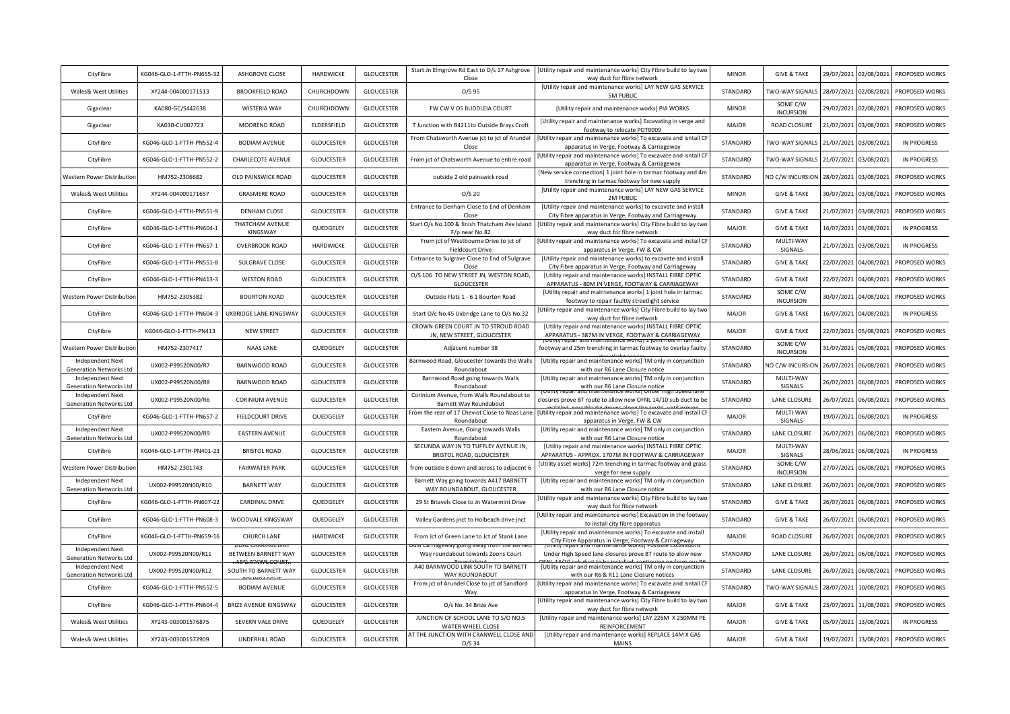| CityFibre                                                 | KG046-GLO-1-FTTH-PN655-32 | ASHGROVE CLOSE                       | <b>HARDWICKE</b>  | <b>GLOUCESTER</b> | Start Jn Elmgrove Rd East to O/s 17 Ashgrove<br>Close                                               | [Utility repair and maintenance works] City Fibre build to lay two<br>way duct for fibre network                                        | <b>MINOR</b> | <b>GIVE &amp; TAKE</b>       | 29/07/2021 | 02/08/2021 | PROPOSED WORKS     |
|-----------------------------------------------------------|---------------------------|--------------------------------------|-------------------|-------------------|-----------------------------------------------------------------------------------------------------|-----------------------------------------------------------------------------------------------------------------------------------------|--------------|------------------------------|------------|------------|--------------------|
| Wales& West Utilities                                     | XY244-004000171513        | <b>BROOKFIELD ROAD</b>               | CHURCHDOWN        | <b>GLOUCESTER</b> | $O/S$ 95                                                                                            | [Utility repair and maintenance works] LAY NEW GAS SERVICE<br>5M PUBLIC                                                                 | STANDARD     | TWO-WAY SIGNALS              | 28/07/2021 | 02/08/2021 | PROPOSED WORKS     |
| Gigaclear                                                 | KA080-GC/S442638          | <b>WISTERIA WAY</b>                  | CHURCHDOWN        | <b>GLOUCESTER</b> | FW CW V OS BUDDLEIA COURT                                                                           | [Utility repair and maintenance works] PIA WORKS                                                                                        | <b>MINOR</b> | SOME C/W<br><b>INCURSION</b> | 29/07/2021 | 02/08/2021 | PROPOSED WORKS     |
| Gigaclear                                                 | KA030-CU007723            | MOOREND ROAD                         | ELDERSFIELD       | <b>GLOUCESTER</b> | T Junction with B4211to Outside Brays Croft                                                         | [Utility repair and maintenance works] Excavating in verge and<br>footway to relocate POT0009                                           | <b>MAJOR</b> | ROAD CLOSURE                 | 21/07/2021 | 03/08/2021 | PROPOSED WORKS     |
| CityFibre                                                 | KG046-GLO-1-FTTH-PN552-4  | <b>BODIAM AVENUE</b>                 | <b>GLOUCESTER</b> | <b>GLOUCESTER</b> | From Chatsworth Avenue jct to jct of Arundel<br>Close                                               | [Utility repair and maintenance works] To excavate and isntall CF<br>apparatus in Verge, Footway & Carriageway                          | STANDARD     | TWO-WAY SIGNALS              | 21/07/2021 | 03/08/2021 | <b>IN PROGRESS</b> |
| CityFibre                                                 | KG046-GLO-1-FTTH-PN552-2  | CHARLECOTE AVENUE                    | <b>GLOUCESTER</b> | <b>GLOUCESTER</b> | From jct of Chatsworth Avenue to entire road                                                        | [Utility repair and maintenance works] To excavate and isntall CF<br>apparatus in Verge, Footway & Carriageway                          | STANDARD     | TWO-WAY SIGNALS              | 21/07/2021 | 03/08/2021 | <b>IN PROGRESS</b> |
| Western Power Distributior                                | HM752-2306682             | <b>OLD PAINSWICK ROAD</b>            | <b>GLOUCESTER</b> | <b>GLOUCESTER</b> | outside 2 old painswick road                                                                        | [New service connection] 1 joint hole in tarmac footway and 4m<br>trenching in tarmac footway for new supply                            | STANDARD     | NO C/W INCURSION             | 28/07/2021 | 03/08/2021 | PROPOSED WORKS     |
| Wales& West Utilities                                     | XY244-004000171657        | <b>GRASMERE ROAD</b>                 | <b>GLOUCESTER</b> | <b>GLOUCESTER</b> | $O/S$ 20                                                                                            | [Utility repair and maintenance works] LAY NEW GAS SERVICE<br>2M PUBLIC                                                                 | <b>MINOR</b> | <b>GIVE &amp; TAKE</b>       | 30/07/2021 | 03/08/2021 | PROPOSED WORKS     |
| CityFibre                                                 | KG046-GLO-1-FTTH-PN551-9  | <b>DENHAM CLOSE</b>                  | GLOUCESTER        | <b>GLOUCESTER</b> | Entrance to Denham Close to End of Denham<br>Close                                                  | [Utility repair and maintenance works] to excavate and install<br>City Fibre apparatus in Verge, Footway and Carriageway                | STANDARD     | <b>GIVE &amp; TAKE</b>       | 21/07/2021 | 03/08/2021 | PROPOSED WORKS     |
| CityFibre                                                 | KG046-GLO-1-FTTH-PN604-1  | THATCHAM AVENUE<br>KINGSWAY          | QUEDGELEY         | <b>GLOUCESTER</b> | Start O/s No.100 & finish Thatcham Ave Island<br>F/p near No.82                                     | Utility repair and maintenance works] City Fibre build to lay two<br>way duct for fibre network                                         | MAJOR        | <b>GIVE &amp; TAKE</b>       | 16/07/2021 | 03/08/2021 | <b>IN PROGRESS</b> |
| CityFibre                                                 | KG046-GLO-1-FTTH-PN657-1  | <b>OVERBROOK ROAD</b>                | HARDWICKE         | <b>GLOUCESTER</b> | From jct of Westbourne Drive to jct of<br><b>Fieldcourt Drive</b>                                   | [Utility repair and maintenance works] To excavate and install CF<br>apparatus in Verge, FW & CW                                        | STANDARD     | MULTI-WAY<br>SIGNALS         | 21/07/2021 | 03/08/2021 | <b>IN PROGRESS</b> |
| CityFibre                                                 | KG046-GLO-1-FTTH-PN551-8  | SULGRAVE CLOSE                       | <b>GLOUCESTER</b> | <b>GLOUCESTER</b> | Entrance to Sulgrave Close to End of Sulgrave<br>Close                                              | [Utility repair and maintenance works] to excavate and install<br>City Fibre apparatus in Verge, Footway and Carriageway                | STANDARD     | <b>GIVE &amp; TAKE</b>       | 22/07/2021 | 04/08/2021 | PROPOSED WORKS     |
| CityFibre                                                 | KG046-GLO-1-FTTH-PN413-3  | <b>WESTON ROAD</b>                   | <b>GLOUCESTER</b> | GLOUCESTER        | O/S 106 TO NEW STREET JN, WESTON ROAD,<br><b>GLOUCESTER</b>                                         | [Utility repair and maintenance works] INSTALL FIBRE OPTIC<br>APPARATUS - 80M IN VERGE, FOOTWAY & CARRIAGEWAY                           | STANDARD     | <b>GIVE &amp; TAKE</b>       | 22/07/2021 | 04/08/2021 | PROPOSED WORKS     |
| Western Power Distributio                                 | HM752-2305382             | <b>BOURTON ROAD</b>                  | GLOUCESTER        | <b>GLOUCESTER</b> | Outside Flats 1 - 6 1 Bourton Road                                                                  | [Utility repair and maintenance works] 1 joint hole in tarmac<br>footway to repair faultty streetlight service                          | STANDARD     | SOME C/W<br><b>INCURSION</b> | 30/07/2021 | 04/08/2021 | PROPOSED WORKS     |
| CityFibre                                                 | KG046-GLO-1-FTTH-PN604-3  | UXBRIDGE LANE KINGSWAY               | <b>GLOUCESTER</b> | <b>GLOUCESTER</b> | Start O/c No.45 Uxbridge Lane to O/s No.32                                                          | Utility repair and maintenance works] City Fibre build to lay two<br>way duct for fibre network                                         | <b>MAJOR</b> | <b>GIVE &amp; TAKE</b>       | 16/07/2021 | 04/08/2021 | <b>IN PROGRESS</b> |
| CityFibre                                                 | KG046-GLO-1-FTTH-PN413    | <b>NEW STREET</b>                    | <b>GLOUCESTER</b> | <b>GLOUCESTER</b> | CROWN GREEN COURT JN TO STROUD ROAD<br>JN, NEW STREET, GLOUCESTER                                   | [Utility repair and maintenance works] INSTALL FIBRE OPTIC<br>APPARATUS - 387M IN VERGE, FOOTWAY & CARRIAGEWAY                          | <b>MAJOR</b> | <b>GIVE &amp; TAKE</b>       | 22/07/2021 | 05/08/2021 | PROPOSED WORKS     |
| Western Power Distributio                                 | HM752-2307417             | <b>NAAS LANE</b>                     | QUEDGELEY         | <b>GLOUCESTER</b> | Adjacent number 38                                                                                  | footway and 25m trenching in tarmac footway to overlay faulty                                                                           | STANDARD     | SOME C/W                     | 31/07/2021 | 05/08/2021 | PROPOSED WORKS     |
|                                                           |                           |                                      |                   |                   |                                                                                                     |                                                                                                                                         |              | <b>INCURSION</b>             |            |            |                    |
| Independent Next<br><b>Generation Networks Ltd</b>        | UX002-P99520N00/R7        | BARNWOOD ROAD                        | <b>GLOUCESTER</b> | <b>GLOUCESTER</b> | Barnwood Road, Gloucester towards the Walls<br>Roundabout                                           | [Utility repair and maintenance works] TM only in conjunction<br>with our R6 Lane Closure notice                                        | STANDARD     | NO C/W INCURSION             | 26/07/2021 | 06/08/2021 | PROPOSED WORKS     |
| Independent Next<br>Generation Networks Ltd               | UX002-P99520N00/R8        | BARNWOOD ROAD                        | <b>GLOUCESTER</b> | <b>GLOUCESTER</b> | Barnwood Road going towards Walls<br>Roundabout                                                     | [Utility repair and maintenance works] TM only in conjunction<br>with our R6 Lane Closure notice                                        | STANDARD     | MULTI-WAY<br>SIGNALS         | 26/07/2021 | 06/08/2021 | PROPOSED WORKS     |
| Independent Next<br><b>Generation Networks Ltd</b>        | UX002-P99520N00/R6        | <b>CORINIUM AVENUE</b>               | <b>GLOUCESTER</b> | <b>GLOUCESTER</b> | Corinium Avenue, from Walls Roundabout to<br><b>Barnett Way Roundabout</b>                          | closures prove BT route to allow new OFNL 14/10 sub duct to be                                                                          | STANDARD     | <b>LANE CLOSURE</b>          | 26/07/2021 | 06/08/2021 | PROPOSED WORKS     |
| CityFibre                                                 | KG046-GLO-1-FTTH-PN657-2  | <b>FIELDCOURT DRIVE</b>              | QUEDGELEY         | <b>GLOUCESTER</b> | From the rear of 17 Cheviot Close to Naas Lane<br>Roundabout                                        | [Utility repair and maintenance works] To excavate and install CF<br>apparatus in Verge, FW & CW                                        | <b>MAJOR</b> | MULTI-WAY<br>SIGNALS         | 19/07/2021 | 06/08/2021 | <b>IN PROGRESS</b> |
| Independent Next<br><b>Generation Networks Ltd</b>        | UX002-P99520N00/R9        | <b>EASTERN AVENUE</b>                | <b>GLOUCESTER</b> | <b>GLOUCESTER</b> | Eastern Avenue, Going towards Walls<br>Roundabout                                                   | [Utility repair and maintenance works] TM only in conjunction<br>with our R6 Lane Closure notice                                        | STANDARD     | <b>LANE CLOSURE</b>          | 26/07/2021 | 06/08/2021 | PROPOSED WORKS     |
| CityFibre                                                 | KG046-GLO-1-FTTH-PN401-23 | <b>BRISTOL ROAD</b>                  | <b>GLOUCESTER</b> | <b>GLOUCESTER</b> | SECUNDA WAY JN TO TUFFLEY AVENUE JN,<br>BRISTOL ROAD, GLOUCESTER                                    | [Utility repair and maintenance works] INSTALL FIBRE OPTIC<br>APPARATUS - APPROX. 1707M IN FOOTWAY & CARRIAGEWAY                        | <b>MAJOR</b> | MULTI-WAY<br>SIGNALS         | 28/06/2021 | 06/08/2021 | <b>IN PROGRESS</b> |
| Western Power Distribution                                | HM752-2301743             | <b>FAIRWATER PARK</b>                | GLOUCESTER        | GLOUCESTER        | from outside 8 down and across to adjacent 6                                                        | [Utility asset works] 72m trenching in tarmac footway and grass<br>verge for new supply                                                 | STANDARD     | SOME C/W<br><b>INCURSION</b> | 27/07/2021 | 06/08/2021 | PROPOSED WORKS     |
| <b>Independent Next</b><br><b>Generation Networks Ltd</b> | UX002-P99520N00/R10       | <b>BARNETT WAY</b>                   | <b>GLOUCESTER</b> | <b>GLOUCESTER</b> | Barnett Way going towards A417 BARNETT<br>WAY ROUNDABOUT, GLOUCESTER                                | [Utility repair and maintenance works] TM only in conjunction<br>with our R6 Lane Closure notice                                        | STANDARD     | LANE CLOSURE                 | 26/07/2021 | 06/08/2021 | PROPOSED WORKS     |
| CityFibre                                                 | KG046-GLO-1-FTTH-PN607-22 | CARDINAL DRIVE                       | QUEDGELEY         | <b>GLOUCESTER</b> | 29 St Briavels Close to Jn Watermint Drive                                                          | [Utility repair and maintenance works] City Fibre build to lay two<br>way duct for fibre network                                        | STANDARD     | <b>GIVE &amp; TAKE</b>       | 26/07/2021 | 06/08/2021 | PROPOSED WORKS     |
| CityFibre                                                 | KG046-GLO-1-FTTH-PN608-3  | WOODVALE KINGSWAY                    | QUEDGELEY         | <b>GLOUCESTER</b> | Valley Gardens jnct to Holbeach drive jnct                                                          | Utility repair and maintenance works] Excavation in the footway<br>to install city fibre apparatus                                      | STANDARD     | <b>GIVE &amp; TAKE</b>       | 26/07/2021 | 06/08/2021 | PROPOSED WORKS     |
| CityFibre                                                 | KG046-GLO-1-FTTH-PN659-16 | CHURCH LANE                          | HARDWICKE         | <b>GLOUCESTER</b> | From Jct of Green Lane to Jct of Stank Lane                                                         | [Utility repair and maintenance works] To excavate and install<br>City Fibre Apparatus in Verge, Footway & Carriageway                  | <b>MAJOR</b> | ROAD CLOSURE                 | 26/07/2021 | 06/08/2021 | PROPOSED WORKS     |
| <b>Independent Next</b><br><b>Generation Networks Ltd</b> | UX002-P99520N00/R11       | BETWEEN BARNETT WAY                  | <b>GLOUCESTER</b> | <b>GLOUCESTER</b> | uar carnageway going away nom the Ba<br>Way roundabout towards Zoons Court                          | Under High Speed lane closures prove BT route to alow new                                                                               | STANDARD     | LANE CLOSURE                 | 26/07/2021 | 06/08/2021 | PROPOSED WORKS     |
| <b>Independent Next</b><br><b>Generation Networks Ltd</b> | UX002-P99520N00/R12       | u Rammani ma<br>SOUTH TO BARNETT WAY | GLOUCESTER        | GLOUCESTER        | A40 BARNWOOD LINK SOUTH TO BARNETT<br>WAY ROUNDABOUT                                                | [Utility repair and maintenance works] TM only in conjunction<br>with our R6 & R11 Lane Closure notices                                 | STANDARD     | LANE CLOSURE                 | 26/07/2021 | 06/08/2021 | PROPOSED WORKS     |
| CityFibre                                                 | KG046-GLO-1-FTTH-PN552-5  | <b>BODIAM AVENUE</b>                 | <b>GLOUCESTER</b> | GLOUCESTER        | From jct of Arundel Close to jct of Sandford<br>Way                                                 | [Utility repair and maintenance works] To excavate and isntall CF<br>apparatus in Verge, Footway & Carriageway                          | STANDARD     | TWO-WAY SIGNALS              | 28/07/2021 | 10/08/2021 | PROPOSED WORKS     |
| CityFibre                                                 | KG046-GLO-1-FTTH-PN604-4  | <b>BRIZE AVENUE KINGSWAY</b>         | <b>GLOUCESTER</b> | <b>GLOUCESTER</b> | O/s No. 34 Brize Ave                                                                                | [Utility repair and maintenance works] City Fibre build to lay two<br>way duct for fibre network                                        | <b>MAJOR</b> | <b>GIVE &amp; TAKE</b>       | 23/07/2021 | 11/08/2021 | PROPOSED WORKS     |
| Wales& West Utilities                                     | XY243-003001576875        | SEVERN VALE DRIVE                    | QUEDGELEY         | <b>GLOUCESTER</b> | JUNCTION OF SCHOOL LANE TO S/O NO.5<br>WATER WHEEL CLOSE<br>AT THE JUNCTION WITH CRANWELL CLOSE AND | [Utility repair and maintenance works] LAY 226M X 250MM PE<br>REINFORCEMENT<br>[Utility repair and maintenance works] REPLACE 14M X GAS | <b>MAJOR</b> | <b>GIVE &amp; TAKE</b>       | 05/07/2021 | 13/08/2021 | <b>IN PROGRESS</b> |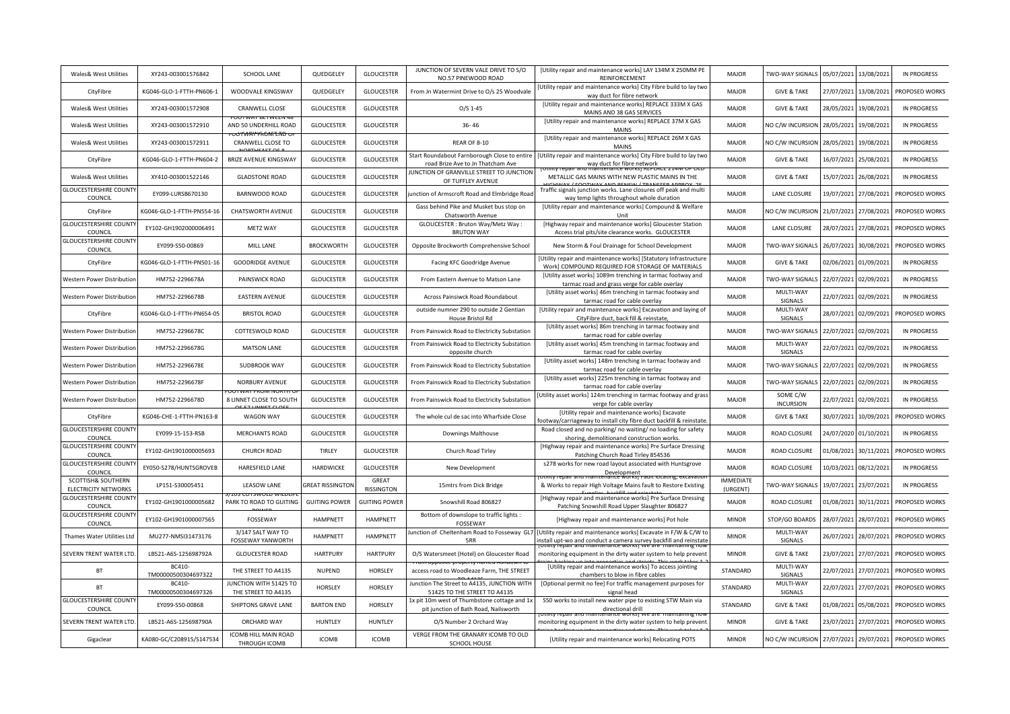| Wales& West Utilities                             | XY243-003001576842            | SCHOOL LANE                                          | QUEDGELEY               | <b>GLOUCESTER</b>          | JUNCTION OF SEVERN VALE DRIVE TO S/O<br>NO.57 PINEWOOD ROAD                           | [Utility repair and maintenance works] LAY 134M X 250MM PE<br>REINFORCEMENT                                                        | MAIOR                        | TWO-WAY SIGNALS              | 05/07/2021 | 13/08/2021 | <b>IN PROGRESS</b> |
|---------------------------------------------------|-------------------------------|------------------------------------------------------|-------------------------|----------------------------|---------------------------------------------------------------------------------------|------------------------------------------------------------------------------------------------------------------------------------|------------------------------|------------------------------|------------|------------|--------------------|
| CityFibre                                         | KG046-GLO-1-FTTH-PN606-1      | WOODVALE KINGSWAY                                    | QUEDGELEY               | <b>GLOUCESTER</b>          | From Jn Watermint Drive to O/s 25 Woodvale                                            | Utility repair and maintenance works] City Fibre build to lay two<br>way duct for fibre network                                    | <b>MAJOR</b>                 | <b>GIVE &amp; TAKE</b>       | 27/07/2021 | 13/08/2021 | PROPOSED WORKS     |
| Wales& West Utilities                             | XY243-003001572908            | <b>CRANWELL CLOSE</b>                                | <b>GLOUCESTER</b>       | <b>GLOUCESTER</b>          | $O/S$ 1-45                                                                            | [Utility repair and maintenance works] REPLACE 333M X GAS<br>MAINS AND 38 GAS SERVICES                                             | <b>MAJOR</b>                 | <b>GIVE &amp; TAKE</b>       | 28/05/2021 | 19/08/2021 | <b>IN PROGRESS</b> |
| Wales& West Utilities                             | XY243-003001572910            | AND 50 UNDERHILL ROAD<br><del>IJſŴŖŸŀſĸŨŴĪĿĪſĎ</del> | <b>GLOUCESTER</b>       | <b>GLOUCESTER</b>          | $36 - 46$                                                                             | [Utility repair and maintenance works] REPLACE 37M X GAS<br><b>MAINS</b>                                                           | <b>MAJOR</b>                 | NO C/W INCURSION             | 28/05/2021 | 19/08/2021 | <b>IN PROGRESS</b> |
| Wales& West Utilities                             | XY243-003001572911            | CRANWELL CLOSE TO                                    | <b>GLOUCESTER</b>       | <b>GLOUCESTER</b>          | REAR OF 8-10                                                                          | [Utility repair and maintenance works] REPLACE 26M X GAS<br><b>MAINS</b>                                                           | <b>MAJOR</b>                 | NO C/W INCURSION             | 28/05/2021 | 19/08/2021 | <b>IN PROGRESS</b> |
| CityFibre                                         | KG046-GLO-1-FTTH-PN604-2      | <b>BRIZE AVENUE KINGSWAY</b>                         | <b>GLOUCESTER</b>       | <b>GLOUCESTER</b>          | Start Roundabout Farnborough Close to entire<br>road Brize Ave to Jn Thatcham Ave     | [Utility repair and maintenance works] City Fibre build to lay two<br>way duct for fibre network                                   | <b>MAJOR</b>                 | <b>GIVE &amp; TAKE</b>       | 16/07/2021 | 25/08/2021 | <b>IN PROGRESS</b> |
| Wales& West Utilities                             | XY410-003001522146            | <b>GLADSTONE ROAD</b>                                | <b>GLOUCESTER</b>       | <b>GLOUCESTER</b>          | IUNCTION OF GRANVILLE STREET TO JUNCTION<br>OF TUFFLEY AVENUE                         | METALLIC GAS MAINS WITH NEW PLASTIC MAINS IN THE                                                                                   | <b>MAJOR</b>                 | <b>GIVE &amp; TAKE</b>       | 15/07/2021 | 26/08/2021 | <b>IN PROGRESS</b> |
| <b>GLOUCESTERSHIRE COUNT</b><br>COUNCIL           | EY099-LURSB670130             | <b>BARNWOOD ROAD</b>                                 | GLOUCESTER              | GLOUCESTER                 | unction of Armscroft Road and Elmbridge Road                                          | Traffic signals junction works. Lane closures off peak and multi<br>way temp lights throughout whole duration                      | <b>MAJOR</b>                 | <b>LANE CLOSURE</b>          | 19/07/2021 | 27/08/2021 | PROPOSED WORKS     |
| CityFibre                                         | KG046-GLO-1-FTTH-PN554-16     | CHATSWORTH AVENUE                                    | <b>GLOUCESTER</b>       | <b>GLOUCESTER</b>          | Gass behind Pike and Musket bus stop on<br>Chatsworth Avenue                          | [Utility repair and maintenance works] Compound & Welfare<br>Unit                                                                  | MAJOR                        | NO C/W INCURSION             | 21/07/2021 | 27/08/2021 | PROPOSED WORKS     |
| <b>GLOUCESTERSHIRE COUNT</b><br>COUNCIL           | EY102-GH1902000006491         | METZ WAY                                             | <b>GLOUCESTER</b>       | <b>GLOUCESTER</b>          | GLOUCESTER : Bruton Way/Metz Way :<br><b>BRUTON WAY</b>                               | [Highway repair and maintenance works] Gloucester Station<br>Access trial pits/site clearance works. GLOUCESTER                    | MAJOR                        | LANE CLOSURE                 | 28/07/2021 | 27/08/2021 | PROPOSED WORKS     |
| <b>GLOUCESTERSHIRE COUNTY</b><br>COUNCIL          | EY099-S50-00869               | MILL LANE                                            | <b>BROCKWORTH</b>       | <b>GLOUCESTER</b>          | Opposite Brockworth Comprehensive School                                              | New Storm & Foul Drainage for School Development                                                                                   | <b>MAJOR</b>                 | TWO-WAY SIGNALS              | 26/07/2021 | 30/08/2021 | PROPOSED WORKS     |
| CityFibre                                         | KG046-GLO-1-FTTH-PN501-16     | <b>GOODRIDGE AVENUE</b>                              | <b>GLOUCESTER</b>       | <b>GLOUCESTER</b>          | Facing KFC Goodridge Avenue                                                           | [Utility repair and maintenance works] [Statutory Infrastructure<br>Work] COMPOUND REQUIRED FOR STORAGE OF MATERIALS               | <b>MAJOR</b>                 | <b>GIVE &amp; TAKE</b>       | 02/06/2021 | 01/09/2021 | <b>IN PROGRESS</b> |
| Western Power Distributior                        | HM752-2296678A                | PAINSWICK ROAD                                       | <b>GLOUCESTER</b>       | <b>GLOUCESTER</b>          | From Eastern Avenue to Matson Lane                                                    | [Utility asset works] 1089m trenching in tarmac footway and<br>tarmac road and grass verge for cable overlay                       | <b>MAJOR</b>                 | TWO-WAY SIGNALS              | 22/07/2021 | 02/09/2021 | <b>IN PROGRESS</b> |
| Western Power Distributior                        | HM752-2296678B                | <b>EASTERN AVENUE</b>                                | <b>GLOUCESTER</b>       | <b>GLOUCESTER</b>          | Across Painsiwck Road Roundabout                                                      | [Utility asset works] 46m trenching in tarmac footway and<br>tarmac road for cable overlay                                         | <b>MAJOR</b>                 | MULTI-WAY<br>SIGNALS         | 22/07/2021 | 02/09/2021 | <b>IN PROGRESS</b> |
| CityFibre                                         | KG046-GLO-1-FTTH-PN654-05     | <b>BRISTOL ROAD</b>                                  | <b>GLOUCESTER</b>       | <b>GLOUCESTER</b>          | outside numner 290 to outside 2 Gentian<br>House Bristol Rd                           | [Utility repair and maintenance works] Excavation and laying of<br>CityFibre duct, back fill & reinstate,                          | <b>MAJOR</b>                 | MULTI-WAY<br>SIGNALS         | 28/07/2021 | 02/09/2021 | PROPOSED WORKS     |
| Western Power Distribution                        | HM752-2296678C                | COTTESWOLD ROAD                                      | <b>GLOUCESTER</b>       | <b>GLOUCESTER</b>          | From Painswick Road to Electricity Substation                                         | [Utility asset works] 86m trenching in tarmac footway and<br>tarmac road for cable overlay                                         | <b>MAJOR</b>                 | TWO-WAY SIGNALS              | 22/07/2021 | 02/09/2021 | <b>IN PROGRESS</b> |
| Western Power Distributior                        | HM752-2296678G                | <b>MATSON LANE</b>                                   | <b>GLOUCESTER</b>       | <b>GLOUCESTER</b>          | From Painswick Road to Electricity Substation<br>opposite church                      | [Utility asset works] 45m trenching in tarmac footway and<br>tarmac road for cable overlay                                         | <b>MAJOR</b>                 | MULTI-WAY<br>SIGNALS         | 22/07/2021 | 02/09/2021 | <b>IN PROGRESS</b> |
| Western Power Distribution                        | HM752-2296678E                | SUDBROOK WAY                                         | <b>GLOUCESTER</b>       | <b>GLOUCESTER</b>          | From Painswick Road to Electricity Substation                                         | [Utility asset works] 148m trenching in tarmac footway and<br>tarmac road for cable overlay                                        | MAJOR                        | TWO-WAY SIGNALS              | 22/07/2021 | 02/09/2021 | <b>IN PROGRESS</b> |
| Western Power Distributior                        | HM752-2296678F                | NORBURY AVENUE                                       | GLOUCESTER              | <b>GLOUCESTER</b>          | From Painswick Road to Electricity Substation                                         | [Utility asset works] 225m trenching in tarmac footway and<br>tarmac road for cable overlay                                        | <b>MAJOR</b>                 | TWO-WAY SIGNALS              | 22/07/2021 | 02/09/2021 | <b>IN PROGRESS</b> |
| Western Power Distribution                        | HM752-2296678D                | 8 LINNET CLOSE TO SOUTH                              | <b>GLOUCESTER</b>       | <b>GLOUCESTER</b>          | From Painswick Road to Electricity Substation                                         | Utility asset works] 124m trenching in tarmac footway and grass<br>verge for cable overlay                                         | <b>MAJOR</b>                 | SOME C/W<br><b>INCURSION</b> | 22/07/2021 | 02/09/2021 | <b>IN PROGRESS</b> |
| CityFibre                                         | KG046-CHE-1-FTTH-PN163-8      | <b>WAGON WAY</b>                                     | <b>GLOUCESTER</b>       | <b>GLOUCESTER</b>          | The whole cul de sac into Wharfside Close                                             | [Utility repair and maintenance works] Excavate<br>ootway/carriageway to install city fibre duct backfill & reinstate              | <b>MAJOR</b>                 | <b>GIVE &amp; TAKE</b>       | 30/07/2021 | 10/09/2021 | PROPOSED WORKS     |
| <b>GLOUCESTERSHIRE COUNT</b><br>COUNCIL           | EY099-15-153-RSB              | <b>MERCHANTS ROAD</b>                                | <b>GLOUCESTER</b>       | <b>GLOUCESTER</b>          | Downings Malthouse                                                                    | Road closed and no parking/ no waiting/ no loading for safety<br>shoring, demolitionand construction works.                        | <b>MAJOR</b>                 | <b>ROAD CLOSURE</b>          | 24/07/2020 | 01/10/2021 | <b>IN PROGRESS</b> |
| <b>GLOUCESTERSHIRE COUNT</b><br>COUNCIL           | EY102-GH1901000005693         | <b>CHURCH ROAD</b>                                   | <b>TIRLEY</b>           | <b>GLOUCESTER</b>          | Church Road Tirley                                                                    | [Highway repair and maintenance works] Pre Surface Dressing<br>Patching Church Road Tirley 854536                                  | <b>MAJOR</b>                 | <b>ROAD CLOSURE</b>          | 01/08/2021 | 30/11/2021 | PROPOSED WORKS     |
| <b>GLOUCESTERSHIRE COUNT</b><br>COUNCIL           | EY050-S278/HUNTSGROVEB        | <b>HARESFIELD LANE</b>                               | <b>HARDWICKE</b>        | <b>GLOUCESTER</b>          | New Development                                                                       | s278 works for new road layout associated with Huntsgrove<br>Development                                                           | <b>MAJOR</b>                 | <b>ROAD CLOSURE</b>          | 10/03/2021 | 08/12/2021 | <b>IN PROGRESS</b> |
| SCOTTISH& SOUTHERN<br><b>ELECTRICITY NETWORKS</b> | LP151-S30005451               | LEASOW LANE                                          | <b>GREAT RISSINGTON</b> | GREAT<br><b>RISSINGTON</b> | 15mtrs from Dick Bridge                                                               | & Works to repair High Voltage Mains fault to Restore Existing                                                                     | <b>IMMEDIATE</b><br>(URGENT) | TWO-WAY SIGNALS              | 19/07/2021 | 23/07/2021 | <b>IN PROGRESS</b> |
| <b>GLOUCESTERSHIRE COUNT</b><br>COUNCIL           | EY102-GH1901000005682         | PARK TO ROAD TO GUITING                              | <b>GUITING POWER</b>    | <b>GUITING POWER</b>       | Snowshill Road 806827                                                                 | [Highway repair and maintenance works] Pre Surface Dressing<br>Patching Snowshill Road Upper Slaughter 806827                      | <b>MAJOR</b>                 | ROAD CLOSURE                 | 01/08/2021 | 30/11/2021 | PROPOSED WORKS     |
| <b>GLOUCESTERSHIRE COUNT</b><br>COUNCIL           | EY102-GH1901000007565         | FOSSEWAY                                             | HAMPNETT                | <b>HAMPNETT</b>            | Bottom of downslope to traffic lights :<br>FOSSEWAY                                   | [Highway repair and maintenance works] Pot hole                                                                                    | <b>MINOR</b>                 | STOP/GO BOARDS               | 28/07/2021 | 28/07/2021 | PROPOSED WORKS     |
| Thames Water Utilities Lto                        | MU277-NMSI31473176            | 3/147 SALT WAY TO<br>FOSSEWAY YANWORTH               | HAMPNETT                | <b>HAMPNETT</b>            | unction of Cheltenham Road to Fosseway GL7<br>5RR                                     | Utility repair and maintenance works] Excavate in F/W & C/W to<br>nstall upt-wo and conduct a camera survey backfill and reinstate | <b>MINOR</b>                 | MULTI-WAY<br>SIGNALS         | 26/07/2021 | 28/07/2021 | PROPOSED WORKS     |
| SEVERN TRENT WATER LTD.                           | LB521-A6S-125698792A          | <b>GLOUCESTER ROAD</b>                               | <b>HARTPURY</b>         | <b>HARTPURY</b>            | O/S Watersmeet (Hotel) on Gloucester Road                                             | iteriance worksi wi<br>monitoring equipment in the dirty water system to help prevent                                              | <b>MINOR</b>                 | <b>GIVE &amp; TAKE</b>       | 23/07/2021 | 27/07/2021 | PROPOSED WORKS     |
| BT                                                | BC410-<br>TM00000500304697322 | THE STREET TO A4135                                  | NUPEND                  | HORSLEY                    | access road to Woodleaze Farm, THE STREET                                             | [Utility repair and maintenance works] To access jointing<br>chambers to blow in fibre cables                                      | STANDARD                     | MULTI-WAY<br>SIGNALS         | 22/07/2021 | 27/07/2021 | PROPOSED WORKS     |
| BT                                                | BC410-<br>TM00000500304697326 | JUNCTION WITH 51425 TO<br>THE STREET TO A4135        | HORSLEY                 | HORSLEY                    | Junction The Street to A4135, JUNCTION WITH<br>51425 TO THE STREET TO A4135           | [Optional permit no fee] For traffic management purposes for<br>signal head                                                        | STANDARD                     | MULTI-WAY<br>SIGNALS         | 22/07/2021 | 27/07/2021 | PROPOSED WORKS     |
| <b>GLOUCESTERSHIRE COUNTY</b><br>COUNCIL          | EY099-S50-00868               | SHIPTONS GRAVE LANE                                  | <b>BARTON END</b>       | HORSLEY                    | 1x pit 10m west of Thumbstone cottage and 1x<br>pit junction of Bath Road, Nailsworth | S50 works to install new water pipe to existing STW Main via<br>directional drill                                                  | STANDARD                     | <b>GIVE &amp; TAKE</b>       | 01/08/2021 | 05/08/2021 | PROPOSED WORKS     |
| SEVERN TRENT WATER LTD                            | LB521-A6S-125698790A          | <b>ORCHARD WAY</b>                                   | HUNTLEY                 | HUNTLEY                    | O/S Number 2 Orchard Way                                                              | monitoring equipment in the dirty water system to help prevent                                                                     | <b>MINOR</b>                 | <b>GIVE &amp; TAKE</b>       | 23/07/2021 | 27/07/2021 | PROPOSED WORKS     |
| Gigaclear                                         | KA080-GC/C208915/S147534      | <b>ICOMB HILL MAIN ROAD</b><br>THROUGH ICOMB         | <b>ICOMB</b>            | <b>ICOMB</b>               | VERGE FROM THE GRANARY ICOMB TO OLD<br>SCHOOL HOUSE                                   | [Utility repair and maintenance works] Relocating POTS                                                                             | <b>MINOR</b>                 | NO C/W INCURSION             | 27/07/2021 | 29/07/2021 | PROPOSED WORKS     |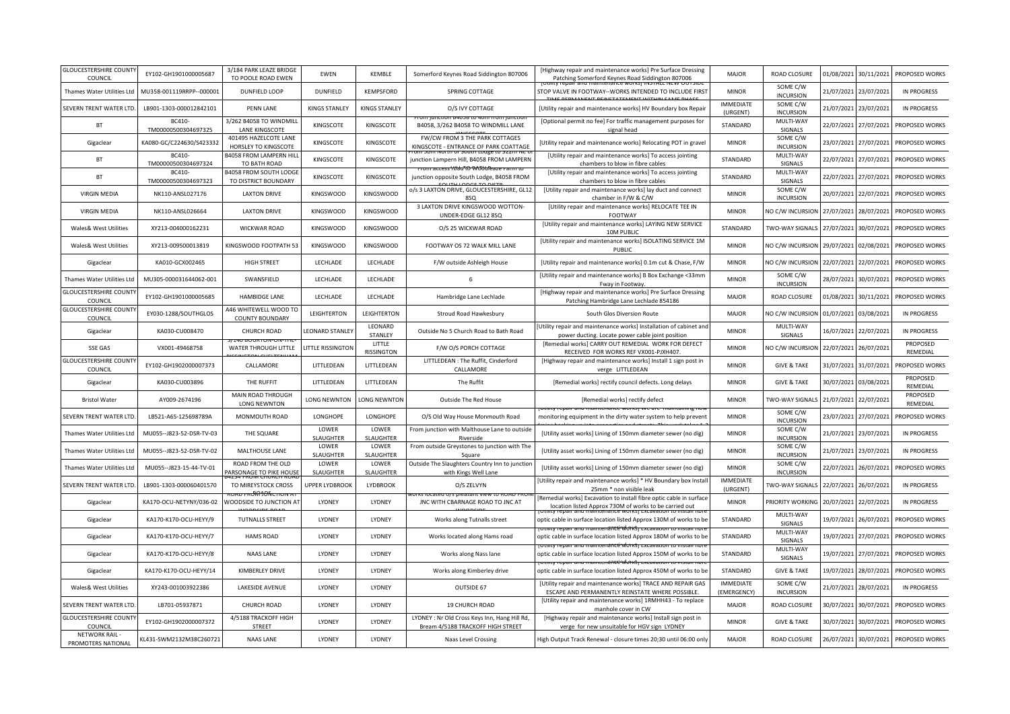| <b>GLOUCESTERSHIRE COUNT</b><br>COUNCIL | EY102-GH1901000005687         | 3/184 PARK LEAZE BRIDGE<br>TO POOLE ROAD EWEN          | <b>FWFN</b>               | KEMBLE               | Somerford Keynes Road Siddington 807006                                            | [Highway repair and maintenance works] Pre Surface Dressing<br>Patching Somerford Keynes Road Siddington 807006                 | <b>MAJOR</b>                    | <b>ROAD CLOSURE</b>          | 01/08/2021 | 30/11/2021            | PROPOSED WORKS            |
|-----------------------------------------|-------------------------------|--------------------------------------------------------|---------------------------|----------------------|------------------------------------------------------------------------------------|---------------------------------------------------------------------------------------------------------------------------------|---------------------------------|------------------------------|------------|-----------------------|---------------------------|
| Thames Water Utilities Ltd              | MU358-001119RRPP--000001      | DUNFIELD LOOP                                          | <b>DUNFIELD</b>           | KEMPSFORD            | SPRING COTTAGE                                                                     | STOP VALVE IN FOOTWAY -- WORKS INTENDED TO INCLUDE FIRST                                                                        | <b>MINOR</b>                    | SOME C/W<br><b>INCURSION</b> | 21/07/2021 | 23/07/2021            | <b>IN PROGRESS</b>        |
| SEVERN TRENT WATER LTD                  | LB901-1303-000012842101       | <b>PENN LANE</b>                                       | <b>KINGS STANLEY</b>      | <b>KINGS STANLEY</b> | O/S IVY COTTAGE                                                                    | [Utility repair and maintenance works] HV Boundary box Repair                                                                   | <b>IMMEDIATE</b><br>(URGENT)    | SOME C/W<br><b>INCURSION</b> |            | 21/07/2021 23/07/2021 | <b>IN PROGRESS</b>        |
| <b>BT</b>                               | BC410<br>TM00000500304697325  | 3/262 B4058 TO WINDMILL<br>LANE KINGSCOTE              | KINGSCOTE                 | KINGSCOTE            | B4058, 3/262 B4058 TO WINDMILL LANE                                                | [Optional permit no fee] For traffic management purposes for<br>signal head                                                     | STANDARD                        | MULTI-WAY<br>SIGNALS         | 22/07/2021 | 27/07/2021            | PROPOSED WORKS            |
| Gigaclear                               | KA080-GC/C224630/S423332      | 401495 HAZELCOTE LANE<br>HORSLEY TO KINGSCOTE          | KINGSCOTE                 | KINGSCOTE            | FW/CW FROM 3 THE PARK COTTAGES<br>KINGSCOTE - ENTRANCE OF PARK COATTAGE            | [Utility repair and maintenance works] Relocating POT in gravel                                                                 | <b>MINOR</b>                    | SOME C/W<br><b>INCURSION</b> | 23/07/2021 | 27/07/2021            | PROPOSED WORKS            |
| BT                                      | BC410<br>TM00000500304697324  | <b>B4058 FROM LAMPERN HILL</b><br>TO BATH ROAD         | KINGSCOTE                 | KINGSCOTE            | junction Lampern Hill, B4058 FROM LAMPERN                                          | [Utility repair and maintenance works] To access jointing<br>chambers to blow in fibre cables                                   | STANDARD                        | MULTI-WAY<br>SIGNALS         | 22/07/2021 | 27/07/2021            | PROPOSED WORKS            |
| BT                                      | BC410-<br>TM00000500304697323 | <b>B4058 FROM SOUTH LODGE</b><br>TO DISTRICT BOUNDARY  | KINGSCOTE                 | KINGSCOTE            | <del>access1WauTΩ WJouleaze</del><br>junction opposite South Lodge, B4058 FROM     | [Utility repair and maintenance works] To access jointing<br>chambers to blow in fibre cables                                   | STANDARD                        | MULTI-WAY<br>SIGNALS         | 22/07/2021 | 27/07/2021            | PROPOSED WORKS            |
| <b>VIRGIN MEDIA</b>                     | NK110-ANSL027176              | <b>LAXTON DRIVE</b>                                    | <b>KINGSWOOD</b>          | <b>KINGSWOOD</b>     | o/s 3 LAXTON DRIVE, GLOUCESTERSHIRE, GL12<br>850                                   | [Utility repair and maintenance works] lay duct and connect<br>chamber in F/W & C/W                                             | <b>MINOR</b>                    | SOME C/W<br><b>INCURSION</b> | 20/07/2021 |                       | 22/07/2021 PROPOSED WORKS |
| <b>VIRGIN MEDIA</b>                     | NK110-ANSL026664              | <b>LAXTON DRIVE</b>                                    | <b>KINGSWOOD</b>          | <b>KINGSWOOD</b>     | 3 LAXTON DRIVE KINGSWOOD WOTTON-<br>UNDER-EDGE GL12 8SQ                            | [Utility repair and maintenance works] RELOCATE TEE IN<br>FOOTWAY                                                               | <b>MINOR</b>                    | NO C/W INCURSION             | 27/07/2021 | 28/07/2021            | PROPOSED WORKS            |
| Wales& West Utilities                   | XY213-004000162231            | <b>WICKWAR ROAD</b>                                    | KINGSWOOD                 | <b>KINGSWOOD</b>     | O/S 25 WICKWAR ROAD                                                                | [Utility repair and maintenance works] LAYING NEW SERVICE<br>10M PUBLIC                                                         | STANDARD                        | TWO-WAY SIGNALS              | 27/07/2021 | 30/07/2021            | PROPOSED WORKS            |
| Wales& West Utilities                   | XY213-009500013819            | KINGSWOOD FOOTPATH 53                                  | <b>KINGSWOOD</b>          | <b>KINGSWOOD</b>     | FOOTWAY OS 72 WALK MILL LANE                                                       | [Utility repair and maintenance works] ISOLATING SERVICE 1M<br>PUBLIC                                                           | <b>MINOR</b>                    | NO C/W INCURSION             | 29/07/2021 | 02/08/2021            | PROPOSED WORKS            |
| Gigaclear                               | KA010-GCX002465               | <b>HIGH STREET</b>                                     | LECHLADE                  | LECHLADE             | F/W outside Ashleigh House                                                         | [Utility repair and maintenance works] 0.1m cut & Chase, F/W                                                                    | <b>MINOR</b>                    | NO C/W INCURSION             | 22/07/2021 | 22/07/2021            | PROPOSED WORKS            |
| Thames Water Utilities Ltd              | MU305-000031644062-001        | SWANSFIELD                                             | LECHLADE                  | LECHLADE             | 6                                                                                  | [Utility repair and maintenance works] B Box Exchange <33mm<br>Fway in Footway                                                  | <b>MINOR</b>                    | SOME C/W<br><b>INCURSION</b> | 28/07/2021 | 30/07/2021            | PROPOSED WORKS            |
| <b>GLOUCESTERSHIRE COUNT</b><br>COUNCIL | EY102-GH1901000005685         | HAMBIDGE LANE                                          | LECHLADE                  | LECHLADE             | Hambridge Lane Lechlade                                                            | [Highway repair and maintenance works] Pre Surface Dressing<br>Patching Hambridge Lane Lechlade 854186                          | <b>MAJOR</b>                    | ROAD CLOSURE                 | 01/08/2021 | 30/11/2021            | PROPOSED WORKS            |
| <b>GLOUCESTERSHIRE COUNT</b><br>COUNCIL | EY030-1288/SOUTHGLOS          | 446 WHITEWELL WOOD TO<br><b>COUNTY BOUNDARY</b>        | LEIGHTERTON               | LEIGHTERTON          | Stroud Road Hawkesbury                                                             | South Glos Diversion Route                                                                                                      | <b>MAJOR</b>                    | NO C/W INCURSION             | 01/07/2021 | 03/08/2021            | <b>IN PROGRESS</b>        |
| Gigaclear                               | KA030-CU008470                | <b>CHURCH ROAD</b>                                     | LEONARD STANLEY           | LEONARD<br>STANLEY   | Outside No 5 Church Road to Bath Road                                              | [Utility repair and maintenance works] Installation of cabinet and<br>power ducting. Locate power cable joint position          | <b>MINOR</b>                    | MULTI-WAY<br>SIGNALS         | 16/07/2021 | 22/07/2021            | <b>IN PROGRESS</b>        |
| <b>SSE GAS</b>                          | VX001-49468758                | WATER THROUGH LITTLE                                   | LITTLE RISSINGTON         | LITTLE<br>RISSINGTON | F/W O/S PORCH COTTAGE                                                              | [Remedial works] CARRY OUT REMEDIAL WORK FOR DEFECT<br>RECEIVED FOR WORKS REF VX001-PJXH407.                                    | <b>MINOR</b>                    | NO C/W INCURSION             | 22/07/2021 | 26/07/2021            | PROPOSED<br>REMEDIAL      |
| <b>GLOUCESTERSHIRE COUNT</b><br>COUNCIL | EY102-GH1902000007373         | CALLAMORE                                              | LITTLEDEAN                | LITTLEDEAN           | LITTLEDEAN : The Ruffit, Cinderford<br>CALLAMORE                                   | [Highway repair and maintenance works] Install 1 sign post in<br>verge LITTLEDEAN                                               | <b>MINOR</b>                    | <b>GIVE &amp; TAKE</b>       | 31/07/2021 | 31/07/2021            | PROPOSED WORKS            |
| Gigaclear                               | KA030-CU003896                | THE RUFFIT                                             | LITTLEDEAN                | LITTLEDEAN           | The Ruffit                                                                         | [Remedial works] rectify council defects. Long delays                                                                           | <b>MINOR</b>                    | <b>GIVE &amp; TAKE</b>       | 30/07/2021 | 03/08/2021            | PROPOSED<br>REMEDIAL      |
| <b>Bristol Water</b>                    | AY009-2674196                 | MAIN ROAD THROUGH<br><b>LONG NEWNTON</b>               | LONG NEWNTON              | LONG NEWNTON         | Outside The Red House                                                              | [Remedial works] rectify defect                                                                                                 | <b>MINOR</b>                    | TWO-WAY SIGNALS              | 21/07/2021 | 22/07/2021            | PROPOSED<br>REMEDIAL      |
| SEVERN TRENT WATER LTD                  | LB521-A6S-125698789A          | MONMOUTH ROAD                                          | LONGHOPE                  | LONGHOPE             | O/S Old Way House Monmouth Road                                                    | and maintenance works<br>monitoring equipment in the dirty water system to help prevent                                         | <b>MINOR</b>                    | SOME C/W<br><b>INCURSION</b> | 23/07/2021 | 27/07/2021            | PROPOSED WORKS            |
| Thames Water Utilities Ltd              | MU055--J823-52-DSR-TV-03      | THE SQUARE                                             | LOWER<br>SLAUGHTER        | LOWER<br>SLAUGHTER   | From junction with Malthouse Lane to outside<br>Riverside                          | [Utility asset works] Lining of 150mm diameter sewer (no dig)                                                                   | <b>MINOR</b>                    | SOME C/W<br><b>INCURSION</b> | 21/07/2021 | 23/07/2021            | <b>IN PROGRESS</b>        |
| Thames Water Utilities Ltd              | MU055--J823-52-DSR-TV-02      | MALTHOUSE LANE                                         | LOWER<br><b>SLAUGHTER</b> | LOWER<br>SLAUGHTER   | From outside Greystones to junction with The<br>Square                             | [Utility asset works] Lining of 150mm diameter sewer (no dig)                                                                   | <b>MINOR</b>                    | SOME C/W<br><b>INCURSION</b> | 21/07/2021 | 23/07/2021            | <b>IN PROGRESS</b>        |
| Thames Water Utilities Ltd              | MU055--J823-15-44-TV-01       | ROAD FROM THE OLD<br>ARSONAGE TO PIKE HOUSE            | LOWER<br>SLAUGHTER        | LOWER<br>SLAUGHTER   | Outside The Slaughters Country Inn to junction<br>with Kings Well Lane             | [Utility asset works] Lining of 150mm diameter sewer (no dig)                                                                   | <b>MINOR</b>                    | SOME C/W<br><b>INCURSION</b> | 22/07/2021 | 26/07/2021            | PROPOSED WORKS            |
| SEVERN TRENT WATER LTD                  | LB901-1303-000060401570       | TO MIREYSTOCK CROSS                                    | <b>UPPER LYDBROOK</b>     | <b>LYDBROOK</b>      | O/S ZELVYN                                                                         | [Utility repair and maintenance works] * HV Boundary box Instal<br>25mm * non visible leak                                      | <b>IMMEDIATE</b><br>(URGENT)    | TWO-WAY SIGNALS              | 22/07/2021 | 26/07/2021            | <b>IN PROGRESS</b>        |
| Gigaclear                               | KA170-OCU-NETYNY/036-02       | <del>uau ra00106α.πun</del><br>WOODSIDE TO JUNCTION AT | LYDNEY                    | <b>I YDNEY</b>       | . KK aleu O/S DI<br>JNC WITH CBARNAGE ROAD TO JNC AT                               | Remedial works] Excavation to install fibre optic cable in surface<br>location listed Approx 730M of works to be carried out    | <b>MINOR</b>                    | PRIORITY WORKING             | 20/07/2021 | 22/07/2021            | IN PROGRESS               |
| Gigaclear                               | KA170-K170-OCU-HEYY/9         | <b>TUTNALLS STREET</b>                                 | LYDNEY                    | LYDNEY               | Works along Tutnalls street                                                        | optic cable in surface location listed Approx 130M of works to be                                                               | STANDARD                        | MULTI-WAY<br>SIGNALS         | 19/07/2021 | 26/07/2021            | PROPOSED WORKS            |
|                                         | KA170-K170-OCU-HEYY/7         | <b>HAMS ROAD</b>                                       | LYDNEY                    | LYDNEY               | Works located along Hams road                                                      | itv repair anu maintenancé worksi exca<br>optic cable in surface location listed Approx 180M of works to be                     | STANDARD                        | MULTI-WAY<br>SIGNALS         | 19/07/2021 | 27/07/2021            | PROPOSED WORKS            |
| Gigaclear                               |                               |                                                        |                           |                      |                                                                                    |                                                                                                                                 |                                 |                              |            |                       |                           |
| Gigaclear                               | KA170-K170-OCU-HEYY/8         | NAAS LANE                                              | LYDNEY                    | LYDNEY               | Works along Nass lane                                                              | ιγ repair anu maintenancé <del>worksj ε</del> xcavation to<br>optic cable in surface location listed Approx 150M of works to be | STANDARD                        | MULTI-WAY<br>SIGNALS         | 19/07/2021 | 27/07/2021            | PROPOSED WORKS            |
| Gigaclear                               | KA170-K170-OCU-HEYY/14        | KIMBERLEY DRIVE                                        | LYDNEY                    | LYDNEY               | Works along Kimberley drive                                                        | rv revan anu mamenance worksi r<br>optic cable in surface location listed Approx 450M of works to be                            | STANDARD                        | <b>GIVE &amp; TAKE</b>       | 19/07/2021 | 28/07/2021            | PROPOSED WORKS            |
| Wales& West Utilities                   | XY243-001003922386            | LAKESIDE AVENUE                                        | LYDNEY                    | LYDNEY               | OUTSIDE 67                                                                         | [Utility repair and maintenance works] TRACE AND REPAIR GAS<br>ESCAPE AND PERMANENTLY REINSTATE WHERE POSSIBLE.                 | <b>IMMEDIATE</b><br>(EMERGENCY) | SOME C/W<br><b>INCURSION</b> | 21/07/2021 | 28/07/2021            | <b>IN PROGRESS</b>        |
| SEVERN TRENT WATER LTD                  | LB701-05937871                | <b>CHURCH ROAD</b>                                     | LYDNEY                    | LYDNEY               | 19 CHURCH ROAD                                                                     | [Utility repair and maintenance works] 1RMHH43 - To replace<br>manhole cover in CW                                              | <b>MAJOR</b>                    | ROAD CLOSURE                 | 30/07/2021 | 30/07/2021            | PROPOSED WORKS            |
| <b>GLOUCESTERSHIRE COUNT</b><br>COUNCIL | EY102-GH1902000007372         | 4/5188 TRACKOFF HIGH<br>STREET                         | LYDNEY                    | LYDNEY               | LYDNEY : Nr Old Cross Keys Inn, Hang Hill Rd,<br>Bream 4/5188 TRACKOFF HIGH STREET | [Highway repair and maintenance works] Install sign post in<br>verge for new unsuitable for HGV sign LYDNEY                     | <b>MINOR</b>                    | <b>GIVE &amp; TAKE</b>       | 30/07/2021 | 30/07/2021            | PROPOSED WORKS            |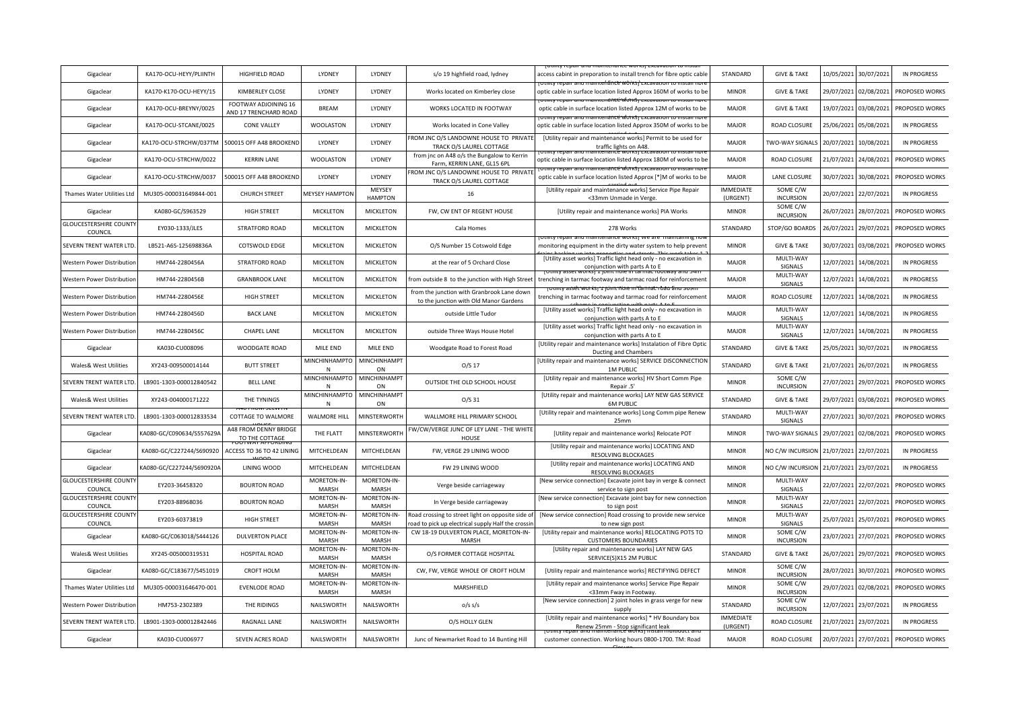| Gigaclear                                | KA170-OCU-HEYY/PLIINTH    | HIGHFIELD ROAD                                | <b>I YDNEY</b>                  | <b>I YDNEY</b>              | s/o 19 highfield road, lydney                                                                          | access cabint in preporation to install trench for fibre optic cable                                                            | STANDARD                     | <b>GIVE &amp; TAKE</b>       | 10/05/2021 | 30/07/2021 | <b>IN PROGRESS</b> |
|------------------------------------------|---------------------------|-----------------------------------------------|---------------------------------|-----------------------------|--------------------------------------------------------------------------------------------------------|---------------------------------------------------------------------------------------------------------------------------------|------------------------------|------------------------------|------------|------------|--------------------|
| Gigaclear                                | KA170-K170-OCU-HEYY/15    | KIMBERLEY CLOSE                               | LYDNEY                          | LYDNEY                      | Works located on Kimberley close                                                                       | bulluv repair and maintenance worksi excavation to install<br>optic cable in surface location listed Approx 160M of works to be | <b>MINOR</b>                 | <b>GIVE &amp; TAKE</b>       | 29/07/2021 | 02/08/2021 | PROPOSED WORKS     |
| Gigaclear                                | KA170-OCU-BREYNY/0025     | FOOTWAY ADJOINING 16<br>AND 17 TRENCHARD ROAD | <b>BREAM</b>                    | LYDNEY                      | WORKS LOCATED IN FOOTWAY                                                                               | optic cable in surface location listed Approx 12M of works to be                                                                | <b>MAJOR</b>                 | <b>GIVE &amp; TAKE</b>       | 19/07/2021 | 03/08/2021 | PROPOSED WORKS     |
| Gigaclear                                | KA170-OCU-STCANE/0025     | <b>CONE VALLEY</b>                            | <b>WOOLASTON</b>                | LYDNEY                      | Works located in Cone Valley                                                                           | optic cable in surface location listed Approx 350M of works to be                                                               | MAJOR                        | ROAD CLOSURE                 | 25/06/2021 | 05/08/2021 | <b>IN PROGRESS</b> |
| Gigaclear                                | KA170-OCU-STRCHW/037TM    | 500015 OFF A48 BROOKEND                       | LYDNEY                          | LYDNEY                      | FROM JNC O/S LANDOWNE HOUSE TO PRIVATE<br>TRACK O/S LAUREL COTTAGE                                     | [Utility repair and maintenance works] Permit to be used for<br>traffic lights on A48                                           | <b>MAJOR</b>                 | TWO-WAY SIGNALS              | 20/07/2021 | 10/08/2021 | <b>IN PROGRESS</b> |
| Gigaclear                                | KA170-OCU-STRCHW/0022     | <b>KERRIN LANE</b>                            | <b>WOOLASTON</b>                | LYDNEY                      | from jnc on A48 o/s the Bungalow to Kerrin<br>Farm, KERRIN LANE, GL15 6PL                              | optic cable in surface location listed Approx 180M of works to be                                                               | <b>MAJOR</b>                 | ROAD CLOSURE                 | 21/07/2021 | 24/08/2021 | PROPOSED WORKS     |
| Gigaclear                                | KA170-OCU-STRCHW/0037     | 500015 OFF A48 BROOKEND                       | LYDNEY                          | LYDNEY                      | FROM JNC O/S LANDOWNE HOUSE TO PRIVATE<br>TRACK O/S LAUREL COTTAGE                                     | optic cable in surface location listed Approx [*]M of works to be                                                               | <b>MAJOR</b>                 | LANE CLOSURE                 | 30/07/2021 | 30/08/2021 | PROPOSED WORKS     |
| Thames Water Utilities Ltd               | MU305-000031649844-001    | <b>CHURCH STREET</b>                          | <b>MEYSEY HAMPTON</b>           | MEYSEY<br><b>HAMPTON</b>    | 16                                                                                                     | [Utility repair and maintenance works] Service Pipe Repair<br><33mm Unmade in Verge.                                            | <b>IMMEDIATE</b><br>(URGENT) | SOME C/W<br><b>INCURSION</b> | 20/07/2021 | 22/07/2021 | <b>IN PROGRESS</b> |
| Gigaclear                                | KA080-GC/S963529          | <b>HIGH STREET</b>                            | MICKLETON                       | <b>MICKLETON</b>            | FW, CW ENT OF REGENT HOUSE                                                                             | [Utility repair and maintenance works] PIA Works                                                                                | <b>MINOR</b>                 | SOME C/W<br><b>INCURSION</b> | 26/07/2021 | 28/07/2021 | PROPOSED WORKS     |
| <b>GLOUCESTERSHIRE COUNTY</b><br>COUNCIL | EY030-1333/JLES           | STRATFORD ROAD                                | MICKLETON                       | <b>MICKLETON</b>            | Cala Homes                                                                                             | 278 Works                                                                                                                       | STANDARD                     | STOP/GO BOARDS               | 26/07/2021 | 29/07/2021 | PROPOSED WORKS     |
| SEVERN TRENT WATER LTD.                  | LB521-A6S-125698836A      | COTSWOLD EDGE                                 | <b>MICKLETON</b>                | <b>MICKLETON</b>            | O/S Number 15 Cotswold Edge                                                                            | Othity repair and manitenance works) we are manitalities<br>monitoring equipment in the dirty water system to help prevent      | <b>MINOR</b>                 | <b>GIVE &amp; TAKE</b>       | 30/07/2021 | 03/08/2021 | PROPOSED WORKS     |
| Western Power Distributior               | HM744-2280456A            | STRATFORD ROAD                                | MICKLETON                       | <b>MICKLETON</b>            | at the rear of 5 Orchard Close                                                                         | [Utility asset works] Traffic light head only - no excavation in<br>conjunction with parts A to E                               | <b>MAJOR</b>                 | MULTI-WAY<br>SIGNALS         | 12/07/2021 | 14/08/2021 | <b>IN PROGRESS</b> |
| Western Power Distributior               | HM744-2280456B            | <b>GRANBROOK LANE</b>                         | MICKLETON                       | <b>MICKLETON</b>            | from outside 8 to the junction with High Street                                                        | trenching in tarmac footway and tarmac road for reinforcement                                                                   | <b>MAJOR</b>                 | MULTI-WAY<br>SIGNALS         | 12/07/2021 | 14/08/2021 | <b>IN PROGRESS</b> |
| Western Power Distribution               | HM744-2280456E            | <b>HIGH STREET</b>                            | <b>MICKLETON</b>                | <b>MICKLETON</b>            | from the junction with Granbrook Lane down<br>to the junction with Old Manor Gardens                   | trenching in tarmac footway and tarmac road for reinforcement                                                                   | <b>MAJOR</b>                 | <b>ROAD CLOSURE</b>          | 12/07/2021 | 14/08/2021 | <b>IN PROGRESS</b> |
| Western Power Distributior               | HM744-2280456D            | <b>BACK LANE</b>                              | MICKLETON                       | <b>MICKLETON</b>            | outside Little Tudor                                                                                   | [Utility asset works] Traffic light head only - no excavation in<br>conjunction with parts A to F                               | <b>MAJOR</b>                 | MULTI-WAY<br>SIGNALS         | 12/07/2021 | 14/08/2021 | <b>IN PROGRESS</b> |
| Western Power Distribution               | HM744-2280456C            | CHAPEL LANE                                   | MICKLETON                       | <b>MICKLETON</b>            | outside Three Ways House Hotel                                                                         | [Utility asset works] Traffic light head only - no excavation in<br>conjunction with parts A to E                               | <b>MAJOR</b>                 | MULTI-WAY<br>SIGNALS         | 12/07/2021 | 14/08/2021 | <b>IN PROGRESS</b> |
| Gigaclear                                | KA030-CU008096            | WOODGATE ROAD                                 | MILE END                        | MILE END                    | Woodgate Road to Forest Road                                                                           | [Utility repair and maintenance works] Instalation of Fibre Optio<br>Ducting and Chambers                                       | STANDARD                     | <b>GIVE &amp; TAKE</b>       | 25/05/2021 | 30/07/2021 | <b>IN PROGRESS</b> |
| Wales& West Utilities                    | XY243-009500014144        | <b>BUTT STREET</b>                            | MINCHINHAMPTO MINCHINHAMPT<br>N | ON                          | $O/S$ 17                                                                                               | Utility repair and maintenance works] SERVICE DISCONNECTION<br><b>1M PUBLIC</b>                                                 | STANDARD                     | <b>GIVE &amp; TAKE</b>       | 21/07/2021 | 26/07/2021 | <b>IN PROGRESS</b> |
| SEVERN TRENT WATER LTD                   | LB901-1303-000012840542   | <b>BELL LANE</b>                              | MINCHINHAMPTO MINCHINHAMPT<br>N | ON                          | OUTSIDE THE OLD SCHOOL HOUSE                                                                           | [Utility repair and maintenance works] HV Short Comm Pipe<br>Repair .5'                                                         | <b>MINOR</b>                 | SOME C/W<br><b>INCURSION</b> | 27/07/2021 | 29/07/2021 | PROPOSED WORKS     |
| Wales& West Utilities                    | XY243-004000171222        | THE TYNINGS                                   | MINCHINHAMPTO MINCHINHAMPT      | ON                          | O/S31                                                                                                  | [Utility repair and maintenance works] LAY NEW GAS SERVICE<br><b>6M PUBLIC</b>                                                  | STANDARD                     | <b>GIVE &amp; TAKE</b>       | 29/07/2021 | 03/08/2021 | PROPOSED WORKS     |
| SEVERN TRENT WATER LTD                   | LB901-1303-000012833534   | TO FRUIVI SELVYTI<br>COTTAGE TO WALMORE       | <b>WALMORE HILL</b>             | MINSTERWORTH                | WALLMORE HILL PRIMARY SCHOOL                                                                           | [Utility repair and maintenance works] Long Comm pipe Renew<br>25mm                                                             | STANDARD                     | MULTI-WAY<br>SIGNALS         | 27/07/2021 | 30/07/2021 | PROPOSED WORKS     |
| Gigaclear                                | KA080-GC/C090634/S557629A | A48 FROM DENNY BRIDGE<br>TO THE COTTAGE       | THE FLATT                       | MINSTERWORTH                | FW/CW/VERGE JUNC OF LEY LANE - THE WHITE<br>HOUSE                                                      | [Utility repair and maintenance works] Relocate POT                                                                             | <b>MINOR</b>                 | TWO-WAY SIGNALS              | 29/07/2021 | 02/08/2021 | PROPOSED WORKS     |
| Gigaclear                                | KA080-GC/C227244/S690920  | ACCESS TO 36 TO 42 LINING                     | MITCHELDEAN                     | MITCHELDEAN                 | FW, VERGE 29 LINING WOOD                                                                               | [Utility repair and maintenance works] LOCATING AND<br>RESOLVING BLOCKAGES                                                      | <b>MINOR</b>                 | NO C/W INCURSION             | 21/07/2021 | 22/07/2021 | <b>IN PROGRESS</b> |
| Gigaclear                                | KA080-GC/C227244/S690920A | LINING WOOD                                   | MITCHELDEAN                     | MITCHELDEAN                 | FW 29 LINING WOOD                                                                                      | [Utility repair and maintenance works] LOCATING AND<br>RESOLVING BLOCKAGES                                                      | <b>MINOR</b>                 | NO C/W INCURSION             | 21/07/2021 | 23/07/2021 | <b>IN PROGRESS</b> |
| <b>GLOUCESTERSHIRE COUNTY</b><br>COUNCIL | EY203-36458320            | <b>BOURTON ROAD</b>                           | MORETON-IN-<br><b>MARSH</b>     | MORETON-IN-<br><b>MARSH</b> | Verge beside carriageway                                                                               | [New service connection] Excavate joint bay in verge & connect<br>service to sign post                                          | <b>MINOR</b>                 | MULTI-WAY<br>SIGNALS         | 22/07/2021 | 22/07/2021 | PROPOSED WORKS     |
| <b>GLOUCESTERSHIRE COUNTY</b><br>COUNCIL | EY203-88968036            | <b>BOURTON ROAD</b>                           | MORETON-IN-<br><b>MARSH</b>     | MORETON-IN-<br><b>MARSH</b> | In Verge beside carriageway                                                                            | [New service connection] Excavate joint bay for new connection<br>to sign post                                                  | <b>MINOR</b>                 | MULTI-WAY<br>SIGNALS         | 22/07/2021 | 22/07/2021 | PROPOSED WORKS     |
| <b>GLOUCESTERSHIRE COUNTY</b><br>COUNCIL | EY203-60373819            | <b>HIGH STREET</b>                            | MORETON-IN-<br><b>MARSH</b>     | MORETON-IN-<br><b>MARSH</b> | Road crossing to street light on opposite side of<br>oad to pick up electrical supply Half the crossir | [New service connection] Road crossing to provide new service<br>to new sign post                                               | <b>MINOR</b>                 | MULTI-WAY<br>SIGNALS         | 25/07/2021 | 25/07/2021 | PROPOSED WORKS     |
| Gigaclear                                | KA080-GC/C063018/S444126  | <b>DULVERTON PLACE</b>                        | MORETON-IN-<br><b>MARSH</b>     | MORETON-IN-<br>MARSH        | CW 18-19 DULVERTON PLACE, MORETON-IN-<br>MARSH                                                         | [Utility repair and maintenance works] RELOCATING POTS TO<br><b>CUSTOMERS BOUNDARIES</b>                                        | <b>MINOR</b>                 | SOME C/W<br><b>INCURSION</b> | 23/07/2021 | 27/07/2021 | PROPOSED WORKS     |
| Wales& West Utilities                    | XY245-005000319531        | <b>HOSPITAL ROAD</b>                          | MORETON-IN-<br><b>MARSH</b>     | MORETON-IN-<br><b>MARSH</b> | O/S FORMER COTTAGE HOSPITAL                                                                            | [Utility repair and maintenance works] LAY NEW GAS<br>SERVICE(S)X15 2M PUBLIC                                                   | STANDARD                     | <b>GIVE &amp; TAKE</b>       | 26/07/2021 | 29/07/2021 | PROPOSED WORKS     |
| Gigaclear                                | KA080-GC/C183677/S451019  | <b>CROFT HOLM</b>                             | MORETON-IN-<br>MARSH            | MORETON-IN-<br>MARSH        | CW, FW, VERGE WHOLE OF CROFT HOLM                                                                      | [Utility repair and maintenance works] RECTIFYING DEFECT                                                                        | <b>MINOR</b>                 | SOME C/W<br><b>INCURSION</b> | 28/07/2021 | 30/07/2021 | PROPOSED WORKS     |
| Thames Water Utilities Ltd               | MU305-000031646470-001    | <b>EVENLODE ROAD</b>                          | MORETON-IN-<br><b>MARSH</b>     | MORETON-IN-<br>MARSH        | MARSHFIELD                                                                                             | [Utility repair and maintenance works] Service Pipe Repair<br><33mm Fway in Footway.                                            | <b>MINOR</b>                 | SOME C/W<br><b>INCURSION</b> | 29/07/2021 | 02/08/2021 | PROPOSED WORKS     |
| Western Power Distributio                |                           |                                               |                                 |                             |                                                                                                        | [New service connection] 2 joint holes in grass verge for new                                                                   |                              | SOME C/W                     |            |            |                    |
|                                          | HM753-2302389             | THE RIDINGS                                   | NAILSWORTH                      | NAILSWORTH                  | $0/s$ s/s                                                                                              | supply                                                                                                                          | STANDARD                     | <b>INCURSION</b>             | 12/07/2021 | 23/07/2021 | <b>IN PROGRESS</b> |
| SEVERN TRENT WATER LTD.                  | LB901-1303-000012842446   | RAGNALL LANE                                  | NAILSWORTH                      | NAILSWORTH                  | O/S HOLLY GLEN                                                                                         | [Utility repair and maintenance works] * HV Boundary box<br>Renew 25mm - Stop significant leak                                  | <b>IMMEDIATE</b><br>(URGENT) | ROAD CLOSURE                 | 21/07/2021 | 23/07/2021 | <b>IN PROGRESS</b> |
| Gigaclear                                | KA030-CU006977            | SEVEN ACRES ROAD                              | NAILSWORTH                      | NAILSWORTH                  | Junc of Newmarket Road to 14 Bunting Hill                                                              | customer connection. Working hours 0800-1700. TM: Road                                                                          | <b>MAJOR</b>                 | ROAD CLOSURE                 | 20/07/2021 | 27/07/2021 | PROPOSED WORKS     |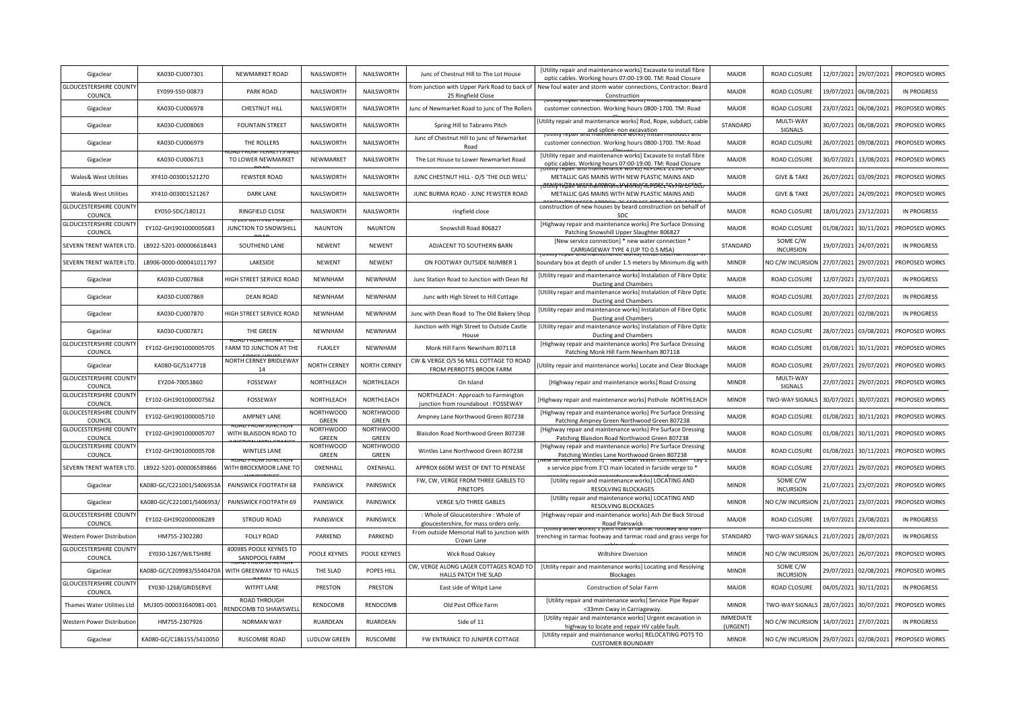| Gigaclear                                | KA030-CU007301            | NEWMARKET ROAD                          | NAILSWORTH                | NAILSWORTH                | Junc of Chestnut Hill to The Lot House                                          | [Utility repair and maintenance works] Excavate to install fibre<br>optic cables. Working hours 07:00-19:00. TM: Road Closure | <b>MAJOR</b>                 | <b>ROAD CLOSURE</b>          | 12/07/2021 | 29/07/2021 | PROPOSED WORKS     |
|------------------------------------------|---------------------------|-----------------------------------------|---------------------------|---------------------------|---------------------------------------------------------------------------------|-------------------------------------------------------------------------------------------------------------------------------|------------------------------|------------------------------|------------|------------|--------------------|
| <b>GLOUCESTERSHIRE COUNT</b><br>COUNCIL  | EY099-S50-00873           | PARK ROAD                               | NAILSWORTH                | NAILSWORTH                | from junction with Upper Park Road to back of<br>25 Ringfield Close             | New foul water and storm water connections, Contractor: Beard<br>Construction                                                 | <b>MAJOR</b>                 | <b>ROAD CLOSURE</b>          | 19/07/2021 | 06/08/2021 | <b>IN PROGRESS</b> |
| Gigaclear                                | KA030-CU006978            | <b>CHESTNUT HILL</b>                    | NAILSWORTH                | NAILSWORTH                | Junc of Newmarket Road to junc of The Rollers                                   | customer connection. Working hours 0800-1700. TM: Road                                                                        | <b>MAJOR</b>                 | <b>ROAD CLOSURE</b>          | 23/07/2021 | 06/08/2021 | PROPOSED WORKS     |
| Gigaclear                                | KA030-CU008069            | <b>FOUNTAIN STREET</b>                  | NAILSWORTH                | NAILSWORTH                | Spring Hill to Tabrams Pitch                                                    | [Utility repair and maintenance works] Rod, Rope, subduct, cable<br>and splice- non excavation                                | STANDARD                     | MULTI-WAY<br>SIGNALS         | 30/07/2021 | 06/08/2021 | PROPOSED WORKS     |
| Gigaclear                                | KA030-CU006979            | THE ROLLERS                             | NAILSWORTH                | NAILSWORTH                | Junc of Chestnut Hill to junc of Newmarket<br>Road                              | customer connection. Working hours 0800-1700. TM: Road                                                                        | <b>MAJOR</b>                 | <b>ROAD CLOSURE</b>          | 26/07/2021 | 09/08/2021 | PROPOSED WORKS     |
| Gigaclear                                | KA030-CU006713            | TO LOWER NEWMARKET                      | NEWMARKET                 | NAILSWORTH                | The Lot House to Lower Newmarket Road                                           | [Utility repair and maintenance works] Excavate to install fibre<br>optic cables. Working hours 07:00-19:00. TM: Road Closure | <b>MAJOR</b>                 | <b>ROAD CLOSURE</b>          | 30/07/2021 | 13/08/2021 | PROPOSED WORKS     |
| Wales& West Utilities                    | XY410-003001521270        | <b>FEWSTER ROAD</b>                     | NAILSWORTH                | NAILSWORTH                | JUNC CHESTNUT HILL - O/S 'THE OLD WELL'                                         | METALLIC GAS MAINS WITH NEW PLASTIC MAINS AND                                                                                 | <b>MAJOR</b>                 | <b>GIVE &amp; TAKE</b>       | 26/07/2021 | 03/09/2021 | PROPOSED WORKS     |
| Wales& West Utilities                    | XY410-003001521267        | <b>DARK LANE</b>                        | NAILSWORTH                | NAILSWORTH                | JUNC BURMA ROAD - JUNC FEWSTER ROAD                                             | METALLIC GAS MAINS WITH NEW PLASTIC MAINS AND                                                                                 | <b>MAJOR</b>                 | <b>GIVE &amp; TAKE</b>       | 26/07/2021 | 24/09/2021 | PROPOSED WORKS     |
| <b>GLOUCESTERSHIRE COUNT</b><br>COUNCIL  | EY050-SDC/180121          | RINGFIELD CLOSE                         | NAILSWORTH                | NAILSWORTH                | ringfield close                                                                 | construction of new houses by beard construction on behalf of<br>SDC                                                          | <b>MAJOR</b>                 | ROAD CLOSURE                 | 18/01/2021 | 23/12/2021 | <b>IN PROGRESS</b> |
| <b>GLOUCESTERSHIRE COUNT</b><br>COUNCIL  | EY102-GH1901000005683     | JUNCTION TO SNOWSHILL                   | <b>NAUNTON</b>            | <b>NAUNTON</b>            | Snowshill Road 806827                                                           | [Highway repair and maintenance works] Pre Surface Dressing<br>Patching Snowshill Upper Slaughter 806827                      | <b>MAJOR</b>                 | ROAD CLOSURE                 | 01/08/2021 | 30/11/2021 | PROPOSED WORKS     |
| SEVERN TRENT WATER LTD                   | LB922-5201-000006618443   | SOUTHEND LANE                           | NEWENT                    | <b>NEWENT</b>             | ADJACENT TO SOUTHERN BARN                                                       | [New service connection] * new water connection *<br>CARRIAGEWAY TYPE 4 (UP TO 0.5 MSA)                                       | STANDARD                     | SOME C/W<br><b>INCURSION</b> | 19/07/2021 | 24/07/2021 | <b>IN PROGRESS</b> |
| SEVERN TRENT WATER LTD                   | LB906-0000-000041011797   | LAKESIDE                                | <b>NEWENT</b>             | NEWENT                    | ON FOOTWAY OUTSIDE NUMBER 1                                                     | boundary box at depth of under 1.5 meters by Minimum dig witl                                                                 | <b>MINOR</b>                 | NO C/W INCURSION             | 27/07/2021 | 29/07/2021 | PROPOSED WORKS     |
| Gigaclear                                | KA030-CU007868            | HIGH STREET SERVICE ROAD                | <b>NEWNHAM</b>            | NEWNHAM                   | Junc Station Road to Junction with Dean Rd                                      | [Utility repair and maintenance works] Instalation of Fibre Optic<br>Ducting and Chambers                                     | <b>MAJOR</b>                 | <b>ROAD CLOSURE</b>          | 12/07/2021 | 23/07/2021 | <b>IN PROGRESS</b> |
| Gigaclear                                | KA030-CU007869            | <b>DEAN ROAD</b>                        | <b>NEWNHAM</b>            | NEWNHAM                   | Junc with High Street to Hill Cottage                                           | [Utility repair and maintenance works] Instalation of Fibre Optic<br>Ducting and Chambers                                     | <b>MAJOR</b>                 | <b>ROAD CLOSURE</b>          | 20/07/2021 | 27/07/2021 | <b>IN PROGRESS</b> |
| Gigaclear                                | KA030-CU007870            | HIGH STREET SERVICE ROAD                | <b>NEWNHAM</b>            | NEWNHAM                   | Junc with Dean Road to The Old Bakery Shop                                      | [Utility repair and maintenance works] Instalation of Fibre Optic<br>Ducting and Chambers                                     | <b>MAJOR</b>                 | ROAD CLOSURE                 | 20/07/2021 | 02/08/2021 | <b>IN PROGRESS</b> |
| Gigaclear                                | KA030-CU007871            | THE GREEN                               | <b>NEWNHAM</b>            | NEWNHAM                   | Junction with High Street to Outside Castle<br>House                            | [Utility repair and maintenance works] Instalation of Fibre Optic<br>Ducting and Chambers                                     | <b>MAJOR</b>                 | <b>ROAD CLOSURE</b>          | 28/07/2021 | 03/08/2021 | PROPOSED WORKS     |
| <b>GLOUCESTERSHIRE COUNT</b><br>COUNCIL  | EY102-GH1901000005705     | FARM TO JUNCTION AT THE                 | FLAXLEY                   | NEWNHAM                   | Monk Hill Farm Newnham 807118                                                   | [Highway repair and maintenance works] Pre Surface Dressing<br>Patching Monk Hill Farm Newnham 807118                         | <b>MAJOR</b>                 | <b>ROAD CLOSURE</b>          | 01/08/2021 | 30/11/2021 | PROPOSED WORKS     |
|                                          |                           |                                         |                           |                           |                                                                                 |                                                                                                                               |                              |                              |            |            |                    |
| Gigaclear                                | KA080-GC/S147718          | NORTH CERNEY BRIDLEWAY<br>14            | <b>NORTH CERNEY</b>       | <b>NORTH CERNEY</b>       | CW & VERGE O/S 56 MILL COTTAGE TO ROAD<br>FROM PERROTTS BROOK FARM              | Utility repair and maintenance works] Locate and Clear Blockage                                                               | <b>MAJOR</b>                 | <b>ROAD CLOSURE</b>          | 29/07/2021 | 29/07/2021 | PROPOSED WORKS     |
| <b>GLOUCESTERSHIRE COUNTY</b><br>COUNCIL | EY204-70053860            | FOSSEWAY                                | NORTHLEACH                | NORTHLEACH                | On Island                                                                       | [Highway repair and maintenance works] Road Crossing                                                                          | <b>MINOR</b>                 | MULTI-WAY<br>SIGNALS         | 27/07/2021 | 29/07/2021 | PROPOSED WORKS     |
| <b>GLOUCESTERSHIRE COUNT</b><br>COUNCIL  | EY102-GH1901000007562     | FOSSEWAY                                | NORTHLEACH                | NORTHLEACH                | NORTHLEACH : Approach to Farmington<br>junction from roundabout : FOSSEWAY      | [Highway repair and maintenance works] Pothole NORTHLEACH                                                                     | <b>MINOR</b>                 | TWO-WAY SIGNALS              | 30/07/2021 | 30/07/2021 | PROPOSED WORKS     |
| <b>GLOUCESTERSHIRE COUNT</b><br>COUNCIL  | EY102-GH1901000005710     | <b>AMPNEY LANE</b>                      | <b>NORTHWOOD</b><br>GREEN | <b>NORTHWOOD</b><br>GREEN | Ampney Lane Northwood Green 807238                                              | [Highway repair and maintenance works] Pre Surface Dressing<br>Patching Ampney Green Northwood Green 807238                   | MAJOR                        | <b>ROAD CLOSURE</b>          | 01/08/2021 | 30/11/2021 | PROPOSED WORKS     |
| <b>GLOUCESTERSHIRE COUNT</b><br>COUNCIL  | EY102-GH1901000005707     | WITH BLAISDON ROAD TO                   | <b>NORTHWOOD</b><br>GREEN | <b>NORTHWOOD</b><br>GREEN | Blaisdon Road Northwood Green 807238                                            | [Highway repair and maintenance works] Pre Surface Dressing<br>Patching Blaisdon Road Northwood Green 807238                  | <b>MAJOR</b>                 | <b>ROAD CLOSURE</b>          | 01/08/2021 | 30/11/2021 | PROPOSED WORKS     |
| <b>GLOUCESTERSHIRE COUNT</b><br>COUNCIL  | EY102-GH1901000005708     | <b>WINTLES LANE</b>                     | <b>NORTHWOOD</b><br>GREEN | <b>NORTHWOOD</b><br>GREEN | Wintles Lane Northwood Green 807238                                             | [Highway repair and maintenance works] Pre Surface Dressing<br>Patching Wintles Lane Northwood Green 807238                   | <b>MAJOR</b>                 | ROAD CLOSURE                 | 01/08/2021 | 30/11/2021 | PROPOSED WORKS     |
| <b>SEVERN TRENT WATER LTD</b>            | LB922-5201-000006589866   | WITH BROCKMOOR LANE TO                  | OXENHALL                  | OXENHALL                  | APPROX 660M WEST OF ENT TO PENEASE                                              | x service pipe from 3'CI main located in farside verge to *                                                                   | <b>MAJOR</b>                 | <b>ROAD CLOSURE</b>          | 27/07/2021 | 29/07/2021 | PROPOSED WORKS     |
| Gigaclear                                | KA080-GC/C221001/S406953A | PAINSWICK FOOTPATH 68                   | PAINSWICK                 | PAINSWICK                 | FW, CW, VERGE FROM THREE GABLES TO<br><b>PINETOPS</b>                           | [Utility repair and maintenance works] LOCATING AND<br><b>RESOLVING BLOCKAGES</b>                                             | <b>MINOR</b>                 | SOME C/W<br><b>INCURSION</b> | 21/07/2021 | 23/07/2021 | PROPOSED WORKS     |
| Gigaclear                                | KA080-GC/C221001/S406953/ | PAINSWICK FOOTPATH 69                   | PAINSWICK                 | PAINSWICK                 | VERGE S/O THREE GABLES                                                          | [Utility repair and maintenance works] LOCATING AND<br><b>RESOLVING BLOCKAGES</b>                                             | <b>MINOR</b>                 | NO C/W INCURSION             | 21/07/2021 | 23/07/2021 | PROPOSED WORKS     |
| <b>GLOUCESTERSHIRE COUNT</b><br>COUNCIL  | EY102-GH1902000006289     | STROUD ROAD                             | PAINSWICK                 | PAINSWICK                 | : Whole of Gloucestershire : Whole of<br>gloucestershire, for mass orders only. | [Highway repair and maintenance works] Ash Die Back Stroud<br>Road Painswick                                                  | MAJOR                        | ROAD CLOSURE                 | 19/07/2021 | 23/08/2021 | <b>IN PROGRESS</b> |
| Western Power Distribution               | HM755-2302280             | <b>FOLLY ROAD</b>                       | PARKEND                   | PARKEND                   | From outside Memorial Hall to junction with<br>Crown Lane                       | renching in tarmac footway and tarmac road and grass verge fo:                                                                | STANDARD                     | TWO-WAY SIGNALS              | 21/07/2021 | 28/07/2021 | <b>IN PROGRESS</b> |
| <b>GLOUCESTERSHIRE COUNT</b><br>COUNCIL  | EY030-1267/WILTSHIRE      | 400985 POOLE KEYNES TO<br>SANDPOOL FARM | POOLE KEYNES              | POOLE KEYNES              | Wick Road Oaksey                                                                | Wiltshire Diversion                                                                                                           | <b>MINOR</b>                 | NO C/W INCURSION             | 26/07/2021 | 26/07/2021 | PROPOSED WORKS     |
| Gigaclear                                | (A080-GC/C209983/S540470A | WITH GREENWAY TO HALLS                  | THE SLAD                  | POPES HILL                | CW, VERGE ALONG LAGER COTTAGES ROAD TO<br>HALLS PATCH THE SLAD                  | [Utility repair and maintenance works] Locating and Resolving<br><b>Blockages</b>                                             | <b>MINOR</b>                 | SOME C/W<br><b>INCURSION</b> | 29/07/2021 | 02/08/2021 | PROPOSED WORKS     |
| <b>GLOUCESTERSHIRE COUNT</b><br>COUNCIL  | EY030-1268/GRIDSERVE      | <b>WITPIT LANE</b>                      | PRESTON                   | PRESTON                   | East side of Witpit Lane                                                        | Construction of Solar Farm                                                                                                    | MAJOR                        | ROAD CLOSURE                 | 04/05/2021 | 30/11/2021 | <b>IN PROGRESS</b> |
| Thames Water Utilities Ltd               | MU305-000031640981-001    | ROAD THROUGH<br>RENDCOMB TO SHAWSWELL   | RENDCOMB                  | RENDCOMB                  | Old Post Office Farm                                                            | [Utility repair and maintenance works] Service Pipe Repair<br><33mm Cway in Carriageway                                       | <b>MINOR</b>                 | TWO-WAY SIGNALS              | 28/07/2021 | 30/07/2021 | PROPOSED WORKS     |
| Western Power Distribution               | HM755-2307926             | <b>NORMAN WAY</b>                       | RUARDEAN                  | <b>RUARDEAN</b>           | Side of 11                                                                      | [Utility repair and maintenance works] Urgent excavation in<br>highway to locate and repair HV cable fault.                   | <b>IMMEDIATE</b><br>(URGENT) | NO C/W INCURSION             | 14/07/2021 | 27/07/2021 | <b>IN PROGRESS</b> |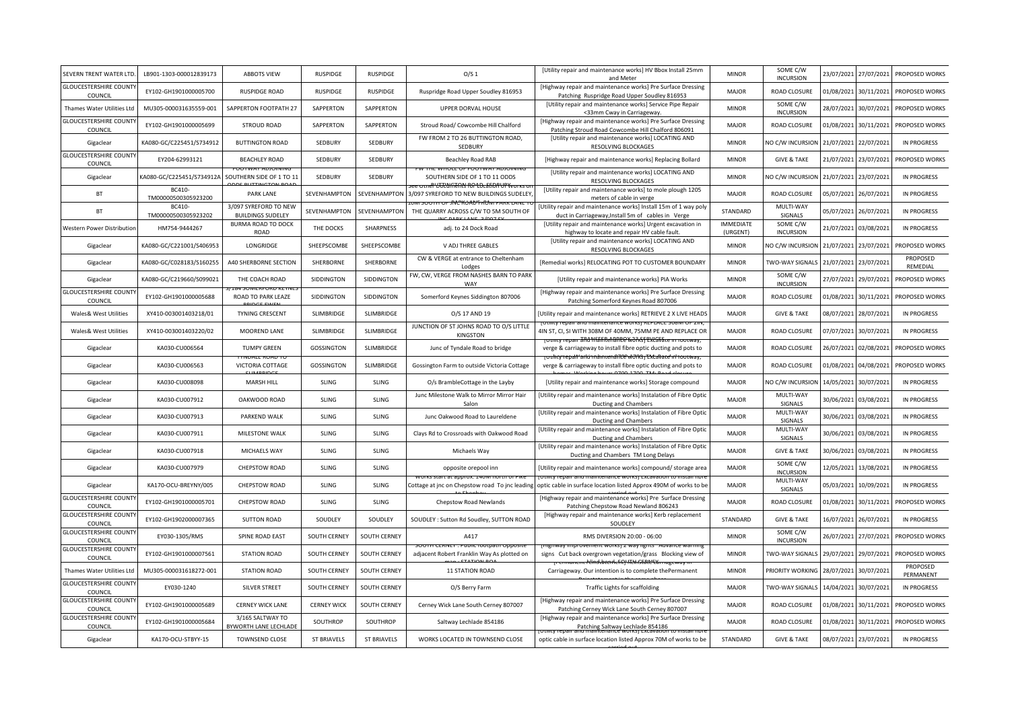| SEVERN TRENT WATER LTD                   | LB901-1303-000012839173       | <b>ABBOTS VIEW</b>                                | <b>RUSPIDGE</b>     | <b>RUSPIDGE</b>    | O/S <sub>1</sub>                                                          | [Utility repair and maintenance works] HV Bbox Install 25mm<br>and Meter                                                                                    | <b>MINOR</b>                 | SOME C/W<br><b>INCURSION</b> | 23/07/2021 | 27/07/2021 | PROPOSED WORKS        |
|------------------------------------------|-------------------------------|---------------------------------------------------|---------------------|--------------------|---------------------------------------------------------------------------|-------------------------------------------------------------------------------------------------------------------------------------------------------------|------------------------------|------------------------------|------------|------------|-----------------------|
| <b>GLOUCESTERSHIRE COUNT</b><br>COUNCIL  | EY102-GH1901000005700         | <b>RUSPIDGE ROAD</b>                              | <b>RUSPIDGE</b>     | <b>RUSPIDGE</b>    | Ruspridge Road Upper Soudley 816953                                       | [Highway repair and maintenance works] Pre Surface Dressing<br>Patching Ruspridge Road Upper Soudley 816953                                                 | <b>MAJOR</b>                 | <b>ROAD CLOSURE</b>          | 01/08/2021 | 30/11/2021 | PROPOSED WORKS        |
| Thames Water Utilities Ltd               | MU305-000031635559-001        | SAPPERTON FOOTPATH 27                             | SAPPERTON           | SAPPERTON          | UPPER DORVAL HOUSE                                                        | [Utility repair and maintenance works] Service Pipe Repair<br><33mm Cway in Carriageway.                                                                    | <b>MINOR</b>                 | SOME C/W<br><b>INCURSION</b> | 28/07/2021 | 30/07/2021 | PROPOSED WORKS        |
| <b>GLOUCESTERSHIRE COUNT</b><br>COUNCIL  | EY102-GH1901000005699         | STROUD ROAD                                       | SAPPERTON           | SAPPERTON          | Stroud Road/ Cowcombe Hill Chalford                                       | [Highway repair and maintenance works] Pre Surface Dressing<br>Patching Stroud Road Cowcombe Hill Chalford 806091                                           | <b>MAJOR</b>                 | ROAD CLOSURE                 | 01/08/2021 | 30/11/2021 | PROPOSED WORKS        |
| Gigaclear                                | KA080-GC/C225451/S734912      | <b>BUTTINGTON ROAD</b>                            | SEDBURY             | SEDBURY            | FW FROM 2 TO 26 BUTTINGTON ROAD,<br>SEDBURY                               | [Utility repair and maintenance works] LOCATING AND<br><b>RESOLVING BLOCKAGES</b>                                                                           | <b>MINOR</b>                 | NO C/W INCURSION             | 21/07/2021 | 22/07/2021 | <b>IN PROGRESS</b>    |
| <b>GLOUCESTERSHIRE COUNT</b><br>COUNCIL  | EY204-62993121                | <b>BEACHLEY ROAD</b>                              | SEDBURY             | SEDBURY            | Beachley Road RAB                                                         | [Highway repair and maintenance works] Replacing Bollard                                                                                                    | <b>MINOR</b>                 | <b>GIVE &amp; TAKE</b>       | 21/07/2021 | 23/07/2021 | PROPOSED WORKS        |
| Gigaclear                                | (A080-GC/C225451/S734912A     | SOUTHERN SIDE OF 1 TO 11                          | SEDBURY             | SEDBURY            | SOUTHERN SIDE OF 1 TO 11 ODDS<br>mer likkmeens oo to afoorur wurk u       | [Utility repair and maintenance works] LOCATING AND<br><b>RESOLVING BLOCKAGES</b>                                                                           | <b>MINOR</b>                 | NO C/W INCURSION             | 21/07/2021 | 23/07/2021 | <b>IN PROGRESS</b>    |
| <b>BT</b>                                | BC410-<br>TM00000500305923200 | <b>PARK LANE</b>                                  | SEVENHAMPTON        | SEVENHAMPTON       | 3/097 SYREFORD TO NEW BUILDINGS SUDELEY,                                  | [Utility repair and maintenance works] to mole plough 1205<br>meters of cable in verge                                                                      | <b>MAJOR</b>                 | ROAD CLOSURE                 | 05/07/2021 | 26/07/2021 | <b>IN PROGRESS</b>    |
| <b>BT</b>                                | BC410-<br>TM00000500305923202 | 3/097 SYREFORD TO NEW<br><b>BUILDINGS SUDELEY</b> | SEVENHAMPTON        | SEVENHAMPTON       | <b>SUUTH OF JNCKUAU FRUM PARK</b><br>THE QUARRY ACROSS C/W TO 5M SOUTH OF | [Utility repair and maintenance works] Install 15m of 1 way poly<br>duct in Carriageway, Install 5m of cables in Verge                                      | STANDARD                     | MULTI-WAY<br>SIGNALS         | 05/07/2021 | 26/07/2021 | <b>IN PROGRESS</b>    |
| Western Power Distribution               | HM754-9444267                 | <b>BURMA ROAD TO DOCK</b><br>ROAD                 | THE DOCKS           | SHARPNESS          | adj. to 24 Dock Road                                                      | [Utility repair and maintenance works] Urgent excavation in<br>highway to locate and repair HV cable fault.                                                 | <b>IMMEDIATE</b><br>(URGENT) | SOME C/W<br><b>INCURSION</b> | 21/07/2021 | 03/08/2021 | <b>IN PROGRESS</b>    |
| Gigaclear                                | KA080-GC/C221001/S406953      | LONGRIDGE                                         | SHEEPSCOMBE         | SHEEPSCOMBE        | V ADJ THREE GABLES                                                        | [Utility repair and maintenance works] LOCATING AND<br><b>RESOLVING BLOCKAGES</b>                                                                           | <b>MINOR</b>                 | NO C/W INCURSION             | 21/07/2021 | 23/07/2021 | PROPOSED WORKS        |
| Gigaclear                                | KA080-GC/C028183/S160255      | A40 SHERBORNE SECTION                             | SHERBORNE           | SHERBORNE          | CW & VERGE at entrance to Cheltenham<br>Lodges                            | [Remedial works] RELOCATING POT TO CUSTOMER BOUNDARY                                                                                                        | <b>MINOR</b>                 | <b>TWO-WAY SIGNALS</b>       | 21/07/2021 | 23/07/2021 | PROPOSED<br>REMEDIAL  |
| Gigaclear                                | KA080-GC/C219660/S099021      | THE COACH ROAD                                    | SIDDINGTON          | SIDDINGTON         | FW, CW, VERGE FROM NASHES BARN TO PARK<br>WAY                             | [Utility repair and maintenance works] PIA Works                                                                                                            | <b>MINOR</b>                 | SOME C/W<br><b>INCURSION</b> | 27/07/2021 | 29/07/2021 | PROPOSED WORKS        |
| <b>GLOUCESTERSHIRE COUNT</b><br>COUNCIL  | EY102-GH1901000005688         | ROAD TO PARK LEAZE                                | SIDDINGTON          | SIDDINGTON         | Somerford Keynes Siddington 807006                                        | [Highway repair and maintenance works] Pre Surface Dressing<br>Patching Somerford Keynes Road 807006                                                        | <b>MAJOR</b>                 | <b>ROAD CLOSURE</b>          | 01/08/2021 | 30/11/2021 | PROPOSED WORKS        |
| Wales& West Utilities                    | XY410-003001403218/01         | TYNING CRESCENT                                   | SLIMBRIDGE          | SLIMBRIDGE         | O/S 17 AND 19                                                             | [Utility repair and maintenance works] RETRIEVE 2 X LIVE HEADS                                                                                              | <b>MAJOR</b>                 | <b>GIVE &amp; TAKE</b>       | 08/07/2021 | 28/07/2021 | IN PROGRESS           |
| Wales& West Utilities                    | XY410-003001403220/02         | MOOREND LANE                                      | SLIMBRIDGE          | SLIMBRIDGE         | JUNCTION OF ST JOHNS ROAD TO O/S LITTLE<br>KINGSTON                       | <u>TIITV LEDAIL ANU MAINTENANCE WULKSLINEELAUE SU</u><br>4IN ST, CI, SI WITH 308M OF 40MM, 75MM PE AND REPLACE OR<br>epan ähd Mannen anne workst excavate n | <b>MAJOR</b>                 | ROAD CLOSURE                 | 07/07/2021 | 30/07/2021 | <b>IN PROGRESS</b>    |
| Gigaclear                                | KA030-CU006564                | <b>TUMPY GREEN</b>                                | <b>GOSSINGTON</b>   | SLIMBRIDGE         | Junc of Tyndale Road to bridge                                            | verge & carriageway to install fibre optic ducting and pots to<br><del>rouhty repall 'arkinnamiena 700 works <sub>i</sub> Extavate' in rootway,</del>       | <b>MAJOR</b>                 | ROAD CLOSURE                 | 26/07/2021 | 02/08/2021 | PROPOSED WORKS        |
| Gigaclear                                | KA030-CU006563                | VICTORIA COTTAGE                                  | <b>GOSSINGTON</b>   | SLIMBRIDGE         | Gossington Farm to outside Victoria Cottage                               | verge & carriageway to install fibre optic ducting and pots to                                                                                              | <b>MAJOR</b>                 | ROAD CLOSURE                 | 01/08/2021 | 04/08/2021 | PROPOSED WORKS        |
| Gigaclear                                | KA030-CU008098                | MARSH HILL                                        | SLING               | SLING              | O/s BrambleCottage in the Layby                                           | [Utility repair and maintenance works] Storage compound                                                                                                     | <b>MAJOR</b>                 | NO C/W INCURSION             | 14/05/2021 | 30/07/2021 | <b>IN PROGRESS</b>    |
| Gigaclear                                | KA030-CU007912                | OAKWOOD ROAD                                      | SLING               | SLING              | Junc Milestone Walk to Mirror Mirror Hair<br>Salon                        | [Utility repair and maintenance works] Instalation of Fibre Optic<br>Ducting and Chambers                                                                   | <b>MAJOR</b>                 | MULTI-WAY<br>SIGNALS         | 30/06/2021 | 03/08/2021 | <b>IN PROGRESS</b>    |
| Gigaclear                                | KA030-CU007913                | PARKEND WALK                                      | <b>SLING</b>        | <b>SLING</b>       | Junc Oakwood Road to Laureldene                                           | [Utility repair and maintenance works] Instalation of Fibre Optic<br>Ducting and Chambers                                                                   | <b>MAJOR</b>                 | MULTI-WAY<br>SIGNALS         | 30/06/2021 | 03/08/2021 | <b>IN PROGRESS</b>    |
| Gigaclear                                | KA030-CU007911                | MILESTONE WALK                                    | <b>SLING</b>        | <b>SLING</b>       | Clays Rd to Crossroads with Oakwood Road                                  | [Utility repair and maintenance works] Instalation of Fibre Optic<br>Ducting and Chambers                                                                   | <b>MAJOR</b>                 | MULTI-WAY<br>SIGNALS         | 30/06/2021 | 03/08/2021 | <b>IN PROGRESS</b>    |
| Gigaclear                                | KA030-CU007918                | MICHAELS WAY                                      | SLING               | SLING              | Michaels Way                                                              | [Utility repair and maintenance works] Instalation of Fibre Optic<br>Ducting and Chambers TM Long Delays                                                    | <b>MAJOR</b>                 | <b>GIVE &amp; TAKE</b>       | 30/06/2021 | 03/08/2021 | <b>IN PROGRESS</b>    |
| Gigaclear                                | KA030-CU007979                | CHEPSTOW ROAD                                     | SLING               | SLING              | opposite orepool inn                                                      | [Utility repair and maintenance works] compound/ storage area                                                                                               | <b>MAJOR</b>                 | SOME C/W<br><b>INCURSION</b> | 12/05/2021 | 13/08/2021 | <b>IN PROGRESS</b>    |
| Gigaclear                                | KA170-OCU-BREYNY/005          | CHEPSTOW ROAD                                     | SLING               | SLING              | Cottage at jnc on Chepstow road To jnc leading                            | optic cable in surface location listed Approx 490M of works to be                                                                                           | <b>MAJOR</b>                 | MULTI-WAY<br>SIGNALS         | 05/03/2021 | 10/09/2021 | <b>IN PROGRESS</b>    |
| <b>GLOUCESTERSHIRE COUNT</b><br>COUNCIL  | EY102-GH1901000005701         | CHEPSTOW ROAD                                     | SLING               | SLING              | Chepstow Road Newlands                                                    | [Highway repair and maintenance works] Pre Surface Dressing<br>Patching Chepstow Road Newland 806243                                                        | MAJOR                        | ROAD CLOSURE                 | 01/08/2021 | 30/11/2021 | PROPOSED WORKS        |
| <b>GLOUCESTERSHIRE COUNT</b><br>COUNCIL  | EY102-GH1902000007365         | <b>SUTTON ROAD</b>                                | SOUDLEY             | SOUDLEY            | SOUDLEY : Sutton Rd Soudley, SUTTON ROAD                                  | [Highway repair and maintenance works] Kerb replacement<br>SOUDLEY                                                                                          | STANDARD                     | <b>GIVE &amp; TAKE</b>       | 16/07/2021 | 26/07/2021 | <b>IN PROGRESS</b>    |
| <b>GLOUCESTERSHIRE COUNTY</b><br>COUNCIL | EY030-1305/RMS                | SPINE ROAD EAST                                   | <b>SOUTH CERNEY</b> | SOUTH CERNEY       | A417                                                                      | RMS DIVERSION 20:00 - 06:00                                                                                                                                 | <b>MINOR</b>                 | SOME C/W<br><b>INCURSION</b> | 26/07/2021 | 27/07/2021 | PROPOSED WORKS        |
| <b>GLOUCESTERSHIRE COUNT</b><br>COUNCIL  | EY102-GH1901000007561         | <b>STATION ROAD</b>                               | <b>SOUTH CERNEY</b> | SOUTH CERNEY       | adjacent Robert Franklin Way As plotted on                                | provement works) z way lights<br>signs Cut back overgrown vegetation/grass Blocking view of                                                                 | <b>MINOR</b>                 | TWO-WAY SIGNALS              | 29/07/2021 | 29/07/2021 | PROPOSED WORKS        |
| Thames Water Utilities Ltd               | MU305-000031618272-001        | <b>STATION ROAD</b>                               | <b>SOUTH CERNEY</b> | SOUTH CERNEY       | 11 STATION ROAD                                                           | nmanent féinstatenlefit) Kén State tárnagewa<br>Carriageway. Our intention is to complete thePermanent                                                      | <b>MINOR</b>                 | PRIORITY WORKING             | 28/07/2021 | 30/07/2021 | PROPOSED<br>PERMANENT |
| <b>GLOUCESTERSHIRE COUNT</b><br>COUNCIL  | EY030-1240                    | SILVER STREET                                     | SOUTH CERNEY        | SOUTH CERNEY       | O/S Berry Farm                                                            | Traffic Lights for scaffolding                                                                                                                              | <b>MAJOR</b>                 | TWO-WAY SIGNALS              | 14/04/2021 | 30/07/2021 | IN PROGRESS           |
| <b>GLOUCESTERSHIRE COUNT</b><br>COUNCIL  | EY102-GH1901000005689         | <b>CERNEY WICK LANE</b>                           | <b>CERNEY WICK</b>  | SOUTH CERNEY       | Cerney Wick Lane South Cerney 807007                                      | [Highway repair and maintenance works] Pre Surface Dressing<br>Patching Cerney Wick Lane South Cerney 807007                                                | MAJOR                        | ROAD CLOSURE                 | 01/08/2021 | 30/11/2021 | PROPOSED WORKS        |
| <b>GLOUCESTERSHIRE COUNT</b><br>COUNCIL  | EY102-GH1901000005684         | 3/165 SALTWAY TO<br>BYWORTH LANE LECHLADE         | SOUTHROP            | SOUTHROP           | Saltway Lechlade 854186                                                   | [Highway repair and maintenance works] Pre Surface Dressing<br>Patching Saltway Lechlade 854186                                                             | <b>MAJOR</b>                 | ROAD CLOSURE                 | 01/08/2021 | 30/11/2021 | PROPOSED WORKS        |
| Gigaclear                                | KA170-OCU-STBYY-15            | <b>TOWNSEND CLOSE</b>                             | <b>ST BRIAVELS</b>  | <b>ST BRIAVELS</b> | WORKS LOCATED IN TOWNSEND CLOSE                                           | optic cable in surface location listed Approx 70M of works to be                                                                                            | STANDARD                     | <b>GIVE &amp; TAKE</b>       | 08/07/2021 | 23/07/2021 | <b>IN PROGRESS</b>    |
|                                          |                               |                                                   |                     |                    |                                                                           |                                                                                                                                                             |                              |                              |            |            |                       |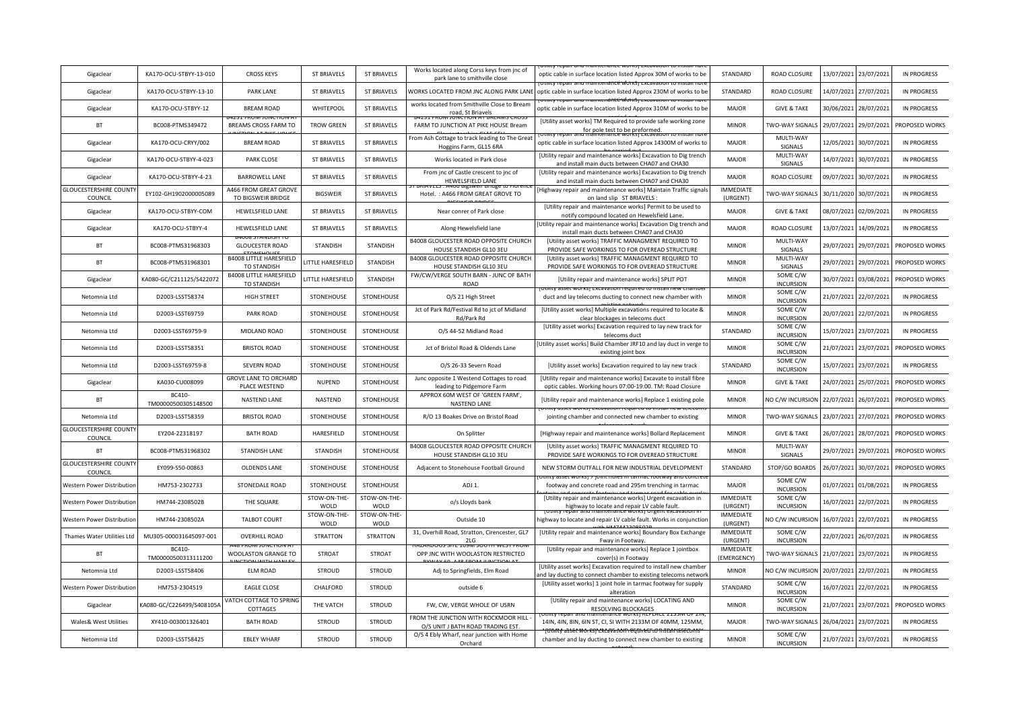| Gigaclear                                | KA170-OCU-STBYY-13-010        | <b>CROSS KEYS</b>                                    | <b>ST BRIAVELS</b>       | <b>ST BRIAVELS</b>   | Works located along Corss keys from jnc of<br>park lane to smithville close | optic cable in surface location listed Approx 30M of works to be                                                                  | STANDARD                              | ROAD CLOSURE                 | 13/07/2021 | 23/07/2021 | <b>IN PROGRESS</b> |
|------------------------------------------|-------------------------------|------------------------------------------------------|--------------------------|----------------------|-----------------------------------------------------------------------------|-----------------------------------------------------------------------------------------------------------------------------------|---------------------------------------|------------------------------|------------|------------|--------------------|
| Gigaclear                                | KA170-OCU-STBYY-13-10         | PARK LANE                                            | <b>ST BRIAVELS</b>       | <b>ST BRIAVELS</b>   | WORKS LOCATED FROM JNC ALONG PARK LANE                                      | optic cable in surface location listed Approx 230M of works to be                                                                 | STANDARD                              | ROAD CLOSURE                 | 14/07/2021 | 27/07/2021 | <b>IN PROGRESS</b> |
| Gigaclear                                | KA170-OCU-STBYY-12            | <b>BREAM ROAD</b>                                    | WHITEPOOL                | <b>ST BRIAVELS</b>   | works located from Smithville Close to Bream<br>road, St Briavels           | optic cable in surface location listed Approx 310M of works to be                                                                 | <b>MAJOR</b>                          | <b>GIVE &amp; TAKE</b>       | 30/06/2021 | 28/07/2021 | <b>IN PROGRESS</b> |
| <b>BT</b>                                | BC008-PTMS349472              | BREAMS CROSS FARM TO                                 | <b>TROW GREEN</b>        | <b>ST BRIAVELS</b>   | FARM TO JUNCTION AT PIKE HOUSE Bream                                        | [Utility asset works] TM Required to provide safe working zone<br>for pole test to be preformed                                   | <b>MINOR</b>                          | TWO-WAY SIGNALS              | 29/07/2021 | 29/07/2021 | PROPOSED WORKS     |
| Gigaclear                                | KA170-OCU-CRYY/002            | <b>BREAM ROAD</b>                                    | <b>ST BRIAVELS</b>       | <b>ST BRIAVELS</b>   | From Ash Cottage to track leading to The Great<br>Hoggins Farm, GL15 6RA    | optic cable in surface location listed Approx 14300M of works to                                                                  | <b>MAJOR</b>                          | MULTI-WAY<br>SIGNALS         | 12/05/2021 | 30/07/2021 | <b>IN PROGRESS</b> |
| Gigaclear                                | KA170-OCU-STBYY-4-023         | <b>PARK CLOSE</b>                                    | <b>ST BRIAVELS</b>       | <b>ST BRIAVELS</b>   | Works located in Park close                                                 | [Utility repair and maintenance works] Excavation to Dig trench<br>and install main ducts between CHA07 and CHA30                 | <b>MAJOR</b>                          | MULTI-WAY<br>SIGNALS         | 14/07/2021 | 30/07/2021 | <b>IN PROGRESS</b> |
| Gigaclear                                | KA170-OCU-STBYY-4-23          | BARROWELL LANE                                       | <b>ST BRIAVELS</b>       | <b>ST BRIAVELS</b>   | From jnc of Castle crescent to jnc of<br>HEWELSFIELD LANE                   | [Utility repair and maintenance works] Excavation to Dig trench<br>and install main ducts between CHA07 and CHA30                 | <b>MAJOR</b>                          | ROAD CLOSURE                 | 09/07/2021 | 30/07/2021 | <b>IN PROGRESS</b> |
| <b>GLOUCESTERSHIRE COUNT</b><br>COUNCIL  | EY102-GH1902000005089         | A466 FROM GREAT GROVE<br>TO BIGSWEIR BRIDGE          | <b>BIGSWEIR</b>          | <b>ST BRIAVELS</b>   | Hotel.: A466 FROM GREAT GROVE TO                                            | Highway repair and maintenance works] Maintain Traffic signals<br>on land slip ST BRIAVELS                                        | <b>IMMEDIATE</b><br>(URGENT)          | TWO-WAY SIGNALS              | 30/11/2020 | 30/07/2021 | <b>IN PROGRESS</b> |
| Gigaclear                                | KA170-OCU-STBYY-COM           | <b>HEWELSFIELD LANE</b>                              | <b>ST BRIAVELS</b>       | <b>ST BRIAVELS</b>   | Near conrer of Park close                                                   | [Utility repair and maintenance works] Permit to be used to<br>notify compound located on Hewelsfield Lane.                       | MAJOR                                 | <b>GIVE &amp; TAKE</b>       | 08/07/2021 | 02/09/2021 | <b>IN PROGRESS</b> |
| Gigaclear                                | KA170-OCU-STBYY-4             | <b>HEWELSFIELD LANE</b>                              | <b>ST BRIAVELS</b>       | <b>ST BRIAVELS</b>   | Along Hewelsfield lane                                                      | Utility repair and maintenance works] Excavation Dig trench and<br>install main ducts between CHA07 and CHA30                     | <b>MAJOR</b>                          | ROAD CLOSURE                 | 13/07/2021 | 14/09/2021 | <b>IN PROGRESS</b> |
| BT                                       | BC008-PTMS31968303            | <b>GLOUCESTER ROAD</b>                               | STANDISH                 | STANDISH             | B4008 GLOUCESTER ROAD OPPOSITE CHURCH<br>HOUSE STANDISH GL10 3EU            | [Utility asset works] TRAFFIC MANAGMENT REQUIRED TO<br>PROVIDE SAFE WORKINGS TO FOR OVEREAD STRUCTURE                             | <b>MINOR</b>                          | MULTI-WAY<br>SIGNALS         | 29/07/2021 | 29/07/2021 | PROPOSED WORKS     |
| <b>BT</b>                                | BC008-PTMS31968301            | <b>B4008 LITTLE HARESFIELD</b><br><b>TO STANDISH</b> | <b>LITTLE HARESFIELD</b> | <b>STANDISH</b>      | B4008 GLOUCESTER ROAD OPPOSITE CHURCH<br>HOUSE STANDISH GL10 3EU            | [Utility asset works] TRAFFIC MANAGMENT REQUIRED TO<br>PROVIDE SAFE WORKINGS TO FOR OVEREAD STRUCTURE                             | <b>MINOR</b>                          | MULTI-WAY<br>SIGNALS         | 29/07/2021 | 29/07/2021 | PROPOSED WORKS     |
| Gigaclear                                | KA080-GC/C211125/S422072      | <b>B4008 LITTLE HARESFIELD</b><br>TO STANDISH        | <b>LITTLE HARESFIELD</b> | <b>STANDISH</b>      | FW/CW/VERGE SOUTH BARN - JUNC OF BATH<br>ROAD                               | [Utility repair and maintenance works] SPLIT POT                                                                                  | <b>MINOR</b>                          | SOME C/W<br><b>INCURSION</b> | 30/07/2021 | 03/08/2021 | PROPOSED WORKS     |
| Netomnia Ltd                             | D2003-LSST58374               | <b>HIGH STREET</b>                                   | STONEHOUSE               | STONEHOUSE           | O/S 21 High Street                                                          | duct and lay telecoms ducting to connect new chamber with                                                                         | <b>MINOR</b>                          | SOME C/W<br><b>INCURSION</b> | 21/07/2021 | 22/07/2021 | <b>IN PROGRESS</b> |
| Netomnia Ltd                             | D2003-LSST69759               | PARK ROAD                                            | STONEHOUSE               | STONEHOUSE           | Jct of Park Rd/Festival Rd to jct of Midland<br>Rd/Park Rd                  | [Utility asset works] Multiple excavations required to locate &<br>clear blockages in telecoms duct                               | <b>MINOR</b>                          | SOME C/W<br><b>INCURSION</b> | 20/07/2021 | 22/07/2021 | <b>IN PROGRESS</b> |
| Netomnia Ltd                             | D2003-LSST69759-9             | MIDLAND ROAD                                         | STONEHOUSE               | STONEHOUSE           | O/S 44-52 Midland Road                                                      | [Utility asset works] Excavation required to lay new track for<br>telecoms duct                                                   | STANDARD                              | SOME C/W<br><b>INCURSION</b> | 15/07/2021 | 23/07/2021 | <b>IN PROGRESS</b> |
| Netomnia Ltd                             | D2003-LSST58351               | <b>BRISTOL ROAD</b>                                  | STONEHOUSE               | STONEHOUSE           | Jct of Bristol Road & Oldends Lane                                          | Utility asset works] Build Chamber JRF10 and lay duct in verge to<br>existing joint box                                           | <b>MINOR</b>                          | SOME C/W<br><b>INCURSION</b> | 21/07/2021 | 23/07/2021 | PROPOSED WORKS     |
| Netomnia Ltd                             | D2003-LSST69759-8             | <b>SEVERN ROAD</b>                                   | STONEHOUSE               | STONEHOUSE           | O/S 26-33 Severn Road                                                       | [Utility asset works] Excavation required to lay new track                                                                        | STANDARD                              | SOME C/W<br><b>INCURSION</b> | 15/07/2021 | 23/07/2021 | <b>IN PROGRESS</b> |
| Gigaclear                                | KA030-CU008099                | <b>GROVE LANE TO ORCHARD</b><br>PLACE WESTEND        | <b>NUPEND</b>            | STONEHOUSE           | Junc opposite 1 Westend Cottages to road<br>leading to Pidgemore Farm       | [Utility repair and maintenance works] Excavate to install fibre<br>optic cables. Working hours 07:00-19:00. TM: Road Closure     | <b>MINOR</b>                          | <b>GIVE &amp; TAKE</b>       | 24/07/2021 | 25/07/2021 | PROPOSED WORKS     |
| BT                                       | BC410-<br>TM00000500305148500 | NASTEND LANE                                         | NASTEND                  | STONEHOUSE           | APPROX 60M WEST OF 'GREEN FARM',<br>NASTEND LANE                            | [Utility repair and maintenance works] Replace 1 existing pole                                                                    | <b>MINOR</b>                          | NO C/W INCURSION             | 22/07/2021 | 26/07/2021 | PROPOSED WORKS     |
| Netomnia Ltd                             | D2003-LSST58359               | <b>BRISTOL ROAD</b>                                  | STONEHOUSE               | STONEHOUSE           | R/O 13 Boakes Drive on Bristol Road                                         | ulity asset works) excavation required to install i<br>jointing chamber and connected new chamber to existing                     | <b>MINOR</b>                          | TWO-WAY SIGNALS              | 23/07/2021 | 27/07/2021 | PROPOSED WORKS     |
| <b>GLOUCESTERSHIRE COUNT</b><br>COUNCIL  | EY204-22318197                | <b>BATH ROAD</b>                                     | HARESFIELD               | STONEHOUSE           | On Splitter                                                                 | [Highway repair and maintenance works] Bollard Replacement                                                                        | <b>MINOR</b>                          | <b>GIVE &amp; TAKE</b>       | 26/07/2021 | 28/07/2021 | PROPOSED WORKS     |
| BT                                       | BC008-PTMS31968302            | <b>STANDISH LANE</b>                                 | <b>STANDISH</b>          | STONEHOUSE           | B4008 GLOUCESTER ROAD OPPOSITE CHURCH<br>HOUSE STANDISH GL10 3EU            | [Utility asset works] TRAFFIC MANAGMENT REQUIRED TO<br>PROVIDE SAFE WORKINGS TO FOR OVEREAD STRUCTURE                             | <b>MINOR</b>                          | MULTI-WAY<br>SIGNALS         | 29/07/2021 | 29/07/2021 | PROPOSED WORKS     |
| <b>GLOUCESTERSHIRE COUNTY</b><br>COUNCIL | EY099-S50-00863               | OLDENDS LANE                                         | STONEHOUSE               | STONEHOUSE           | Adjacent to Stonehouse Football Ground                                      | NEW STORM OUTFALL FOR NEW INDUSTRIAL DEVELOPMENT                                                                                  | STANDARD                              | STOP/GO BOARDS               | 26/07/2021 | 30/07/2021 | PROPOSED WORKS     |
| Western Power Distribution               | HM753-2302733                 | STONEDALE ROAD                                       | STONEHOUSE               | STONEHOUSE           | ADJ 1.                                                                      | footway and concrete road and 295m trenching in tarmac                                                                            | <b>MAJOR</b>                          | SOME C/W<br><b>INCURSION</b> | 01/07/2021 | 01/08/2021 | <b>IN PROGRESS</b> |
| Western Power Distribution               | HM744-2308502B                | THE SQUARE                                           | STOW-ON-THE-<br>WOLD     | STOW-ON-THE-<br>WOLD | o/s Lloyds bank                                                             | [Utility repair and maintenance works] Urgent excavation in<br>highway to locate and repair LV cable fault                        | <b>IMMEDIATE</b><br>(URGENT)          | SOME C/W<br><b>INCURSION</b> | 16/07/2021 | 22/07/2021 | <b>IN PROGRESS</b> |
| Western Power Distribution               | HM744-2308502A                | <b>TALBOT COURT</b>                                  | STOW-ON-THE-<br>WOLD     | STOW-ON-THE-<br>WOLD | Outside 10                                                                  | highway to locate and repair LV cable fault. Works in conjunction                                                                 | <b>IMMEDIATE</b><br>(URGENT)          | NO C/W INCURSION             | 16/07/2021 | 22/07/2021 | <b>IN PROGRESS</b> |
| Thames Water Utilities Ltd               | MU305-000031645097-001        | <b>OVERHILL ROAD</b>                                 | <b>STRATTON</b>          | <b>STRATTON</b>      | 31, Overhill Road, Stratton, Cirencester, GL7<br>2LG                        | [Utility repair and maintenance works] Boundary Box Exchange<br>Fway in Footway.                                                  | <b>IMMEDIATE</b><br>(URGENT)          | SOME C/W<br><b>INCURSION</b> | 22/07/2021 | 26/07/2021 | <b>IN PROGRESS</b> |
| BT                                       | BC410-<br>TM00000500313111200 | WOOLASTON GRANGE TO                                  | <b>STROAT</b>            | <b>STROAT</b>        | OPP JNC WITH WOOLASTON RESTRICTED                                           | [Utility repair and maintenance works] Replace 1 jointbox<br>cover(s) in Footway                                                  | <b>IMMEDIATE</b><br><b>EMERGENCY)</b> | <b>TWO-WAY SIGNALS</b>       | 21/07/2021 | 23/07/2021 | <b>IN PROGRESS</b> |
| Netomnia Ltd                             | D2003-LSST58406               | <b>ELM ROAD</b>                                      | <b>STROUD</b>            | <b>STROUD</b>        | Adj to Springfields, Elm Road                                               | [Utility asset works] Excavation required to install new chambe<br>nd lay ducting to connect chamber to existing telecoms networl | <b>MINOR</b>                          | NO C/W INCURSION             | 20/07/2021 | 22/07/2021 | <b>IN PROGRESS</b> |
| Western Power Distributio                | HM753-2304519                 | <b>EAGLE CLOSE</b>                                   | CHALFORD                 | <b>STROUD</b>        | outside 6                                                                   | [Utility asset works] 1 joint hole in tarmac footway for supply<br>alteration                                                     | STANDARD                              | SOME C/W<br><b>INCURSION</b> | 16/07/2021 | 22/07/2021 | <b>IN PROGRESS</b> |
| Gigaclear                                | KA080-GC/C226499/S408105/     | VATCH COTTAGE TO SPRING<br>COTTAGES                  | THE VATCH                | <b>STROUD</b>        | FW, CW, VERGE WHOLE OF USRN                                                 | [Utility repair and maintenance works] LOCATING AND<br>RESOLVING BLOCKAGES                                                        | <b>MINOR</b>                          | SOME C/W<br><b>INCURSION</b> | 21/07/2021 | 23/07/2021 | PROPOSED WORKS     |
| <b>Wales&amp; West Utilities</b>         | XY410-003001326401            | <b>BATH ROAD</b>                                     | STROUD                   | <b>STROUD</b>        | FROM THE JUNCTION WITH ROCKMOOR HILL<br>O/S UNIT J BATH ROAD TRADING EST.   | 14IN, 4IN, 8IN, 6IN ST, CI, SI WITH 2133M OF 40MM, 125MM,                                                                         | <b>MAJOR</b>                          | TWO-WAY SIGNALS              | 26/04/2021 | 23/07/2021 | <b>IN PROGRESS</b> |
| Netomnia Ltd                             | D2003-LSST58425               | <b>EBLEY WHARF</b>                                   | <b>STROUD</b>            | <b>STROUD</b>        | O/S 4 Ebly Wharf, near junction with Home<br>Orchard                        | chamber and lay ducting to connect new chamber to existing                                                                        | <b>MINOR</b>                          | SOME C/W<br><b>INCURSION</b> | 21/07/2021 | 23/07/2021 | <b>IN PROGRESS</b> |
|                                          |                               |                                                      |                          |                      |                                                                             |                                                                                                                                   |                                       |                              |            |            |                    |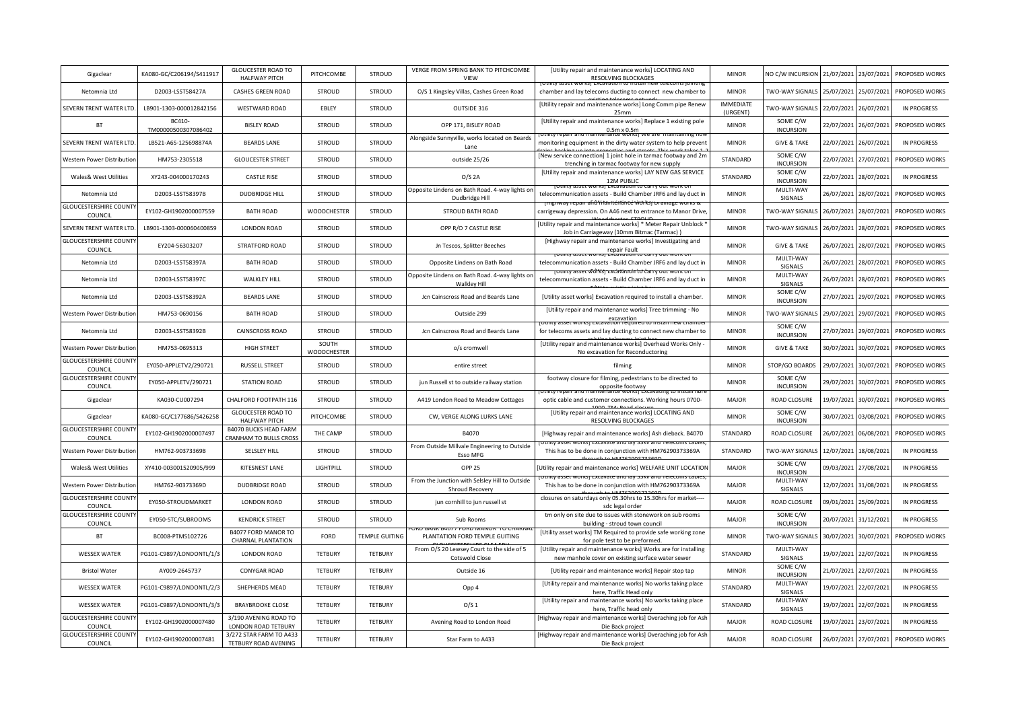| Gigaclear                                                               | KA080-GC/C206194/S411917     | <b>GLOUCESTER ROAD TO</b><br><b>HALFWAY PITCH</b>                       | PITCHCOMBE         | STROUD                | VERGE FROM SPRING BANK TO PITCHCOMBE<br>VIEW                      | [Utility repair and maintenance works] LOCATING AND<br>RESOLVING BLOCKAGES                                           | <b>MINOR</b>                 | NO C/W INCURSION             | 21/07/2021 | 23/07/2021            | PROPOSED WORKS            |
|-------------------------------------------------------------------------|------------------------------|-------------------------------------------------------------------------|--------------------|-----------------------|-------------------------------------------------------------------|----------------------------------------------------------------------------------------------------------------------|------------------------------|------------------------------|------------|-----------------------|---------------------------|
| Netomnia Ltd                                                            | D2003-LSST58427A             | CASHES GREEN ROAD                                                       | <b>STROUD</b>      | <b>STROUD</b>         | O/S 1 Kingsley Villas, Cashes Green Road                          | chamber and lay telecoms ducting to connect new chamber to                                                           | <b>MINOR</b>                 | <b>TWO-WAY SIGNALS</b>       | 25/07/2021 | 25/07/2021            | PROPOSED WORKS            |
| SEVERN TRENT WATER LTD                                                  | LB901-1303-000012842156      | <b>WESTWARD ROAD</b>                                                    | EBLEY              | STROUD                | OUTSIDE 316                                                       | [Utility repair and maintenance works] Long Comm pipe Renew<br>25mm                                                  | <b>IMMEDIATE</b><br>(URGENT) | <b>TWO-WAY SIGNALS</b>       |            | 22/07/2021 26/07/2021 | <b>IN PROGRESS</b>        |
| <b>BT</b>                                                               | BC410<br>TM00000500307086402 | <b>BISLEY ROAD</b>                                                      | <b>STROUD</b>      | <b>STROUD</b>         | OPP 171, BISLEY ROAD                                              | [Utility repair and maintenance works] Replace 1 existing pole<br>$0.5m \times 0.5m$                                 | <b>MINOR</b>                 | SOME C/W<br><b>INCURSION</b> | 22/07/2021 | 26/07/2021            | PROPOSED WORKS            |
| SEVERN TRENT WATER LTD                                                  | LB521-A6S-125698874A         | <b>BEARDS LANE</b>                                                      | <b>STROUD</b>      | <b>STROUD</b>         | Alongside Sunnyville, works located on Beards<br>Lane             | monitoring equipment in the dirty water system to help prevent                                                       | <b>MINOR</b>                 | <b>GIVE &amp; TAKE</b>       | 22/07/2021 | 26/07/2021            | IN PROGRESS               |
| <b>Nestern Power Distribution</b>                                       | HM753-2305518                | <b>GLOUCESTER STREET</b>                                                | <b>STROUD</b>      | STROUD                | outside 25/26                                                     | [New service connection] 1 joint hole in tarmac footway and 2m<br>trenching in tarmac footway for new supply         | STANDARD                     | SOME C/W<br><b>INCURSION</b> | 22/07/2021 | 27/07/2021            | PROPOSED WORKS            |
| Wales& West Utilities                                                   | XY243-004000170243           | CASTLE RISE                                                             | STROUD             | <b>STROUD</b>         | $O/S$ 2A                                                          | [Utility repair and maintenance works] LAY NEW GAS SERVICE<br>12M PUBLIC                                             | STANDARD                     | SOME C/W<br><b>INCURSION</b> | 22/07/2021 | 28/07/2021            | <b>IN PROGRESS</b>        |
| Netomnia Ltd                                                            | D2003-LSST58397B             | <b>DUDBRIDGE HILL</b>                                                   | <b>STROUD</b>      | <b>STROUD</b>         | Opposite Lindens on Bath Road. 4-way lights on<br>Dudbridge Hill  | telecommunication assets - Build Chamber JRF6 and lay duct in                                                        | <b>MINOR</b>                 | MULTI-WAY<br>SIGNALS         | 26/07/2021 |                       | 28/07/2021 PROPOSED WORKS |
| <b>GLOUCESTERSHIRE COUNT</b><br>COUNCIL                                 | EY102-GH1902000007559        | <b>BATH ROAD</b>                                                        | WOODCHESTER        | <b>STROUD</b>         | <b>STROUD BATH ROAD</b>                                           | <del>nenance worksr</del><br>carrigeway depression. On A46 next to entrance to Manor Drive                           | <b>MINOR</b>                 | <b>TWO-WAY SIGNALS</b>       | 26/07/2021 | 28/07/2021            | PROPOSED WORKS            |
| SEVERN TRENT WATER LTD                                                  | LB901-1303-000060400859      | <b>LONDON ROAD</b>                                                      | STROUD             | <b>STROUD</b>         | OPP R/O 7 CASTLE RISE                                             | [Utility repair and maintenance works] * Meter Repair Unblock *<br>Job in Carriageway (10mm Bitmac (Tarmac))         | <b>MINOR</b>                 | <b>TWO-WAY SIGNALS</b>       | 26/07/2021 | 28/07/2021            | PROPOSED WORKS            |
| <b>GLOUCESTERSHIRE COUNTY</b><br>COUNCIL                                | EY204-56303207               | STRATFORD ROAD                                                          | <b>STROUD</b>      | <b>STROUD</b>         | Jn Tescos, Splitter Beeches                                       | [Highway repair and maintenance works] Investigating and<br>repair Fault<br>SJ Excavation                            | <b>MINOR</b>                 | <b>GIVE &amp; TAKE</b>       | 26/07/2021 | 28/07/2021            | PROPOSED WORKS            |
| Netomnia Ltd                                                            | D2003-LSST58397A             | <b>BATH ROAD</b>                                                        | <b>STROUD</b>      | <b>STROUD</b>         | Opposite Lindens on Bath Road                                     | telecommunication assets - Build Chamber JRF6 and lay duct in                                                        | <b>MINOR</b>                 | MULTI-WAY<br>SIGNALS         | 26/07/2021 | 28/07/2021            | PROPOSED WORKS            |
| Netomnia Ltd                                                            | D2003-LSST58397C             | <b>WALKLEY HILL</b>                                                     | STROUD             | <b>STROUD</b>         | Opposite Lindens on Bath Road. 4-way lights on<br>Walkley Hill    | <del>sset wlóN≾j~∟x∪avatnoin it∪ bar</del><br>telecommunication assets - Build Chamber JRF6 and lay duct in          | <b>MINOR</b>                 | MULTI-WAY<br>SIGNALS         | 26/07/2021 | 28/07/2021            | PROPOSED WORKS            |
| Netomnia Ltd                                                            | D2003-LSST58392A             | <b>BEARDS LANE</b>                                                      | <b>STROUD</b>      | STROUD                | Jcn Cainscross Road and Beards Lane                               | [Utility asset works] Excavation required to install a chamber                                                       | <b>MINOR</b>                 | SOME C/W<br><b>INCURSION</b> | 27/07/2021 | 29/07/2021            | PROPOSED WORKS            |
| Western Power Distribution                                              | HM753-0690156                | <b>BATH ROAD</b>                                                        | <b>STROUD</b>      | STROUD                | Outside 299                                                       | [Utility repair and maintenance works] Tree trimming - No<br>excavation                                              | <b>MINOR</b>                 | <b>TWO-WAY SIGNALS</b>       | 29/07/2021 | 29/07/2021            | PROPOSED WORKS            |
| Netomnia Ltd                                                            | D2003-LSST58392B             | CAINSCROSS ROAD                                                         | <b>STROUD</b>      | <b>STROUD</b>         | Jcn Cainscross Road and Beards Lane                               | for telecoms assets and lay ducting to connect new chamber to                                                        | <b>MINOR</b>                 | SOME C/W<br><b>INCURSION</b> | 27/07/2021 | 29/07/2021            | PROPOSED WORKS            |
|                                                                         |                              |                                                                         | SOUTH              | <b>STROUD</b>         | o/s cromwell                                                      | [Utility repair and maintenance works] Overhead Works Only                                                           | <b>MINOR</b>                 | <b>GIVE &amp; TAKE</b>       | 30/07/2021 | 30/07/2021            | PROPOSED WORKS            |
| <b>Nestern Power Distribution</b>                                       | HM753-0695313                | HIGH STREET                                                             | <b>WOODCHESTER</b> |                       |                                                                   | No excavation for Reconductoring                                                                                     |                              |                              |            |                       |                           |
| <b>GLOUCESTERSHIRE COUNTY</b><br>COUNCIL                                | EY050-APPLETV2/290721        | RUSSELL STREET                                                          | STROUD             | <b>STROUD</b>         | entire street                                                     | filming                                                                                                              | <b>MINOR</b>                 | STOP/GO BOARDS               | 29/07/2021 | 30/07/2021            | PROPOSED WORKS            |
| <b>GLOUCESTERSHIRE COUNTY</b><br>COUNCIL                                | EY050-APPLETV/290721         | <b>STATION ROAD</b>                                                     | <b>STROUD</b>      | <b>STROUD</b>         | jun Russell st to outside railway station                         | footway closure for filming, pedestrians to be directed to                                                           | <b>MINOR</b>                 | SOME C/W<br><b>INCURSION</b> | 29/07/2021 |                       | 30/07/2021 PROPOSED WORKS |
| Gigaclear                                                               | KA030-CU007294               | CHALFORD FOOTPATH 116                                                   | <b>STROUD</b>      | <b>STROUD</b>         | A419 London Road to Meadow Cottages                               | opposite footway<br>optic cable and customer connections. Working hours 0700-                                        | <b>MAJOR</b>                 | ROAD CLOSURE                 | 19/07/2021 | 30/07/2021            | PROPOSED WORKS            |
| Gigaclear                                                               | KA080-GC/C177686/S426258     | <b>GLOUCESTER ROAD TO</b><br><b>HALFWAY PITCH</b>                       | PITCHCOMBE         | <b>STROUD</b>         | CW, VERGE ALONG LURKS LANE                                        | [Utility repair and maintenance works] LOCATING AND<br>RESOLVING BLOCKAGES                                           | <b>MINOR</b>                 | SOME C/W<br><b>INCURSION</b> | 30/07/2021 | 03/08/2021            | PROPOSED WORKS            |
| <b>GLOUCESTERSHIRE COUNT</b><br>COUNCIL                                 | EY102-GH1902000007497        | <b>B4070 BUCKS HEAD FARM</b><br>CRANHAM TO BULLS CROSS                  | THE CAMP           | <b>STROUD</b>         | B4070                                                             | [Highway repair and maintenance works] Ash dieback. B4070                                                            | STANDARD                     | ROAD CLOSURE                 | 26/07/2021 | 06/08/2021            | PROPOSED WORKS            |
| Western Power Distributior                                              | HM762-90373369B              | SELSLEY HILL                                                            | STROUD             | STROUD                | From Outside Millvale Engineering to Outside<br>Esso MFG          | <b>SSCL WORKST LALGVALE GITURN JUNY</b><br>This has to be done in conjunction with HM76290373369A                    | STANDARD                     | <b>TWO-WAY SIGNAL</b>        | 12/07/2021 | 18/08/2021            | <b>IN PROGRESS</b>        |
| Wales& West Utilities                                                   | XY410-003001520905/999       | <b>KITESNEST LANE</b>                                                   | LIGHTPILL          | <b>STROUD</b>         | <b>OPP 25</b>                                                     | Utility repair and maintenance works] WELFARE UNIT LOCATION                                                          | <b>MAJOR</b>                 | SOME C/W<br><b>INCURSION</b> | 09/03/2021 | 27/08/2021            | <b>IN PROGRESS</b>        |
| <b>Nestern Power Distribution</b>                                       | HM762-90373369D              | <b>DUDBRIDGE ROAD</b>                                                   | <b>STROUD</b>      | <b>STROUD</b>         | From the Junction with Selsley Hill to Outside<br>Shroud Recovery | This has to be done in conjunction with HM76290373369A                                                               | <b>MAJOR</b>                 | MULTI-WAY<br>SIGNALS         | 12/07/2021 | 31/08/2021            | <b>IN PROGRESS</b>        |
| <b>GLOUCESTERSHIRE COUNTY</b><br>COUNCIL                                | EY050-STROUDMARKET           | <b>LONDON ROAD</b>                                                      | <b>STROUD</b>      | <b>STROUD</b>         | jun cornhill to jun russell st                                    | closures on saturdays only 05.30hrs to 15.30hrs for market---<br>sdc legal order                                     | <b>MAJOR</b>                 | <b>ROAD CLOSURE</b>          | 09/01/2021 | 25/09/2021            | IN PROGRESS               |
| <b>GLOUCESTERSHIRE COUNTY</b><br>COUNCIL                                | EY050-STC/SUBROOMS           | <b>KENDRICK STREET</b>                                                  | <b>STROUD</b>      | STROUD                | Sub Rooms                                                         | tm only on site due to issues with stonework on sub rooms<br>building - stroud town council                          | <b>MAJOR</b>                 | SOME C/W<br><b>INCURSION</b> | 20/07/2021 | 31/12/2021            | <b>IN PROGRESS</b>        |
| <b>BT</b>                                                               | BC008-PTMS102726             | B4077 FORD MANOR TO<br><b>CHARNAL PLANTATION</b>                        | FORD               | <b>TEMPLE GUITING</b> | PLANTATION FORD TEMPLE GUITING                                    | [Utility asset works] TM Required to provide safe working zone<br>for pole test to be preformed.                     | <b>MINOR</b>                 | <b>TWO-WAY SIGNAL</b>        | 30/07/2021 | 30/07/2021            | PROPOSED WORKS            |
| <b>WESSEX WATER</b>                                                     | PG101-C9897/LONDONTL/1/3     | <b>LONDON ROAD</b>                                                      | <b>TETBURY</b>     | <b>TETBURY</b>        | From O/S 20 Lewsey Court to the side of 5<br>Cotswold Close       | [Utility repair and maintenance works] Works are for installing<br>new manhole cover on existing surface water sewer | STANDARD                     | MULTI-WAY<br>SIGNALS         | 19/07/2021 | 22/07/2021            | <b>IN PROGRESS</b>        |
| <b>Bristol Water</b>                                                    | AY009-2645737                | <b>CONYGAR ROAD</b>                                                     | TETBURY            | <b>TETBURY</b>        | Outside 16                                                        | [Utility repair and maintenance works] Repair stop tap                                                               | <b>MINOR</b>                 | SOME C/W<br><b>INCURSION</b> | 21/07/2021 | 22/07/2021            | <b>IN PROGRESS</b>        |
| <b>WESSEX WATER</b>                                                     | PG101-C9897/LONDONTL/2/3     | SHEPHERDS MEAD                                                          | TETBURY            | <b>TETBURY</b>        | Opp 4                                                             | [Utility repair and maintenance works] No works taking place<br>here, Traffic Head only                              | STANDARD                     | MULTI-WAY<br>SIGNALS         | 19/07/2021 | 22/07/2021            | <b>IN PROGRESS</b>        |
| <b>WESSEX WATER</b>                                                     | PG101-C9897/LONDONTL/3/3     | <b>BRAYBROOKE CLOSE</b>                                                 | <b>TETBURY</b>     | <b>TETBURY</b>        | O/S <sub>1</sub>                                                  | [Utility repair and maintenance works] No works taking place<br>here, Traffic head only                              | STANDARD                     | MULTI-WAY<br>SIGNALS         | 19/07/2021 | 22/07/2021            | <b>IN PROGRESS</b>        |
| <b>GLOUCESTERSHIRE COUNT</b><br>COUNCIL<br><b>GLOUCESTERSHIRE COUNT</b> | EY102-GH1902000007480        | 3/190 AVENING ROAD TO<br>LONDON ROAD TETBURY<br>3/272 STAR FARM TO A433 | TETBURY            | <b>TETBURY</b>        | Avening Road to London Road                                       | Highway repair and maintenance works] Overaching job for Ash<br>Die Back project                                     | <b>MAJOR</b>                 | <b>ROAD CLOSURE</b>          | 19/07/2021 | 23/07/2021            | <b>IN PROGRESS</b>        |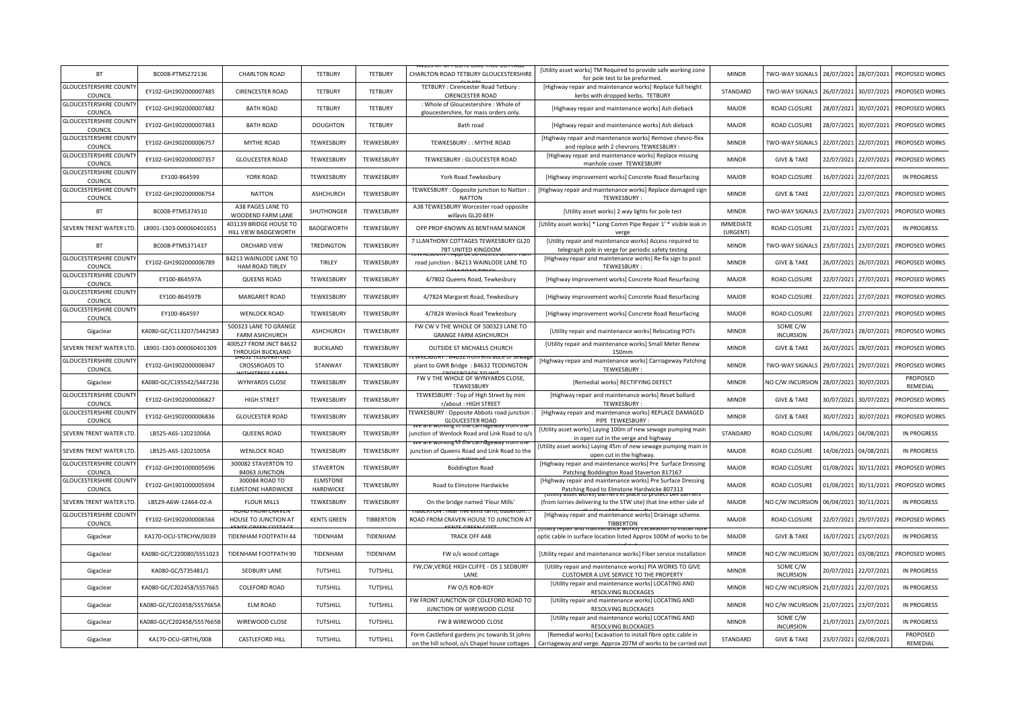| <b>BT</b>                                | BC008-PTMS272136          | <b>CHARLTON ROAD</b>                           | <b>TETBURY</b>        | <b>TETBURY</b>   | CHARLTON ROAD TETBURY GLOUCESTERSHIRE                                                         | [Utility asset works] TM Required to provide safe working zone<br>for pole test to be preformed.                             | <b>MINOR</b>                 | TWO-WAY SIGNALS              | 28/07/2021 | 28/07/2021 | PROPOSED WORKS       |
|------------------------------------------|---------------------------|------------------------------------------------|-----------------------|------------------|-----------------------------------------------------------------------------------------------|------------------------------------------------------------------------------------------------------------------------------|------------------------------|------------------------------|------------|------------|----------------------|
| <b>GLOUCESTERSHIRE COUNT</b><br>COUNCIL  | EY102-GH1902000007485     | <b>CIRENCESTER ROAD</b>                        | <b>TETBURY</b>        | <b>TETBURY</b>   | TETBURY : Cirencester Road Tetbury :<br><b>CIRENCESTER ROAD</b>                               | [Highway repair and maintenance works] Replace full height<br>kerbs with dropped kerbs. TETBURY                              | STANDARD                     | TWO-WAY SIGNALS              | 26/07/2021 | 30/07/2021 | PROPOSED WORKS       |
| <b>GLOUCESTERSHIRE COUNT</b><br>COUNCIL  | EY102-GH1902000007482     | <b>BATH ROAD</b>                               | <b>TETBURY</b>        | <b>TETBURY</b>   | : Whole of Gloucestershire : Whole of<br>gloucestershire, for mass orders only.               | [Highway repair and maintenance works] Ash dieback                                                                           | <b>MAJOR</b>                 | <b>ROAD CLOSURE</b>          | 28/07/2021 | 30/07/2021 | PROPOSED WORKS       |
| <b>GLOUCESTERSHIRE COUNT</b><br>COUNCIL  | EY102-GH1902000007483     | <b>BATH ROAD</b>                               | <b>DOUGHTON</b>       | <b>TETBURY</b>   | Bath road                                                                                     | [Highway repair and maintenance works] Ash dieback                                                                           | <b>MAJOR</b>                 | ROAD CLOSURE                 | 28/07/2021 | 30/07/2021 | PROPOSED WORKS       |
| <b>GLOUCESTERSHIRE COUNT</b><br>COUNCIL  | EY102-GH1902000006757     | MYTHE ROAD                                     | TEWKESBURY            | TEWKESBURY       | TEWKESBURY:: MYTHE ROAD                                                                       | [Highway repair and maintenance works] Remove chevro-flex<br>and replace with 2 chevrons TEWKESBURY :                        | <b>MINOR</b>                 | <b>TWO-WAY SIGNALS</b>       | 22/07/2021 | 22/07/2021 | PROPOSED WORKS       |
| <b>GLOUCESTERSHIRE COUNT</b><br>COUNCIL  | EY102-GH1902000007357     | <b>GLOUCESTER ROAD</b>                         | TEWKESBURY            | TEWKESBURY       | TEWKESBURY : GLOUCESTER ROAD                                                                  | [Highway repair and maintenance works] Replace missing<br>manhole cover TEWKESBURY                                           | <b>MINOR</b>                 | <b>GIVE &amp; TAKE</b>       | 22/07/2021 | 22/07/2021 | PROPOSED WORKS       |
| <b>GLOUCESTERSHIRE COUNT</b><br>COUNCIL  | EY100-864599              | YORK ROAD                                      | TEWKESBURY            | TEWKESBURY       | York Road Tewkesbury                                                                          | [Highway improvement works] Concrete Road Resurfacing                                                                        | <b>MAJOR</b>                 | <b>ROAD CLOSURE</b>          | 16/07/2021 | 22/07/2021 | <b>IN PROGRESS</b>   |
| <b>GLOUCESTERSHIRE COUNT</b><br>COUNCIL  | EY102-GH1902000006754     | <b>NATTON</b>                                  | <b>ASHCHURCH</b>      | TEWKESBURY       | TEWKESBURY: Opposite junction to Natton:<br><b>NATTON</b>                                     | [Highway repair and maintenance works] Replace damaged sign<br>TEWKESBURY                                                    | <b>MINOR</b>                 | <b>GIVE &amp; TAKE</b>       | 22/07/2021 | 22/07/2021 | PROPOSED WORKS       |
| <b>BT</b>                                | BC008-PTMS374510          | A38 PAGES LANE TO<br>WOODEND FARM LANE         | SHUTHONGER            | TEWKESBURY       | A38 TEWKESBURY Worcester road opposite<br>willavis GL20 6EH                                   | [Utility asset works] 2 way lights for pole test                                                                             | <b>MINOR</b>                 | TWO-WAY SIGNALS              | 23/07/2021 | 23/07/2021 | PROPOSED WORKS       |
| SEVERN TRENT WATER LTD                   | LB901-1303-000060401651   | 401139 BRIDGE HOUSE TO<br>HILL VIEW BADGEWORTH | <b>BADGEWORTH</b>     | TEWKESBURY       | OPP PROP KNOWN AS BENTHAM MANOR                                                               | [Utility asset works] * Long Comm Pipe Repair 1' * visible leak in<br>verge                                                  | <b>IMMEDIATE</b><br>(URGENT) | ROAD CLOSURE                 | 21/07/2021 | 23/07/2021 | <b>IN PROGRESS</b>   |
| <b>BT</b>                                | BC008-PTMS371437          | ORCHARD VIEW                                   | <b>TREDINGTON</b>     | TEWKESBURY       | 7 LLANTHONY COTTAGES TEWKESBURY GL20<br>7BT UNITED KINGDOM                                    | [Utility repair and maintenance works] Access required to<br>telegraph pole in verge for periodic safety testing             | <b>MINOR</b>                 | TWO-WAY SIGNALS              | 23/07/2021 | 23/07/2021 | PROPOSED WORKS       |
| <b>GLOUCESTERSHIRE COUNT</b><br>COUNCIL  | EY102-GH1902000006789     | B4213 WAINLODE LANE TO<br>HAM ROAD TIRLEY      | TIRLEY                | TEWKESBURY       | road junction : B4213 WAINLODE LANE TO                                                        | [Highway repair and maintenance works] Re-fix sign to post<br>TEWKESBURY:                                                    | <b>MINOR</b>                 | <b>GIVE &amp; TAKE</b>       | 26/07/2021 | 26/07/2021 | PROPOSED WORKS       |
| <b>GLOUCESTERSHIRE COUNT</b><br>COUNCIL  | EY100-864597A             | <b>QUEENS ROAD</b>                             | TEWKESBURY            | TEWKESBURY       | 4/7802 Queens Road, Tewkesbury                                                                | [Highway improvement works] Concrete Road Resurfacing                                                                        | <b>MAJOR</b>                 | ROAD CLOSURE                 | 22/07/2021 | 27/07/2021 | PROPOSED WORKS       |
| <b>GLOUCESTERSHIRE COUNTY</b><br>COUNCIL | EY100-864597B             | MARGARET ROAD                                  | TEWKESBURY            | TEWKESBURY       | 4/7824 Margaret Road, Tewkesbury                                                              | [Highway improvement works] Concrete Road Resurfacing                                                                        | <b>MAJOR</b>                 | ROAD CLOSURE                 | 22/07/2021 | 27/07/2021 | PROPOSED WORKS       |
| <b>GLOUCESTERSHIRE COUNTY</b><br>COUNCIL | EY100-864597              | <b>WENLOCK ROAD</b>                            | TEWKESBURY            | TEWKESBURY       | 4/7824 Wenlock Road Tewkesbury                                                                | [Highway improvement works] Concrete Road Resurfacing                                                                        | <b>MAJOR</b>                 | ROAD CLOSURE                 | 22/07/2021 | 27/07/2021 | PROPOSED WORKS       |
| Gigaclear                                | KA080-GC/C113207/S442583  | 500323 LANE TO GRANGE<br><b>FARM ASHCHURCH</b> | <b>ASHCHURCH</b>      | TEWKESBURY       | FW CW V THE WHOLE OF 500323 LANE TO<br><b>GRANGE FARM ASHCHURCH</b>                           | [Utility repair and maintenance works] Relocating POTs                                                                       | <b>MINOR</b>                 | SOME C/W<br><b>INCURSION</b> | 26/07/2021 | 28/07/2021 | PROPOSED WORKS       |
| SEVERN TRENT WATER LTI                   | LB901-1303-000060401309   | 400527 FROM JNCT B4632<br>THROUGH BUCKLAND     | <b>BUCKLAND</b>       | TEWKESBURY       | OUTSIDE ST MICHAELS CHURCH                                                                    | [Utility repair and maintenance works] Small Meter Renew<br>150mm                                                            | <b>MINOR</b>                 | <b>GIVE &amp; TAKE</b>       | 26/07/2021 | 28/07/2021 | PROPOSED WORKS       |
| <b>GLOUCESTERSHIRE COUNT</b><br>COUNCIL  | EY102-GH1902000006947     | <b>CROSSROADS TO</b>                           | STANWAY               | TEWKESBURY       | ACABUAT - 04037 TRUTTELLINUS EULSEW<br>plant to GWR Bridge: B4632 TEDDINGTON                  | [Highway repair and maintenance works] Carriageway Patching<br>TEWKESBURY:                                                   | <b>MINOR</b>                 | TWO-WAY SIGNALS              | 29/07/2021 | 29/07/2021 | PROPOSED WORKS       |
| Gigaclear                                | KA080-GC/C195542/S447236  | <b>WYNYARDS CLOSE</b>                          | TEWKESBURY            | TEWKESBURY       | FW V THE WHOLE OF WYNYARDS CLOSE,<br><b>TEWKESBURY</b>                                        | [Remedial works] RECTIFYING DEFECT                                                                                           | <b>MINOR</b>                 | NO C/W INCURSION 28/07/2021  |            | 30/07/2021 | PROPOSED<br>REMEDIAL |
| <b>GLOUCESTERSHIRE COUNT</b><br>COUNCIL  | EY102-GH1902000006827     | <b>HIGH STREET</b>                             | TEWKESBURY            | TEWKESBURY       | TEWKESBURY: Top of High Street by mini<br>r/about : HIGH STREET                               | [Highway repair and maintenance works] Reset bollard<br>TFWKFSBURY                                                           | <b>MINOR</b>                 | <b>GIVE &amp; TAKE</b>       | 30/07/2021 | 30/07/2021 | PROPOSED WORKS       |
| <b>GLOUCESTERSHIRE COUNT</b><br>COUNCIL  | EY102-GH1902000006836     | <b>GLOUCESTER ROAD</b>                         | TEWKESBURY            | TEWKESBURY       | EWKESBURY : Opposite Abbots road junction<br><b>GLOUCESTER ROAD</b>                           | [Highway repair and maintenance works] REPLACE DAMAGED<br>PIPE TEWKESBURY:                                                   | <b>MINOR</b>                 | <b>GIVE &amp; TAKE</b>       | 30/07/2021 | 30/07/2021 | PROPOSED WORKS       |
| SEVERN TRENT WATER LTD                   | LB525-A6S-12021006A       | QUEENS ROAD                                    | TEWKESBURY            | TEWKESBURY       | junction of Wenlock Road and Link Road to o/s                                                 | [Utility asset works] Laying 100m of new sewage pumping main<br>in open cut in the verge and highway                         | STANDARD                     | ROAD CLOSURE                 | 14/06/2021 | 04/08/2021 | <b>IN PROGRESS</b>   |
| SEVERN TRENT WATER LTD                   | LB525-A6S-12021005A       | <b>WENLOCK ROAD</b>                            | TEWKESBURY            | TEWKESBURY       | junction of Queens Road and Link Road to the                                                  | [Utility asset works] Laying 45m of new sewage pumping main in<br>open cut in the highway.                                   | MAJOR                        | <b>ROAD CLOSURE</b>          | 14/06/2021 | 04/08/2021 | <b>IN PROGRESS</b>   |
| <b>GLOUCESTERSHIRE COUNT</b><br>COUNCIL  | EY102-GH1901000005696     | 300082 STAVERTON TO<br><b>B4063 JUNCTION</b>   | <b>STAVERTON</b>      | TEWKESBURY       | <b>Boddington Road</b>                                                                        | [Highway repair and maintenance works] Pre Surface Dressing<br>Patching Boddington Road Staverton 817167                     | <b>MAJOR</b>                 | <b>ROAD CLOSURE</b>          | 01/08/2021 | 30/11/2021 | PROPOSED WORKS       |
| <b>GLOUCESTERSHIRE COUNT</b><br>COUNCIL  | EY102-GH1901000005694     | 300084 ROAD TO<br><b>ELMSTONE HARDWICKE</b>    | ELMSTONE<br>HARDWICKE | TEWKESBURY       | Road to Elmstone Hardwicke                                                                    | [Highway repair and maintenance works] Pre Surface Dressing<br>Patching Road to Elmstone Hardwicke 807313                    | <b>MAJOR</b>                 | ROAD CLOSURE                 | 01/08/2021 | 30/11/2021 | PROPOSED WORKS       |
| SEVERN TRENT WATER LTD                   | LB529-A6W-12464-02-A      | <b>FLOUR MILLS</b>                             | TEWKESBURY            | TEWKESBURY       | On the bridge named 'Flour Mills'                                                             | (from lorries delivering to the STW site) that line either side of                                                           | <b>MAJOR</b>                 | NO C/W INCURSION             | 06/04/2021 | 30/11/2021 | <b>IN PROGRESS</b>   |
| <b>GLOUCESTERSHIRE COUNT</b><br>COUNCIL  | EY102-GH1902000006566     | HOUSE TO JUNCTION AT                           | <b>KENTS GREEN</b>    | <b>TIBBERTON</b> | ROAD FROM CRAVEN HOUSE TO JUNCTION AT                                                         | [Highway repair and maintenance works] Drainage scheme.<br><b>TIBBERTON</b>                                                  | <b>MAJOR</b>                 | ROAD CLOSURE                 | 22/07/2021 | 29/07/2021 | PROPOSED WORKS       |
| Gigaclear                                | KA170-OCU-STRCHW/0039     | TIDENHAM FOOTPATH 44                           | TIDENHAM              | TIDENHAM         | TRACK OFF A48                                                                                 | optic cable in surface location listed Approx 100M of works to be                                                            | <b>MAJOR</b>                 | <b>GIVE &amp; TAKE</b>       | 16/07/2021 | 23/07/2021 | <b>IN PROGRESS</b>   |
| Gigaclear                                | KA080-GC/C220080/S551023  | TIDENHAM FOOTPATH 90                           | TIDENHAM              | <b>TIDENHAM</b>  | FW o/s wood cottage                                                                           | [Utility repair and maintenance works] Fiber service installation                                                            | <b>MINOR</b>                 | NO C/W INCURSION             | 30/07/2021 | 03/08/2021 | PROPOSED WORKS       |
| Gigaclear                                | KA080-GC/S735481/1        | <b>SEDBURY LANE</b>                            | <b>TUTSHILL</b>       | <b>TUTSHILL</b>  | FW,CW,VERGE HIGH CLIFFE - OS 1 SEDBURY<br>LANE                                                | [Utility repair and maintenance works] PIA WORKS TO GIVE<br>CUSTOMER A LIVE SERVICE TO THE PROPERTY                          | <b>MINOR</b>                 | SOME C/W<br><b>INCURSION</b> | 20/07/2021 | 22/07/2021 | <b>IN PROGRESS</b>   |
| Gigaclear                                | KA080-GC/C202458/S557665  | <b>COLEFORD ROAD</b>                           | TUTSHILL              | TUTSHILL         | FW O/S ROB-ROY                                                                                | [Utility repair and maintenance works] LOCATING AND<br><b>RESOLVING BLOCKAGES</b>                                            | <b>MINOR</b>                 | NO C/W INCURSION             | 21/07/2021 | 22/07/2021 | <b>IN PROGRESS</b>   |
| Gigaclear                                | KA080-GC/C202458/S557665A | <b>ELM ROAD</b>                                | TUTSHILL              | TUTSHILL         | FW FRONT JUNCTION OF COLEFORD ROAD TO<br>JUNCTION OF WIREWOOD CLOSE                           | [Utility repair and maintenance works] LOCATING AND<br>RESOLVING BLOCKAGES                                                   | <b>MINOR</b>                 | NO C/W INCURSION             | 21/07/2021 | 23/07/2021 | <b>IN PROGRESS</b>   |
| Gigaclear                                | KA080-GC/C202458/S557665B | WIREWOOD CLOSE                                 | <b>TUTSHILL</b>       | TUTSHILL         | FW 8 WIREWOOD CLOSE                                                                           | [Utility repair and maintenance works] LOCATING AND<br>RESOLVING BLOCKAGES                                                   | <b>MINOR</b>                 | SOME C/W<br><b>INCURSION</b> | 21/07/2021 | 23/07/2021 | <b>IN PROGRESS</b>   |
| Gigaclear                                | KA170-OCU-GRTHL/008       | <b>CASTLEFORD HILL</b>                         | <b>TUTSHILL</b>       | TUTSHILL         | Form Castleford gardens jnc towards St johns<br>on the hill school, o/s Chapel house cottages | [Remedial works] Excavation to install fibre optic cable in<br>Carriageway and verge. Approx 207M of works to be carried out | STANDARD                     | <b>GIVE &amp; TAKE</b>       | 23/07/2021 | 02/08/2021 | PROPOSED<br>REMEDIAL |
|                                          |                           |                                                |                       |                  |                                                                                               |                                                                                                                              |                              |                              |            |            |                      |